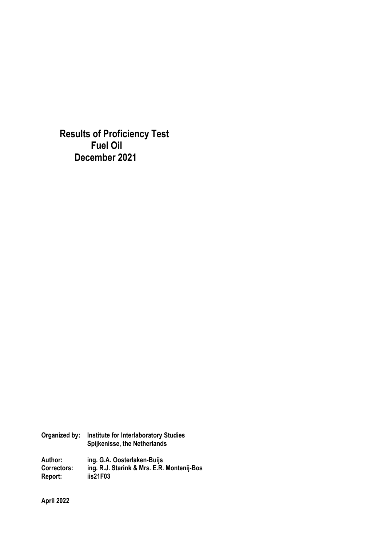**Results of Proficiency Test Fuel Oil December 2021** 

| Organized by:      | <b>Institute for Interlaboratory Studies</b><br>Spijkenisse, the Netherlands |  |  |
|--------------------|------------------------------------------------------------------------------|--|--|
| Author:            | ing. G.A. Oosterlaken-Buijs                                                  |  |  |
| <b>Correctors:</b> | ing. R.J. Starink & Mrs. E.R. Montenij-Bos                                   |  |  |
| Report:            | iis21F03                                                                     |  |  |

**April 2022**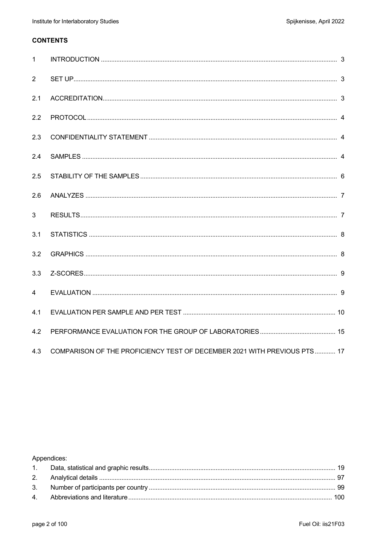## **CONTENTS**

| $\mathbf{1}$   |                                                                          |  |
|----------------|--------------------------------------------------------------------------|--|
| 2              |                                                                          |  |
| 2.1            |                                                                          |  |
| 2.2            |                                                                          |  |
| 2.3            |                                                                          |  |
| 2.4            |                                                                          |  |
| 2.5            |                                                                          |  |
| 2.6            |                                                                          |  |
| 3              |                                                                          |  |
| 3.1            |                                                                          |  |
| 3.2            |                                                                          |  |
| 3.3            |                                                                          |  |
| $\overline{4}$ |                                                                          |  |
| 4.1            |                                                                          |  |
| 4.2            |                                                                          |  |
| 4.3            | COMPARISON OF THE PROFICIENCY TEST OF DECEMBER 2021 WITH PREVIOUS PTS 17 |  |

Appendices: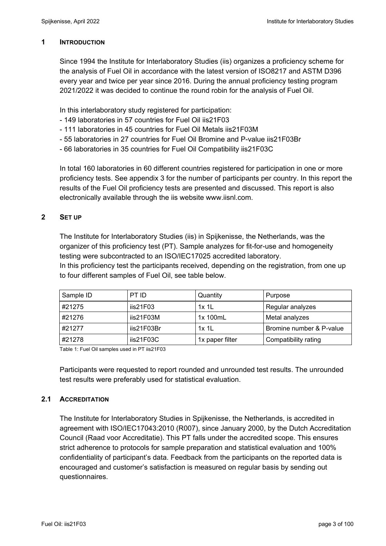#### **1 INTRODUCTION**

Since 1994 the Institute for Interlaboratory Studies (iis) organizes a proficiency scheme for the analysis of Fuel Oil in accordance with the latest version of ISO8217 and ASTM D396 every year and twice per year since 2016. During the annual proficiency testing program 2021/2022 it was decided to continue the round robin for the analysis of Fuel Oil.

In this interlaboratory study registered for participation:

- 149 laboratories in 57 countries for Fuel Oil iis21F03
- 111 laboratories in 45 countries for Fuel Oil Metals iis21F03M
- 55 laboratories in 27 countries for Fuel Oil Bromine and P-value iis21F03Br
- 66 laboratories in 35 countries for Fuel Oil Compatibility iis21F03C

In total 160 laboratories in 60 different countries registered for participation in one or more proficiency tests. See appendix 3 for the number of participants per country. In this report the results of the Fuel Oil proficiency tests are presented and discussed. This report is also electronically available through the iis website www.iisnl.com.

#### **2 SET UP**

The Institute for Interlaboratory Studies (iis) in Spijkenisse, the Netherlands, was the organizer of this proficiency test (PT). Sample analyzes for fit-for-use and homogeneity testing were subcontracted to an ISO/IEC17025 accredited laboratory.

In this proficiency test the participants received, depending on the registration, from one up to four different samples of Fuel Oil, see table below.

| Sample ID | PT ID          | Quantity        | Purpose                  |  |
|-----------|----------------|-----------------|--------------------------|--|
| #21275    | $i$ is $21F03$ | 1x 1L           | Regular analyzes         |  |
| #21276    | iis21F03M      | 1x 100mL        | Metal analyzes           |  |
| #21277    | iis21F03Br     | 1x1L            | Bromine number & P-value |  |
| #21278    | iis21F03C      | 1x paper filter | Compatibility rating     |  |

Table 1: Fuel Oil samples used in PT iis21F03

Participants were requested to report rounded and unrounded test results. The unrounded test results were preferably used for statistical evaluation.

#### **2.1 ACCREDITATION**

The Institute for Interlaboratory Studies in Spijkenisse, the Netherlands, is accredited in agreement with ISO/IEC17043:2010 (R007), since January 2000, by the Dutch Accreditation Council (Raad voor Accreditatie). This PT falls under the accredited scope. This ensures strict adherence to protocols for sample preparation and statistical evaluation and 100% confidentiality of participant's data. Feedback from the participants on the reported data is encouraged and customer's satisfaction is measured on regular basis by sending out questionnaires.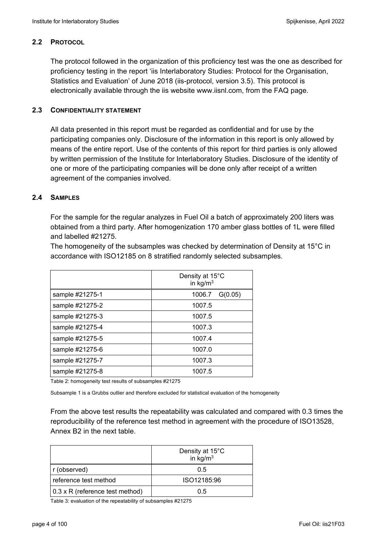### **2.2 PROTOCOL**

The protocol followed in the organization of this proficiency test was the one as described for proficiency testing in the report 'iis Interlaboratory Studies: Protocol for the Organisation, Statistics and Evaluation' of June 2018 (iis-protocol, version 3.5). This protocol is electronically available through the iis website www.iisnl.com, from the FAQ page.

### **2.3 CONFIDENTIALITY STATEMENT**

All data presented in this report must be regarded as confidential and for use by the participating companies only. Disclosure of the information in this report is only allowed by means of the entire report. Use of the contents of this report for third parties is only allowed by written permission of the Institute for Interlaboratory Studies. Disclosure of the identity of one or more of the participating companies will be done only after receipt of a written agreement of the companies involved.

#### **2.4 SAMPLES**

For the sample for the regular analyzes in Fuel Oil a batch of approximately 200 liters was obtained from a third party. After homogenization 170 amber glass bottles of 1L were filled and labelled #21275.

The homogeneity of the subsamples was checked by determination of Density at 15°C in accordance with ISO12185 on 8 stratified randomly selected subsamples.

|                 | Density at 15°C<br>in $kg/m3$ |  |  |
|-----------------|-------------------------------|--|--|
| sample #21275-1 | 1006.7<br>G(0.05)             |  |  |
| sample #21275-2 | 1007.5                        |  |  |
| sample #21275-3 | 1007.5                        |  |  |
| sample #21275-4 | 1007.3                        |  |  |
| sample #21275-5 | 1007.4                        |  |  |
| sample #21275-6 | 1007.0                        |  |  |
| sample #21275-7 | 1007.3                        |  |  |
| sample #21275-8 | 1007.5                        |  |  |

Table 2: homogeneity test results of subsamples #21275

Subsample 1 is a Grubbs outlier and therefore excluded for statistical evaluation of the homogeneity

From the above test results the repeatability was calculated and compared with 0.3 times the reproducibility of the reference test method in agreement with the procedure of ISO13528, Annex B2 in the next table.

|                                         | Density at 15°C<br>in $\text{kg/m}^3$ |
|-----------------------------------------|---------------------------------------|
| r (observed)                            | 0.5                                   |
| l reference test method                 | ISO12185:96                           |
| $\vert$ 0.3 x R (reference test method) | 0.5                                   |

Table 3: evaluation of the repeatability of subsamples #21275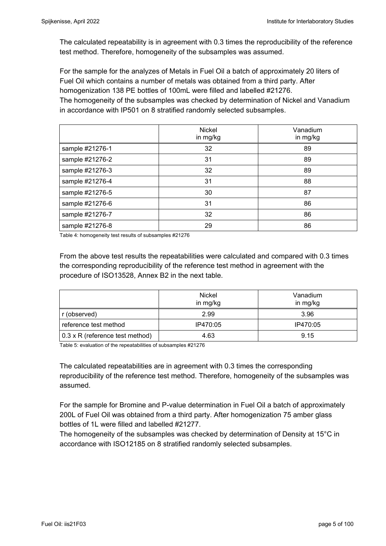The calculated repeatability is in agreement with 0.3 times the reproducibility of the reference test method. Therefore, homogeneity of the subsamples was assumed.

For the sample for the analyzes of Metals in Fuel Oil a batch of approximately 20 liters of Fuel Oil which contains a number of metals was obtained from a third party. After homogenization 138 PE bottles of 100mL were filled and labelled #21276. The homogeneity of the subsamples was checked by determination of Nickel and Vanadium in accordance with IP501 on 8 stratified randomly selected subsamples.

|                 | Nickel<br>in mg/kg | Vanadium<br>in mg/kg |
|-----------------|--------------------|----------------------|
| sample #21276-1 | 32                 | 89                   |
| sample #21276-2 | 31                 | 89                   |
| sample #21276-3 | 32                 | 89                   |
| sample #21276-4 | 31                 | 88                   |
| sample #21276-5 | 30                 | 87                   |
| sample #21276-6 | 31                 | 86                   |
| sample #21276-7 | 32                 | 86                   |
| sample #21276-8 | 29                 | 86                   |

Table 4: homogeneity test results of subsamples #21276

From the above test results the repeatabilities were calculated and compared with 0.3 times the corresponding reproducibility of the reference test method in agreement with the procedure of ISO13528, Annex B2 in the next table.

|                                        | Nickel<br>in mg/kg | Vanadium<br>in mg/kg |
|----------------------------------------|--------------------|----------------------|
| r (observed)                           | 2.99               | 3.96                 |
| reference test method                  | IP470:05           | IP470:05             |
| $0.3 \times R$ (reference test method) | 4.63               | 9.15                 |

Table 5: evaluation of the repeatabilities of subsamples #21276

The calculated repeatabilities are in agreement with 0.3 times the corresponding reproducibility of the reference test method. Therefore, homogeneity of the subsamples was assumed.

For the sample for Bromine and P-value determination in Fuel Oil a batch of approximately 200L of Fuel Oil was obtained from a third party. After homogenization 75 amber glass bottles of 1L were filled and labelled #21277.

The homogeneity of the subsamples was checked by determination of Density at 15°C in accordance with ISO12185 on 8 stratified randomly selected subsamples.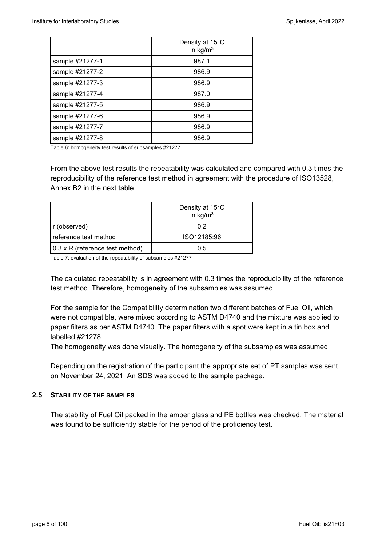|                 | Density at 15°C<br>in $kg/m3$ |
|-----------------|-------------------------------|
| sample #21277-1 | 987.1                         |
| sample #21277-2 | 986.9                         |
| sample #21277-3 | 986.9                         |
| sample #21277-4 | 987.0                         |
| sample #21277-5 | 986.9                         |
| sample #21277-6 | 986.9                         |
| sample #21277-7 | 986.9                         |
| sample #21277-8 | 986.9                         |

Table 6: homogeneity test results of subsamples #21277

From the above test results the repeatability was calculated and compared with 0.3 times the reproducibility of the reference test method in agreement with the procedure of ISO13528, Annex B2 in the next table.

|                                 | Density at 15°C<br>in $\text{kg/m}^3$ |
|---------------------------------|---------------------------------------|
| r (observed)                    | 0 2                                   |
| reference test method           | ISO12185:96                           |
| 0.3 x R (reference test method) | 05                                    |

Table 7: evaluation of the repeatability of subsamples #21277

The calculated repeatability is in agreement with 0.3 times the reproducibility of the reference test method. Therefore, homogeneity of the subsamples was assumed.

For the sample for the Compatibility determination two different batches of Fuel Oil, which were not compatible, were mixed according to ASTM D4740 and the mixture was applied to paper filters as per ASTM D4740. The paper filters with a spot were kept in a tin box and labelled #21278.

The homogeneity was done visually. The homogeneity of the subsamples was assumed.

Depending on the registration of the participant the appropriate set of PT samples was sent on November 24, 2021. An SDS was added to the sample package.

#### **2.5 STABILITY OF THE SAMPLES**

The stability of Fuel Oil packed in the amber glass and PE bottles was checked. The material was found to be sufficiently stable for the period of the proficiency test.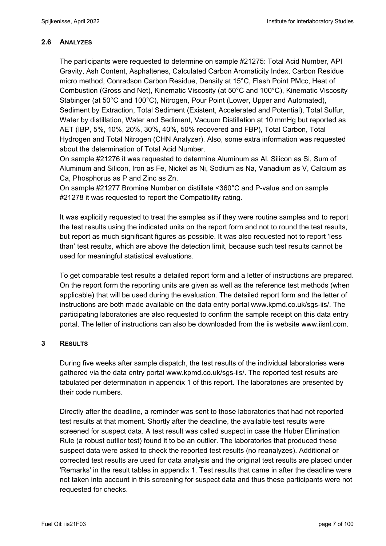### **2.6 ANALYZES**

The participants were requested to determine on sample #21275: Total Acid Number, API Gravity, Ash Content, Asphaltenes, Calculated Carbon Aromaticity Index, Carbon Residue micro method, Conradson Carbon Residue, Density at 15°C, Flash Point PMcc, Heat of Combustion (Gross and Net), Kinematic Viscosity (at 50°C and 100°C), Kinematic Viscosity Stabinger (at 50°C and 100°C), Nitrogen, Pour Point (Lower, Upper and Automated), Sediment by Extraction, Total Sediment (Existent, Accelerated and Potential), Total Sulfur, Water by distillation, Water and Sediment, Vacuum Distillation at 10 mmHg but reported as AET (IBP, 5%, 10%, 20%, 30%, 40%, 50% recovered and FBP), Total Carbon, Total Hydrogen and Total Nitrogen (CHN Analyzer). Also, some extra information was requested about the determination of Total Acid Number.

On sample #21276 it was requested to determine Aluminum as Al, Silicon as Si, Sum of Aluminum and Silicon, Iron as Fe, Nickel as Ni, Sodium as Na, Vanadium as V, Calcium as Ca, Phosphorus as P and Zinc as Zn.

On sample #21277 Bromine Number on distillate <360°C and P-value and on sample #21278 it was requested to report the Compatibility rating.

It was explicitly requested to treat the samples as if they were routine samples and to report the test results using the indicated units on the report form and not to round the test results, but report as much significant figures as possible. It was also requested not to report 'less than' test results, which are above the detection limit, because such test results cannot be used for meaningful statistical evaluations.

To get comparable test results a detailed report form and a letter of instructions are prepared. On the report form the reporting units are given as well as the reference test methods (when applicable) that will be used during the evaluation. The detailed report form and the letter of instructions are both made available on the data entry portal www.kpmd.co.uk/sgs-iis/. The participating laboratories are also requested to confirm the sample receipt on this data entry portal. The letter of instructions can also be downloaded from the iis website www.iisnl.com.

### **3 RESULTS**

During five weeks after sample dispatch, the test results of the individual laboratories were gathered via the data entry portal www.kpmd.co.uk/sgs-iis/. The reported test results are tabulated per determination in appendix 1 of this report. The laboratories are presented by their code numbers.

Directly after the deadline, a reminder was sent to those laboratories that had not reported test results at that moment. Shortly after the deadline, the available test results were screened for suspect data. A test result was called suspect in case the Huber Elimination Rule (a robust outlier test) found it to be an outlier. The laboratories that produced these suspect data were asked to check the reported test results (no reanalyzes). Additional or corrected test results are used for data analysis and the original test results are placed under 'Remarks' in the result tables in appendix 1. Test results that came in after the deadline were not taken into account in this screening for suspect data and thus these participants were not requested for checks.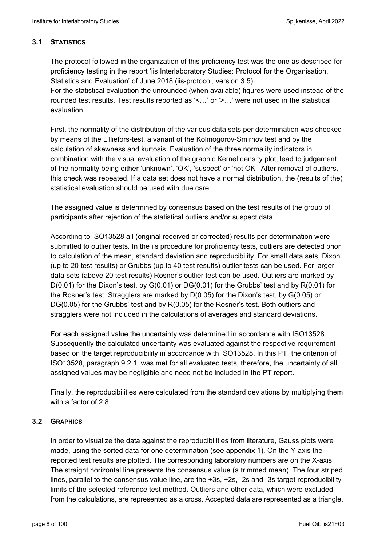### **3.1 STATISTICS**

The protocol followed in the organization of this proficiency test was the one as described for proficiency testing in the report 'iis Interlaboratory Studies: Protocol for the Organisation, Statistics and Evaluation' of June 2018 (iis-protocol, version 3.5).

For the statistical evaluation the unrounded (when available) figures were used instead of the rounded test results. Test results reported as '<…' or '>…' were not used in the statistical evaluation.

First, the normality of the distribution of the various data sets per determination was checked by means of the Lilliefors-test, a variant of the Kolmogorov-Smirnov test and by the calculation of skewness and kurtosis. Evaluation of the three normality indicators in combination with the visual evaluation of the graphic Kernel density plot, lead to judgement of the normality being either 'unknown', 'OK', 'suspect' or 'not OK'. After removal of outliers, this check was repeated. If a data set does not have a normal distribution, the (results of the) statistical evaluation should be used with due care.

The assigned value is determined by consensus based on the test results of the group of participants after rejection of the statistical outliers and/or suspect data.

According to ISO13528 all (original received or corrected) results per determination were submitted to outlier tests. In the iis procedure for proficiency tests, outliers are detected prior to calculation of the mean, standard deviation and reproducibility. For small data sets, Dixon (up to 20 test results) or Grubbs (up to 40 test results) outlier tests can be used. For larger data sets (above 20 test results) Rosner's outlier test can be used. Outliers are marked by  $D(0.01)$  for the Dixon's test, by  $G(0.01)$  or  $DG(0.01)$  for the Grubbs' test and by  $R(0.01)$  for the Rosner's test. Stragglers are marked by D(0.05) for the Dixon's test, by G(0.05) or DG(0.05) for the Grubbs' test and by R(0.05) for the Rosner's test. Both outliers and stragglers were not included in the calculations of averages and standard deviations.

For each assigned value the uncertainty was determined in accordance with ISO13528. Subsequently the calculated uncertainty was evaluated against the respective requirement based on the target reproducibility in accordance with ISO13528. In this PT, the criterion of ISO13528, paragraph 9.2.1. was met for all evaluated tests, therefore, the uncertainty of all assigned values may be negligible and need not be included in the PT report.

Finally, the reproducibilities were calculated from the standard deviations by multiplying them with a factor of 2.8.

## **3.2 GRAPHICS**

In order to visualize the data against the reproducibilities from literature, Gauss plots were made, using the sorted data for one determination (see appendix 1). On the Y-axis the reported test results are plotted. The corresponding laboratory numbers are on the X-axis. The straight horizontal line presents the consensus value (a trimmed mean). The four striped lines, parallel to the consensus value line, are the +3s, +2s, -2s and -3s target reproducibility limits of the selected reference test method. Outliers and other data, which were excluded from the calculations, are represented as a cross. Accepted data are represented as a triangle.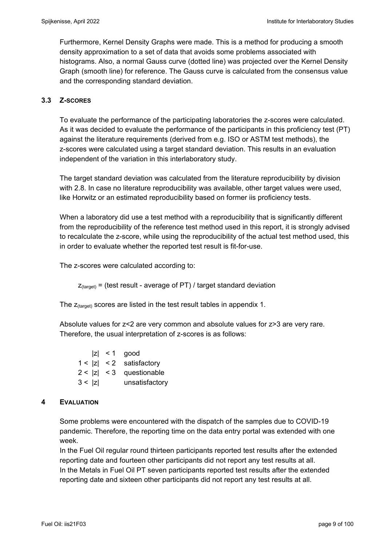Furthermore, Kernel Density Graphs were made. This is a method for producing a smooth density approximation to a set of data that avoids some problems associated with histograms. Also, a normal Gauss curve (dotted line) was projected over the Kernel Density Graph (smooth line) for reference. The Gauss curve is calculated from the consensus value and the corresponding standard deviation.

### **3.3 Z-SCORES**

To evaluate the performance of the participating laboratories the z-scores were calculated. As it was decided to evaluate the performance of the participants in this proficiency test (PT) against the literature requirements (derived from e.g. ISO or ASTM test methods), the z-scores were calculated using a target standard deviation. This results in an evaluation independent of the variation in this interlaboratory study.

The target standard deviation was calculated from the literature reproducibility by division with 2.8. In case no literature reproducibility was available, other target values were used, like Horwitz or an estimated reproducibility based on former iis proficiency tests.

When a laboratory did use a test method with a reproducibility that is significantly different from the reproducibility of the reference test method used in this report, it is strongly advised to recalculate the z-score, while using the reproducibility of the actual test method used, this in order to evaluate whether the reported test result is fit-for-use.

The z-scores were calculated according to:

 $Z_{\text{target}}$  = (test result - average of PT) / target standard deviation

The  $z_{\text{(target)}}$  scores are listed in the test result tables in appendix 1.

Absolute values for z<2 are very common and absolute values for z>3 are very rare. Therefore, the usual interpretation of z-scores is as follows:

 $|z| < 1$  good  $1 < |z| < 2$  satisfactory  $2 < |z| < 3$  questionable 3 < |z| unsatisfactory

#### **4 EVALUATION**

Some problems were encountered with the dispatch of the samples due to COVID-19 pandemic. Therefore, the reporting time on the data entry portal was extended with one week.

In the Fuel Oil regular round thirteen participants reported test results after the extended reporting date and fourteen other participants did not report any test results at all. In the Metals in Fuel Oil PT seven participants reported test results after the extended reporting date and sixteen other participants did not report any test results at all.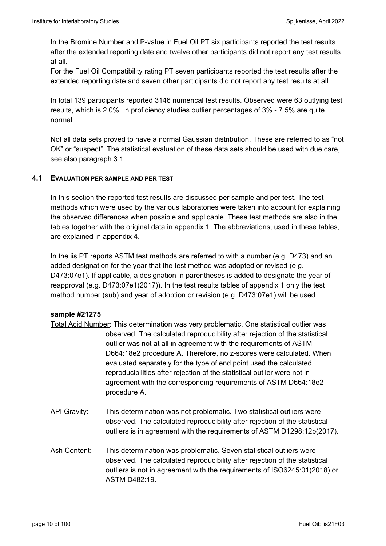In the Bromine Number and P-value in Fuel Oil PT six participants reported the test results after the extended reporting date and twelve other participants did not report any test results at all.

For the Fuel Oil Compatibility rating PT seven participants reported the test results after the extended reporting date and seven other participants did not report any test results at all.

In total 139 participants reported 3146 numerical test results. Observed were 63 outlying test results, which is 2.0%. In proficiency studies outlier percentages of 3% - 7.5% are quite normal.

Not all data sets proved to have a normal Gaussian distribution. These are referred to as "not OK" or "suspect". The statistical evaluation of these data sets should be used with due care, see also paragraph 3.1.

#### **4.1 EVALUATION PER SAMPLE AND PER TEST**

In this section the reported test results are discussed per sample and per test. The test methods which were used by the various laboratories were taken into account for explaining the observed differences when possible and applicable. These test methods are also in the tables together with the original data in appendix 1. The abbreviations, used in these tables, are explained in appendix 4.

In the iis PT reports ASTM test methods are referred to with a number (e.g. D473) and an added designation for the year that the test method was adopted or revised (e.g. D473:07e1). If applicable, a designation in parentheses is added to designate the year of reapproval (e.g. D473:07e1(2017)). In the test results tables of appendix 1 only the test method number (sub) and year of adoption or revision (e.g. D473:07e1) will be used.

#### **sample #21275**

- Total Acid Number: This determination was very problematic. One statistical outlier was observed. The calculated reproducibility after rejection of the statistical outlier was not at all in agreement with the requirements of ASTM D664:18e2 procedure A. Therefore, no z-scores were calculated. When evaluated separately for the type of end point used the calculated reproducibilities after rejection of the statistical outlier were not in agreement with the corresponding requirements of ASTM D664:18e2 procedure A.
- API Gravity: This determination was not problematic. Two statistical outliers were observed. The calculated reproducibility after rejection of the statistical outliers is in agreement with the requirements of ASTM D1298:12b(2017).
- Ash Content: This determination was problematic. Seven statistical outliers were observed. The calculated reproducibility after rejection of the statistical outliers is not in agreement with the requirements of ISO6245:01(2018) or ASTM D482:19.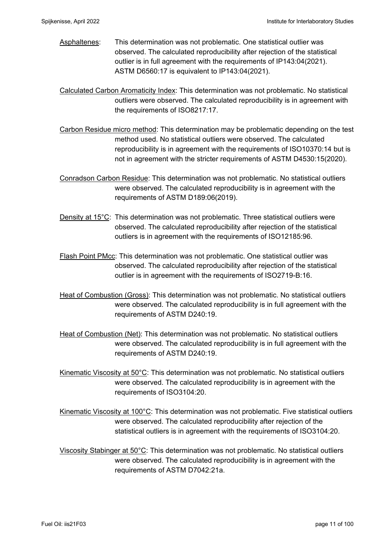Asphaltenes: This determination was not problematic. One statistical outlier was observed. The calculated reproducibility after rejection of the statistical outlier is in full agreement with the requirements of IP143:04(2021). ASTM D6560:17 is equivalent to IP143:04(2021).

Calculated Carbon Aromaticity Index: This determination was not problematic. No statistical outliers were observed. The calculated reproducibility is in agreement with the requirements of ISO8217:17.

- Carbon Residue micro method: This determination may be problematic depending on the test method used. No statistical outliers were observed. The calculated reproducibility is in agreement with the requirements of ISO10370:14 but is not in agreement with the stricter requirements of ASTM D4530:15(2020).
- Conradson Carbon Residue: This determination was not problematic. No statistical outliers were observed. The calculated reproducibility is in agreement with the requirements of ASTM D189:06(2019).
- Density at 15°C: This determination was not problematic. Three statistical outliers were observed. The calculated reproducibility after rejection of the statistical outliers is in agreement with the requirements of ISO12185:96.
- Flash Point PMcc: This determination was not problematic. One statistical outlier was observed. The calculated reproducibility after rejection of the statistical outlier is in agreement with the requirements of ISO2719-B:16.
- Heat of Combustion (Gross): This determination was not problematic. No statistical outliers were observed. The calculated reproducibility is in full agreement with the requirements of ASTM D240:19.
- Heat of Combustion (Net): This determination was not problematic. No statistical outliers were observed. The calculated reproducibility is in full agreement with the requirements of ASTM D240:19.
- Kinematic Viscosity at 50°C: This determination was not problematic. No statistical outliers were observed. The calculated reproducibility is in agreement with the requirements of ISO3104:20.

Kinematic Viscosity at 100°C: This determination was not problematic. Five statistical outliers were observed. The calculated reproducibility after rejection of the statistical outliers is in agreement with the requirements of ISO3104:20.

Viscosity Stabinger at 50°C: This determination was not problematic. No statistical outliers were observed. The calculated reproducibility is in agreement with the requirements of ASTM D7042:21a.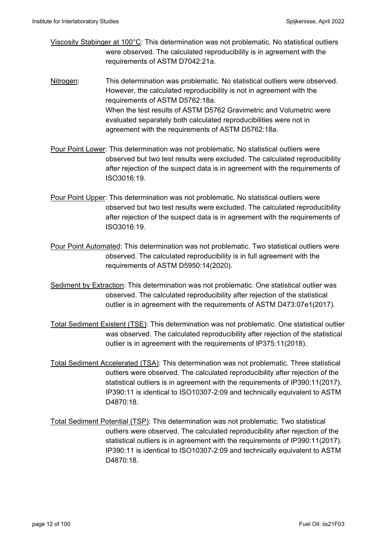- Viscosity Stabinger at 100°C: This determination was not problematic. No statistical outliers were observed. The calculated reproducibility is in agreement with the requirements of ASTM D7042:21a.
- Nitrogen: This determination was problematic. No statistical outliers were observed. However, the calculated reproducibility is not in agreement with the requirements of ASTM D5762:18a. When the test results of ASTM D5762 Gravimetric and Volumetric were evaluated separately both calculated reproducibilities were not in agreement with the requirements of ASTM D5762:18a.
- Pour Point Lower: This determination was not problematic. No statistical outliers were observed but two test results were excluded. The calculated reproducibility after rejection of the suspect data is in agreement with the requirements of ISO3016:19.
- Pour Point Upper: This determination was not problematic. No statistical outliers were observed but two test results were excluded. The calculated reproducibility after rejection of the suspect data is in agreement with the requirements of ISO3016:19.
- Pour Point Automated: This determination was not problematic. Two statistical outliers were observed. The calculated reproducibility is in full agreement with the requirements of ASTM D5950:14(2020).
- Sediment by Extraction: This determination was not problematic. One statistical outlier was observed. The calculated reproducibility after rejection of the statistical outlier is in agreement with the requirements of ASTM D473:07e1(2017).
- Total Sediment Existent (TSE): This determination was not problematic. One statistical outlier was observed. The calculated reproducibility after rejection of the statistical outlier is in agreement with the requirements of IP375:11(2018).
- Total Sediment Accelerated (TSA): This determination was not problematic. Three statistical outliers were observed. The calculated reproducibility after rejection of the statistical outliers is in agreement with the requirements of IP390:11(2017). IP390:11 is identical to ISO10307-2:09 and technically equivalent to ASTM D4870:18.
- Total Sediment Potential (TSP): This determination was not problematic. Two statistical outliers were observed. The calculated reproducibility after rejection of the statistical outliers is in agreement with the requirements of IP390:11(2017). IP390:11 is identical to ISO10307-2:09 and technically equivalent to ASTM D4870:18.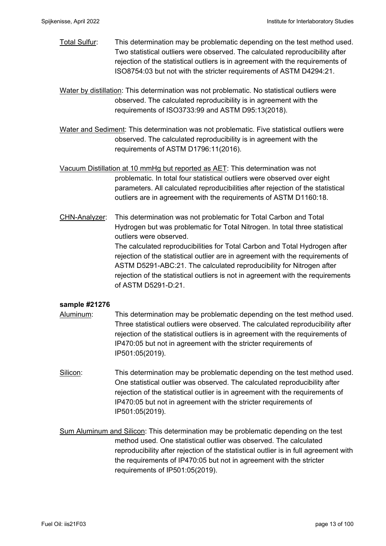Total Sulfur: This determination may be problematic depending on the test method used. Two statistical outliers were observed. The calculated reproducibility after rejection of the statistical outliers is in agreement with the requirements of ISO8754:03 but not with the stricter requirements of ASTM D4294:21.

Water by distillation: This determination was not problematic. No statistical outliers were observed. The calculated reproducibility is in agreement with the requirements of ISO3733:99 and ASTM D95:13(2018).

Water and Sediment: This determination was not problematic. Five statistical outliers were observed. The calculated reproducibility is in agreement with the requirements of ASTM D1796:11(2016).

Vacuum Distillation at 10 mmHg but reported as AET: This determination was not problematic. In total four statistical outliers were observed over eight parameters. All calculated reproducibilities after rejection of the statistical outliers are in agreement with the requirements of ASTM D1160:18.

CHN-Analyzer: This determination was not problematic for Total Carbon and Total Hydrogen but was problematic for Total Nitrogen. In total three statistical outliers were observed. The calculated reproducibilities for Total Carbon and Total Hydrogen after rejection of the statistical outlier are in agreement with the requirements of ASTM D5291-ABC:21. The calculated reproducibility for Nitrogen after rejection of the statistical outliers is not in agreement with the requirements

of ASTM D5291-D:21.

#### **sample #21276**

- Aluminum: This determination may be problematic depending on the test method used. Three statistical outliers were observed. The calculated reproducibility after rejection of the statistical outliers is in agreement with the requirements of IP470:05 but not in agreement with the stricter requirements of IP501:05(2019).
- Silicon: This determination may be problematic depending on the test method used. One statistical outlier was observed. The calculated reproducibility after rejection of the statistical outlier is in agreement with the requirements of IP470:05 but not in agreement with the stricter requirements of IP501:05(2019).
- Sum Aluminum and Silicon: This determination may be problematic depending on the test method used. One statistical outlier was observed. The calculated reproducibility after rejection of the statistical outlier is in full agreement with the requirements of IP470:05 but not in agreement with the stricter requirements of IP501:05(2019).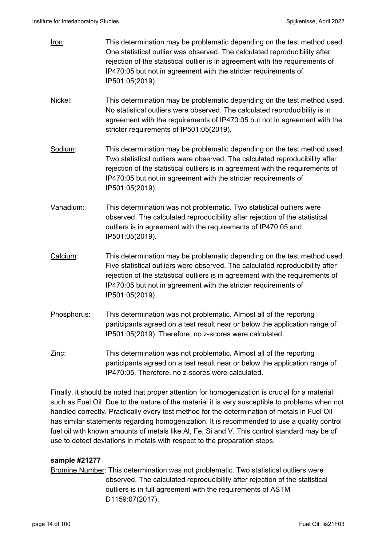| Iron:       | This determination may be problematic depending on the test method used.<br>One statistical outlier was observed. The calculated reproducibility after<br>rejection of the statistical outlier is in agreement with the requirements of<br>IP470:05 but not in agreement with the stricter requirements of<br>IP501:05(2019).     |
|-------------|-----------------------------------------------------------------------------------------------------------------------------------------------------------------------------------------------------------------------------------------------------------------------------------------------------------------------------------|
| Nickel:     | This determination may be problematic depending on the test method used.<br>No statistical outliers were observed. The calculated reproducibility is in<br>agreement with the requirements of IP470:05 but not in agreement with the<br>stricter requirements of IP501:05(2019).                                                  |
| Sodium:     | This determination may be problematic depending on the test method used.<br>Two statistical outliers were observed. The calculated reproducibility after<br>rejection of the statistical outliers is in agreement with the requirements of<br>IP470:05 but not in agreement with the stricter requirements of<br>IP501:05(2019).  |
| Vanadium:   | This determination was not problematic. Two statistical outliers were<br>observed. The calculated reproducibility after rejection of the statistical<br>outliers is in agreement with the requirements of IP470:05 and<br>IP501:05(2019).                                                                                         |
| Calcium:    | This determination may be problematic depending on the test method used.<br>Five statistical outliers were observed. The calculated reproducibility after<br>rejection of the statistical outliers is in agreement with the requirements of<br>IP470:05 but not in agreement with the stricter requirements of<br>IP501:05(2019). |
| Phosphorus: | This determination was not problematic. Almost all of the reporting<br>participants agreed on a test result near or below the application range of<br>IP501:05(2019). Therefore, no z-scores were calculated.                                                                                                                     |
| Zinc:       | This determination was not problematic. Almost all of the reporting<br>participants agreed on a test result near or below the application range of<br>IP470:05. Therefore, no z-scores were calculated.                                                                                                                           |

Finally, it should be noted that proper attention for homogenization is crucial for a material such as Fuel Oil. Due to the nature of the material it is very susceptible to problems when not handled correctly. Practically every test method for the determination of metals in Fuel Oil has similar statements regarding homogenization. It is recommended to use a quality control fuel oil with known amounts of metals like Al, Fe, Si and V. This control standard may be of use to detect deviations in metals with respect to the preparation steps.

#### **sample #21277**

Bromine Number: This determination was not problematic. Two statistical outliers were observed. The calculated reproducibility after rejection of the statistical outliers is in full agreement with the requirements of ASTM D1159:07(2017).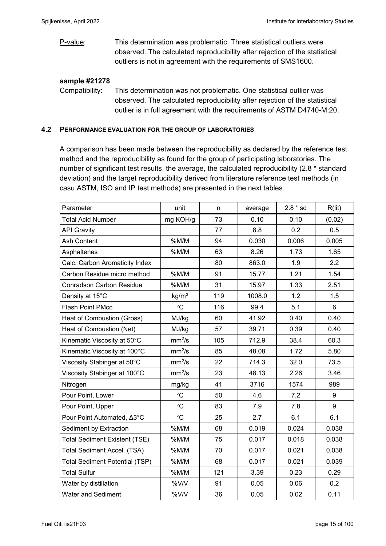P-value: This determination was problematic. Three statistical outliers were observed. The calculated reproducibility after rejection of the statistical outliers is not in agreement with the requirements of SMS1600.

### **sample #21278**

Compatibility: This determination was not problematic. One statistical outlier was observed. The calculated reproducibility after rejection of the statistical outlier is in full agreement with the requirements of ASTM D4740-M:20.

#### **4.2 PERFORMANCE EVALUATION FOR THE GROUP OF LABORATORIES**

A comparison has been made between the reproducibility as declared by the reference test method and the reproducibility as found for the group of participating laboratories. The number of significant test results, the average, the calculated reproducibility (2.8 \* standard deviation) and the target reproducibility derived from literature reference test methods (in casu ASTM, ISO and IP test methods) are presented in the next tables.

| Parameter                             | unit               | n   | average | $2.8 * sd$ | R(lit)         |
|---------------------------------------|--------------------|-----|---------|------------|----------------|
| <b>Total Acid Number</b>              | mg KOH/g           | 73  | 0.10    | 0.10       | (0.02)         |
| <b>API Gravity</b>                    |                    | 77  | 8.8     | 0.2        | 0.5            |
| Ash Content                           | %M/M               | 94  | 0.030   | 0.006      | 0.005          |
| Asphaltenes                           | %M/M               | 63  | 8.26    | 1.73       | 1.65           |
| Calc. Carbon Aromaticity Index        |                    | 80  | 863.0   | 1.9        | 2.2            |
| Carbon Residue micro method           | %M/M               | 91  | 15.77   | 1.21       | 1.54           |
| <b>Conradson Carbon Residue</b>       | %M/M               | 31  | 15.97   | 1.33       | 2.51           |
| Density at 15°C                       | kg/m <sup>3</sup>  | 119 | 1008.0  | 1.2        | 1.5            |
| <b>Flash Point PMcc</b>               | $^{\circ}C$        | 116 | 99.4    | 5.1        | $6\phantom{1}$ |
| Heat of Combustion (Gross)            | MJ/kg              | 60  | 41.92   | 0.40       | 0.40           |
| Heat of Combustion (Net)              | MJ/kg              | 57  | 39.71   | 0.39       | 0.40           |
| Kinematic Viscosity at 50°C           | mm <sup>2</sup> /s | 105 | 712.9   | 38.4       | 60.3           |
| Kinematic Viscosity at 100°C          | mm <sup>2</sup> /s | 85  | 48.08   | 1.72       | 5.80           |
| Viscosity Stabinger at 50°C           | mm <sup>2</sup> /s | 22  | 714.3   | 32.0       | 73.5           |
| Viscosity Stabinger at 100°C          | mm <sup>2</sup> /s | 23  | 48.13   | 2.26       | 3.46           |
| Nitrogen                              | mg/kg              | 41  | 3716    | 1574       | 989            |
| Pour Point, Lower                     | $^{\circ}$ C       | 50  | 4.6     | 7.2        | 9              |
| Pour Point, Upper                     | $^{\circ}C$        | 83  | 7.9     | 7.8        | 9              |
| Pour Point Automated, ∆3°C            | $^{\circ}C$        | 25  | 2.7     | 6.1        | 6.1            |
| Sediment by Extraction                | %M/M               | 68  | 0.019   | 0.024      | 0.038          |
| <b>Total Sediment Existent (TSE)</b>  | %M/M               | 75  | 0.017   | 0.018      | 0.038          |
| Total Sediment Accel. (TSA)           | %M/M               | 70  | 0.017   | 0.021      | 0.038          |
| <b>Total Sediment Potential (TSP)</b> | %M/M               | 68  | 0.017   | 0.021      | 0.039          |
| <b>Total Sulfur</b>                   | %M/M               | 121 | 3.39    | 0.23       | 0.29           |
| Water by distillation                 | %V/V               | 91  | 0.05    | 0.06       | 0.2            |
| <b>Water and Sediment</b>             | %V/V               | 36  | 0.05    | 0.02       | 0.11           |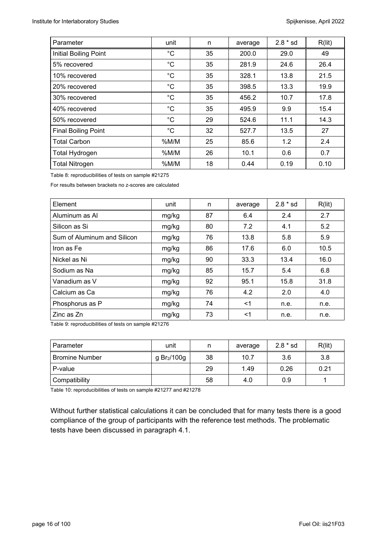| Parameter                  | unit        | n  | average | $2.8 * sd$ | R(lit) |
|----------------------------|-------------|----|---------|------------|--------|
| Initial Boiling Point      | $^{\circ}C$ | 35 | 200.0   | 29.0       | 49     |
| 5% recovered               | $^{\circ}C$ | 35 | 281.9   | 24.6       | 26.4   |
| 10% recovered              | $^{\circ}C$ | 35 | 328.1   | 13.8       | 21.5   |
| 20% recovered              | $^{\circ}C$ | 35 | 398.5   | 13.3       | 19.9   |
| 30% recovered              | $^{\circ}C$ | 35 | 456.2   | 10.7       | 17.8   |
| 40% recovered              | $^{\circ}C$ | 35 | 495.9   | 9.9        | 15.4   |
| 50% recovered              | $^{\circ}C$ | 29 | 524.6   | 11.1       | 14.3   |
| <b>Final Boiling Point</b> | $^{\circ}C$ | 32 | 527.7   | 13.5       | 27     |
| <b>Total Carbon</b>        | %M/M        | 25 | 85.6    | 1.2        | 2.4    |
| <b>Total Hydrogen</b>      | %M/M        | 26 | 10.1    | 0.6        | 0.7    |
| <b>Total Nitrogen</b>      | %M/M        | 18 | 0.44    | 0.19       | 0.10   |

Table 8: reproducibilities of tests on sample #21275

For results between brackets no z-scores are calculated

| Element                     | unit  | n  | average | $2.8 * sd$ | R(lit) |
|-----------------------------|-------|----|---------|------------|--------|
| Aluminum as Al              | mg/kg | 87 | 6.4     | 2.4        | 2.7    |
| Silicon as Si               | mg/kg | 80 | 7.2     | 4.1        | 5.2    |
| Sum of Aluminum and Silicon | mg/kg | 76 | 13.8    | 5.8        | 5.9    |
| Iron as Fe                  | mg/kg | 86 | 17.6    | 6.0        | 10.5   |
| Nickel as Ni                | mg/kg | 90 | 33.3    | 13.4       | 16.0   |
| Sodium as Na                | mg/kg | 85 | 15.7    | 5.4        | 6.8    |
| Vanadium as V               | mg/kg | 92 | 95.1    | 15.8       | 31.8   |
| Calcium as Ca               | mg/kg | 76 | 4.2     | 2.0        | 4.0    |
| Phosphorus as P             | mg/kg | 74 | $<$ 1   | n.e.       | n.e.   |
| Zinc as Zn                  | mg/kg | 73 | <1      | n.e.       | n.e.   |

Table 9: reproducibilities of tests on sample #21276

| Parameter             | unit                    | n  | average | $2.8 * sd$ | R(lit) |
|-----------------------|-------------------------|----|---------|------------|--------|
| <b>Bromine Number</b> | g Br <sub>2</sub> /100g | 38 | 10.7    | 3.6        | 3.8    |
| P-value               |                         | 29 | 1.49    | 0.26       | 0.21   |
| Compatibility         |                         | 58 | 4.0     | 0.9        |        |

Table 10: reproducibilities of tests on sample #21277 and #21278

Without further statistical calculations it can be concluded that for many tests there is a good compliance of the group of participants with the reference test methods. The problematic tests have been discussed in paragraph 4.1.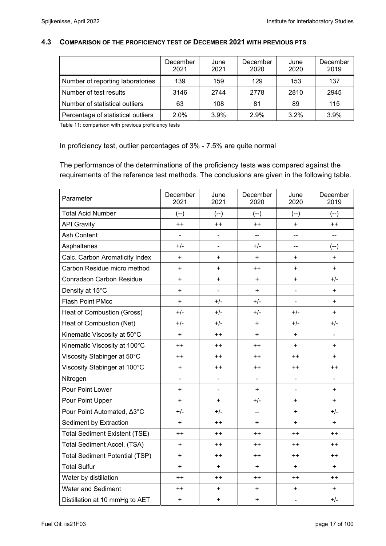#### **4.3 COMPARISON OF THE PROFICIENCY TEST OF DECEMBER 2021 WITH PREVIOUS PTS**

|                                    | December<br>2021 | June<br>2021 | December<br>2020 | June<br>2020 | December<br>2019 |
|------------------------------------|------------------|--------------|------------------|--------------|------------------|
| Number of reporting laboratories   | 139              | 159          | 129              | 153          | 137              |
| Number of test results             | 3146             | 2744         | 2778             | 2810         | 2945             |
| Number of statistical outliers     | 63               | 108          | 81               | 89           | 115              |
| Percentage of statistical outliers | 2.0%             | 3.9%         | 2.9%             | $3.2\%$      | 3.9%             |

Table 11: comparison with previous proficiency tests

#### In proficiency test, outlier percentages of 3% - 7.5% are quite normal

The performance of the determinations of the proficiency tests was compared against the requirements of the reference test methods. The conclusions are given in the following table.

| Parameter                             | December<br>2021 | June<br>2021                 | December<br>2020 | June<br>2020   | December<br>2019 |
|---------------------------------------|------------------|------------------------------|------------------|----------------|------------------|
| <b>Total Acid Number</b>              | $(-)$            | $(-)$                        | $(-)$            | $(-)$          | $(-)$            |
| <b>API Gravity</b>                    | $++$             | $++$                         | $++$             | $+$            | $++$             |
| <b>Ash Content</b>                    | $\blacksquare$   | $\qquad \qquad \blacksquare$ | --               | --             | --               |
| Asphaltenes                           | $+/-$            | $\overline{\phantom{0}}$     | $+/-$            | --             | $(-)$            |
| Calc. Carbon Aromaticity Index        | $\ddot{}$        | $\ddot{}$                    | $\ddot{}$        | $\ddot{}$      | $\ddot{}$        |
| Carbon Residue micro method           | $\ddot{}$        | $\ddot{}$                    | $++$             | $\ddot{}$      | $+$              |
| <b>Conradson Carbon Residue</b>       | $\ddot{}$        | $\ddot{}$                    | $\ddot{}$        | $\ddot{}$      | $+/-$            |
| Density at 15°C                       | $\ddot{}$        | $\blacksquare$               | $\ddot{}$        | ÷              | $\ddot{}$        |
| <b>Flash Point PMcc</b>               | $\ddot{}$        | $+/-$                        | $+/-$            | ÷,             | $+$              |
| Heat of Combustion (Gross)            | $+/-$            | +/-                          | $+/-$            | $+/-$          | $+$              |
| Heat of Combustion (Net)              | $+/-$            | $+/-$                        | $\ddot{}$        | $+/-$          | $+/-$            |
| Kinematic Viscosity at 50°C           | $\ddot{}$        | $++$                         | $\ddot{}$        | $\ddot{}$      | $\frac{1}{2}$    |
| Kinematic Viscosity at 100°C          | $++$             | $++$                         | $++$             | $\ddot{}$      | $\ddot{}$        |
| Viscosity Stabinger at 50°C           | $^{\mathrm{+}}$  | $^{\mathrm{+}}$              | $^{\mathrm{+}}$  | $^{++}$        | +                |
| Viscosity Stabinger at 100°C          | $\ddot{}$        | $++$                         | $++$             | $++$           | $++$             |
| Nitrogen                              | $\blacksquare$   | $\qquad \qquad \blacksquare$ | $\blacksquare$   | ÷,             |                  |
| <b>Pour Point Lower</b>               | $\ddot{}$        | $\overline{\phantom{a}}$     | $\ddot{}$        |                | $\ddot{}$        |
| Pour Point Upper                      | $\ddot{}$        | $\ddot{}$                    | $+/-$            | $\ddot{}$      | $\ddot{}$        |
| Pour Point Automated, ∆3°C            | $+/-$            | $+/-$                        | --               | $\ddot{}$      | +/-              |
| Sediment by Extraction                | $\ddot{}$        | $++$                         | $\ddot{}$        | $\ddot{}$      | $\ddot{}$        |
| <b>Total Sediment Existent (TSE)</b>  | $^{\mathrm{+}}$  | $^{\mathrm{+}}$              | $^{\mathrm{+}}$  | $++$           | $++$             |
| Total Sediment Accel. (TSA)           | $\ddot{}$        | $++$                         | $++$             | $++$           | $++$             |
| <b>Total Sediment Potential (TSP)</b> | $+$              | $++$                         | $++$             | $++$           | $++$             |
| <b>Total Sulfur</b>                   | $\ddot{}$        | +                            | $\ddot{}$        | $\ddot{}$      | $\ddot{}$        |
| Water by distillation                 | $^{\mathrm{+}}$  | $^{\mathrm{+}}$              | $++$             | $++$           | $^{++}$          |
| <b>Water and Sediment</b>             | $^{++}$          | +                            | $\ddot{}$        | $\ddot{}$      | $\ddot{}$        |
| Distillation at 10 mmHg to AET        | $\ddot{}$        | +                            | $\ddot{}$        | $\blacksquare$ | $+/-$            |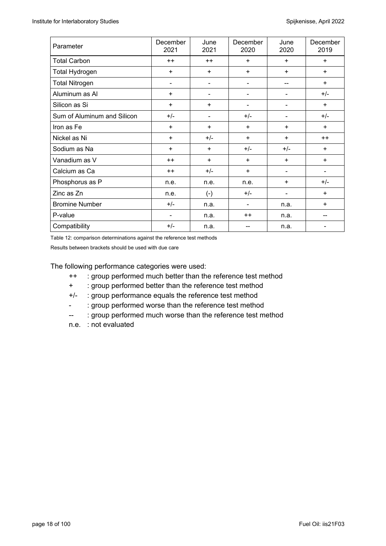| Parameter                   | December<br>2021 | June<br>2021                 | December<br>2020 | June<br>2020                 | December<br>2019 |
|-----------------------------|------------------|------------------------------|------------------|------------------------------|------------------|
| <b>Total Carbon</b>         | $++$             | $++$                         | $+$              | $+$                          | $\ddot{}$        |
| Total Hydrogen              | $+$              | $+$                          | $+$              | $+$                          | $\ddot{}$        |
| <b>Total Nitrogen</b>       | $\blacksquare$   | -                            | -                | --                           | $+$              |
| Aluminum as Al              | $+$              | $\overline{\phantom{0}}$     | -                | -                            | $+/-$            |
| Silicon as Si               | $+$              | $\ddot{}$                    | -                |                              | $\ddot{}$        |
| Sum of Aluminum and Silicon | $+/-$            | $\qquad \qquad \blacksquare$ | $+/-$            |                              | $+/-$            |
| Iron as Fe                  | $\ddot{}$        | $\ddot{}$                    | $\ddot{}$        | $+$                          | $+$              |
| Nickel as Ni                | $\ddot{}$        | $+/-$                        | $\ddot{}$        | $+$                          | $++$             |
| Sodium as Na                | $+$              | $+$                          | $+/-$            | $+/-$                        | $\ddot{}$        |
| Vanadium as V               | $++$             | $+$                          | $\ddot{}$        | $\ddot{}$                    | $\ddot{}$        |
| Calcium as Ca               | $++$             | $+/-$                        | $\ddot{}$        | -                            |                  |
| Phosphorus as P             | n.e.             | n.e.                         | n.e.             | $\ddot{}$                    | $+/-$            |
| Zinc as Zn                  | n.e.             | $(-)$                        | $+/-$            | $\qquad \qquad \blacksquare$ | $\ddot{}$        |
| <b>Bromine Number</b>       | $+/-$            | n.a.                         | ۰                | n.a.                         | $\ddot{}$        |
| P-value                     | $\blacksquare$   | n.a.                         | $++$             | n.a.                         |                  |
| Compatibility               | $+/-$            | n.a.                         |                  | n.a.                         |                  |

Table 12: comparison determinations against the reference test methods

Results between brackets should be used with due care

The following performance categories were used:

- ++ : group performed much better than the reference test method
- + : group performed better than the reference test method
- +/- : group performance equals the reference test method
- : group performed worse than the reference test method
- -- : group performed much worse than the reference test method
- n.e. : not evaluated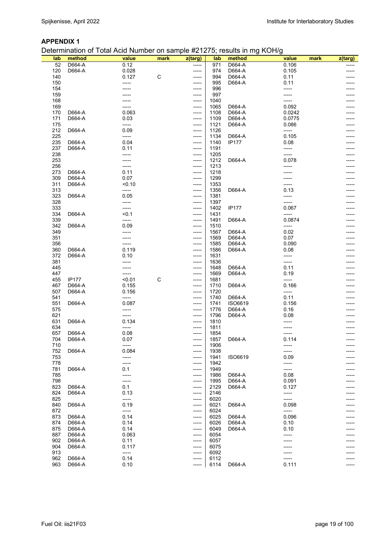#### **APPENDIX 1**

Determination of Total Acid Number on sample #21275; results in mg KOH/g

| lab | method       | value  | mark | z(targ) | lab  | method       | value  | mark | z(targ) |
|-----|--------------|--------|------|---------|------|--------------|--------|------|---------|
| 52  | D664-A       | 0.12   |      |         | 971  | D664-A       | 0.106  |      |         |
| 120 | D664-A       | 0.028  |      | -----   | 974  | D664-A       | 0.105  |      |         |
| 140 |              | 0.127  | C    | -----   | 994  | D664-A       | 0.11   |      |         |
| 150 |              | -----  |      |         | 995  | D664-A       | 0.11   |      |         |
| 154 |              |        |      | -----   | 996  |              | -----  |      |         |
| 159 |              |        |      | -----   | 997  |              | -----  |      |         |
| 168 |              |        |      | -----   | 1040 |              |        |      |         |
| 169 |              |        |      | -----   | 1065 | D664-A       | 0.092  |      |         |
| 170 | D664-A       | 0.063  |      | -----   | 1108 | D664-A       | 0.0242 |      |         |
| 171 | D664-A       | 0.03   |      | -----   | 1109 | D664-A       | 0.0775 |      |         |
| 175 |              | -----  |      | -----   | 1121 | D664-A       | 0.086  |      |         |
| 212 | D664-A       | 0.09   |      | -----   | 1126 |              | -----  |      |         |
| 225 |              | -----  |      | -----   | 1134 | D664-A       | 0.105  |      |         |
| 235 | D664-A       | 0.04   |      | -----   | 1140 | <b>IP177</b> | 0.08   |      |         |
| 237 | D664-A       | 0.11   |      | -----   | 1191 |              | -----  |      |         |
| 238 |              |        |      | -----   | 1205 |              | -----  |      |         |
| 253 |              |        |      | -----   | 1212 | D664-A       | 0.078  |      |         |
| 256 |              |        |      | -----   | 1213 |              | -----  |      |         |
| 273 | D664-A       | 0.11   |      | -----   | 1218 |              |        |      |         |
| 309 | D664-A       | 0.07   |      | -----   | 1299 |              |        |      |         |
| 311 | D664-A       | < 0.10 |      | -----   | 1353 |              | -----  |      |         |
| 313 |              | -----  |      | -----   | 1356 | D664-A       | 0.13   |      |         |
| 323 | D664-A       | 0.05   |      | -----   | 1381 |              | -----  |      |         |
| 328 |              | -----  |      | -----   | 1397 |              | -----  |      |         |
| 333 |              | -----  |      | -----   | 1402 | <b>IP177</b> | 0.067  |      |         |
| 334 | D664-A       | < 0.1  |      | -----   | 1431 |              | -----  |      |         |
| 339 |              | -----  |      | -----   | 1491 | D664-A       | 0.0874 |      |         |
| 342 | D664-A       | 0.09   |      | -----   | 1510 |              | -----  |      |         |
| 349 |              |        |      | -----   | 1567 | D664-A       | 0.02   |      |         |
| 351 |              |        |      | -----   | 1569 | D664-A       | 0.07   |      |         |
| 356 |              |        |      | -----   | 1585 | D664-A       | 0.090  |      |         |
| 360 | D664-A       | 0.119  |      | -----   | 1586 | D664-A       | 0.08   |      |         |
| 372 | D664-A       | 0.10   |      | -----   | 1631 |              | -----  |      |         |
| 381 |              |        |      | -----   | 1636 |              | -----  |      |         |
| 445 |              |        |      | -----   | 1648 | D664-A       | 0.11   |      |         |
| 447 |              | -----  |      | -----   | 1669 | D664-A       | 0.19   |      |         |
| 455 | <b>IP177</b> | < 0.01 | C    | -----   | 1681 |              | -----  |      |         |
| 467 | D664-A       | 0.155  |      | -----   | 1710 | D664-A       | 0.166  |      |         |
| 507 | D664-A       | 0.156  |      | -----   | 1720 |              | -----  |      |         |
| 541 |              | -----  |      | -----   | 1740 | D664-A       | 0.11   |      |         |
| 551 | D664-A       | 0.087  |      | -----   | 1741 | ISO6619      | 0.156  |      |         |
| 575 |              | -----  |      | -----   | 1776 | D664-A       | 0.16   |      |         |
| 621 |              | -----  |      | -----   | 1796 | D664-A       | 0.08   |      |         |
| 631 | D664-A       | 0.134  |      | -----   | 1810 |              |        |      |         |
| 634 |              | -----  |      | -----   | 1811 |              |        |      |         |
| 657 | D664-A       | 0.08   |      | -----   | 1854 |              |        |      |         |
| 704 | D664-A       | 0.07   |      | -----   | 1857 | D664-A       | 0.114  |      |         |
| 710 |              |        |      |         | 1906 |              |        |      |         |
| 752 | D664-A       | 0.084  |      | -----   | 1938 |              | -----  |      |         |
| 753 |              | -----  |      | -----   | 1941 | ISO6619      | 0.09   |      |         |
| 778 |              | -----  |      | -----   | 1942 |              | -----  |      |         |
| 781 | D664-A       | 0.1    |      | -----   | 1949 |              | -----  |      |         |
| 785 |              | -----  |      | -----   | 1986 | D664-A       | 0.08   |      |         |
| 798 |              | -----  |      | -----   | 1995 | D664-A       | 0.091  |      |         |
| 823 | D664-A       | 0.1    |      | -----   | 2129 | D664-A       | 0.127  |      |         |
| 824 | D664-A       | 0.13   |      | -----   | 2146 |              | -----  |      |         |
| 825 |              | -----  |      | -----   | 6020 |              | -----  |      |         |
| 840 | D664-A       | 0.19   |      | -----   | 6021 | D664-A       | 0.098  |      |         |
| 872 |              | -----  |      | -----   | 6024 |              | -----  |      |         |
| 873 | D664-A       | 0.14   |      | -----   | 6025 | D664-A       | 0.096  |      |         |
| 874 | D664-A       | 0.14   |      | -----   | 6026 | D664-A       | 0.10   |      |         |
| 875 | D664-A       | 0.14   |      | -----   | 6049 | D664-A       | 0.10   |      |         |
| 887 | D664-A       | 0.063  |      | -----   | 6054 |              | -----  |      |         |
| 902 | D664-A       | 0.11   |      | -----   | 6057 |              |        |      |         |
| 904 | D664-A       | 0.117  |      | -----   | 6075 |              |        |      |         |
| 913 |              | -----  |      | -----   | 6092 |              |        |      |         |
| 962 | D664-A       | 0.14   |      | -----   | 6112 |              |        |      |         |
| 963 | D664-A       | 0.10   |      | -----   | 6114 | D664-A       | 0.111  |      | -----   |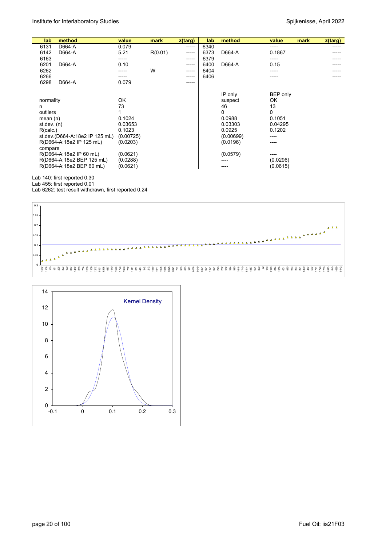| lab         | method                         | value     | mark    | z(targ) | lab  | method    | value           | mark | $z$ (targ) |
|-------------|--------------------------------|-----------|---------|---------|------|-----------|-----------------|------|------------|
| 6131        | D664-A                         | 0.079     |         | -----   | 6340 |           | -----           |      | -----      |
| 6142        | D664-A                         | 5.21      | R(0.01) | -----   | 6373 | D664-A    | 0.1867          |      |            |
| 6163        |                                | -----     |         | -----   | 6379 |           | -----           |      |            |
| 6201        | D664-A                         | 0.10      |         | -----   | 6400 | D664-A    | 0.15            |      | ----       |
| 6262        |                                | -----     | W       | -----   | 6404 |           | -----           |      | ----       |
| 6266        |                                | -----     |         | -----   | 6406 |           | -----           |      | -----      |
| 6298        | D664-A                         | 0.079     |         | -----   |      |           |                 |      |            |
|             |                                |           |         |         |      |           |                 |      |            |
|             |                                |           |         |         |      | IP only   | <b>BEP</b> only |      |            |
| normality   |                                | OK        |         |         |      | suspect   | OK              |      |            |
| n           |                                | 73        |         |         |      | 46        | 13              |      |            |
| outliers    |                                |           |         |         |      | 0         | 0               |      |            |
| mean $(n)$  |                                | 0.1024    |         |         |      | 0.0988    | 0.1051          |      |            |
| st.dev. (n) |                                | 0.03653   |         |         |      | 0.03303   | 0.04295         |      |            |
| R(calc.)    |                                | 0.1023    |         |         |      | 0.0925    | 0.1202          |      |            |
|             | st.dev.(D664-A:18e2 IP 125 mL) | (0.00725) |         |         |      | (0.00699) | ----            |      |            |
|             | R(D664-A:18e2 IP 125 mL)       | (0.0203)  |         |         |      | (0.0196)  | ----            |      |            |
| compare     |                                |           |         |         |      |           |                 |      |            |
|             | R(D664-A:18e2 IP 60 mL)        | (0.0621)  |         |         |      | (0.0579)  | ----            |      |            |
|             | R(D664-A:18e2 BEP 125 mL)      | (0.0288)  |         |         |      | ----      | (0.0296)        |      |            |
|             | R(D664-A:18e2 BEP 60 mL)       | (0.0621)  |         |         |      | ----      | (0.0615)        |      |            |

Lab 140: first reported 0.30

Lab 455: first reported 0.01

Lab 6262: test result withdrawn, first reported 0.24



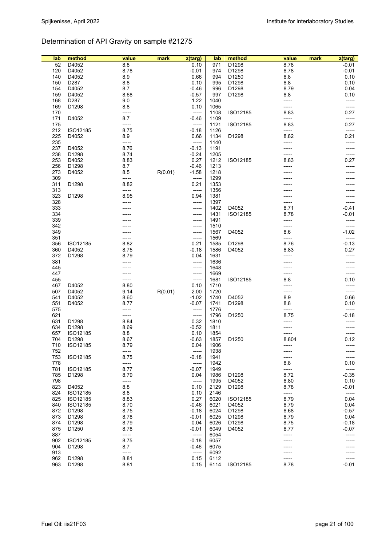# Determination of API Gravity on sample #21275

| lab        | method   | value         | mark    | z(targ)          | lab          | method   | value | mark<br>z(targ) |
|------------|----------|---------------|---------|------------------|--------------|----------|-------|-----------------|
| 52         | D4052    | 8.8           |         | 0.10             | 971          | D1298    | 8.78  | $-0.01$         |
| 120        | D4052    | 8.78          |         | $-0.01$          | 974          | D1298    | 8.78  | $-0.01$         |
|            |          |               |         |                  |              |          |       |                 |
| 140        | D4052    | 8.9           |         | 0.66             | 994          | D1250    | 8.8   | 0.10            |
| 150        | D287     | 8.8           |         | 0.10             | 995          | D1298    | 8.8   | 0.10            |
| 154        | D4052    | 8.7           |         | $-0.46$          | 996          | D1298    | 8.79  | 0.04            |
| 159        | D4052    | 8.68          |         | $-0.57$          | 997          | D1298    | 8.8   | 0.10            |
| 168        | D287     | 9.0           |         | 1.22             | 1040         |          | ----- | -----           |
| 169        | D1298    | 8.8           |         | 0.10             | 1065         |          | ----- | -----           |
| 170        |          | -----         |         | -----            | 1108         | ISO12185 | 8.83  | 0.27            |
| 171        | D4052    | 8.7           |         | $-0.46$          | 1109         |          | ----- | -----           |
| 175        |          | -----         |         | -----            | 1121         | ISO12185 | 8.83  | 0.27            |
| 212        | ISO12185 | 8.75          |         | $-0.18$          | 1126         |          | ----- | -----           |
|            |          |               |         |                  |              |          |       |                 |
| 225        | D4052    | 8.9           |         | 0.66             | 1134         | D1298    | 8.82  | 0.21            |
| 235        |          | -----         |         | -----            | 1140         |          |       | -----           |
| 237        | D4052    | 8.76          |         | $-0.13$          | 1191         |          |       | -----           |
| 238        | D1298    | 8.74          |         | $-0.24$          | 1205         |          |       |                 |
| 253        | D4052    | 8.83          |         | 0.27             | 1212         | ISO12185 | 8.83  | 0.27            |
| 256        | D1298    | 8.7           |         | $-0.46$          | 1213         |          |       |                 |
| 273        | D4052    | 8.5           | R(0.01) | $-1.58$          | 1218         |          |       |                 |
| 309        |          | -----         |         | -----            | 1299         |          |       |                 |
| 311        | D1298    | 8.82          |         | 0.21             | 1353         |          |       |                 |
| 313        |          | -----         |         | -----            | 1356         |          |       |                 |
| 323        | D1298    | 8.95          |         | 0.94             | 1381         |          |       |                 |
| 328        |          |               |         | -----            | 1397         |          |       |                 |
|            |          |               |         |                  |              |          |       |                 |
| 333        |          |               |         | -----            | 1402         | D4052    | 8.71  | $-0.41$         |
| 334        |          |               |         | -----            | 1431         | ISO12185 | 8.78  | $-0.01$         |
| 339        |          |               |         | -----            | 1491         |          | ----- |                 |
| 342        |          |               |         | -----            | 1510         |          | ----- |                 |
| 349        |          |               |         | -----            | 1567         | D4052    | 8.6   | $-1.02$         |
| 351        |          |               |         | -----            | 1569         |          | ----- | -----           |
| 356        | ISO12185 | 8.82          |         | 0.21             | 1585         | D1298    | 8.76  | $-0.13$         |
| 360        | D4052    | 8.75          |         | $-0.18$          | 1586         | D4052    | 8.83  | 0.27            |
| 372        | D1298    | 8.79          |         | 0.04             | 1631         |          |       |                 |
| 381        |          |               |         | -----            | 1636         |          |       |                 |
| 445        |          |               |         |                  |              |          |       |                 |
|            |          |               |         | -----            | 1648         |          |       |                 |
| 447        |          |               |         | -----            | 1669         |          |       |                 |
| 455        |          |               |         | -----            | 1681         | ISO12185 | 8.8   | 0.10            |
| 467        | D4052    | 8.80          |         | 0.10             | 1710         |          | ----- | -----           |
| 507        | D4052    | 9.14          | R(0.01) | 2.00             | 1720         |          |       |                 |
| 541        | D4052    | 8.60          |         | $-1.02$          | 1740         | D4052    | 8.9   | 0.66            |
| 551        | D4052    | 8.77          |         | $-0.07$          | 1741         | D1298    | 8.8   | 0.10            |
| 575        |          | -----         |         | -----            | 1776         |          | ----- | -----           |
| 621        |          | -----         |         | -----            | 1796         | D1250    | 8.75  | $-0.18$         |
| 631        | D1298    | 8.84          |         | 0.32             | 1810         |          |       |                 |
| 634        | D1298    | 8.69          |         | $-0.52$          | 1811         |          |       | -----           |
| 657        | ISO12185 | 8.8           |         | 0.10             | 1854         |          |       |                 |
| 704        | D1298    | 8.67          |         | $-0.63$          | 1857         | D1250    | 8.804 | 0.12            |
|            |          |               |         |                  |              |          |       |                 |
| 710<br>752 | ISO12185 | 8.79          |         | 0.04             | 1906<br>1938 |          |       |                 |
| 753        |          | -----<br>8.75 |         | -----<br>$-0.18$ | 1941         |          |       |                 |
|            | ISO12185 |               |         |                  |              |          |       |                 |
| 778        |          | -----         |         | -----            | 1942         |          | 8.8   | 0.10            |
| 781        | ISO12185 | 8.77          |         | $-0.07$          | 1949         |          | ----- | -----           |
| 785        | D1298    | 8.79          |         | 0.04             | 1986         | D1298    | 8.72  | $-0.35$         |
| 798        |          | -----         |         | -----            | 1995         | D4052    | 8.80  | 0.10            |
| 823        | D4052    | 8.8           |         | 0.10             | 2129         | D1298    | 8.78  | $-0.01$         |
| 824        | ISO12185 | 8.8           |         | 0.10             | 2146         |          | ----- | -----           |
| 825        | ISO12185 | 8.83          |         | 0.27             | 6020         | ISO12185 | 8.79  | 0.04            |
| 840        | ISO12185 | 8.70          |         | $-0.46$          | 6021         | D4052    | 8.79  | 0.04            |
| 872        | D1298    | 8.75          |         | $-0.18$          | 6024         | D1298    | 8.68  | $-0.57$         |
| 873        | D1298    | 8.78          |         | $-0.01$          | 6025         | D1298    | 8.79  | 0.04            |
| 874        | D1298    | 8.79          |         | 0.04             | 6026         | D1298    | 8.75  | $-0.18$         |
| 875        | D1250    |               |         | $-0.01$          | 6049         | D4052    |       | $-0.07$         |
|            |          | 8.78          |         |                  |              |          | 8.77  |                 |
| 887        |          | -----         |         | -----            | 6054         |          |       | -----           |
| 902        | ISO12185 | 8.75          |         | $-0.18$          | 6057         |          |       |                 |
| 904        | D1298    | 8.7           |         | $-0.46$          | 6075         |          |       |                 |
| 913        |          | -----         |         | -----            | 6092         |          |       |                 |
| 962        | D1298    | 8.81          |         | 0.15             | 6112         |          | ----- |                 |
| 963        | D1298    | 8.81          |         | 0.15             | 6114         | ISO12185 | 8.78  | $-0.01$         |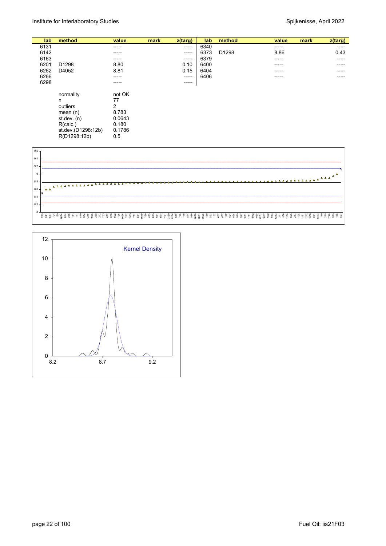R(D1298:12b) 0.5

| lab  | method             | value  | mark | z(targ) | lab  | method | value | mark<br>z(targ) |
|------|--------------------|--------|------|---------|------|--------|-------|-----------------|
| 6131 |                    | -----  |      | ------  | 6340 |        | ----- | -----           |
| 6142 |                    | -----  |      | -----   | 6373 | D1298  | 8.86  | 0.43            |
| 6163 |                    | -----  |      | -----   | 6379 |        | ----- | -----           |
| 6201 | D <sub>1298</sub>  | 8.80   |      | 0.10    | 6400 |        | ----- | -----           |
| 6262 | D4052              | 8.81   |      | 0.15    | 6404 |        | ----- | -----           |
| 6266 |                    | -----  |      | -----   | 6406 |        | ----- | -----           |
| 6298 |                    | ------ |      | ------  |      |        |       |                 |
|      |                    |        |      |         |      |        |       |                 |
|      | normality          | not OK |      |         |      |        |       |                 |
|      | n                  | 77     |      |         |      |        |       |                 |
|      | outliers           | 2      |      |         |      |        |       |                 |
|      | mean $(n)$         | 8.783  |      |         |      |        |       |                 |
|      | st.dev. $(n)$      | 0.0643 |      |         |      |        |       |                 |
|      | R(calc.)           | 0.180  |      |         |      |        |       |                 |
|      | st.dev.(D1298:12b) | 0.1786 |      |         |      |        |       |                 |



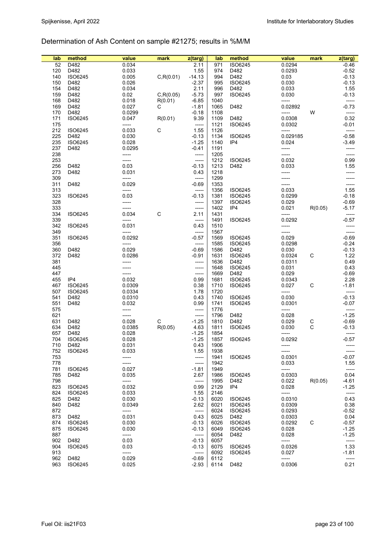# Determination of Ash Content on sample #21275; results in %M/M

| 52<br>D482<br>0.034<br>2.11<br>971<br>ISO6245<br>0.0294<br>$-0.46$<br>D482<br>120<br>0.033<br>1.55<br>974<br>D482<br>0.0293<br>$-0.52$<br>140<br>ISO6245<br>0.005<br>C, R(0.01)<br>$-14.13$<br>994<br>D482<br>0.03<br>$-0.13$<br>150<br>D482<br>0.026<br>ISO6245<br>0.030<br>$-2.37$<br>995<br>$-0.13$<br>154<br>D482<br>0.034<br>2.11<br>996<br>D482<br>0.033<br>1.55<br>159<br>D482<br>0.02<br>$-5.73$<br>997<br>ISO6245<br>0.030<br>$-0.13$<br>C, R(0.05)<br>168<br>D482<br>$-6.85$<br>0.018<br>R(0.01)<br>1040<br>-----<br>-----<br>$-0.73$<br>169<br>D482<br>0.027<br>$-1.81$<br>D482<br>0.02892<br>С<br>1065<br>170<br>D482<br>0.0299<br>$-0.18$<br>W<br>1108<br>-----<br>-----<br>0.32<br>9.39<br>D482<br>0.0308<br>171<br>ISO6245<br>0.047<br>R(0.01)<br>1109<br>175<br>$-0.01$<br>1121<br>ISO6245<br>0.0302<br>-----<br>-----<br>$\mathsf C$<br>212<br>ISO6245<br>1.55<br>0.033<br>1126<br>-----<br>-----<br>225<br>D482<br>1134<br>0.029185<br>$-0.58$<br>0.030<br>$-0.13$<br>ISO6245<br>235<br>ISO6245<br>0.028<br>$-1.25$<br>1140<br>IP4<br>0.024<br>$-3.49$<br>237<br>D482<br>0.0295<br>1191<br>$-0.41$<br>-----<br>-----<br>238<br>1205<br>-----<br>-----<br>-----<br>-----<br>253<br>1212<br>0.032<br>0.99<br>ISO6245<br>-----<br>-----<br>256<br>1213<br>0.03<br>$-0.13$<br>0.033<br>D482<br>D482<br>1.55<br>273<br>0.43<br>1218<br>D482<br>0.031<br>-----<br>-----<br>309<br>1299<br>-----<br>-----<br>-----<br>-----<br>311<br>D482<br>0.029<br>$-0.69$<br>1353<br>-----<br>-----<br>313<br>1356<br>ISO6245<br>0.033<br>1.55<br>-----<br>-----<br>323<br>0.03<br>$-0.13$<br>ISO6245<br>0.0299<br>ISO6245<br>1381<br>$-0.18$<br>328<br>$-0.69$<br>1397<br>ISO6245<br>0.029<br>-----<br>-----<br>333<br>1402<br>IP4<br>0.021<br>R(0.05)<br>$-5.17$<br>-----<br>-----<br>334<br>0.034<br>C<br>2.11<br><b>ISO6245</b><br>1431<br>-----<br>-----<br>339<br>0.0292<br>$-0.57$<br>1491<br><b>ISO6245</b><br>-----<br>-----<br>342<br>0.031<br>0.43<br>1510<br>ISO6245<br>-----<br>-----<br>349<br>-----<br>1567<br>-----<br>-----<br>-----<br>351<br>0.0292<br>$-0.57$<br>1569<br>0.029<br>$-0.69$<br>ISO6245<br>ISO6245<br>356<br>1585<br>ISO6245<br>0.0298<br>$-0.24$<br>-----<br>-----<br>360<br>D482<br>0.029<br>$-0.69$<br>1586<br>D482<br>0.030<br>$-0.13$<br>372<br>0.0286<br>$-0.91$<br>1631<br>ISO6245<br>D482<br>0.0324<br>C<br>1.22<br>381<br>D482<br>0.0311<br>1636<br>0.49<br>-----<br>-----<br>445<br>1648<br>ISO6245<br>0.031<br>0.43<br>-----<br>-----<br>447<br>1669<br>D482<br>0.029<br>$-0.69$<br>-----<br>455<br>IP4<br>0.032<br>0.99<br>2.28<br>1681<br>ISO6245<br>0.0343<br>467<br>0.0309<br>0.38<br>0.027<br>C<br>$-1.81$<br>ISO6245<br>1710<br>ISO6245<br>507<br>1.78<br>ISO6245<br>0.0334<br>1720<br>-----<br>-----<br>$-0.13$<br>0.43<br>0.030<br>541<br>D482<br>0.0310<br>1740<br>ISO6245<br>551<br>0.99<br>D482<br>0.032<br>1741<br>ISO6245<br>0.0301<br>$-0.07$<br>575<br>1776<br>-----<br>-----<br>-----<br>-----<br>$-1.25$<br>621<br>0.028<br>-----<br>1796<br>D482<br>-----<br>$-1.25$<br>631<br>D482<br>0.028<br>C<br>1810<br>D482<br>0.029<br>C<br>$-0.69$<br>634<br>R(0.05)<br>4.63<br>0.030<br>С<br>D482<br>0.0385<br>1811<br>ISO6245<br>$-0.13$<br>657<br>$-1.25$<br>D482<br>0.028<br>1854<br>-----<br>-----<br>704<br>$-1.25$<br>$-0.57$<br>ISO6245<br>0.028<br>1857<br><b>ISO6245</b><br>0.0292<br>710<br>0.43<br>1906<br>D482<br>0.031<br>-----<br>-----<br>752<br>0.033<br>1.55<br>1938<br>ISO6245<br>-----<br>-----<br>753<br>1941<br>0.0301<br>$-0.07$<br>ISO6245<br>-----<br>-----<br>1942<br>0.033<br>778<br>1.55<br>-----<br>-----<br>781<br>ISO6245<br>0.027<br>$-1.81$<br>1949<br>-----<br>-----<br>2.67<br>785<br>D482<br>0.035<br>1986<br>ISO6245<br>0.0303<br>0.04<br>798<br>1995<br>0.022<br>-----<br>D482<br>R(0.05)<br>-4.61<br>-----<br>0.99<br>823<br>ISO6245<br>0.032<br>2129<br>IP4<br>0.028<br>$-1.25$<br>824<br>0.033<br>1.55<br>2146<br>ISO6245<br>-----<br>-----<br>825<br>0.0310<br>D482<br>0.030<br>$-0.13$<br>6020<br>0.43<br>ISO6245<br>840<br>D482<br>0.0349<br>2.62<br>6021<br>ISO6245<br>0.0309<br>0.38<br>872<br>6024<br>-----<br>-----<br>ISO6245<br>0.0293<br>$-0.52$<br>873<br>D482<br>0.031<br>0.43<br>6025<br>D482<br>0.0303<br>0.04<br>874<br>ISO6245<br>0.030<br>$-0.13$<br>6026<br>ISO6245<br>0.0292<br>$-0.57$<br>С<br>875<br>6049<br>0.028<br>ISO6245<br>0.030<br>$-0.13$<br>ISO6245<br>$-1.25$<br>887<br>6054<br>D482<br>0.028<br>$-1.25$<br>-----<br>-----<br>902<br>D482<br>0.03<br>$-0.13$<br>6057<br>-----<br>-----<br>904<br>ISO6245<br>0.03<br>$-0.13$<br>6075<br>ISO6245<br>0.0326<br>1.33<br>913<br>-----<br>-----<br>6092<br>0.027<br>ISO6245<br>-1.81<br>D482<br>962<br>0.029<br>$-0.69$<br>6112<br>-----<br>-----<br>0.025<br>$-2.93$<br>D482<br>0.0306<br>963<br>ISO6245<br>6114<br>0.21 | lab | method | value | mark | z(targ) | lab | method | value | mark | z(targ) |
|---------------------------------------------------------------------------------------------------------------------------------------------------------------------------------------------------------------------------------------------------------------------------------------------------------------------------------------------------------------------------------------------------------------------------------------------------------------------------------------------------------------------------------------------------------------------------------------------------------------------------------------------------------------------------------------------------------------------------------------------------------------------------------------------------------------------------------------------------------------------------------------------------------------------------------------------------------------------------------------------------------------------------------------------------------------------------------------------------------------------------------------------------------------------------------------------------------------------------------------------------------------------------------------------------------------------------------------------------------------------------------------------------------------------------------------------------------------------------------------------------------------------------------------------------------------------------------------------------------------------------------------------------------------------------------------------------------------------------------------------------------------------------------------------------------------------------------------------------------------------------------------------------------------------------------------------------------------------------------------------------------------------------------------------------------------------------------------------------------------------------------------------------------------------------------------------------------------------------------------------------------------------------------------------------------------------------------------------------------------------------------------------------------------------------------------------------------------------------------------------------------------------------------------------------------------------------------------------------------------------------------------------------------------------------------------------------------------------------------------------------------------------------------------------------------------------------------------------------------------------------------------------------------------------------------------------------------------------------------------------------------------------------------------------------------------------------------------------------------------------------------------------------------------------------------------------------------------------------------------------------------------------------------------------------------------------------------------------------------------------------------------------------------------------------------------------------------------------------------------------------------------------------------------------------------------------------------------------------------------------------------------------------------------------------------------------------------------------------------------------------------------------------------------------------------------------------------------------------------------------------------------------------------------------------------------------------------------------------------------------------------------------------------------------------------------------------------------------------------------------------------------------------------------------------------------------------------------------------------------------------------------------------------------------------------------------------------------------------------------------------------------------------------------------------------------------------------------------------------------------------------------------------------------------------------------------------------------------------------------------------------------------------------------------------------------------------------------------------------------------------------------------------------------------------|-----|--------|-------|------|---------|-----|--------|-------|------|---------|
|                                                                                                                                                                                                                                                                                                                                                                                                                                                                                                                                                                                                                                                                                                                                                                                                                                                                                                                                                                                                                                                                                                                                                                                                                                                                                                                                                                                                                                                                                                                                                                                                                                                                                                                                                                                                                                                                                                                                                                                                                                                                                                                                                                                                                                                                                                                                                                                                                                                                                                                                                                                                                                                                                                                                                                                                                                                                                                                                                                                                                                                                                                                                                                                                                                                                                                                                                                                                                                                                                                                                                                                                                                                                                                                                                                                                                                                                                                                                                                                                                                                                                                                                                                                                                                                                                                                                                                                                                                                                                                                                                                                                                                                                                                                                                                                                   |     |        |       |      |         |     |        |       |      |         |
|                                                                                                                                                                                                                                                                                                                                                                                                                                                                                                                                                                                                                                                                                                                                                                                                                                                                                                                                                                                                                                                                                                                                                                                                                                                                                                                                                                                                                                                                                                                                                                                                                                                                                                                                                                                                                                                                                                                                                                                                                                                                                                                                                                                                                                                                                                                                                                                                                                                                                                                                                                                                                                                                                                                                                                                                                                                                                                                                                                                                                                                                                                                                                                                                                                                                                                                                                                                                                                                                                                                                                                                                                                                                                                                                                                                                                                                                                                                                                                                                                                                                                                                                                                                                                                                                                                                                                                                                                                                                                                                                                                                                                                                                                                                                                                                                   |     |        |       |      |         |     |        |       |      |         |
|                                                                                                                                                                                                                                                                                                                                                                                                                                                                                                                                                                                                                                                                                                                                                                                                                                                                                                                                                                                                                                                                                                                                                                                                                                                                                                                                                                                                                                                                                                                                                                                                                                                                                                                                                                                                                                                                                                                                                                                                                                                                                                                                                                                                                                                                                                                                                                                                                                                                                                                                                                                                                                                                                                                                                                                                                                                                                                                                                                                                                                                                                                                                                                                                                                                                                                                                                                                                                                                                                                                                                                                                                                                                                                                                                                                                                                                                                                                                                                                                                                                                                                                                                                                                                                                                                                                                                                                                                                                                                                                                                                                                                                                                                                                                                                                                   |     |        |       |      |         |     |        |       |      |         |
|                                                                                                                                                                                                                                                                                                                                                                                                                                                                                                                                                                                                                                                                                                                                                                                                                                                                                                                                                                                                                                                                                                                                                                                                                                                                                                                                                                                                                                                                                                                                                                                                                                                                                                                                                                                                                                                                                                                                                                                                                                                                                                                                                                                                                                                                                                                                                                                                                                                                                                                                                                                                                                                                                                                                                                                                                                                                                                                                                                                                                                                                                                                                                                                                                                                                                                                                                                                                                                                                                                                                                                                                                                                                                                                                                                                                                                                                                                                                                                                                                                                                                                                                                                                                                                                                                                                                                                                                                                                                                                                                                                                                                                                                                                                                                                                                   |     |        |       |      |         |     |        |       |      |         |
|                                                                                                                                                                                                                                                                                                                                                                                                                                                                                                                                                                                                                                                                                                                                                                                                                                                                                                                                                                                                                                                                                                                                                                                                                                                                                                                                                                                                                                                                                                                                                                                                                                                                                                                                                                                                                                                                                                                                                                                                                                                                                                                                                                                                                                                                                                                                                                                                                                                                                                                                                                                                                                                                                                                                                                                                                                                                                                                                                                                                                                                                                                                                                                                                                                                                                                                                                                                                                                                                                                                                                                                                                                                                                                                                                                                                                                                                                                                                                                                                                                                                                                                                                                                                                                                                                                                                                                                                                                                                                                                                                                                                                                                                                                                                                                                                   |     |        |       |      |         |     |        |       |      |         |
|                                                                                                                                                                                                                                                                                                                                                                                                                                                                                                                                                                                                                                                                                                                                                                                                                                                                                                                                                                                                                                                                                                                                                                                                                                                                                                                                                                                                                                                                                                                                                                                                                                                                                                                                                                                                                                                                                                                                                                                                                                                                                                                                                                                                                                                                                                                                                                                                                                                                                                                                                                                                                                                                                                                                                                                                                                                                                                                                                                                                                                                                                                                                                                                                                                                                                                                                                                                                                                                                                                                                                                                                                                                                                                                                                                                                                                                                                                                                                                                                                                                                                                                                                                                                                                                                                                                                                                                                                                                                                                                                                                                                                                                                                                                                                                                                   |     |        |       |      |         |     |        |       |      |         |
|                                                                                                                                                                                                                                                                                                                                                                                                                                                                                                                                                                                                                                                                                                                                                                                                                                                                                                                                                                                                                                                                                                                                                                                                                                                                                                                                                                                                                                                                                                                                                                                                                                                                                                                                                                                                                                                                                                                                                                                                                                                                                                                                                                                                                                                                                                                                                                                                                                                                                                                                                                                                                                                                                                                                                                                                                                                                                                                                                                                                                                                                                                                                                                                                                                                                                                                                                                                                                                                                                                                                                                                                                                                                                                                                                                                                                                                                                                                                                                                                                                                                                                                                                                                                                                                                                                                                                                                                                                                                                                                                                                                                                                                                                                                                                                                                   |     |        |       |      |         |     |        |       |      |         |
|                                                                                                                                                                                                                                                                                                                                                                                                                                                                                                                                                                                                                                                                                                                                                                                                                                                                                                                                                                                                                                                                                                                                                                                                                                                                                                                                                                                                                                                                                                                                                                                                                                                                                                                                                                                                                                                                                                                                                                                                                                                                                                                                                                                                                                                                                                                                                                                                                                                                                                                                                                                                                                                                                                                                                                                                                                                                                                                                                                                                                                                                                                                                                                                                                                                                                                                                                                                                                                                                                                                                                                                                                                                                                                                                                                                                                                                                                                                                                                                                                                                                                                                                                                                                                                                                                                                                                                                                                                                                                                                                                                                                                                                                                                                                                                                                   |     |        |       |      |         |     |        |       |      |         |
|                                                                                                                                                                                                                                                                                                                                                                                                                                                                                                                                                                                                                                                                                                                                                                                                                                                                                                                                                                                                                                                                                                                                                                                                                                                                                                                                                                                                                                                                                                                                                                                                                                                                                                                                                                                                                                                                                                                                                                                                                                                                                                                                                                                                                                                                                                                                                                                                                                                                                                                                                                                                                                                                                                                                                                                                                                                                                                                                                                                                                                                                                                                                                                                                                                                                                                                                                                                                                                                                                                                                                                                                                                                                                                                                                                                                                                                                                                                                                                                                                                                                                                                                                                                                                                                                                                                                                                                                                                                                                                                                                                                                                                                                                                                                                                                                   |     |        |       |      |         |     |        |       |      |         |
|                                                                                                                                                                                                                                                                                                                                                                                                                                                                                                                                                                                                                                                                                                                                                                                                                                                                                                                                                                                                                                                                                                                                                                                                                                                                                                                                                                                                                                                                                                                                                                                                                                                                                                                                                                                                                                                                                                                                                                                                                                                                                                                                                                                                                                                                                                                                                                                                                                                                                                                                                                                                                                                                                                                                                                                                                                                                                                                                                                                                                                                                                                                                                                                                                                                                                                                                                                                                                                                                                                                                                                                                                                                                                                                                                                                                                                                                                                                                                                                                                                                                                                                                                                                                                                                                                                                                                                                                                                                                                                                                                                                                                                                                                                                                                                                                   |     |        |       |      |         |     |        |       |      |         |
|                                                                                                                                                                                                                                                                                                                                                                                                                                                                                                                                                                                                                                                                                                                                                                                                                                                                                                                                                                                                                                                                                                                                                                                                                                                                                                                                                                                                                                                                                                                                                                                                                                                                                                                                                                                                                                                                                                                                                                                                                                                                                                                                                                                                                                                                                                                                                                                                                                                                                                                                                                                                                                                                                                                                                                                                                                                                                                                                                                                                                                                                                                                                                                                                                                                                                                                                                                                                                                                                                                                                                                                                                                                                                                                                                                                                                                                                                                                                                                                                                                                                                                                                                                                                                                                                                                                                                                                                                                                                                                                                                                                                                                                                                                                                                                                                   |     |        |       |      |         |     |        |       |      |         |
|                                                                                                                                                                                                                                                                                                                                                                                                                                                                                                                                                                                                                                                                                                                                                                                                                                                                                                                                                                                                                                                                                                                                                                                                                                                                                                                                                                                                                                                                                                                                                                                                                                                                                                                                                                                                                                                                                                                                                                                                                                                                                                                                                                                                                                                                                                                                                                                                                                                                                                                                                                                                                                                                                                                                                                                                                                                                                                                                                                                                                                                                                                                                                                                                                                                                                                                                                                                                                                                                                                                                                                                                                                                                                                                                                                                                                                                                                                                                                                                                                                                                                                                                                                                                                                                                                                                                                                                                                                                                                                                                                                                                                                                                                                                                                                                                   |     |        |       |      |         |     |        |       |      |         |
|                                                                                                                                                                                                                                                                                                                                                                                                                                                                                                                                                                                                                                                                                                                                                                                                                                                                                                                                                                                                                                                                                                                                                                                                                                                                                                                                                                                                                                                                                                                                                                                                                                                                                                                                                                                                                                                                                                                                                                                                                                                                                                                                                                                                                                                                                                                                                                                                                                                                                                                                                                                                                                                                                                                                                                                                                                                                                                                                                                                                                                                                                                                                                                                                                                                                                                                                                                                                                                                                                                                                                                                                                                                                                                                                                                                                                                                                                                                                                                                                                                                                                                                                                                                                                                                                                                                                                                                                                                                                                                                                                                                                                                                                                                                                                                                                   |     |        |       |      |         |     |        |       |      |         |
|                                                                                                                                                                                                                                                                                                                                                                                                                                                                                                                                                                                                                                                                                                                                                                                                                                                                                                                                                                                                                                                                                                                                                                                                                                                                                                                                                                                                                                                                                                                                                                                                                                                                                                                                                                                                                                                                                                                                                                                                                                                                                                                                                                                                                                                                                                                                                                                                                                                                                                                                                                                                                                                                                                                                                                                                                                                                                                                                                                                                                                                                                                                                                                                                                                                                                                                                                                                                                                                                                                                                                                                                                                                                                                                                                                                                                                                                                                                                                                                                                                                                                                                                                                                                                                                                                                                                                                                                                                                                                                                                                                                                                                                                                                                                                                                                   |     |        |       |      |         |     |        |       |      |         |
|                                                                                                                                                                                                                                                                                                                                                                                                                                                                                                                                                                                                                                                                                                                                                                                                                                                                                                                                                                                                                                                                                                                                                                                                                                                                                                                                                                                                                                                                                                                                                                                                                                                                                                                                                                                                                                                                                                                                                                                                                                                                                                                                                                                                                                                                                                                                                                                                                                                                                                                                                                                                                                                                                                                                                                                                                                                                                                                                                                                                                                                                                                                                                                                                                                                                                                                                                                                                                                                                                                                                                                                                                                                                                                                                                                                                                                                                                                                                                                                                                                                                                                                                                                                                                                                                                                                                                                                                                                                                                                                                                                                                                                                                                                                                                                                                   |     |        |       |      |         |     |        |       |      |         |
|                                                                                                                                                                                                                                                                                                                                                                                                                                                                                                                                                                                                                                                                                                                                                                                                                                                                                                                                                                                                                                                                                                                                                                                                                                                                                                                                                                                                                                                                                                                                                                                                                                                                                                                                                                                                                                                                                                                                                                                                                                                                                                                                                                                                                                                                                                                                                                                                                                                                                                                                                                                                                                                                                                                                                                                                                                                                                                                                                                                                                                                                                                                                                                                                                                                                                                                                                                                                                                                                                                                                                                                                                                                                                                                                                                                                                                                                                                                                                                                                                                                                                                                                                                                                                                                                                                                                                                                                                                                                                                                                                                                                                                                                                                                                                                                                   |     |        |       |      |         |     |        |       |      |         |
|                                                                                                                                                                                                                                                                                                                                                                                                                                                                                                                                                                                                                                                                                                                                                                                                                                                                                                                                                                                                                                                                                                                                                                                                                                                                                                                                                                                                                                                                                                                                                                                                                                                                                                                                                                                                                                                                                                                                                                                                                                                                                                                                                                                                                                                                                                                                                                                                                                                                                                                                                                                                                                                                                                                                                                                                                                                                                                                                                                                                                                                                                                                                                                                                                                                                                                                                                                                                                                                                                                                                                                                                                                                                                                                                                                                                                                                                                                                                                                                                                                                                                                                                                                                                                                                                                                                                                                                                                                                                                                                                                                                                                                                                                                                                                                                                   |     |        |       |      |         |     |        |       |      |         |
|                                                                                                                                                                                                                                                                                                                                                                                                                                                                                                                                                                                                                                                                                                                                                                                                                                                                                                                                                                                                                                                                                                                                                                                                                                                                                                                                                                                                                                                                                                                                                                                                                                                                                                                                                                                                                                                                                                                                                                                                                                                                                                                                                                                                                                                                                                                                                                                                                                                                                                                                                                                                                                                                                                                                                                                                                                                                                                                                                                                                                                                                                                                                                                                                                                                                                                                                                                                                                                                                                                                                                                                                                                                                                                                                                                                                                                                                                                                                                                                                                                                                                                                                                                                                                                                                                                                                                                                                                                                                                                                                                                                                                                                                                                                                                                                                   |     |        |       |      |         |     |        |       |      |         |
|                                                                                                                                                                                                                                                                                                                                                                                                                                                                                                                                                                                                                                                                                                                                                                                                                                                                                                                                                                                                                                                                                                                                                                                                                                                                                                                                                                                                                                                                                                                                                                                                                                                                                                                                                                                                                                                                                                                                                                                                                                                                                                                                                                                                                                                                                                                                                                                                                                                                                                                                                                                                                                                                                                                                                                                                                                                                                                                                                                                                                                                                                                                                                                                                                                                                                                                                                                                                                                                                                                                                                                                                                                                                                                                                                                                                                                                                                                                                                                                                                                                                                                                                                                                                                                                                                                                                                                                                                                                                                                                                                                                                                                                                                                                                                                                                   |     |        |       |      |         |     |        |       |      |         |
|                                                                                                                                                                                                                                                                                                                                                                                                                                                                                                                                                                                                                                                                                                                                                                                                                                                                                                                                                                                                                                                                                                                                                                                                                                                                                                                                                                                                                                                                                                                                                                                                                                                                                                                                                                                                                                                                                                                                                                                                                                                                                                                                                                                                                                                                                                                                                                                                                                                                                                                                                                                                                                                                                                                                                                                                                                                                                                                                                                                                                                                                                                                                                                                                                                                                                                                                                                                                                                                                                                                                                                                                                                                                                                                                                                                                                                                                                                                                                                                                                                                                                                                                                                                                                                                                                                                                                                                                                                                                                                                                                                                                                                                                                                                                                                                                   |     |        |       |      |         |     |        |       |      |         |
|                                                                                                                                                                                                                                                                                                                                                                                                                                                                                                                                                                                                                                                                                                                                                                                                                                                                                                                                                                                                                                                                                                                                                                                                                                                                                                                                                                                                                                                                                                                                                                                                                                                                                                                                                                                                                                                                                                                                                                                                                                                                                                                                                                                                                                                                                                                                                                                                                                                                                                                                                                                                                                                                                                                                                                                                                                                                                                                                                                                                                                                                                                                                                                                                                                                                                                                                                                                                                                                                                                                                                                                                                                                                                                                                                                                                                                                                                                                                                                                                                                                                                                                                                                                                                                                                                                                                                                                                                                                                                                                                                                                                                                                                                                                                                                                                   |     |        |       |      |         |     |        |       |      |         |
|                                                                                                                                                                                                                                                                                                                                                                                                                                                                                                                                                                                                                                                                                                                                                                                                                                                                                                                                                                                                                                                                                                                                                                                                                                                                                                                                                                                                                                                                                                                                                                                                                                                                                                                                                                                                                                                                                                                                                                                                                                                                                                                                                                                                                                                                                                                                                                                                                                                                                                                                                                                                                                                                                                                                                                                                                                                                                                                                                                                                                                                                                                                                                                                                                                                                                                                                                                                                                                                                                                                                                                                                                                                                                                                                                                                                                                                                                                                                                                                                                                                                                                                                                                                                                                                                                                                                                                                                                                                                                                                                                                                                                                                                                                                                                                                                   |     |        |       |      |         |     |        |       |      |         |
|                                                                                                                                                                                                                                                                                                                                                                                                                                                                                                                                                                                                                                                                                                                                                                                                                                                                                                                                                                                                                                                                                                                                                                                                                                                                                                                                                                                                                                                                                                                                                                                                                                                                                                                                                                                                                                                                                                                                                                                                                                                                                                                                                                                                                                                                                                                                                                                                                                                                                                                                                                                                                                                                                                                                                                                                                                                                                                                                                                                                                                                                                                                                                                                                                                                                                                                                                                                                                                                                                                                                                                                                                                                                                                                                                                                                                                                                                                                                                                                                                                                                                                                                                                                                                                                                                                                                                                                                                                                                                                                                                                                                                                                                                                                                                                                                   |     |        |       |      |         |     |        |       |      |         |
|                                                                                                                                                                                                                                                                                                                                                                                                                                                                                                                                                                                                                                                                                                                                                                                                                                                                                                                                                                                                                                                                                                                                                                                                                                                                                                                                                                                                                                                                                                                                                                                                                                                                                                                                                                                                                                                                                                                                                                                                                                                                                                                                                                                                                                                                                                                                                                                                                                                                                                                                                                                                                                                                                                                                                                                                                                                                                                                                                                                                                                                                                                                                                                                                                                                                                                                                                                                                                                                                                                                                                                                                                                                                                                                                                                                                                                                                                                                                                                                                                                                                                                                                                                                                                                                                                                                                                                                                                                                                                                                                                                                                                                                                                                                                                                                                   |     |        |       |      |         |     |        |       |      |         |
|                                                                                                                                                                                                                                                                                                                                                                                                                                                                                                                                                                                                                                                                                                                                                                                                                                                                                                                                                                                                                                                                                                                                                                                                                                                                                                                                                                                                                                                                                                                                                                                                                                                                                                                                                                                                                                                                                                                                                                                                                                                                                                                                                                                                                                                                                                                                                                                                                                                                                                                                                                                                                                                                                                                                                                                                                                                                                                                                                                                                                                                                                                                                                                                                                                                                                                                                                                                                                                                                                                                                                                                                                                                                                                                                                                                                                                                                                                                                                                                                                                                                                                                                                                                                                                                                                                                                                                                                                                                                                                                                                                                                                                                                                                                                                                                                   |     |        |       |      |         |     |        |       |      |         |
|                                                                                                                                                                                                                                                                                                                                                                                                                                                                                                                                                                                                                                                                                                                                                                                                                                                                                                                                                                                                                                                                                                                                                                                                                                                                                                                                                                                                                                                                                                                                                                                                                                                                                                                                                                                                                                                                                                                                                                                                                                                                                                                                                                                                                                                                                                                                                                                                                                                                                                                                                                                                                                                                                                                                                                                                                                                                                                                                                                                                                                                                                                                                                                                                                                                                                                                                                                                                                                                                                                                                                                                                                                                                                                                                                                                                                                                                                                                                                                                                                                                                                                                                                                                                                                                                                                                                                                                                                                                                                                                                                                                                                                                                                                                                                                                                   |     |        |       |      |         |     |        |       |      |         |
|                                                                                                                                                                                                                                                                                                                                                                                                                                                                                                                                                                                                                                                                                                                                                                                                                                                                                                                                                                                                                                                                                                                                                                                                                                                                                                                                                                                                                                                                                                                                                                                                                                                                                                                                                                                                                                                                                                                                                                                                                                                                                                                                                                                                                                                                                                                                                                                                                                                                                                                                                                                                                                                                                                                                                                                                                                                                                                                                                                                                                                                                                                                                                                                                                                                                                                                                                                                                                                                                                                                                                                                                                                                                                                                                                                                                                                                                                                                                                                                                                                                                                                                                                                                                                                                                                                                                                                                                                                                                                                                                                                                                                                                                                                                                                                                                   |     |        |       |      |         |     |        |       |      |         |
|                                                                                                                                                                                                                                                                                                                                                                                                                                                                                                                                                                                                                                                                                                                                                                                                                                                                                                                                                                                                                                                                                                                                                                                                                                                                                                                                                                                                                                                                                                                                                                                                                                                                                                                                                                                                                                                                                                                                                                                                                                                                                                                                                                                                                                                                                                                                                                                                                                                                                                                                                                                                                                                                                                                                                                                                                                                                                                                                                                                                                                                                                                                                                                                                                                                                                                                                                                                                                                                                                                                                                                                                                                                                                                                                                                                                                                                                                                                                                                                                                                                                                                                                                                                                                                                                                                                                                                                                                                                                                                                                                                                                                                                                                                                                                                                                   |     |        |       |      |         |     |        |       |      |         |
|                                                                                                                                                                                                                                                                                                                                                                                                                                                                                                                                                                                                                                                                                                                                                                                                                                                                                                                                                                                                                                                                                                                                                                                                                                                                                                                                                                                                                                                                                                                                                                                                                                                                                                                                                                                                                                                                                                                                                                                                                                                                                                                                                                                                                                                                                                                                                                                                                                                                                                                                                                                                                                                                                                                                                                                                                                                                                                                                                                                                                                                                                                                                                                                                                                                                                                                                                                                                                                                                                                                                                                                                                                                                                                                                                                                                                                                                                                                                                                                                                                                                                                                                                                                                                                                                                                                                                                                                                                                                                                                                                                                                                                                                                                                                                                                                   |     |        |       |      |         |     |        |       |      |         |
|                                                                                                                                                                                                                                                                                                                                                                                                                                                                                                                                                                                                                                                                                                                                                                                                                                                                                                                                                                                                                                                                                                                                                                                                                                                                                                                                                                                                                                                                                                                                                                                                                                                                                                                                                                                                                                                                                                                                                                                                                                                                                                                                                                                                                                                                                                                                                                                                                                                                                                                                                                                                                                                                                                                                                                                                                                                                                                                                                                                                                                                                                                                                                                                                                                                                                                                                                                                                                                                                                                                                                                                                                                                                                                                                                                                                                                                                                                                                                                                                                                                                                                                                                                                                                                                                                                                                                                                                                                                                                                                                                                                                                                                                                                                                                                                                   |     |        |       |      |         |     |        |       |      |         |
|                                                                                                                                                                                                                                                                                                                                                                                                                                                                                                                                                                                                                                                                                                                                                                                                                                                                                                                                                                                                                                                                                                                                                                                                                                                                                                                                                                                                                                                                                                                                                                                                                                                                                                                                                                                                                                                                                                                                                                                                                                                                                                                                                                                                                                                                                                                                                                                                                                                                                                                                                                                                                                                                                                                                                                                                                                                                                                                                                                                                                                                                                                                                                                                                                                                                                                                                                                                                                                                                                                                                                                                                                                                                                                                                                                                                                                                                                                                                                                                                                                                                                                                                                                                                                                                                                                                                                                                                                                                                                                                                                                                                                                                                                                                                                                                                   |     |        |       |      |         |     |        |       |      |         |
|                                                                                                                                                                                                                                                                                                                                                                                                                                                                                                                                                                                                                                                                                                                                                                                                                                                                                                                                                                                                                                                                                                                                                                                                                                                                                                                                                                                                                                                                                                                                                                                                                                                                                                                                                                                                                                                                                                                                                                                                                                                                                                                                                                                                                                                                                                                                                                                                                                                                                                                                                                                                                                                                                                                                                                                                                                                                                                                                                                                                                                                                                                                                                                                                                                                                                                                                                                                                                                                                                                                                                                                                                                                                                                                                                                                                                                                                                                                                                                                                                                                                                                                                                                                                                                                                                                                                                                                                                                                                                                                                                                                                                                                                                                                                                                                                   |     |        |       |      |         |     |        |       |      |         |
|                                                                                                                                                                                                                                                                                                                                                                                                                                                                                                                                                                                                                                                                                                                                                                                                                                                                                                                                                                                                                                                                                                                                                                                                                                                                                                                                                                                                                                                                                                                                                                                                                                                                                                                                                                                                                                                                                                                                                                                                                                                                                                                                                                                                                                                                                                                                                                                                                                                                                                                                                                                                                                                                                                                                                                                                                                                                                                                                                                                                                                                                                                                                                                                                                                                                                                                                                                                                                                                                                                                                                                                                                                                                                                                                                                                                                                                                                                                                                                                                                                                                                                                                                                                                                                                                                                                                                                                                                                                                                                                                                                                                                                                                                                                                                                                                   |     |        |       |      |         |     |        |       |      |         |
|                                                                                                                                                                                                                                                                                                                                                                                                                                                                                                                                                                                                                                                                                                                                                                                                                                                                                                                                                                                                                                                                                                                                                                                                                                                                                                                                                                                                                                                                                                                                                                                                                                                                                                                                                                                                                                                                                                                                                                                                                                                                                                                                                                                                                                                                                                                                                                                                                                                                                                                                                                                                                                                                                                                                                                                                                                                                                                                                                                                                                                                                                                                                                                                                                                                                                                                                                                                                                                                                                                                                                                                                                                                                                                                                                                                                                                                                                                                                                                                                                                                                                                                                                                                                                                                                                                                                                                                                                                                                                                                                                                                                                                                                                                                                                                                                   |     |        |       |      |         |     |        |       |      |         |
|                                                                                                                                                                                                                                                                                                                                                                                                                                                                                                                                                                                                                                                                                                                                                                                                                                                                                                                                                                                                                                                                                                                                                                                                                                                                                                                                                                                                                                                                                                                                                                                                                                                                                                                                                                                                                                                                                                                                                                                                                                                                                                                                                                                                                                                                                                                                                                                                                                                                                                                                                                                                                                                                                                                                                                                                                                                                                                                                                                                                                                                                                                                                                                                                                                                                                                                                                                                                                                                                                                                                                                                                                                                                                                                                                                                                                                                                                                                                                                                                                                                                                                                                                                                                                                                                                                                                                                                                                                                                                                                                                                                                                                                                                                                                                                                                   |     |        |       |      |         |     |        |       |      |         |
|                                                                                                                                                                                                                                                                                                                                                                                                                                                                                                                                                                                                                                                                                                                                                                                                                                                                                                                                                                                                                                                                                                                                                                                                                                                                                                                                                                                                                                                                                                                                                                                                                                                                                                                                                                                                                                                                                                                                                                                                                                                                                                                                                                                                                                                                                                                                                                                                                                                                                                                                                                                                                                                                                                                                                                                                                                                                                                                                                                                                                                                                                                                                                                                                                                                                                                                                                                                                                                                                                                                                                                                                                                                                                                                                                                                                                                                                                                                                                                                                                                                                                                                                                                                                                                                                                                                                                                                                                                                                                                                                                                                                                                                                                                                                                                                                   |     |        |       |      |         |     |        |       |      |         |
|                                                                                                                                                                                                                                                                                                                                                                                                                                                                                                                                                                                                                                                                                                                                                                                                                                                                                                                                                                                                                                                                                                                                                                                                                                                                                                                                                                                                                                                                                                                                                                                                                                                                                                                                                                                                                                                                                                                                                                                                                                                                                                                                                                                                                                                                                                                                                                                                                                                                                                                                                                                                                                                                                                                                                                                                                                                                                                                                                                                                                                                                                                                                                                                                                                                                                                                                                                                                                                                                                                                                                                                                                                                                                                                                                                                                                                                                                                                                                                                                                                                                                                                                                                                                                                                                                                                                                                                                                                                                                                                                                                                                                                                                                                                                                                                                   |     |        |       |      |         |     |        |       |      |         |
|                                                                                                                                                                                                                                                                                                                                                                                                                                                                                                                                                                                                                                                                                                                                                                                                                                                                                                                                                                                                                                                                                                                                                                                                                                                                                                                                                                                                                                                                                                                                                                                                                                                                                                                                                                                                                                                                                                                                                                                                                                                                                                                                                                                                                                                                                                                                                                                                                                                                                                                                                                                                                                                                                                                                                                                                                                                                                                                                                                                                                                                                                                                                                                                                                                                                                                                                                                                                                                                                                                                                                                                                                                                                                                                                                                                                                                                                                                                                                                                                                                                                                                                                                                                                                                                                                                                                                                                                                                                                                                                                                                                                                                                                                                                                                                                                   |     |        |       |      |         |     |        |       |      |         |
|                                                                                                                                                                                                                                                                                                                                                                                                                                                                                                                                                                                                                                                                                                                                                                                                                                                                                                                                                                                                                                                                                                                                                                                                                                                                                                                                                                                                                                                                                                                                                                                                                                                                                                                                                                                                                                                                                                                                                                                                                                                                                                                                                                                                                                                                                                                                                                                                                                                                                                                                                                                                                                                                                                                                                                                                                                                                                                                                                                                                                                                                                                                                                                                                                                                                                                                                                                                                                                                                                                                                                                                                                                                                                                                                                                                                                                                                                                                                                                                                                                                                                                                                                                                                                                                                                                                                                                                                                                                                                                                                                                                                                                                                                                                                                                                                   |     |        |       |      |         |     |        |       |      |         |
|                                                                                                                                                                                                                                                                                                                                                                                                                                                                                                                                                                                                                                                                                                                                                                                                                                                                                                                                                                                                                                                                                                                                                                                                                                                                                                                                                                                                                                                                                                                                                                                                                                                                                                                                                                                                                                                                                                                                                                                                                                                                                                                                                                                                                                                                                                                                                                                                                                                                                                                                                                                                                                                                                                                                                                                                                                                                                                                                                                                                                                                                                                                                                                                                                                                                                                                                                                                                                                                                                                                                                                                                                                                                                                                                                                                                                                                                                                                                                                                                                                                                                                                                                                                                                                                                                                                                                                                                                                                                                                                                                                                                                                                                                                                                                                                                   |     |        |       |      |         |     |        |       |      |         |
|                                                                                                                                                                                                                                                                                                                                                                                                                                                                                                                                                                                                                                                                                                                                                                                                                                                                                                                                                                                                                                                                                                                                                                                                                                                                                                                                                                                                                                                                                                                                                                                                                                                                                                                                                                                                                                                                                                                                                                                                                                                                                                                                                                                                                                                                                                                                                                                                                                                                                                                                                                                                                                                                                                                                                                                                                                                                                                                                                                                                                                                                                                                                                                                                                                                                                                                                                                                                                                                                                                                                                                                                                                                                                                                                                                                                                                                                                                                                                                                                                                                                                                                                                                                                                                                                                                                                                                                                                                                                                                                                                                                                                                                                                                                                                                                                   |     |        |       |      |         |     |        |       |      |         |
|                                                                                                                                                                                                                                                                                                                                                                                                                                                                                                                                                                                                                                                                                                                                                                                                                                                                                                                                                                                                                                                                                                                                                                                                                                                                                                                                                                                                                                                                                                                                                                                                                                                                                                                                                                                                                                                                                                                                                                                                                                                                                                                                                                                                                                                                                                                                                                                                                                                                                                                                                                                                                                                                                                                                                                                                                                                                                                                                                                                                                                                                                                                                                                                                                                                                                                                                                                                                                                                                                                                                                                                                                                                                                                                                                                                                                                                                                                                                                                                                                                                                                                                                                                                                                                                                                                                                                                                                                                                                                                                                                                                                                                                                                                                                                                                                   |     |        |       |      |         |     |        |       |      |         |
|                                                                                                                                                                                                                                                                                                                                                                                                                                                                                                                                                                                                                                                                                                                                                                                                                                                                                                                                                                                                                                                                                                                                                                                                                                                                                                                                                                                                                                                                                                                                                                                                                                                                                                                                                                                                                                                                                                                                                                                                                                                                                                                                                                                                                                                                                                                                                                                                                                                                                                                                                                                                                                                                                                                                                                                                                                                                                                                                                                                                                                                                                                                                                                                                                                                                                                                                                                                                                                                                                                                                                                                                                                                                                                                                                                                                                                                                                                                                                                                                                                                                                                                                                                                                                                                                                                                                                                                                                                                                                                                                                                                                                                                                                                                                                                                                   |     |        |       |      |         |     |        |       |      |         |
|                                                                                                                                                                                                                                                                                                                                                                                                                                                                                                                                                                                                                                                                                                                                                                                                                                                                                                                                                                                                                                                                                                                                                                                                                                                                                                                                                                                                                                                                                                                                                                                                                                                                                                                                                                                                                                                                                                                                                                                                                                                                                                                                                                                                                                                                                                                                                                                                                                                                                                                                                                                                                                                                                                                                                                                                                                                                                                                                                                                                                                                                                                                                                                                                                                                                                                                                                                                                                                                                                                                                                                                                                                                                                                                                                                                                                                                                                                                                                                                                                                                                                                                                                                                                                                                                                                                                                                                                                                                                                                                                                                                                                                                                                                                                                                                                   |     |        |       |      |         |     |        |       |      |         |
|                                                                                                                                                                                                                                                                                                                                                                                                                                                                                                                                                                                                                                                                                                                                                                                                                                                                                                                                                                                                                                                                                                                                                                                                                                                                                                                                                                                                                                                                                                                                                                                                                                                                                                                                                                                                                                                                                                                                                                                                                                                                                                                                                                                                                                                                                                                                                                                                                                                                                                                                                                                                                                                                                                                                                                                                                                                                                                                                                                                                                                                                                                                                                                                                                                                                                                                                                                                                                                                                                                                                                                                                                                                                                                                                                                                                                                                                                                                                                                                                                                                                                                                                                                                                                                                                                                                                                                                                                                                                                                                                                                                                                                                                                                                                                                                                   |     |        |       |      |         |     |        |       |      |         |
|                                                                                                                                                                                                                                                                                                                                                                                                                                                                                                                                                                                                                                                                                                                                                                                                                                                                                                                                                                                                                                                                                                                                                                                                                                                                                                                                                                                                                                                                                                                                                                                                                                                                                                                                                                                                                                                                                                                                                                                                                                                                                                                                                                                                                                                                                                                                                                                                                                                                                                                                                                                                                                                                                                                                                                                                                                                                                                                                                                                                                                                                                                                                                                                                                                                                                                                                                                                                                                                                                                                                                                                                                                                                                                                                                                                                                                                                                                                                                                                                                                                                                                                                                                                                                                                                                                                                                                                                                                                                                                                                                                                                                                                                                                                                                                                                   |     |        |       |      |         |     |        |       |      |         |
|                                                                                                                                                                                                                                                                                                                                                                                                                                                                                                                                                                                                                                                                                                                                                                                                                                                                                                                                                                                                                                                                                                                                                                                                                                                                                                                                                                                                                                                                                                                                                                                                                                                                                                                                                                                                                                                                                                                                                                                                                                                                                                                                                                                                                                                                                                                                                                                                                                                                                                                                                                                                                                                                                                                                                                                                                                                                                                                                                                                                                                                                                                                                                                                                                                                                                                                                                                                                                                                                                                                                                                                                                                                                                                                                                                                                                                                                                                                                                                                                                                                                                                                                                                                                                                                                                                                                                                                                                                                                                                                                                                                                                                                                                                                                                                                                   |     |        |       |      |         |     |        |       |      |         |
|                                                                                                                                                                                                                                                                                                                                                                                                                                                                                                                                                                                                                                                                                                                                                                                                                                                                                                                                                                                                                                                                                                                                                                                                                                                                                                                                                                                                                                                                                                                                                                                                                                                                                                                                                                                                                                                                                                                                                                                                                                                                                                                                                                                                                                                                                                                                                                                                                                                                                                                                                                                                                                                                                                                                                                                                                                                                                                                                                                                                                                                                                                                                                                                                                                                                                                                                                                                                                                                                                                                                                                                                                                                                                                                                                                                                                                                                                                                                                                                                                                                                                                                                                                                                                                                                                                                                                                                                                                                                                                                                                                                                                                                                                                                                                                                                   |     |        |       |      |         |     |        |       |      |         |
|                                                                                                                                                                                                                                                                                                                                                                                                                                                                                                                                                                                                                                                                                                                                                                                                                                                                                                                                                                                                                                                                                                                                                                                                                                                                                                                                                                                                                                                                                                                                                                                                                                                                                                                                                                                                                                                                                                                                                                                                                                                                                                                                                                                                                                                                                                                                                                                                                                                                                                                                                                                                                                                                                                                                                                                                                                                                                                                                                                                                                                                                                                                                                                                                                                                                                                                                                                                                                                                                                                                                                                                                                                                                                                                                                                                                                                                                                                                                                                                                                                                                                                                                                                                                                                                                                                                                                                                                                                                                                                                                                                                                                                                                                                                                                                                                   |     |        |       |      |         |     |        |       |      |         |
|                                                                                                                                                                                                                                                                                                                                                                                                                                                                                                                                                                                                                                                                                                                                                                                                                                                                                                                                                                                                                                                                                                                                                                                                                                                                                                                                                                                                                                                                                                                                                                                                                                                                                                                                                                                                                                                                                                                                                                                                                                                                                                                                                                                                                                                                                                                                                                                                                                                                                                                                                                                                                                                                                                                                                                                                                                                                                                                                                                                                                                                                                                                                                                                                                                                                                                                                                                                                                                                                                                                                                                                                                                                                                                                                                                                                                                                                                                                                                                                                                                                                                                                                                                                                                                                                                                                                                                                                                                                                                                                                                                                                                                                                                                                                                                                                   |     |        |       |      |         |     |        |       |      |         |
|                                                                                                                                                                                                                                                                                                                                                                                                                                                                                                                                                                                                                                                                                                                                                                                                                                                                                                                                                                                                                                                                                                                                                                                                                                                                                                                                                                                                                                                                                                                                                                                                                                                                                                                                                                                                                                                                                                                                                                                                                                                                                                                                                                                                                                                                                                                                                                                                                                                                                                                                                                                                                                                                                                                                                                                                                                                                                                                                                                                                                                                                                                                                                                                                                                                                                                                                                                                                                                                                                                                                                                                                                                                                                                                                                                                                                                                                                                                                                                                                                                                                                                                                                                                                                                                                                                                                                                                                                                                                                                                                                                                                                                                                                                                                                                                                   |     |        |       |      |         |     |        |       |      |         |
|                                                                                                                                                                                                                                                                                                                                                                                                                                                                                                                                                                                                                                                                                                                                                                                                                                                                                                                                                                                                                                                                                                                                                                                                                                                                                                                                                                                                                                                                                                                                                                                                                                                                                                                                                                                                                                                                                                                                                                                                                                                                                                                                                                                                                                                                                                                                                                                                                                                                                                                                                                                                                                                                                                                                                                                                                                                                                                                                                                                                                                                                                                                                                                                                                                                                                                                                                                                                                                                                                                                                                                                                                                                                                                                                                                                                                                                                                                                                                                                                                                                                                                                                                                                                                                                                                                                                                                                                                                                                                                                                                                                                                                                                                                                                                                                                   |     |        |       |      |         |     |        |       |      |         |
|                                                                                                                                                                                                                                                                                                                                                                                                                                                                                                                                                                                                                                                                                                                                                                                                                                                                                                                                                                                                                                                                                                                                                                                                                                                                                                                                                                                                                                                                                                                                                                                                                                                                                                                                                                                                                                                                                                                                                                                                                                                                                                                                                                                                                                                                                                                                                                                                                                                                                                                                                                                                                                                                                                                                                                                                                                                                                                                                                                                                                                                                                                                                                                                                                                                                                                                                                                                                                                                                                                                                                                                                                                                                                                                                                                                                                                                                                                                                                                                                                                                                                                                                                                                                                                                                                                                                                                                                                                                                                                                                                                                                                                                                                                                                                                                                   |     |        |       |      |         |     |        |       |      |         |
|                                                                                                                                                                                                                                                                                                                                                                                                                                                                                                                                                                                                                                                                                                                                                                                                                                                                                                                                                                                                                                                                                                                                                                                                                                                                                                                                                                                                                                                                                                                                                                                                                                                                                                                                                                                                                                                                                                                                                                                                                                                                                                                                                                                                                                                                                                                                                                                                                                                                                                                                                                                                                                                                                                                                                                                                                                                                                                                                                                                                                                                                                                                                                                                                                                                                                                                                                                                                                                                                                                                                                                                                                                                                                                                                                                                                                                                                                                                                                                                                                                                                                                                                                                                                                                                                                                                                                                                                                                                                                                                                                                                                                                                                                                                                                                                                   |     |        |       |      |         |     |        |       |      |         |
|                                                                                                                                                                                                                                                                                                                                                                                                                                                                                                                                                                                                                                                                                                                                                                                                                                                                                                                                                                                                                                                                                                                                                                                                                                                                                                                                                                                                                                                                                                                                                                                                                                                                                                                                                                                                                                                                                                                                                                                                                                                                                                                                                                                                                                                                                                                                                                                                                                                                                                                                                                                                                                                                                                                                                                                                                                                                                                                                                                                                                                                                                                                                                                                                                                                                                                                                                                                                                                                                                                                                                                                                                                                                                                                                                                                                                                                                                                                                                                                                                                                                                                                                                                                                                                                                                                                                                                                                                                                                                                                                                                                                                                                                                                                                                                                                   |     |        |       |      |         |     |        |       |      |         |
|                                                                                                                                                                                                                                                                                                                                                                                                                                                                                                                                                                                                                                                                                                                                                                                                                                                                                                                                                                                                                                                                                                                                                                                                                                                                                                                                                                                                                                                                                                                                                                                                                                                                                                                                                                                                                                                                                                                                                                                                                                                                                                                                                                                                                                                                                                                                                                                                                                                                                                                                                                                                                                                                                                                                                                                                                                                                                                                                                                                                                                                                                                                                                                                                                                                                                                                                                                                                                                                                                                                                                                                                                                                                                                                                                                                                                                                                                                                                                                                                                                                                                                                                                                                                                                                                                                                                                                                                                                                                                                                                                                                                                                                                                                                                                                                                   |     |        |       |      |         |     |        |       |      |         |
|                                                                                                                                                                                                                                                                                                                                                                                                                                                                                                                                                                                                                                                                                                                                                                                                                                                                                                                                                                                                                                                                                                                                                                                                                                                                                                                                                                                                                                                                                                                                                                                                                                                                                                                                                                                                                                                                                                                                                                                                                                                                                                                                                                                                                                                                                                                                                                                                                                                                                                                                                                                                                                                                                                                                                                                                                                                                                                                                                                                                                                                                                                                                                                                                                                                                                                                                                                                                                                                                                                                                                                                                                                                                                                                                                                                                                                                                                                                                                                                                                                                                                                                                                                                                                                                                                                                                                                                                                                                                                                                                                                                                                                                                                                                                                                                                   |     |        |       |      |         |     |        |       |      |         |
|                                                                                                                                                                                                                                                                                                                                                                                                                                                                                                                                                                                                                                                                                                                                                                                                                                                                                                                                                                                                                                                                                                                                                                                                                                                                                                                                                                                                                                                                                                                                                                                                                                                                                                                                                                                                                                                                                                                                                                                                                                                                                                                                                                                                                                                                                                                                                                                                                                                                                                                                                                                                                                                                                                                                                                                                                                                                                                                                                                                                                                                                                                                                                                                                                                                                                                                                                                                                                                                                                                                                                                                                                                                                                                                                                                                                                                                                                                                                                                                                                                                                                                                                                                                                                                                                                                                                                                                                                                                                                                                                                                                                                                                                                                                                                                                                   |     |        |       |      |         |     |        |       |      |         |
|                                                                                                                                                                                                                                                                                                                                                                                                                                                                                                                                                                                                                                                                                                                                                                                                                                                                                                                                                                                                                                                                                                                                                                                                                                                                                                                                                                                                                                                                                                                                                                                                                                                                                                                                                                                                                                                                                                                                                                                                                                                                                                                                                                                                                                                                                                                                                                                                                                                                                                                                                                                                                                                                                                                                                                                                                                                                                                                                                                                                                                                                                                                                                                                                                                                                                                                                                                                                                                                                                                                                                                                                                                                                                                                                                                                                                                                                                                                                                                                                                                                                                                                                                                                                                                                                                                                                                                                                                                                                                                                                                                                                                                                                                                                                                                                                   |     |        |       |      |         |     |        |       |      |         |
|                                                                                                                                                                                                                                                                                                                                                                                                                                                                                                                                                                                                                                                                                                                                                                                                                                                                                                                                                                                                                                                                                                                                                                                                                                                                                                                                                                                                                                                                                                                                                                                                                                                                                                                                                                                                                                                                                                                                                                                                                                                                                                                                                                                                                                                                                                                                                                                                                                                                                                                                                                                                                                                                                                                                                                                                                                                                                                                                                                                                                                                                                                                                                                                                                                                                                                                                                                                                                                                                                                                                                                                                                                                                                                                                                                                                                                                                                                                                                                                                                                                                                                                                                                                                                                                                                                                                                                                                                                                                                                                                                                                                                                                                                                                                                                                                   |     |        |       |      |         |     |        |       |      |         |
|                                                                                                                                                                                                                                                                                                                                                                                                                                                                                                                                                                                                                                                                                                                                                                                                                                                                                                                                                                                                                                                                                                                                                                                                                                                                                                                                                                                                                                                                                                                                                                                                                                                                                                                                                                                                                                                                                                                                                                                                                                                                                                                                                                                                                                                                                                                                                                                                                                                                                                                                                                                                                                                                                                                                                                                                                                                                                                                                                                                                                                                                                                                                                                                                                                                                                                                                                                                                                                                                                                                                                                                                                                                                                                                                                                                                                                                                                                                                                                                                                                                                                                                                                                                                                                                                                                                                                                                                                                                                                                                                                                                                                                                                                                                                                                                                   |     |        |       |      |         |     |        |       |      |         |
|                                                                                                                                                                                                                                                                                                                                                                                                                                                                                                                                                                                                                                                                                                                                                                                                                                                                                                                                                                                                                                                                                                                                                                                                                                                                                                                                                                                                                                                                                                                                                                                                                                                                                                                                                                                                                                                                                                                                                                                                                                                                                                                                                                                                                                                                                                                                                                                                                                                                                                                                                                                                                                                                                                                                                                                                                                                                                                                                                                                                                                                                                                                                                                                                                                                                                                                                                                                                                                                                                                                                                                                                                                                                                                                                                                                                                                                                                                                                                                                                                                                                                                                                                                                                                                                                                                                                                                                                                                                                                                                                                                                                                                                                                                                                                                                                   |     |        |       |      |         |     |        |       |      |         |
|                                                                                                                                                                                                                                                                                                                                                                                                                                                                                                                                                                                                                                                                                                                                                                                                                                                                                                                                                                                                                                                                                                                                                                                                                                                                                                                                                                                                                                                                                                                                                                                                                                                                                                                                                                                                                                                                                                                                                                                                                                                                                                                                                                                                                                                                                                                                                                                                                                                                                                                                                                                                                                                                                                                                                                                                                                                                                                                                                                                                                                                                                                                                                                                                                                                                                                                                                                                                                                                                                                                                                                                                                                                                                                                                                                                                                                                                                                                                                                                                                                                                                                                                                                                                                                                                                                                                                                                                                                                                                                                                                                                                                                                                                                                                                                                                   |     |        |       |      |         |     |        |       |      |         |
|                                                                                                                                                                                                                                                                                                                                                                                                                                                                                                                                                                                                                                                                                                                                                                                                                                                                                                                                                                                                                                                                                                                                                                                                                                                                                                                                                                                                                                                                                                                                                                                                                                                                                                                                                                                                                                                                                                                                                                                                                                                                                                                                                                                                                                                                                                                                                                                                                                                                                                                                                                                                                                                                                                                                                                                                                                                                                                                                                                                                                                                                                                                                                                                                                                                                                                                                                                                                                                                                                                                                                                                                                                                                                                                                                                                                                                                                                                                                                                                                                                                                                                                                                                                                                                                                                                                                                                                                                                                                                                                                                                                                                                                                                                                                                                                                   |     |        |       |      |         |     |        |       |      |         |
|                                                                                                                                                                                                                                                                                                                                                                                                                                                                                                                                                                                                                                                                                                                                                                                                                                                                                                                                                                                                                                                                                                                                                                                                                                                                                                                                                                                                                                                                                                                                                                                                                                                                                                                                                                                                                                                                                                                                                                                                                                                                                                                                                                                                                                                                                                                                                                                                                                                                                                                                                                                                                                                                                                                                                                                                                                                                                                                                                                                                                                                                                                                                                                                                                                                                                                                                                                                                                                                                                                                                                                                                                                                                                                                                                                                                                                                                                                                                                                                                                                                                                                                                                                                                                                                                                                                                                                                                                                                                                                                                                                                                                                                                                                                                                                                                   |     |        |       |      |         |     |        |       |      |         |
|                                                                                                                                                                                                                                                                                                                                                                                                                                                                                                                                                                                                                                                                                                                                                                                                                                                                                                                                                                                                                                                                                                                                                                                                                                                                                                                                                                                                                                                                                                                                                                                                                                                                                                                                                                                                                                                                                                                                                                                                                                                                                                                                                                                                                                                                                                                                                                                                                                                                                                                                                                                                                                                                                                                                                                                                                                                                                                                                                                                                                                                                                                                                                                                                                                                                                                                                                                                                                                                                                                                                                                                                                                                                                                                                                                                                                                                                                                                                                                                                                                                                                                                                                                                                                                                                                                                                                                                                                                                                                                                                                                                                                                                                                                                                                                                                   |     |        |       |      |         |     |        |       |      |         |
|                                                                                                                                                                                                                                                                                                                                                                                                                                                                                                                                                                                                                                                                                                                                                                                                                                                                                                                                                                                                                                                                                                                                                                                                                                                                                                                                                                                                                                                                                                                                                                                                                                                                                                                                                                                                                                                                                                                                                                                                                                                                                                                                                                                                                                                                                                                                                                                                                                                                                                                                                                                                                                                                                                                                                                                                                                                                                                                                                                                                                                                                                                                                                                                                                                                                                                                                                                                                                                                                                                                                                                                                                                                                                                                                                                                                                                                                                                                                                                                                                                                                                                                                                                                                                                                                                                                                                                                                                                                                                                                                                                                                                                                                                                                                                                                                   |     |        |       |      |         |     |        |       |      |         |
|                                                                                                                                                                                                                                                                                                                                                                                                                                                                                                                                                                                                                                                                                                                                                                                                                                                                                                                                                                                                                                                                                                                                                                                                                                                                                                                                                                                                                                                                                                                                                                                                                                                                                                                                                                                                                                                                                                                                                                                                                                                                                                                                                                                                                                                                                                                                                                                                                                                                                                                                                                                                                                                                                                                                                                                                                                                                                                                                                                                                                                                                                                                                                                                                                                                                                                                                                                                                                                                                                                                                                                                                                                                                                                                                                                                                                                                                                                                                                                                                                                                                                                                                                                                                                                                                                                                                                                                                                                                                                                                                                                                                                                                                                                                                                                                                   |     |        |       |      |         |     |        |       |      |         |
|                                                                                                                                                                                                                                                                                                                                                                                                                                                                                                                                                                                                                                                                                                                                                                                                                                                                                                                                                                                                                                                                                                                                                                                                                                                                                                                                                                                                                                                                                                                                                                                                                                                                                                                                                                                                                                                                                                                                                                                                                                                                                                                                                                                                                                                                                                                                                                                                                                                                                                                                                                                                                                                                                                                                                                                                                                                                                                                                                                                                                                                                                                                                                                                                                                                                                                                                                                                                                                                                                                                                                                                                                                                                                                                                                                                                                                                                                                                                                                                                                                                                                                                                                                                                                                                                                                                                                                                                                                                                                                                                                                                                                                                                                                                                                                                                   |     |        |       |      |         |     |        |       |      |         |
|                                                                                                                                                                                                                                                                                                                                                                                                                                                                                                                                                                                                                                                                                                                                                                                                                                                                                                                                                                                                                                                                                                                                                                                                                                                                                                                                                                                                                                                                                                                                                                                                                                                                                                                                                                                                                                                                                                                                                                                                                                                                                                                                                                                                                                                                                                                                                                                                                                                                                                                                                                                                                                                                                                                                                                                                                                                                                                                                                                                                                                                                                                                                                                                                                                                                                                                                                                                                                                                                                                                                                                                                                                                                                                                                                                                                                                                                                                                                                                                                                                                                                                                                                                                                                                                                                                                                                                                                                                                                                                                                                                                                                                                                                                                                                                                                   |     |        |       |      |         |     |        |       |      |         |
|                                                                                                                                                                                                                                                                                                                                                                                                                                                                                                                                                                                                                                                                                                                                                                                                                                                                                                                                                                                                                                                                                                                                                                                                                                                                                                                                                                                                                                                                                                                                                                                                                                                                                                                                                                                                                                                                                                                                                                                                                                                                                                                                                                                                                                                                                                                                                                                                                                                                                                                                                                                                                                                                                                                                                                                                                                                                                                                                                                                                                                                                                                                                                                                                                                                                                                                                                                                                                                                                                                                                                                                                                                                                                                                                                                                                                                                                                                                                                                                                                                                                                                                                                                                                                                                                                                                                                                                                                                                                                                                                                                                                                                                                                                                                                                                                   |     |        |       |      |         |     |        |       |      |         |
|                                                                                                                                                                                                                                                                                                                                                                                                                                                                                                                                                                                                                                                                                                                                                                                                                                                                                                                                                                                                                                                                                                                                                                                                                                                                                                                                                                                                                                                                                                                                                                                                                                                                                                                                                                                                                                                                                                                                                                                                                                                                                                                                                                                                                                                                                                                                                                                                                                                                                                                                                                                                                                                                                                                                                                                                                                                                                                                                                                                                                                                                                                                                                                                                                                                                                                                                                                                                                                                                                                                                                                                                                                                                                                                                                                                                                                                                                                                                                                                                                                                                                                                                                                                                                                                                                                                                                                                                                                                                                                                                                                                                                                                                                                                                                                                                   |     |        |       |      |         |     |        |       |      |         |
|                                                                                                                                                                                                                                                                                                                                                                                                                                                                                                                                                                                                                                                                                                                                                                                                                                                                                                                                                                                                                                                                                                                                                                                                                                                                                                                                                                                                                                                                                                                                                                                                                                                                                                                                                                                                                                                                                                                                                                                                                                                                                                                                                                                                                                                                                                                                                                                                                                                                                                                                                                                                                                                                                                                                                                                                                                                                                                                                                                                                                                                                                                                                                                                                                                                                                                                                                                                                                                                                                                                                                                                                                                                                                                                                                                                                                                                                                                                                                                                                                                                                                                                                                                                                                                                                                                                                                                                                                                                                                                                                                                                                                                                                                                                                                                                                   |     |        |       |      |         |     |        |       |      |         |
|                                                                                                                                                                                                                                                                                                                                                                                                                                                                                                                                                                                                                                                                                                                                                                                                                                                                                                                                                                                                                                                                                                                                                                                                                                                                                                                                                                                                                                                                                                                                                                                                                                                                                                                                                                                                                                                                                                                                                                                                                                                                                                                                                                                                                                                                                                                                                                                                                                                                                                                                                                                                                                                                                                                                                                                                                                                                                                                                                                                                                                                                                                                                                                                                                                                                                                                                                                                                                                                                                                                                                                                                                                                                                                                                                                                                                                                                                                                                                                                                                                                                                                                                                                                                                                                                                                                                                                                                                                                                                                                                                                                                                                                                                                                                                                                                   |     |        |       |      |         |     |        |       |      |         |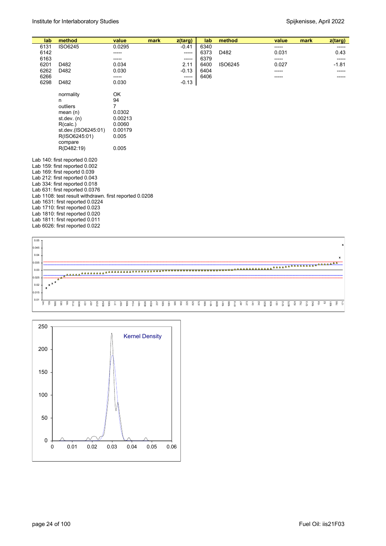| lab          | method                                                          | value                | mark | z(targ)          | lab          | method  | value | mark | $z$ (targ) |
|--------------|-----------------------------------------------------------------|----------------------|------|------------------|--------------|---------|-------|------|------------|
| 6131         | <b>ISO6245</b>                                                  | 0.0295               |      | $-0.41$          | 6340         |         | ----- |      | -----      |
| 6142         |                                                                 | -----                |      | -----            | 6373         | D482    | 0.031 |      | 0.43       |
| 6163         |                                                                 | -----                |      | -----            | 6379         |         | ----- |      | -----      |
| 6201         | D482                                                            | 0.034                |      | 2.11             | 6400         | ISO6245 | 0.027 |      | $-1.81$    |
| 6262         | D482                                                            | 0.030                |      | $-0.13$          | 6404<br>6406 |         | ----- |      |            |
| 6266<br>6298 | D482                                                            | -----<br>0.030       |      | -----<br>$-0.13$ |              |         |       |      |            |
|              |                                                                 |                      |      |                  |              |         |       |      |            |
|              | normality                                                       | 0K                   |      |                  |              |         |       |      |            |
|              | n<br>outliers                                                   | 94<br>$\overline{7}$ |      |                  |              |         |       |      |            |
|              | mean $(n)$                                                      | 0.0302               |      |                  |              |         |       |      |            |
|              | st dev. $(n)$                                                   | 0.00213              |      |                  |              |         |       |      |            |
|              | R(calc.)                                                        | 0.0060               |      |                  |              |         |       |      |            |
|              | st.dev.(ISO6245:01)                                             | 0.00179              |      |                  |              |         |       |      |            |
|              | R(ISO6245:01)                                                   | 0.005                |      |                  |              |         |       |      |            |
|              | compare                                                         |                      |      |                  |              |         |       |      |            |
|              | R(D482:19)                                                      | 0.005                |      |                  |              |         |       |      |            |
|              | Lab 140: first reported 0.020                                   |                      |      |                  |              |         |       |      |            |
|              | Lab 159: first reported 0.002                                   |                      |      |                  |              |         |       |      |            |
|              | Lab 169: first reportd 0.039                                    |                      |      |                  |              |         |       |      |            |
|              | Lab 212: first reported 0.043                                   |                      |      |                  |              |         |       |      |            |
|              | Lab 334: first reported 0.018<br>Lab 631: first reported 0.0376 |                      |      |                  |              |         |       |      |            |
|              | Lab 1108: test result withdrawn. first reported 0.0208          |                      |      |                  |              |         |       |      |            |
|              | Lab 1631: first reported 0.0224                                 |                      |      |                  |              |         |       |      |            |
|              | Lab 1710: first reported 0.023                                  |                      |      |                  |              |         |       |      |            |
|              | Lab 1810: first reported 0.020                                  |                      |      |                  |              |         |       |      |            |
|              | Lab 1811: first reported 0.011                                  |                      |      |                  |              |         |       |      |            |
|              | Lab 6026: first reported 0.022                                  |                      |      |                  |              |         |       |      |            |
|              |                                                                 |                      |      |                  |              |         |       |      |            |



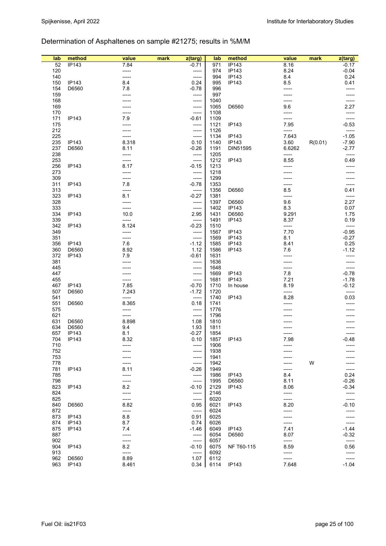# Determination of Asphaltenes on sample #21275; results in %M/M

| lab        | method       | value | mark | z(targ) | lab          | method       | value  | mark    | z(targ) |
|------------|--------------|-------|------|---------|--------------|--------------|--------|---------|---------|
| 52         | IP143        | 7.84  |      | $-0.71$ | 971          | IP143        | 8.16   |         | -0.17   |
| 120        |              |       |      |         | 974          | <b>IP143</b> | 8.24   |         | $-0.04$ |
|            |              | ----- |      | -----   |              |              |        |         |         |
| 140        |              | ----- |      | -----   | 994          | <b>IP143</b> | 8.4    |         | 0.24    |
| 150        | IP143        | 8.4   |      | 0.24    | 995          | IP143        | 8.5    |         | 0.41    |
| 154        | D6560        | 7.8   |      | $-0.78$ | 996          |              |        |         | -----   |
| 159        |              |       |      | -----   | 997          |              |        |         |         |
| 168        |              |       |      | -----   | 1040         |              | -----  |         |         |
| 169        |              |       |      | -----   | 1065         | D6560        | 9.6    |         | 2.27    |
| 170        |              |       |      | -----   | 1108         |              | -----  |         |         |
| 171        | IP143        | 7.9   |      | $-0.61$ | 1109         |              |        |         |         |
| 175        |              |       |      | -----   | 1121         | IP143        | 7.95   |         | $-0.53$ |
| 212        |              |       |      | -----   | 1126         |              | -----  |         | -----   |
|            |              |       |      |         |              |              |        |         |         |
| 225        |              |       |      | -----   | 1134         | IP143        | 7.643  |         | $-1.05$ |
| 235        | <b>IP143</b> | 8.318 |      | 0.10    | 1140         | IP143        | 3.60   | R(0.01) | $-7.90$ |
| 237        | D6560        | 8.11  |      | $-0.26$ | 1191         | DIN51595     | 6.6262 |         | $-2.77$ |
| 238        |              |       |      | -----   | 1205         |              | -----  |         | -----   |
| 253        |              |       |      | -----   | 1212         | IP143        | 8.55   |         | 0.49    |
| 256        | IP143        | 8.17  |      | $-0.15$ | 1213         |              |        |         | -----   |
| 273        |              |       |      | -----   | 1218         |              |        |         |         |
| 309        |              |       |      | -----   | 1299         |              |        |         |         |
| 311        | <b>IP143</b> | 7.8   |      | $-0.78$ | 1353         |              |        |         | -----   |
| 313        |              | ----- |      | -----   | 1356         | D6560        | 8.5    |         | 0.41    |
| 323        | IP143        | 8.1   |      | $-0.27$ | 1381         |              | -----  |         | -----   |
|            |              |       |      |         |              |              |        |         |         |
| 328        |              |       |      | -----   | 1397         | D6560        | 9.6    |         | 2.27    |
| 333        |              |       |      | -----   | 1402         | IP143        | 8.3    |         | 0.07    |
| 334        | IP143        | 10.0  |      | 2.95    | 1431         | D6560        | 9.291  |         | 1.75    |
| 339        |              | ----- |      | -----   | 1491         | IP143        | 8.37   |         | 0.19    |
| 342        | IP143        | 8.124 |      | $-0.23$ | 1510         |              | -----  |         | -----   |
| 349        |              | ----- |      | -----   | 1567         | IP143        | 7.70   |         | $-0.95$ |
| 351        |              | ----- |      | -----   | 1569         | IP143        | 8.1    |         | $-0.27$ |
| 356        | <b>IP143</b> | 7.6   |      | $-1.12$ | 1585         | IP143        | 8.41   |         | 0.25    |
| 360        | D6560        | 8.92  |      | 1.12    | 1586         | IP143        | 7.6    |         | $-1.12$ |
| 372        | <b>IP143</b> | 7.9   |      | $-0.61$ | 1631         |              | -----  |         | -----   |
| 381        |              |       |      | -----   | 1636         |              |        |         | -----   |
| 445        |              |       |      |         |              |              |        |         |         |
|            |              |       |      | -----   | 1648         |              | -----  |         |         |
| 447        |              |       |      | -----   | 1669         | IP143        | 7.8    |         | $-0.78$ |
| 455        |              | ----- |      | $-----$ | 1681         | IP143        | 7.21   |         | $-1.78$ |
| 467        | IP143        | 7.85  |      | $-0.70$ | 1710         | In house     | 8.19   |         | $-0.12$ |
| 507        | D6560        | 7.243 |      | $-1.72$ | 1720         |              | -----  |         | -----   |
| 541        |              | ----- |      | -----   | 1740         | IP143        | 8.28   |         | 0.03    |
| 551        | D6560        | 8.365 |      | 0.18    | 1741         |              |        |         |         |
| 575        |              |       |      | -----   | 1776         |              |        |         |         |
| 621        |              | ----- |      | -----   | 1796         |              |        |         |         |
| 631        | D6560        | 8.898 |      | 1.08    | 1810         |              |        |         |         |
| 634        | D6560        | 9.4   |      | 1.93    | 1811         |              |        |         |         |
| 657        | IP143        | 8.1   |      | $-0.27$ | 1854         |              |        |         |         |
| 704        | <b>IP143</b> | 8.32  |      | 0.10    | 1857         | IP143        | 7.98   |         | $-0.48$ |
|            |              |       |      |         |              |              |        |         |         |
| 710        |              |       |      | -----   | 1906         |              |        |         |         |
| 752        |              |       |      | -----   | 1938         |              |        |         |         |
| 753        |              |       |      | -----   | 1941         |              |        |         |         |
| 778        |              |       |      | -----   | 1942         |              |        | W       |         |
| 781        | IP143        | 8.11  |      | $-0.26$ | 1949         |              | -----  |         | -----   |
|            |              |       |      | -----   | 1986         | IP143        | 8.4    |         | 0.24    |
| 785        |              |       |      |         |              |              |        |         |         |
|            |              |       |      | -----   |              |              |        |         |         |
| 798        |              |       |      |         | 1995         | D6560        | 8.11   |         | $-0.26$ |
| 823        | <b>IP143</b> | 8.2   |      | $-0.10$ | 2129         | IP143        | 8.06   |         | $-0.34$ |
| 824        |              | ----- |      | -----   | 2146         |              | -----  |         | -----   |
| 825        |              |       |      | -----   | 6020         |              | -----  |         | -----   |
| 840        | D6560        | 8.82  |      | 0.95    | 6021         | IP143        | 8.20   |         | $-0.10$ |
| 872        |              | ----- |      | -----   | 6024         |              | -----  |         | -----   |
| 873        | <b>IP143</b> | 8.8   |      | 0.91    | 6025         |              |        |         | -----   |
| 874        | <b>IP143</b> | 8.7   |      | 0.74    | 6026         |              |        |         | -----   |
| 875        | IP143        | 7.4   |      | $-1.46$ | 6049         | IP143        | 7.41   |         | $-1.44$ |
| 887        |              | ----- |      | -----   | 6054         | D6560        | 8.07   |         | $-0.32$ |
| 902        |              | ----- |      | -----   | 6057         |              | -----  |         | -----   |
| 904        | IP143        | 8.2   |      | $-0.10$ | 6075         | NF T60-115   | 8.59   |         | 0.56    |
|            |              | ----- |      | -----   |              |              | -----  |         | -----   |
| 913<br>962 | D6560        | 8.89  |      | 1.07    | 6092<br>6112 |              | -----  |         | -----   |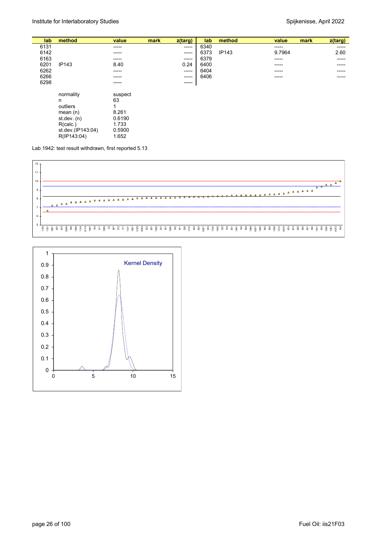| lab  | method       | value   | mark | z(targ)     | lab  | method       | value<br>mark | z(targ) |
|------|--------------|---------|------|-------------|------|--------------|---------------|---------|
| 6131 |              | ------  |      | -----       | 6340 |              | -----         | -----   |
| 6142 |              | -----   |      | $---$       | 6373 | <b>IP143</b> | 9.7964        | 2.60    |
| 6163 |              | ------  |      | -----       | 6379 |              | -----         | -----   |
| 6201 | <b>IP143</b> | 8.40    |      | 0.24        | 6400 |              | -----         |         |
| 6262 |              | -----   |      | $- - - - -$ | 6404 |              | -----         | -----   |
| 6266 |              | ------  |      | -----       | 6406 |              | -----         | ----    |
| 6298 |              | ------  |      | ------      |      |              |               |         |
|      |              |         |      |             |      |              |               |         |
|      | normality    | suspect |      |             |      |              |               |         |
|      | n            | 63      |      |             |      |              |               |         |

outliers 1<br>mean (n) 8.261 mean (n) 8.261<br>st.dev. (n) 0.6190 st.dev. (n) 0.6190<br>R(calc.) 1.733 R(calc.) 1.733<br>st.dev.(IP143:04) 0.5900 st.dev.(IP143:04) 0.5900 R(IP143:04) 1.652

Lab 1942: test result withdrawn, first reported 5.13



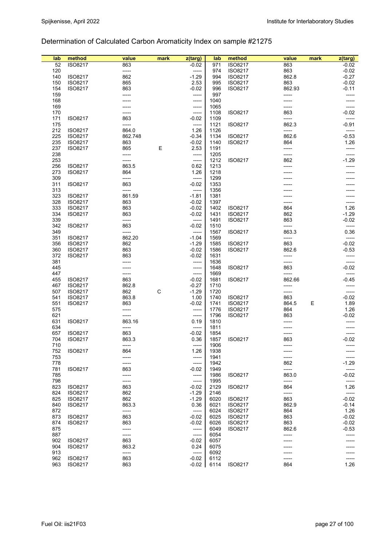# Determination of Calculated Carbon Aromaticity Index on sample #21275

| lab | method         | value   | mark | z(targ) | lab  | method         | value  | mark | z(targ) |
|-----|----------------|---------|------|---------|------|----------------|--------|------|---------|
| 52  | ISO8217        | 863     |      | $-0.02$ | 971  | <b>ISO8217</b> | 863    |      | $-0.02$ |
|     |                |         |      |         |      |                |        |      |         |
| 120 |                | -----   |      | -----   | 974  | <b>ISO8217</b> | 863    |      | $-0.02$ |
| 140 | <b>ISO8217</b> | 862     |      | $-1.29$ | 994  | <b>ISO8217</b> | 862.8  |      | $-0.27$ |
| 150 | <b>ISO8217</b> | 865     |      | 2.53    | 995  | ISO8217        | 863    |      | $-0.02$ |
| 154 | ISO8217        | 863     |      | $-0.02$ | 996  | ISO8217        | 862.93 |      | $-0.11$ |
| 159 |                |         |      | -----   | 997  |                | -----  |      |         |
| 168 |                |         |      | -----   | 1040 |                | -----  |      |         |
| 169 |                |         |      | -----   | 1065 |                |        |      |         |
| 170 |                |         |      | -----   | 1108 | <b>ISO8217</b> | 863    |      | $-0.02$ |
| 171 | ISO8217        | 863     |      | $-0.02$ | 1109 |                | -----  |      | -----   |
| 175 |                | -----   |      | -----   | 1121 | <b>ISO8217</b> | 862.3  |      | $-0.91$ |
| 212 | ISO8217        | 864.0   |      | 1.26    | 1126 |                | -----  |      | -----   |
| 225 | ISO8217        | 862.748 |      | $-0.34$ | 1134 | ISO8217        | 862.6  |      | $-0.53$ |
| 235 | ISO8217        | 863     |      | $-0.02$ | 1140 | ISO8217        | 864    |      | 1.26    |
|     |                |         |      |         |      |                |        |      |         |
| 237 | <b>ISO8217</b> | 865     | Ε    | 2.53    | 1191 |                | -----  |      | -----   |
| 238 |                | -----   |      | -----   | 1205 |                | -----  |      | -----   |
| 253 |                | -----   |      | -----   | 1212 | <b>ISO8217</b> | 862    |      | -1.29   |
| 256 | ISO8217        | 863.5   |      | 0.62    | 1213 |                |        |      |         |
| 273 | ISO8217        | 864     |      | 1.26    | 1218 |                |        |      |         |
| 309 |                | -----   |      | -----   | 1299 |                |        |      |         |
| 311 | ISO8217        | 863     |      | $-0.02$ | 1353 |                |        |      |         |
| 313 |                | -----   |      | -----   | 1356 |                |        |      |         |
| 323 | <b>ISO8217</b> | 861.59  |      | $-1.81$ | 1381 |                |        |      |         |
| 328 | ISO8217        | 863     |      | $-0.02$ | 1397 |                |        |      |         |
| 333 | ISO8217        | 863     |      | $-0.02$ | 1402 | <b>ISO8217</b> | 864    |      | 1.26    |
| 334 | ISO8217        | 863     |      | $-0.02$ | 1431 | <b>ISO8217</b> | 862    |      | $-1.29$ |
| 339 |                | -----   |      | -----   | 1491 | <b>ISO8217</b> | 863    |      | $-0.02$ |
|     |                |         |      |         |      |                | -----  |      |         |
| 342 | ISO8217        | 863     |      | $-0.02$ | 1510 |                |        |      | -----   |
| 349 |                | -----   |      | -----   | 1567 | <b>ISO8217</b> | 863.3  |      | 0.36    |
| 351 | <b>ISO8217</b> | 862.20  |      | $-1.04$ | 1569 |                | -----  |      | -----   |
| 356 | ISO8217        | 862     |      | $-1.29$ | 1585 | ISO8217        | 863    |      | $-0.02$ |
| 360 | ISO8217        | 863     |      | $-0.02$ | 1586 | <b>ISO8217</b> | 862.6  |      | $-0.53$ |
| 372 | ISO8217        | 863     |      | $-0.02$ | 1631 |                | -----  |      | -----   |
| 381 |                |         |      | -----   | 1636 |                | -----  |      | -----   |
| 445 |                |         |      | -----   | 1648 | <b>ISO8217</b> | 863    |      | $-0.02$ |
| 447 |                | -----   |      | -----   | 1669 |                | -----  |      |         |
| 455 | ISO8217        | 863     |      | $-0.02$ | 1681 | ISO8217        | 862.66 |      | $-0.45$ |
| 467 | <b>ISO8217</b> | 862.8   |      | $-0.27$ | 1710 |                | -----  |      | -----   |
| 507 | ISO8217        | 862     | С    | $-1.29$ | 1720 |                | -----  |      | -----   |
| 541 | ISO8217        | 863.8   |      | 1.00    | 1740 | <b>ISO8217</b> | 863    |      | $-0.02$ |
| 551 | ISO8217        | 863     |      | $-0.02$ | 1741 | <b>ISO8217</b> | 864.5  | Ε    | 1.89    |
| 575 |                | -----   |      | -----   | 1776 | ISO8217        | 864    |      | 1.26    |
| 621 |                | -----   |      | -----   | 1796 | <b>ISO8217</b> | 863    |      | $-0.02$ |
|     |                |         |      |         |      |                |        |      |         |
| 631 | ISO8217        | 863.16  |      | 0.19    | 1810 |                |        |      |         |
| 634 |                | -----   |      | -----   | 1811 |                |        |      |         |
| 657 | <b>ISO8217</b> | 863     |      | -0.02   | 1854 |                |        |      |         |
| 704 | <b>ISO8217</b> | 863.3   |      | 0.36    | 1857 | ISO8217        | 863    |      | $-0.02$ |
| 710 |                |         |      | -----   | 1906 |                |        |      |         |
| 752 | ISO8217        | 864     |      | 1.26    | 1938 |                |        |      |         |
| 753 |                |         |      | -----   | 1941 |                |        |      |         |
| 778 |                |         |      | -----   | 1942 |                | 862    |      | $-1.29$ |
| 781 | ISO8217        | 863     |      | -0.02   | 1949 |                | -----  |      | -----   |
| 785 |                | -----   |      | -----   | 1986 | <b>ISO8217</b> | 863.0  |      | -0.02   |
| 798 |                | -----   |      | -----   | 1995 |                | -----  |      | -----   |
| 823 | ISO8217        | 863     |      | $-0.02$ | 2129 | <b>ISO8217</b> | 864    |      | 1.26    |
| 824 | ISO8217        | 862     |      | $-1.29$ | 2146 |                | -----  |      | -----   |
| 825 | <b>ISO8217</b> | 862     |      | $-1.29$ | 6020 | <b>ISO8217</b> | 863    |      | -0.02   |
| 840 | <b>ISO8217</b> | 863.3   |      | 0.36    | 6021 | <b>ISO8217</b> | 862.9  |      | $-0.14$ |
| 872 |                | -----   |      | -----   | 6024 | ISO8217        | 864    |      | 1.26    |
|     |                |         |      |         |      |                |        |      |         |
| 873 | <b>ISO8217</b> | 863     |      | $-0.02$ | 6025 | <b>ISO8217</b> | 863    |      | $-0.02$ |
| 874 | <b>ISO8217</b> | 863     |      | -0.02   | 6026 | <b>ISO8217</b> | 863    |      | $-0.02$ |
| 875 |                | -----   |      | -----   | 6049 | <b>ISO8217</b> | 862.6  |      | -0.53   |
| 887 |                | -----   |      | -----   | 6054 |                | -----  |      | -----   |
| 902 | ISO8217        | 863     |      | -0.02   | 6057 |                |        |      |         |
| 904 | <b>ISO8217</b> | 863.2   |      | 0.24    | 6075 |                |        |      |         |
| 913 |                | -----   |      | -----   | 6092 |                |        |      |         |
| 962 | <b>ISO8217</b> | 863     |      | $-0.02$ | 6112 |                | -----  |      | -----   |
| 963 | ISO8217        | 863     |      | $-0.02$ | 6114 | <b>ISO8217</b> | 864    |      | 1.26    |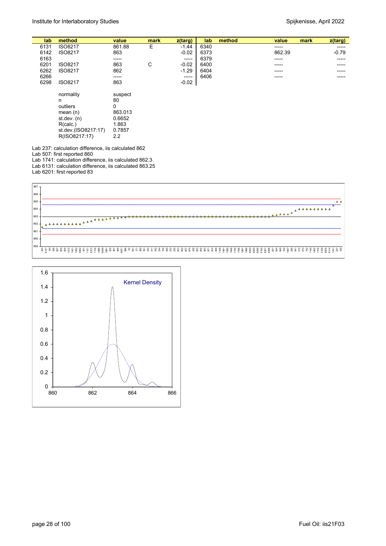| lab  | method         | value    | mark | z(targ) | lab  | method | value  | z(targ)<br>mark |
|------|----------------|----------|------|---------|------|--------|--------|-----------------|
| 6131 | <b>ISO8217</b> | 861.88   | Е    | $-1.44$ | 6340 |        | -----  | -----           |
| 6142 | <b>ISO8217</b> | 863      |      | $-0.02$ | 6373 |        | 862.39 | $-0.79$         |
| 6163 |                | ------   |      | $-----$ | 6379 |        | -----  | -----           |
| 6201 | <b>ISO8217</b> | 863      | С    | $-0.02$ | 6400 |        | -----  | -----           |
| 6262 | <b>ISO8217</b> | 862      |      | $-1.29$ | 6404 |        | -----  | -----           |
| 6266 |                | -----    |      | $-----$ | 6406 |        | -----  | -----           |
| 6298 | <b>ISO8217</b> | 863      |      | $-0.02$ |      |        |        |                 |
|      | normality      | suspect  |      |         |      |        |        |                 |
|      | n              | 80       |      |         |      |        |        |                 |
|      | outliers       | $\Omega$ |      |         |      |        |        |                 |
|      | mean $(n)$     | 863.013  |      |         |      |        |        |                 |

Lab 237: calculation difference, iis calculated 862

st.dev. (n) 0.6652<br>R(calc.) 1.863 R(calc.) 1.863<br>st.dev.(ISO8217:17) 0.7857 st.dev.(ISO8217:17) R(ISO8217:17) 2.2

Lab 507: first reported 860

Lab 1741: calculation difference, iis calculated 862.3 Lab 6131: calculation difference, iis calculated 863.25

Lab 6201: first reported 83



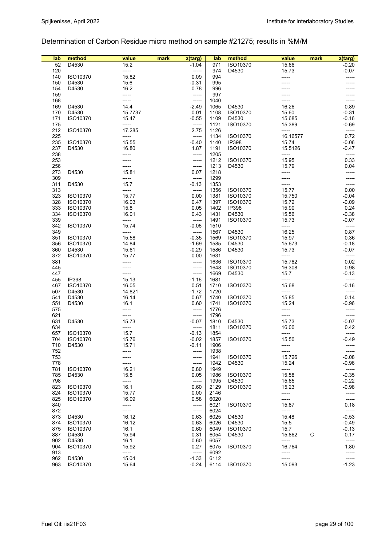Determination of Carbon Residue micro method on sample #21275; results in %M/M

| lab | method       | value   | mark | z(targ) | lab  | method       | value    | mark | z(targ) |
|-----|--------------|---------|------|---------|------|--------------|----------|------|---------|
| 52  | D4530        | 15.2    |      | $-1.04$ | 971  | ISO10370     | 15.66    |      | $-0.20$ |
| 120 |              | -----   |      | -----   | 974  | D4530        | 15.73    |      | $-0.07$ |
|     |              |         |      |         |      |              |          |      |         |
| 140 | ISO10370     | 15.82   |      | 0.09    | 994  |              | -----    |      | -----   |
| 150 | D4530        | 15.6    |      | $-0.31$ | 995  |              |          |      |         |
| 154 | D4530        | 16.2    |      | 0.78    | 996  |              |          |      |         |
| 159 |              |         |      | -----   | 997  |              |          |      |         |
|     |              |         |      |         |      |              |          |      |         |
| 168 |              | -----   |      | -----   | 1040 |              |          |      | -----   |
| 169 | D4530        | 14.4    |      | $-2.49$ | 1065 | D4530        | 16.26    |      | 0.89    |
| 170 | D4530        | 15.7737 |      | 0.01    | 1108 | ISO10370     | 15.60    |      | $-0.31$ |
| 171 | ISO10370     | 15.47   |      | $-0.55$ | 1109 | D4530        | 15.685   |      | $-0.16$ |
|     |              |         |      |         |      |              |          |      |         |
| 175 |              | -----   |      | -----   | 1121 | ISO10370     | 15.389   |      | $-0.69$ |
| 212 | ISO10370     | 17.285  |      | 2.75    | 1126 |              | -----    |      | -----   |
| 225 |              | -----   |      | -----   | 1134 | ISO10370     | 16.16577 |      | 0.72    |
| 235 | ISO10370     | 15.55   |      | $-0.40$ | 1140 | <b>IP398</b> | 15.74    |      | $-0.06$ |
| 237 | D4530        | 16.80   |      | 1.87    | 1191 | ISO10370     | 15.5126  |      | $-0.47$ |
|     |              |         |      |         |      |              |          |      |         |
| 238 |              |         |      | -----   | 1205 |              | -----    |      | -----   |
| 253 |              |         |      | -----   | 1212 | ISO10370     | 15.95    |      | 0.33    |
| 256 |              |         |      | -----   | 1213 | D4530        | 15.79    |      | 0.04    |
| 273 | D4530        | 15.81   |      | 0.07    | 1218 |              | -----    |      | -----   |
|     |              |         |      |         |      |              |          |      |         |
| 309 |              | -----   |      | -----   | 1299 |              |          |      |         |
| 311 | D4530        | 15.7    |      | $-0.13$ | 1353 |              | -----    |      | -----   |
| 313 |              | -----   |      | -----   | 1356 | ISO10370     | 15.77    |      | 0.00    |
| 323 | ISO10370     | 15.77   |      | 0.00    | 1381 | ISO10370     | 15.750   |      | $-0.04$ |
|     |              |         |      |         |      |              |          |      |         |
| 328 | ISO10370     | 16.03   |      | 0.47    | 1397 | ISO10370     | 15.72    |      | $-0.09$ |
| 333 | ISO10370     | 15.8    |      | 0.05    | 1402 | <b>IP398</b> | 15.90    |      | 0.24    |
| 334 | ISO10370     | 16.01   |      | 0.43    | 1431 | D4530        | 15.56    |      | $-0.38$ |
| 339 |              | -----   |      | -----   | 1491 | ISO10370     | 15.73    |      | $-0.07$ |
|     |              |         |      |         |      |              |          |      |         |
| 342 | ISO10370     | 15.74   |      | $-0.06$ | 1510 |              | -----    |      | -----   |
| 349 |              | -----   |      | -----   | 1567 | D4530        | 16.25    |      | 0.87    |
| 351 | ISO10370     | 15.58   |      | $-0.35$ | 1569 | ISO10370     | 15.97    |      | 0.36    |
| 356 | ISO10370     | 14.84   |      | $-1.69$ | 1585 | D4530        | 15.673   |      | $-0.18$ |
| 360 | D4530        | 15.61   |      | $-0.29$ | 1586 | D4530        | 15.73    |      | $-0.07$ |
|     |              |         |      |         |      |              |          |      |         |
| 372 | ISO10370     | 15.77   |      | 0.00    | 1631 |              | -----    |      | -----   |
| 381 |              |         |      | -----   | 1636 | ISO10370     | 15.782   |      | 0.02    |
| 445 |              |         |      | -----   | 1648 | ISO10370     | 16.308   |      | 0.98    |
| 447 |              |         |      | -----   | 1669 | D4530        | 15.7     |      | $-0.13$ |
|     |              |         |      |         |      |              |          |      |         |
| 455 | <b>IP398</b> | 15.13   |      | $-1.16$ | 1681 |              | -----    |      | -----   |
| 467 | ISO10370     | 16.05   |      | 0.51    | 1710 | ISO10370     | 15.68    |      | $-0.16$ |
| 507 | D4530        | 14.821  |      | $-1.72$ | 1720 |              | -----    |      | -----   |
| 541 | D4530        | 16.14   |      | 0.67    | 1740 | ISO10370     | 15.85    |      | 0.14    |
|     |              |         |      |         |      |              |          |      |         |
| 551 | D4530        | 16.1    |      | 0.60    | 1741 | ISO10370     | 15.24    |      | $-0.96$ |
| 575 |              |         |      | -----   | 1776 |              |          |      |         |
| 621 |              |         |      | -----   | 1796 |              | -----    |      | -----   |
| 631 | D4530        | 15.73   |      | $-0.07$ | 1810 | D4530        | 15.73    |      | $-0.07$ |
| 634 |              | -----   |      | -----   | 1811 | ISO10370     | 16.00    |      | 0.42    |
|     |              |         |      |         |      |              |          |      |         |
| 657 | ISO10370     | 15.7    |      | $-0.13$ | 1854 |              | -----    |      |         |
| 704 | ISO10370     | 15.76   |      | $-0.02$ | 1857 | ISO10370     | 15.50    |      | $-0.49$ |
| 710 | D4530        | 15.71   |      | $-0.11$ | 1906 |              | -----    |      | -----   |
| 752 |              |         |      | -----   | 1938 |              | -----    |      | -----   |
|     |              |         |      |         |      |              |          |      |         |
| 753 |              |         |      | -----   | 1941 | ISO10370     | 15.726   |      | $-0.08$ |
| 778 |              |         |      | -----   | 1942 | D4530        | 15.24    |      | $-0.96$ |
| 781 | ISO10370     | 16.21   |      | 0.80    | 1949 |              | -----    |      | -----   |
| 785 | D4530        | 15.8    |      | 0.05    | 1986 | ISO10370     | 15.58    |      | $-0.35$ |
| 798 |              | -----   |      | -----   | 1995 | D4530        | 15.65    |      | $-0.22$ |
|     |              |         |      |         |      |              |          |      |         |
| 823 | ISO10370     | 16.1    |      | 0.60    | 2129 | ISO10370     | 15.23    |      | $-0.98$ |
| 824 | ISO10370     | 15.77   |      | 0.00    | 2146 |              | -----    |      | -----   |
| 825 | ISO10370     | 16.09   |      | 0.58    | 6020 |              | -----    |      | -----   |
| 840 |              | -----   |      | -----   | 6021 | ISO10370     | 15.87    |      | 0.18    |
|     |              |         |      |         |      |              |          |      |         |
| 872 |              | -----   |      | -----   | 6024 |              | -----    |      | -----   |
| 873 | D4530        | 16.12   |      | 0.63    | 6025 | D4530        | 15.48    |      | $-0.53$ |
| 874 | ISO10370     | 16.12   |      | 0.63    | 6026 | D4530        | 15.5     |      | $-0.49$ |
| 875 | ISO10370     | 16.1    |      | 0.60    | 6049 | ISO10370     | 15.7     |      | $-0.13$ |
| 887 | D4530        | 15.94   |      | 0.31    | 6054 | D4530        | 15.862   | С    | 0.17    |
|     |              |         |      |         |      |              |          |      |         |
| 902 | D4530        | 16.1    |      | 0.60    | 6057 |              | -----    |      | -----   |
| 904 | ISO10370     | 15.92   |      | 0.27    | 6075 | ISO10370     | 16.764   |      | 1.80    |
| 913 |              | -----   |      | $-----$ | 6092 |              | -----    |      | -----   |
| 962 | D4530        | 15.04   |      | $-1.33$ | 6112 |              | -----    |      | -----   |
|     |              |         |      |         |      |              |          |      | $-1.23$ |
| 963 | ISO10370     | 15.64   |      | $-0.24$ | 6114 | ISO10370     | 15.093   |      |         |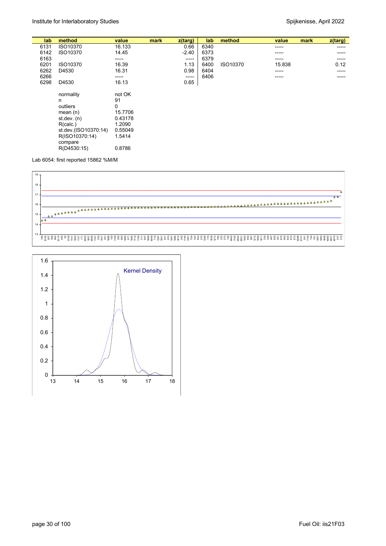| lab  | method                    | value   | mark | z(targ)     | lab  | method   | value  | mark | $z$ (targ) |
|------|---------------------------|---------|------|-------------|------|----------|--------|------|------------|
| 6131 | ISO10370                  | 16.133  |      | 0.66        | 6340 |          | -----  |      | -----      |
| 6142 | ISO10370                  | 14.45   |      | $-2.40$     | 6373 |          | -----  |      |            |
| 6163 |                           | -----   |      | -----       | 6379 |          | -----  |      | -----      |
| 6201 | ISO10370                  | 16.39   |      | 1.13        | 6400 | ISO10370 | 15.838 |      | 0.12       |
| 6262 | D4530                     | 16.31   |      | 0.98        | 6404 |          | -----  |      | -----      |
| 6266 |                           | -----   |      | $- - - - -$ | 6406 |          | ------ |      |            |
| 6298 | D4530                     | 16.13   |      | 0.65        |      |          |        |      |            |
|      | normality                 | not OK  |      |             |      |          |        |      |            |
|      | n                         | 91      |      |             |      |          |        |      |            |
|      | outliers                  | 0       |      |             |      |          |        |      |            |
|      | mean $(n)$                | 15.7706 |      |             |      |          |        |      |            |
|      | st.dev. $(n)$             | 0.43178 |      |             |      |          |        |      |            |
|      | R(calc.)                  | 1.2090  |      |             |      |          |        |      |            |
|      | st.dev.(ISO10370:14)      | 0.55049 |      |             |      |          |        |      |            |
|      | R(ISO10370:14)<br>compare | 1.5414  |      |             |      |          |        |      |            |
|      | R(D4530:15)               | 0.8786  |      |             |      |          |        |      |            |

Lab 6054: first reported 15862 %M/M



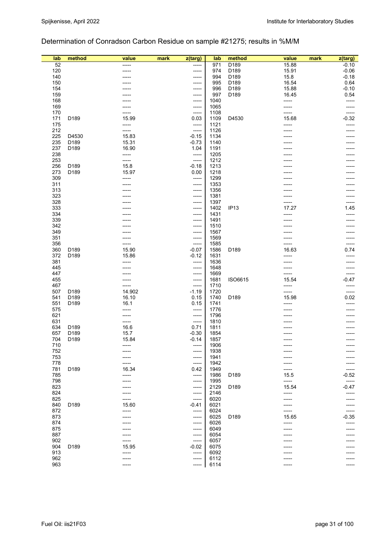# Determination of Conradson Carbon Residue on sample #21275; results in %M/M

| lab | method           | value  | mark | z(targ) | lab  | method           | value | mark | z(targ) |
|-----|------------------|--------|------|---------|------|------------------|-------|------|---------|
| 52  |                  |        |      | -----   | 971  | D189             | 15.88 |      | $-0.10$ |
| 120 |                  |        |      | -----   | 974  | D189             | 15.91 |      | $-0.06$ |
| 140 |                  |        |      | -----   | 994  | D189             | 15.8  |      | $-0.18$ |
| 150 |                  |        |      | -----   | 995  | D <sub>189</sub> | 16.54 |      | 0.64    |
| 154 |                  |        |      | -----   | 996  | D189             | 15.88 |      | $-0.10$ |
| 159 |                  |        |      | -----   | 997  | D189             | 16.45 |      | 0.54    |
| 168 |                  |        |      | -----   | 1040 |                  | ----- |      | -----   |
| 169 |                  |        |      | -----   | 1065 |                  | ----- |      | -----   |
| 170 |                  |        |      | -----   | 1108 |                  |       |      |         |
| 171 | D189             | 15.99  |      | 0.03    | 1109 | D4530            | 15.68 |      | $-0.32$ |
| 175 |                  | -----  |      | -----   | 1121 |                  | ----- |      | -----   |
| 212 |                  | -----  |      | -----   | 1126 |                  |       |      |         |
| 225 | D4530            | 15.83  |      | $-0.15$ | 1134 |                  |       |      |         |
| 235 | D <sub>189</sub> | 15.31  |      | $-0.73$ | 1140 |                  |       |      |         |
| 237 | D189             | 16.90  |      | 1.04    | 1191 |                  |       |      |         |
| 238 |                  | -----  |      | -----   | 1205 |                  |       |      |         |
| 253 |                  | -----  |      | -----   | 1212 |                  |       |      |         |
| 256 | D <sub>189</sub> | 15.8   |      | $-0.18$ | 1213 |                  |       |      |         |
| 273 | D <sub>189</sub> | 15.97  |      | 0.00    | 1218 |                  |       |      |         |
| 309 |                  |        |      | -----   | 1299 |                  |       |      |         |
| 311 |                  |        |      | -----   | 1353 |                  |       |      |         |
| 313 |                  |        |      | -----   | 1356 |                  |       |      |         |
| 323 |                  |        |      | -----   | 1381 |                  |       |      |         |
| 328 |                  |        |      | -----   | 1397 |                  |       |      | -----   |
| 333 |                  |        |      | -----   | 1402 | IP <sub>13</sub> | 17.27 |      | 1.45    |
| 334 |                  |        |      | -----   | 1431 |                  |       |      | -----   |
| 339 |                  |        |      | -----   | 1491 |                  |       |      |         |
| 342 |                  |        |      | -----   | 1510 |                  |       |      |         |
| 349 |                  |        |      | -----   | 1567 |                  |       |      |         |
| 351 |                  |        |      | -----   | 1569 |                  |       |      |         |
| 356 |                  |        |      | -----   | 1585 |                  |       |      | -----   |
| 360 | D189             | 15.90  |      | $-0.07$ | 1586 | D <sub>189</sub> | 16.63 |      | 0.74    |
| 372 | D189             | 15.86  |      | $-0.12$ | 1631 |                  | ----- |      | -----   |
| 381 |                  |        |      | -----   | 1636 |                  |       |      | -----   |
| 445 |                  |        |      | -----   | 1648 |                  |       |      |         |
| 447 |                  |        |      | -----   | 1669 |                  |       |      | -----   |
| 455 |                  |        |      | -----   | 1681 | ISO6615          | 15.54 |      | $-0.47$ |
| 467 |                  | -----  |      | -----   | 1710 |                  |       |      | -----   |
| 507 | D189             | 14.902 |      | $-1.19$ | 1720 |                  | ----- |      | -----   |
| 541 | D189             | 16.10  |      | 0.15    | 1740 | D189             | 15.98 |      | 0.02    |
| 551 | D <sub>189</sub> | 16.1   |      | 0.15    | 1741 |                  | ----- |      | -----   |
| 575 |                  |        |      | -----   | 1776 |                  |       |      |         |
| 621 |                  |        |      | -----   | 1796 |                  |       |      |         |
| 631 |                  | -----  |      | -----   | 1810 |                  |       |      |         |
| 634 | D189             | 16.6   |      | 0.71    | 1811 |                  |       |      |         |
| 657 | D189             | 15.7   |      | $-0.30$ | 1854 |                  |       |      |         |
| 704 | D <sub>189</sub> | 15.84  |      | $-0.14$ | 1857 |                  |       |      | -----   |
| 710 |                  |        |      | -----   | 1906 |                  |       |      |         |
| 752 |                  | -----  |      | -----   | 1938 |                  | ----- |      |         |
| 753 |                  |        |      | -----   | 1941 |                  |       |      |         |
| 778 |                  | -----  |      | -----   | 1942 |                  |       |      |         |
| 781 | D189             | 16.34  |      | 0.42    | 1949 |                  | ----- |      | -----   |
| 785 |                  | -----  |      | -----   | 1986 | D <sub>189</sub> | 15.5  |      | $-0.52$ |
| 798 |                  | -----  |      | -----   | 1995 |                  | ----- |      | -----   |
| 823 |                  |        |      | -----   | 2129 | D <sub>189</sub> | 15.54 |      | $-0.47$ |
| 824 |                  | -----  |      | -----   | 2146 |                  | ----- |      | -----   |
| 825 |                  |        |      | -----   | 6020 |                  | ----- |      |         |
| 840 | D <sub>189</sub> | 15.60  |      | $-0.41$ | 6021 |                  |       |      | -----   |
| 872 |                  | -----  |      | -----   | 6024 |                  | ----- |      | -----   |
| 873 |                  |        |      | -----   | 6025 | D <sub>189</sub> | 15.65 |      | $-0.35$ |
| 874 |                  |        |      | -----   | 6026 |                  | ----- |      | -----   |
| 875 |                  |        |      | -----   | 6049 |                  |       |      | -----   |
| 887 |                  | -----  |      | -----   | 6054 |                  |       |      |         |
| 902 |                  | -----  |      | -----   | 6057 |                  |       |      |         |
| 904 | D189             | 15.95  |      | $-0.02$ | 6075 |                  |       |      |         |
| 913 |                  | -----  |      | -----   | 6092 |                  |       |      |         |
| 962 |                  | -----  |      | $-----$ | 6112 |                  |       |      |         |
| 963 |                  |        |      | -----   | 6114 |                  |       |      |         |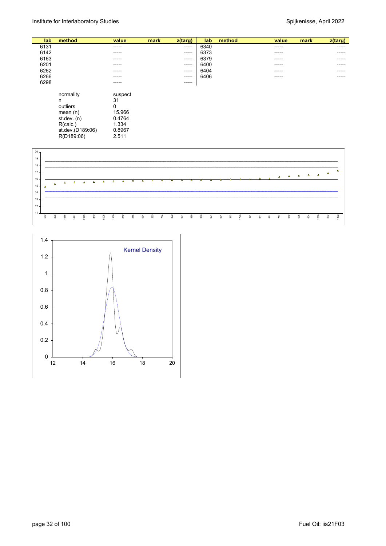R(calc.) 1.334 st.dev.(D189:06) 0.8967

| lab. | method      | value   | mark | z(targ) | lab  | method | value | mark | z(targ) |
|------|-------------|---------|------|---------|------|--------|-------|------|---------|
| 6131 |             | ------  |      | ------  | 6340 |        | ----- |      | -----   |
| 6142 |             | ------  |      | -----   | 6373 |        | ----- |      | -----   |
| 6163 |             | ------  |      | $-----$ | 6379 |        | ----- |      | -----   |
| 6201 |             | ------  |      | -----   | 6400 |        | ----- |      | -----   |
| 6262 |             | ------  |      | -----   | 6404 |        | ----- |      | -----   |
| 6266 |             | ------  |      | -----   | 6406 |        | ----- |      | -----   |
| 6298 |             | ------  |      | -----   |      |        |       |      |         |
|      |             |         |      |         |      |        |       |      |         |
|      | normality   | suspect |      |         |      |        |       |      |         |
|      | n           | 31      |      |         |      |        |       |      |         |
|      | outliers    | 0       |      |         |      |        |       |      |         |
|      | mean $(n)$  | 15.966  |      |         |      |        |       |      |         |
|      | st.dev. (n) | 0.4764  |      |         |      |        |       |      |         |
|      | R(calc.)    | 1.334   |      |         |      |        |       |      |         |

|                       |                          |     |      | R(D189:06) |      |               |      |      | 2.511 |     |     |         |     |         |    |     |                     |     |               |         |      |                 |                         |       |          |          |          |          |          |     |      |
|-----------------------|--------------------------|-----|------|------------|------|---------------|------|------|-------|-----|-----|---------|-----|---------|----|-----|---------------------|-----|---------------|---------|------|-----------------|-------------------------|-------|----------|----------|----------|----------|----------|-----|------|
| 20 <sub>7</sub><br>19 |                          |     |      |            |      |               |      |      |       |     |     |         |     |         |    |     |                     |     |               |         |      |                 |                         |       |          |          |          |          |          |     |      |
| 18<br>17<br>16        |                          | Δ   | Δ    |            | Δ    | Δ             | Δ    | Δ    | Δ     |     |     |         |     |         |    |     |                     |     |               |         |      |                 |                         |       | $\Delta$ | $\Delta$ | $\Delta$ | $\Delta$ | $\Delta$ | Δ   | Δ    |
| $15 +$<br>14<br>13    | A                        |     |      |            |      |               |      |      |       |     |     |         |     |         |    |     |                     |     |               |         |      |                 |                         |       |          |          |          |          |          |     |      |
| 12<br>11              | $\overline{\phantom{0}}$ | 235 | 1986 | 1681       | 2129 | $\frac{6}{3}$ | 6025 | 1109 | 657   | 256 | 994 | $225\,$ | 704 | $372\,$ | 97 | 986 | $\pmb{\mathcal{S}}$ | 974 | $\frac{4}{9}$ | $273\,$ | 1740 | $\overline{17}$ | $\overline{\mathbf{z}}$ | $551$ | 781      | 997      | 995      | 634      | 1586     | 237 | 1402 |

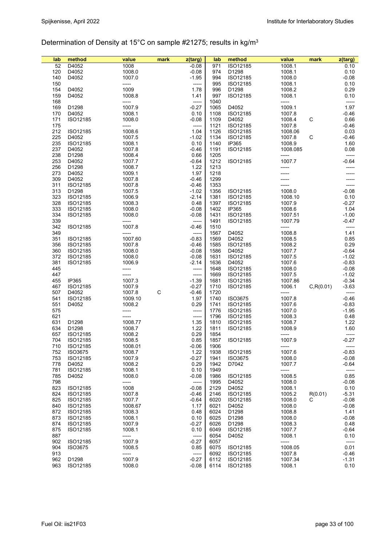# Determination of Density at 15°C on sample #21275; results in kg/m3

| lab | method         | value   | mark | z(targ) | lab  | method         | value    | mark       | z(targ) |
|-----|----------------|---------|------|---------|------|----------------|----------|------------|---------|
| 52  | D4052          | 1008    |      | $-0.08$ | 971  | ISO12185       | 1008.1   |            | 0.10    |
| 120 | D4052          | 1008.0  |      | $-0.08$ | 974  | D1298          | 1008.1   |            | 0.10    |
| 140 | D4052          | 1007.0  |      | $-1.95$ | 994  | ISO12185       | 1008.0   |            | $-0.08$ |
| 150 |                | -----   |      | $-----$ | 995  | ISO12185       | 1008.1   |            | 0.10    |
| 154 | D4052          | 1009    |      | 1.78    | 996  | D1298          | 1008.2   |            | 0.29    |
| 159 | D4052          | 1008.8  |      | 1.41    | 997  | ISO12185       | 1008.1   |            | 0.10    |
| 168 |                | -----   |      | -----   | 1040 |                | -----    |            | -----   |
| 169 | D1298          | 1007.9  |      | $-0.27$ | 1065 | D4052          | 1009.1   |            | 1.97    |
| 170 | D4052          | 1008.1  |      | 0.10    | 1108 | ISO12185       | 1007.8   |            | $-0.46$ |
| 171 | ISO12185       | 1008.0  |      | $-0.08$ | 1109 | D4052          | 1008.4   | С          | 0.66    |
| 175 |                | -----   |      | -----   | 1121 | ISO12185       | 1007.8   |            | $-0.46$ |
| 212 | ISO12185       | 1008.6  |      | 1.04    | 1126 | ISO12185       | 1008.06  |            | 0.03    |
| 225 | D4052          | 1007.5  |      | $-1.02$ | 1134 | ISO12185       | 1007.8   | С          | $-0.46$ |
| 235 | ISO12185       | 1008.1  |      | 0.10    | 1140 | IP365          | 1008.9   |            | 1.60    |
| 237 | D4052          | 1007.8  |      | $-0.46$ | 1191 | ISO12185       | 1008.085 |            | 0.08    |
| 238 | D1298          | 1008.4  |      | 0.66    | 1205 |                | -----    |            | -----   |
| 253 | D4052          | 1007.7  |      | $-0.64$ | 1212 | ISO12185       | 1007.7   |            | $-0.64$ |
| 256 | D1298          | 1008.7  |      | 1.22    | 1213 |                | -----    |            |         |
| 273 | D4052          | 1009.1  |      | 1.97    | 1218 |                |          |            |         |
| 309 | D4052          | 1007.8  |      | $-0.46$ | 1299 |                |          |            |         |
| 311 | ISO12185       | 1007.8  |      | $-0.46$ | 1353 |                | -----    |            | -----   |
| 313 | D1298          | 1007.5  |      | $-1.02$ | 1356 | ISO12185       | 1008.0   |            | $-0.08$ |
| 323 | ISO12185       | 1006.9  |      | $-2.14$ | 1381 | ISO12185       | 1008.10  |            | 0.10    |
| 328 | ISO12185       | 1008.3  |      | 0.48    | 1397 | ISO12185       | 1007.9   |            | $-0.27$ |
| 333 | ISO12185       | 1008.0  |      | $-0.08$ | 1402 | IP365          | 1008.6   |            | 1.04    |
| 334 | ISO12185       | 1008.0  |      | $-0.08$ | 1431 | ISO12185       | 1007.51  |            | $-1.00$ |
| 339 |                | -----   |      | -----   | 1491 | ISO12185       | 1007.79  |            | -0.47   |
| 342 | ISO12185       | 1007.8  |      | $-0.46$ | 1510 |                | -----    |            | -----   |
| 349 |                | -----   |      | -----   | 1567 | D4052          | 1008.8   |            | 1.41    |
| 351 | ISO12185       | 1007.60 |      | $-0.83$ | 1569 | D4052          | 1008.5   |            | 0.85    |
| 356 | ISO12185       | 1007.8  |      | $-0.46$ | 1585 | ISO12185       | 1008.2   |            | 0.29    |
| 360 | ISO12185       | 1008.0  |      | $-0.08$ | 1586 | D4052          | 1007.7   |            | $-0.64$ |
| 372 | ISO12185       | 1008.0  |      | $-0.08$ | 1631 | ISO12185       | 1007.5   |            | $-1.02$ |
| 381 | ISO12185       | 1006.9  |      | $-2.14$ | 1636 | D4052          | 1007.6   |            | $-0.83$ |
| 445 |                | -----   |      | -----   | 1648 | ISO12185       | 1008.0   |            | $-0.08$ |
| 447 |                | -----   |      | -----   | 1669 | ISO12185       | 1007.5   |            | $-1.02$ |
| 455 | IP365          | 1007.3  |      | $-1.39$ | 1681 | ISO12185       | 1007.86  |            | $-0.34$ |
| 467 | ISO12185       | 1007.9  |      | $-0.27$ | 1710 | ISO12185       | 1006.1   | C, R(0.01) | $-3.63$ |
| 507 | D4052          | 1007.8  | C    | $-0.46$ | 1720 |                | -----    |            |         |
| 541 | ISO12185       | 1009.10 |      | 1.97    | 1740 | <b>ISO3675</b> | 1007.8   |            | $-0.46$ |
| 551 | D4052          | 1008.2  |      | 0.29    | 1741 | ISO12185       | 1007.6   |            | $-0.83$ |
| 575 |                | -----   |      | -----   | 1776 | ISO12185       | 1007.0   |            | $-1.95$ |
| 621 |                | -----   |      | -----   | 1796 | ISO12185       | 1008.3   |            | 0.48    |
| 631 | D1298          | 1008.77 |      | 1.35    | 1810 | ISO12185       | 1008.7   |            | 1.22    |
| 634 | D1298          | 1008.7  |      | 1.22    | 1811 | ISO12185       | 1008.9   |            | 1.60    |
| 657 | ISO12185       | 1008.2  |      | 0.29    | 1854 |                | -----    |            | -----   |
| 704 | ISO12185       | 1008.5  |      | 0.85    | 1857 | ISO12185       | 1007.9   |            | $-0.27$ |
| 710 | ISO12185       | 1008.01 |      | $-0.06$ | 1906 |                |          |            |         |
| 752 | <b>ISO3675</b> | 1008.7  |      | 1.22    | 1938 | ISO12185       | 1007.6   |            | $-0.83$ |
| 753 | ISO12185       | 1007.9  |      | $-0.27$ | 1941 | <b>ISO3675</b> | 1008.0   |            | $-0.08$ |
| 778 | D4052          | 1008.2  |      | 0.29    | 1942 | D7042          | 1007.7   |            | -0.64   |
| 781 | ISO12185       | 1008.1  |      | 0.10    | 1949 |                | -----    |            | -----   |
| 785 | D4052          | 1008.0  |      | $-0.08$ | 1986 | ISO12185       | 1008.5   |            | 0.85    |
| 798 |                | -----   |      | -----   | 1995 | D4052          | 1008.0   |            | $-0.08$ |
| 823 | ISO12185       | 1008    |      | $-0.08$ | 2129 | D4052          | 1008.1   |            | 0.10    |
| 824 | ISO12185       | 1007.8  |      | $-0.46$ | 2146 | ISO12185       | 1005.2   | R(0.01)    | $-5.31$ |
| 825 | ISO12185       | 1007.7  |      | $-0.64$ | 6020 | ISO12185       | 1008.0   | С          | $-0.08$ |
| 840 | ISO12185       | 1008.67 |      | 1.17    | 6021 | D4052          | 1008.0   |            | $-0.08$ |
| 872 | ISO12185       | 1008.3  |      | 0.48    | 6024 | D1298          | 1008.8   |            | 1.41    |
| 873 | ISO12185       | 1008.1  |      | 0.10    | 6025 | D1298          | 1008.0   |            | $-0.08$ |
| 874 | ISO12185       | 1007.9  |      | $-0.27$ | 6026 | D1298          | 1008.3   |            | 0.48    |
| 875 | ISO12185       | 1008.1  |      | 0.10    | 6049 | ISO12185       | 1007.7   |            | $-0.64$ |
| 887 |                | -----   |      | -----   | 6054 | D4052          | 1008.1   |            | 0.10    |
| 902 | ISO12185       | 1007.9  |      | $-0.27$ | 6057 |                | -----    |            | -----   |
| 904 | <b>ISO3675</b> | 1008.5  |      | 0.85    | 6075 | ISO12185       | 1008.05  |            | 0.01    |
| 913 |                | -----   |      | -----   | 6092 | ISO12185       | 1007.8   |            | $-0.46$ |
| 962 | D1298          | 1007.9  |      | $-0.27$ | 6112 | ISO12185       | 1007.34  |            | $-1.31$ |
| 963 | ISO12185       | 1008.0  |      | $-0.08$ | 6114 | ISO12185       | 1008.1   |            | 0.10    |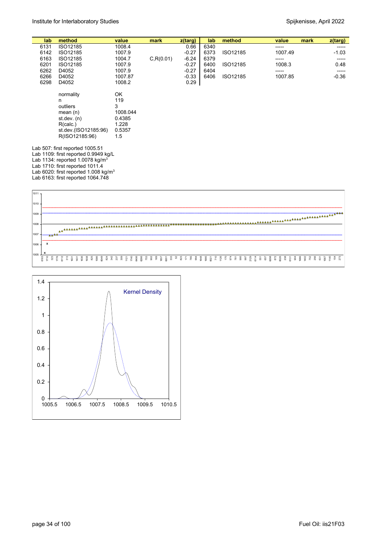| lab      | method                                           | value    | mark       | $z$ (targ) | lab  | method   | value   | mark | z(targ) |
|----------|--------------------------------------------------|----------|------------|------------|------|----------|---------|------|---------|
| 6131     | ISO12185                                         | 1008.4   |            | 0.66       | 6340 |          | -----   |      | -----   |
| 6142     | ISO12185                                         | 1007.9   |            | $-0.27$    | 6373 | ISO12185 | 1007.49 |      | $-1.03$ |
| 6163     | ISO12185                                         | 1004.7   | C, R(0.01) | $-6.24$    | 6379 |          | -----   |      | -----   |
| 6201     | ISO12185                                         | 1007.9   |            | $-0.27$    | 6400 | ISO12185 | 1008.3  |      | 0.48    |
| 6262     | D4052                                            | 1007.9   |            | $-0.27$    | 6404 |          |         |      | -----   |
| 6266     | D4052                                            | 1007.87  |            | $-0.33$    | 6406 | ISO12185 | 1007.85 |      | $-0.36$ |
| 6298     | D4052                                            | 1008.2   |            | 0.29       |      |          |         |      |         |
|          | normality                                        | OK       |            |            |      |          |         |      |         |
|          | n                                                | 119      |            |            |      |          |         |      |         |
|          | outliers                                         | 3        |            |            |      |          |         |      |         |
|          | mean $(n)$                                       | 1008.044 |            |            |      |          |         |      |         |
|          | st.dev. (n)                                      | 0.4385   |            |            |      |          |         |      |         |
|          | R(calc.)                                         | 1.228    |            |            |      |          |         |      |         |
|          | st.dev.(ISO12185:96)                             | 0.5357   |            |            |      |          |         |      |         |
|          | R(ISO12185:96)                                   | 1.5      |            |            |      |          |         |      |         |
|          | Lab 507: first reported 1005.51                  |          |            |            |      |          |         |      |         |
|          | Lab 1109: first reported 0.9949 kg/L             |          |            |            |      |          |         |      |         |
|          | Lab 1134: reported 1.0078 kg/m <sup>3</sup>      |          |            |            |      |          |         |      |         |
|          | Lab 1710: first reported 1011.4                  |          |            |            |      |          |         |      |         |
|          | Lab 6020: first reported 1.008 kg/m <sup>3</sup> |          |            |            |      |          |         |      |         |
|          | Lab 6163: first reported 1064.748                |          |            |            |      |          |         |      |         |
|          |                                                  |          |            |            |      |          |         |      |         |
| $1011 -$ |                                                  |          |            |            |      |          |         |      |         |

| 1011   |  |                        |  |  |  |  |  |  |  |  |  |  |  |  |  |  |  |  |  |  |  |  |  |
|--------|--|------------------------|--|--|--|--|--|--|--|--|--|--|--|--|--|--|--|--|--|--|--|--|--|
| 1010 - |  |                        |  |  |  |  |  |  |  |  |  |  |  |  |  |  |  |  |  |  |  |  |  |
| 1009   |  |                        |  |  |  |  |  |  |  |  |  |  |  |  |  |  |  |  |  |  |  |  |  |
| 1008   |  |                        |  |  |  |  |  |  |  |  |  |  |  |  |  |  |  |  |  |  |  |  |  |
| 1007   |  | <b>AA<sup>AA</sup></b> |  |  |  |  |  |  |  |  |  |  |  |  |  |  |  |  |  |  |  |  |  |
| 1006   |  |                        |  |  |  |  |  |  |  |  |  |  |  |  |  |  |  |  |  |  |  |  |  |
| 1005   |  |                        |  |  |  |  |  |  |  |  |  |  |  |  |  |  |  |  |  |  |  |  |  |
|        |  |                        |  |  |  |  |  |  |  |  |  |  |  |  |  |  |  |  |  |  |  |  |  |

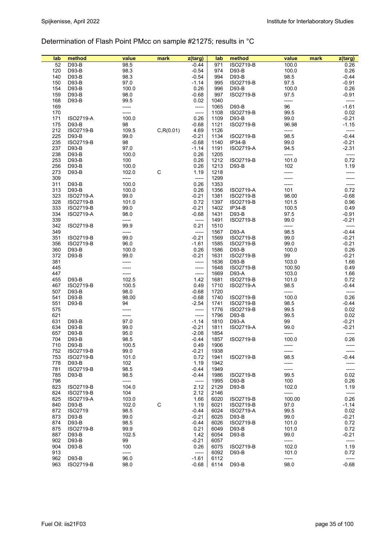# Determination of Flash Point PMcc on sample #21275; results in °C

| lab | method           | value | mark       | z(targ) | lab  | method           | value  | mark | z(targ) |
|-----|------------------|-------|------------|---------|------|------------------|--------|------|---------|
| 52  | D93-B            | 98.5  |            | $-0.44$ | 971  | ISO2719-B        | 100.0  |      | 0.26    |
| 120 | D93-B            | 98.3  |            | $-0.54$ | 974  | D93-B            | 100.0  |      | 0.26    |
| 140 | D93-B            | 98.3  |            | $-0.54$ | 994  | D93-B            | 98.5   |      | $-0.44$ |
|     |                  |       |            |         |      |                  |        |      |         |
| 150 | D93-B            | 97.0  |            | $-1.14$ | 995  | ISO2719-B        | 97.5   |      | $-0.91$ |
| 154 | D93-B            | 100.0 |            | 0.26    | 996  | D93-B            | 100.0  |      | 0.26    |
| 159 | D93-B            | 98.0  |            | $-0.68$ | 997  | ISO2719-B        | 97.5   |      | $-0.91$ |
| 168 | D93-B            | 99.5  |            | 0.02    | 1040 |                  | -----  |      | -----   |
|     |                  |       |            |         |      |                  |        |      |         |
| 169 |                  | ----- |            | -----   | 1065 | D93-B            | 96     |      | $-1.61$ |
| 170 |                  | ----- |            | -----   | 1108 | ISO2719-B        | 99.5   |      | 0.02    |
| 171 | <b>ISO2719-A</b> | 100.0 |            | 0.26    | 1109 | D93-B            | 99.0   |      | $-0.21$ |
|     |                  |       |            |         |      |                  |        |      |         |
| 175 | D93-B            | 98    |            | $-0.68$ | 1121 | <b>ISO2719-B</b> | 96.98  |      | $-1.15$ |
| 212 | <b>ISO2719-B</b> | 109.5 | C, R(0.01) | 4.69    | 1126 |                  | -----  |      | -----   |
| 225 | D93-B            | 99.0  |            | $-0.21$ | 1134 | ISO2719-B        | 98.5   |      | $-0.44$ |
| 235 | ISO2719-B        | 98    |            | $-0.68$ | 1140 | <b>IP34-B</b>    | 99.0   |      | $-0.21$ |
|     |                  |       |            |         |      |                  |        |      |         |
| 237 | D93-B            | 97.0  |            | $-1.14$ | 1191 | ISO2719-A        | 94.5   |      | $-2.31$ |
| 238 | D93-B            | 100.0 |            | 0.26    | 1205 |                  | -----  |      | -----   |
| 253 | D93-B            | 100   |            | 0.26    | 1212 | ISO2719-B        | 101.0  |      | 0.72    |
| 256 | D93-B            | 100.0 |            | 0.26    | 1213 | D93-B            | 102    |      | 1.19    |
|     |                  |       |            |         |      |                  |        |      |         |
| 273 | D93-B            | 102.0 | C          | 1.19    | 1218 |                  | -----  |      | -----   |
| 309 |                  | ----- |            | -----   | 1299 |                  | -----  |      | -----   |
| 311 | D93-B            | 100.0 |            | 0.26    | 1353 |                  | -----  |      | -----   |
| 313 | D93-B            | 100.0 |            | 0.26    | 1356 | <b>ISO2719-A</b> | 101    |      | 0.72    |
|     |                  |       |            |         |      |                  |        |      |         |
| 323 | ISO2719-A        | 99.0  |            | $-0.21$ | 1381 | ISO2719-B        | 98.00  |      | $-0.68$ |
| 328 | <b>ISO2719-B</b> | 101.0 |            | 0.72    | 1397 | ISO2719-B        | 101.5  |      | 0.96    |
| 333 | <b>ISO2719-B</b> | 99.0  |            | $-0.21$ | 1402 | $IP34-B$         | 100.5  |      | 0.49    |
| 334 | ISO2719-A        | 98.0  |            | $-0.68$ | 1431 | D93-B            | 97.5   |      | $-0.91$ |
|     |                  |       |            |         |      |                  |        |      |         |
| 339 |                  | ----- |            | -----   | 1491 | ISO2719-B        | 99.0   |      | $-0.21$ |
| 342 | <b>ISO2719-B</b> | 99.9  |            | 0.21    | 1510 |                  | -----  |      | -----   |
| 349 |                  | ----- |            | -----   | 1567 | D93-A            | 98.5   |      | $-0.44$ |
|     | <b>ISO2719-B</b> | 99.0  |            |         | 1569 |                  |        |      |         |
| 351 |                  |       |            | $-0.21$ |      | ISO2719-B        | 99.0   |      | $-0.21$ |
| 356 | ISO2719-B        | 96.0  |            | $-1.61$ | 1585 | ISO2719-B        | 99.0   |      | $-0.21$ |
| 360 | D93-B            | 100.0 |            | 0.26    | 1586 | D93-B            | 100.0  |      | 0.26    |
| 372 | D93-B            | 99.0  |            | $-0.21$ | 1631 | ISO2719-B        | 99     |      | $-0.21$ |
|     |                  |       |            |         |      | D93-B            |        |      |         |
| 381 |                  | ----- |            | -----   | 1636 |                  | 103.0  |      | 1.66    |
| 445 |                  | ----- |            | -----   | 1648 | ISO2719-B        | 100.50 |      | 0.49    |
| 447 |                  | ----- |            | -----   | 1669 | D93-A            | 103.0  |      | 1.66    |
| 455 | D93-B            | 102.5 |            | 1.42    | 1681 | ISO2719-B        | 101.0  |      | 0.72    |
|     |                  |       |            |         |      |                  |        |      |         |
| 467 | <b>ISO2719-B</b> | 100.5 |            | 0.49    | 1710 | ISO2719-A        | 98.5   |      | $-0.44$ |
| 507 | D93-B            | 98.0  |            | $-0.68$ | 1720 |                  | -----  |      | -----   |
| 541 | D93-B            | 98.00 |            | $-0.68$ | 1740 | <b>ISO2719-B</b> | 100.0  |      | 0.26    |
| 551 | D93-B            | 94    |            | $-2.54$ | 1741 | ISO2719-B        | 98.5   |      | $-0.44$ |
|     |                  |       |            |         |      |                  |        |      |         |
| 575 |                  | ----- |            | -----   | 1776 | ISO2719-B        | 99.5   |      | 0.02    |
| 621 |                  | ----- |            | -----   | 1796 | D93-B            | 99.5   |      | 0.02    |
| 631 | D93-B            | 97.0  |            | $-1.14$ | 1810 | D93-A            | 99     |      | $-0.21$ |
| 634 | D93-B            | 99.0  |            | $-0.21$ | 1811 | ISO2719-A        | 99.0   |      | $-0.21$ |
| 657 | D93-B            | 95.0  |            | $-2.08$ | 1854 |                  | -----  |      | -----   |
|     |                  |       |            |         |      |                  |        |      |         |
| 704 | D93-B            | 98.5  |            | $-0.44$ | 1857 | ISO2719-B        | 100.0  |      | 0.26    |
| 710 | D93-B            | 100.5 |            | 0.49    | 1906 |                  | -----  |      | -----   |
| 752 | <b>ISO2719-B</b> | 99.0  |            | $-0.21$ | 1938 |                  | -----  |      | -----   |
| 753 | ISO2719-B        | 101.0 |            | 0.72    | 1941 | ISO2719-B        | 98.5   |      | $-0.44$ |
|     |                  |       |            |         |      |                  |        |      |         |
| 778 | D93-B            | 102   |            | 1.19    | 1942 |                  | -----  |      | -----   |
| 781 | <b>ISO2719-B</b> | 98.5  |            | $-0.44$ | 1949 |                  | -----  |      | -----   |
| 785 | D93-B            | 98.5  |            | $-0.44$ | 1986 | <b>ISO2719-B</b> | 99.5   |      | 0.02    |
| 798 |                  | ----- |            | $-----$ | 1995 | D93-B            | 100    |      | 0.26    |
|     |                  |       |            |         |      |                  |        |      |         |
| 823 | <b>ISO2719-B</b> | 104.0 |            | 2.12    | 2129 | D93-B            | 102.0  |      | 1.19    |
| 824 | <b>ISO2719-B</b> | 104   |            | 2.12    | 2146 |                  | -----  |      | -----   |
| 825 | <b>ISO2719-A</b> | 103.0 |            | 1.66    | 6020 | <b>ISO2719-B</b> | 100.00 |      | 0.26    |
| 840 | D93-B            | 102.0 | C          | 1.19    | 6021 | <b>ISO2719-B</b> | 97.0   |      | $-1.14$ |
|     |                  |       |            |         |      |                  |        |      |         |
| 872 | ISO2719          | 98.5  |            | $-0.44$ | 6024 | ISO2719-A        | 99.5   |      | 0.02    |
| 873 | D93-B            | 99.0  |            | $-0.21$ | 6025 | D93-B            | 99.0   |      | $-0.21$ |
| 874 | D93-B            | 98.5  |            | $-0.44$ | 6026 | <b>ISO2719-B</b> | 101.0  |      | 0.72    |
| 875 | <b>ISO2719-B</b> | 99.9  |            | 0.21    | 6049 | D93-B            | 101.0  |      | 0.72    |
| 887 | D93-B            | 102.5 |            | 1.42    | 6054 | D93-B            | 99.0   |      | $-0.21$ |
|     |                  |       |            |         |      |                  |        |      |         |
| 902 | D93-B            | 99    |            | $-0.21$ | 6057 |                  | -----  |      | -----   |
| 904 | D93-B            | 100   |            | 0.26    | 6075 | ISO2719-B        | 102.0  |      | 1.19    |
| 913 |                  | ----- |            | $-----$ | 6092 | D93-B            | 101.0  |      | 0.72    |
| 962 | D93-B            | 96.0  |            | $-1.61$ | 6112 |                  | -----  |      | -----   |
|     |                  |       |            |         |      |                  |        |      |         |
| 963 | <b>ISO2719-B</b> | 98.0  |            | $-0.68$ | 6114 | D93-B            | 98.0   |      | $-0.68$ |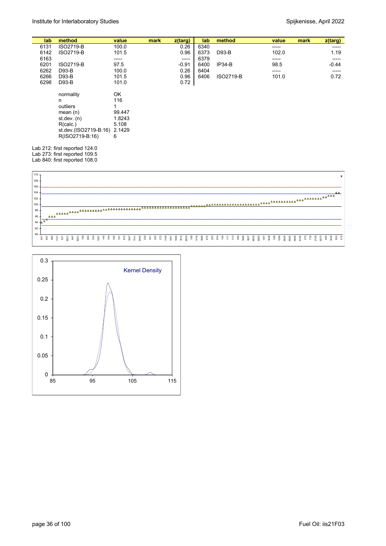| lab. | method                | value  | mark | z(targ)     | lab  | method           | value | mark | $z$ (targ) |
|------|-----------------------|--------|------|-------------|------|------------------|-------|------|------------|
| 6131 | <b>ISO2719-B</b>      | 100.0  |      | 0.26        | 6340 |                  | ----- |      | -----      |
| 6142 | <b>ISO2719-B</b>      | 101.5  |      | 0.96        | 6373 | D93-B            | 102.0 |      | 1.19       |
| 6163 |                       | ------ |      | $- - - - -$ | 6379 |                  | ----- |      | -----      |
| 6201 | <b>ISO2719-B</b>      | 97.5   |      | $-0.91$     | 6400 | $IP34-B$         | 98.5  |      | $-0.44$    |
| 6262 | D93-B                 | 100.0  |      | 0.26        | 6404 |                  | ----- |      | $-----1$   |
| 6266 | D93-B                 | 101.5  |      | 0.96        | 6406 | <b>ISO2719-B</b> | 101.0 |      | 0.72       |
| 6298 | D93-B                 | 101.0  |      | 0.72        |      |                  |       |      |            |
|      |                       |        |      |             |      |                  |       |      |            |
|      | normality             | OK     |      |             |      |                  |       |      |            |
|      | n                     | 116    |      |             |      |                  |       |      |            |
|      | outliers              |        |      |             |      |                  |       |      |            |
|      | mean $(n)$            | 99.447 |      |             |      |                  |       |      |            |
|      | st.dev. $(n)$         | 1.8243 |      |             |      |                  |       |      |            |
|      | R(calc.)              | 5.108  |      |             |      |                  |       |      |            |
|      | st.dev.(ISO2719-B:16) | 2.1429 |      |             |      |                  |       |      |            |
|      | R(ISO2719-B:16)       | 6      |      |             |      |                  |       |      |            |

Lab 212: first reported 124.0 Lab 273: first reported 109.5

Lab 840: first reported 108.0



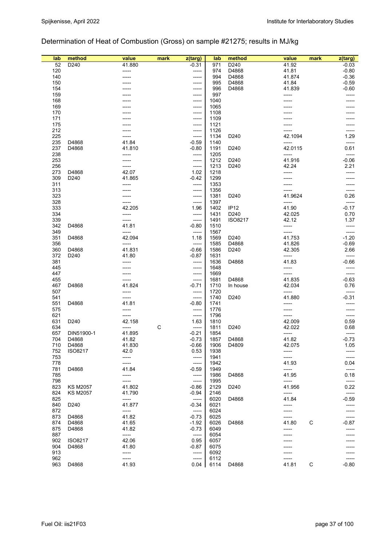## Determination of Heat of Combustion (Gross) on sample #21275; results in MJ/kg

| lab        | method           | value           | mark | z(targ)        | lab          | method           | value   | mark | z(targ)        |
|------------|------------------|-----------------|------|----------------|--------------|------------------|---------|------|----------------|
| 52         | D240             | 41.880          |      | $-0.31$        | 971          | D240             | 41.92   |      | $-0.03$        |
| 120        |                  | -----           |      | -----          | 974          | D4868            | 41.81   |      | $-0.80$        |
| 140        |                  |                 |      | -----          | 994          | D4868            | 41.874  |      | $-0.36$        |
| 150        |                  |                 |      | -----          | 995          | D4868            | 41.84   |      | $-0.59$        |
| 154        |                  |                 |      | -----          | 996          | D4868            | 41.839  |      | $-0.60$        |
| 159        |                  |                 |      | -----          | 997          |                  | -----   |      |                |
| 168        |                  |                 |      | -----          | 1040         |                  |         |      |                |
| 169        |                  |                 |      | -----          | 1065         |                  |         |      |                |
| 170        |                  |                 |      | -----          | 1108         |                  |         |      |                |
| 171        |                  |                 |      | -----          | 1109         |                  |         |      |                |
| 175        |                  |                 |      | -----          | 1121         |                  |         |      |                |
| 212        |                  |                 |      | -----          | 1126         |                  |         |      |                |
| 225        |                  |                 |      | -----          | 1134         | D240             | 42.1094 |      | 1.29           |
| 235<br>237 | D4868<br>D4868   | 41.84<br>41.810 |      | $-0.59$        | 1140         | D240             | 42.0115 |      | -----<br>0.61  |
| 238        |                  |                 |      | $-0.80$        | 1191<br>1205 |                  | -----   |      | -----          |
| 253        |                  |                 |      | -----<br>----- | 1212         | D240             | 41.916  |      | $-0.06$        |
| 256        |                  | -----           |      | -----          | 1213         | D240             | 42.24   |      | 2.21           |
| 273        | D4868            | 42.07           |      | 1.02           | 1218         |                  |         |      | -----          |
| 309        | D <sub>240</sub> | 41.865          |      | $-0.42$        | 1299         |                  |         |      |                |
| 311        |                  |                 |      | -----          | 1353         |                  |         |      |                |
| 313        |                  |                 |      | -----          | 1356         |                  |         |      | -----          |
| 323        |                  |                 |      | -----          | 1381         | D240             | 41.9624 |      | 0.26           |
| 328        |                  |                 |      | -----          | 1397         |                  | -----   |      | -----          |
| 333        |                  | 42.205          |      | 1.96           | 1402         | IP <sub>12</sub> | 41.90   |      | $-0.17$        |
| 334        |                  | -----           |      | -----          | 1431         | D240             | 42.025  |      | 0.70           |
| 339        |                  | -----           |      | -----          | 1491         | <b>ISO8217</b>   | 42.12   |      | 1.37           |
| 342        | D4868            | 41.81           |      | $-0.80$        | 1510         |                  | -----   |      | -----          |
| 349        |                  | -----           |      | -----          | 1567         |                  | -----   |      | -----          |
| 351        | D4868            | 42.094          |      | 1.18           | 1569         | D240             | 41.753  |      | $-1.20$        |
| 356        |                  | -----           |      | -----          | 1585         | D4868            | 41.826  |      | $-0.69$        |
| 360        | D4868            | 41.831          |      | $-0.66$        | 1586         | D <sub>240</sub> | 42.305  |      | 2.66           |
| 372        | D <sub>240</sub> | 41.80           |      | $-0.87$        | 1631         |                  | -----   |      | -----          |
| 381        |                  |                 |      | -----          | 1636         | D4868            | 41.83   |      | $-0.66$        |
| 445        |                  |                 |      | -----          | 1648         |                  |         |      |                |
| 447        |                  |                 |      | -----          | 1669         |                  |         |      | -----          |
| 455        |                  |                 |      | -----          | 1681         | D4868            | 41.835  |      | $-0.63$        |
| 467        | D4868            | 41.824          |      | $-0.71$        | 1710         | In house         | 42.034  |      | 0.76           |
| 507        |                  | -----           |      | -----          | 1720         |                  | -----   |      | -----          |
| 541        |                  | -----           |      | -----          | 1740         | D240             | 41.880  |      | $-0.31$        |
| 551        | D4868            | 41.81           |      | $-0.80$        | 1741         |                  | -----   |      | -----          |
| 575<br>621 |                  | -----           |      | -----<br>----- | 1776<br>1796 |                  | -----   |      | -----          |
| 631        | D <sub>240</sub> | 42.158          |      | 1.63           | 1810         |                  | 42.009  |      | 0.59           |
| 634        |                  |                 | С    | -----          | 1811         | D240             | 42.022  |      | 0.68           |
| 657        | DIN51900-1       | 41.895          |      | $-0.21$        | 1854         |                  |         |      | -----          |
| 704        | D4868            | 41.82           |      | $-0.73$        | 1857         | D4868            | 41.82   |      | $-0.73$        |
| 710        | D4868            | 41.830          |      | $-0.66$        | 1906         | D4809            | 42.075  |      | 1.05           |
| 752        | ISO8217          | 42.0            |      | 0.53           | 1938         |                  | -----   |      | -----          |
| 753        |                  | -----           |      | -----          | 1941         |                  | -----   |      | -----          |
| 778        |                  | -----           |      | -----          | 1942         |                  | 41.93   |      | 0.04           |
| 781        | D4868            | 41.84           |      | $-0.59$        | 1949         |                  | -----   |      | -----          |
| 785        |                  | -----           |      | -----          | 1986         | D4868            | 41.95   |      | 0.18           |
| 798        |                  | -----           |      | -----          | 1995         |                  | -----   |      | -----          |
| 823        | <b>KS M2057</b>  | 41.802          |      | $-0.86$        | 2129         | D240             | 41.956  |      | 0.22           |
| 824        | <b>KS M2057</b>  | 41.790          |      | $-0.94$        | 2146         |                  | -----   |      | -----          |
| 825        |                  | -----           |      | -----          | 6020         | D4868            | 41.84   |      | $-0.59$        |
| 840        | D <sub>240</sub> | 41.877          |      | $-0.34$        | 6021         |                  | -----   |      | -----          |
| 872        |                  | -----           |      | -----          | 6024         |                  | -----   |      | -----          |
| 873        | D4868            | 41.82           |      | $-0.73$        | 6025         |                  | -----   |      | -----          |
| 874        | D4868            | 41.65           |      | $-1.92$        | 6026         | D4868            | 41.80   | C    | -0.87          |
| 875        | D4868            | 41.82           |      | $-0.73$        | 6049         |                  | -----   |      | -----          |
| 887        |                  | -----           |      | -----          | 6054         |                  |         |      |                |
| 902        | <b>ISO8217</b>   | 42.06           |      | 0.95           | 6057         |                  |         |      |                |
| 904        | D4868            | 41.80           |      | $-0.87$        | 6075         |                  |         |      |                |
| 913<br>962 |                  | -----<br>-----  |      | -----<br>----- | 6092<br>6112 |                  | -----   |      | -----<br>----- |
| 963        | D4868            | 41.93           |      | 0.04           | 6114         | D4868            | 41.81   | C    | $-0.80$        |
|            |                  |                 |      |                |              |                  |         |      |                |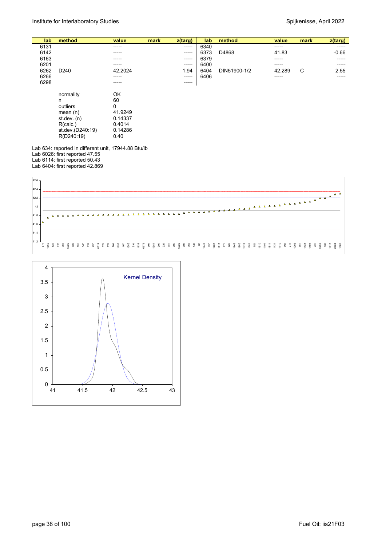| lab  | method           | value   | mark | z(targ) | lab  | method       | value  | mark | z(targ) |
|------|------------------|---------|------|---------|------|--------------|--------|------|---------|
| 6131 |                  | ------  |      | ------  | 6340 |              | -----  |      | -----   |
| 6142 |                  | -----   |      | -----   | 6373 | D4868        | 41.83  |      | $-0.66$ |
| 6163 |                  | -----   |      | ------  | 6379 |              | -----  |      | -----   |
| 6201 |                  | -----   |      | ------  | 6400 |              | -----  |      | -----   |
| 6262 | D <sub>240</sub> | 42.2024 |      | 1.94    | 6404 | DIN51900-1/2 | 42.289 | C    | 2.55    |
| 6266 |                  | -----   |      | -----   | 6406 |              | -----  |      | -----   |
| 6298 |                  | ------  |      | ------  |      |              |        |      |         |
|      | normality        | OK      |      |         |      |              |        |      |         |
|      | n                | 60      |      |         |      |              |        |      |         |
|      | outliers         | 0       |      |         |      |              |        |      |         |
|      | mean $(n)$       | 41.9249 |      |         |      |              |        |      |         |
|      | st.dev. $(n)$    | 0.14337 |      |         |      |              |        |      |         |
|      | R(calc.)         | 0.4014  |      |         |      |              |        |      |         |
|      | st.dev.(D240:19) | 0.14286 |      |         |      |              |        |      |         |
|      | R(D240:19)       | 0.40    |      |         |      |              |        |      |         |

Lab 634: reported in different unit, 17944.88 Btu/lb Lab 6026: first reported 47.55 Lab 6114: first reported 50.43 Lab 6404: first reported 42.869



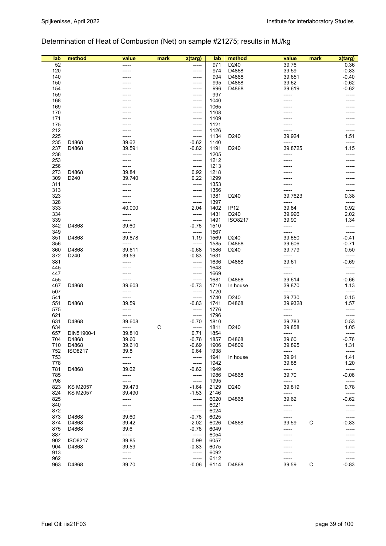## Determination of Heat of Combustion (Net) on sample #21275; results in MJ/kg

| lab        | method              | value           | mark | z(targ)         | lab          | method           | value    | mark | z(targ) |
|------------|---------------------|-----------------|------|-----------------|--------------|------------------|----------|------|---------|
| 52         |                     |                 |      | -----           | 971          | D <sub>240</sub> | 39.76    |      | 0.36    |
| 120        |                     |                 |      | -----           | 974          | D4868            | 39.59    |      | $-0.83$ |
| 140        |                     |                 |      | -----           | 994          | D4868            | 39.651   |      | $-0.40$ |
| 150        |                     |                 |      | -----           | 995          | D4868            | 39.62    |      | $-0.62$ |
| 154        |                     |                 |      | -----           | 996          | D4868            | 39.619   |      | $-0.62$ |
| 159        |                     |                 |      | -----           | 997          |                  | -----    |      |         |
| 168        |                     |                 |      | -----           | 1040         |                  |          |      |         |
| 169        |                     |                 |      | -----           | 1065         |                  |          |      |         |
| 170        |                     |                 |      | -----           | 1108         |                  |          |      |         |
| 171        |                     |                 |      | -----           | 1109         |                  |          |      |         |
| 175        |                     |                 |      | -----           | 1121         |                  |          |      |         |
| 212        |                     |                 |      | -----           | 1126         |                  |          |      |         |
| 225        |                     |                 |      | -----           | 1134         | D <sub>240</sub> | 39.924   |      | 1.51    |
| 235        | D4868               | 39.62           |      | $-0.62$         | 1140         |                  |          |      | -----   |
| 237        | D4868               | 39.591          |      | $-0.82$         | 1191         | D240             | 39.8725  |      | 1.15    |
| 238        |                     |                 |      | -----           | 1205         |                  |          |      |         |
| 253        |                     |                 |      | -----           | 1212         |                  |          |      |         |
| 256<br>273 | D4868               | 39.84           |      | -----<br>0.92   | 1213<br>1218 |                  |          |      |         |
| 309        | D <sub>240</sub>    | 39.740          |      | 0.22            | 1299         |                  |          |      |         |
| 311        |                     |                 |      | -----           | 1353         |                  |          |      |         |
| 313        |                     |                 |      | -----           | 1356         |                  |          |      | -----   |
| 323        |                     |                 |      | -----           | 1381         | D <sub>240</sub> | 39.7623  |      | 0.38    |
| 328        |                     |                 |      | -----           | 1397         |                  | -----    |      | -----   |
| 333        |                     | 40.000          |      | 2.04            | 1402         | <b>IP12</b>      | 39.84    |      | 0.92    |
| 334        |                     | -----           |      | -----           | 1431         | D <sub>240</sub> | 39.996   |      | 2.02    |
| 339        |                     |                 |      | -----           | 1491         | ISO8217          | 39.90    |      | 1.34    |
| 342        | D4868               | 39.60           |      | $-0.76$         | 1510         |                  | -----    |      | -----   |
| 349        |                     | -----           |      | -----           | 1567         |                  | -----    |      | -----   |
| 351        | D4868               | 39.878          |      | 1.19            | 1569         | D <sub>240</sub> | 39.650   |      | $-0.41$ |
| 356        |                     | -----           |      | -----           | 1585         | D4868            | 39.606   |      | $-0.71$ |
| 360        | D4868               | 39.611          |      | $-0.68$         | 1586         | D240             | 39.779   |      | 0.50    |
| 372        | D <sub>240</sub>    | 39.59           |      | $-0.83$         | 1631         |                  | -----    |      | -----   |
| 381        |                     |                 |      | -----           | 1636         | D4868            | 39.61    |      | $-0.69$ |
| 445        |                     |                 |      | -----           | 1648         |                  | -----    |      |         |
| 447        |                     |                 |      | -----           | 1669         |                  |          |      |         |
| 455        |                     |                 |      | -----           | 1681         | D4868            | 39.614   |      | $-0.66$ |
| 467        | D4868               | 39.603          |      | $-0.73$         | 1710         | In house         | 39.870   |      | 1.13    |
| 507        |                     | -----           |      | -----           | 1720         |                  | -----    |      | -----   |
| 541        |                     |                 |      | -----           | 1740         | D <sub>240</sub> | 39.730   |      | 0.15    |
| 551        | D4868               | 39.59           |      | $-0.83$         | 1741         | D4868            | 39.9328  |      | 1.57    |
| 575        |                     |                 |      | -----           | 1776         |                  | -----    |      | -----   |
| 621        |                     | -----           |      | -----           | 1796         |                  | -----    |      | -----   |
| 631        | D4868               | 39.608          |      | $-0.70$         | 1810         |                  | 39.783   |      | 0.53    |
| 634        |                     | -----           | С    | -----           | 1811         | D240             | 39.858   |      | 1.05    |
| 657<br>704 | DIN51900-1<br>D4868 | 39.810<br>39.60 |      | 0.71<br>$-0.76$ | 1854<br>1857 | D4868            | 39.60    |      | $-0.76$ |
| 710        | D4868               | 39.610          |      | $-0.69$         | 1906         | D4809            | 39.895   |      | 1.31    |
| 752        | <b>ISO8217</b>      | 39.8            |      | 0.64            | 1938         |                  | -----    |      | -----   |
| 753        |                     | -----           |      | -----           | 1941         | In house         | 39.91    |      | 1.41    |
| 778        |                     | -----           |      | -----           | 1942         |                  | 39.88    |      | 1.20    |
| 781        | D4868               | 39.62           |      | $-0.62$         | 1949         |                  | -----    |      | -----   |
| 785        |                     | -----           |      | -----           | 1986         | D4868            | 39.70    |      | $-0.06$ |
| 798        |                     | -----           |      | -----           | 1995         |                  | $-----1$ |      | -----   |
| 823        | <b>KS M2057</b>     | 39.473          |      | $-1.64$         | 2129         | D <sub>240</sub> | 39.819   |      | 0.78    |
| 824        | <b>KS M2057</b>     | 39.490          |      | $-1.53$         | 2146         |                  | -----    |      | -----   |
| 825        |                     | -----           |      | -----           | 6020         | D4868            | 39.62    |      | $-0.62$ |
| 840        |                     | -----           |      | -----           | 6021         |                  | -----    |      | -----   |
| 872        |                     | -----           |      | -----           | 6024         |                  | -----    |      | -----   |
| 873        | D4868               | 39.60           |      | $-0.76$         | 6025         |                  | -----    |      | -----   |
| 874        | D4868               | 39.42           |      | $-2.02$         | 6026         | D4868            | 39.59    | C    | $-0.83$ |
| 875        | D4868               | 39.6            |      | $-0.76$         | 6049         |                  | -----    |      | -----   |
| 887        |                     | -----           |      | -----           | 6054         |                  | -----    |      | -----   |
| 902        | <b>ISO8217</b>      | 39.85           |      | 0.99            | 6057         |                  |          |      |         |
| 904        | D4868               | 39.59           |      | $-0.83$         | 6075         |                  |          |      |         |
| 913        |                     | -----           |      | -----           | 6092         |                  | -----    |      | -----   |
| 962        |                     | -----           |      | -----           | 6112         |                  | -----    |      | -----   |
| 963        | D4868               | 39.70           |      | $-0.06$         | 6114         | D4868            | 39.59    | C    | $-0.83$ |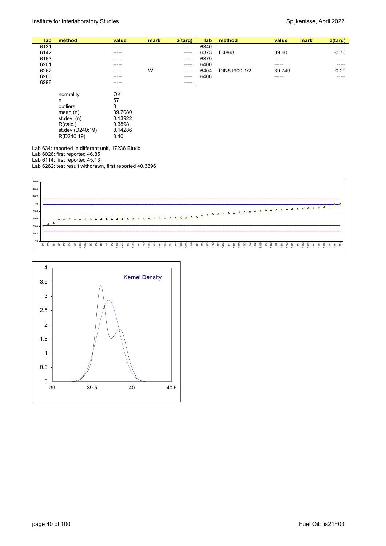| lab. | method      | value    | mark | z(targ)     | lab  | method       | value  | mark | z(targ) |
|------|-------------|----------|------|-------------|------|--------------|--------|------|---------|
| 6131 |             | -----    |      | $- - - - -$ | 6340 |              | ------ |      | -----   |
| 6142 |             | -----    |      | $- - - - -$ | 6373 | D4868        | 39.60  |      | $-0.76$ |
| 6163 |             | ------   |      | ------      | 6379 |              | -----  |      | -----   |
| 6201 |             | ------   |      | $- - - - -$ | 6400 |              | -----  |      | -----   |
| 6262 |             | -----    | W    | ------      | 6404 | DIN51900-1/2 | 39.749 |      | 0.29    |
| 6266 |             | ------   |      | $---$       | 6406 |              | -----  |      | -----   |
| 6298 |             | ------   |      | ------      |      |              |        |      |         |
|      | normality   | OK       |      |             |      |              |        |      |         |
|      | n           | 57       |      |             |      |              |        |      |         |
|      | outliers    | $\Omega$ |      |             |      |              |        |      |         |
|      | mean $(n)$  | 39.7080  |      |             |      |              |        |      |         |
|      | st.dev. (n) | 0.13922  |      |             |      |              |        |      |         |

 $R(D240:19)$  0.40 Lab 634: reported in different unit, 17236 Btu/lb

 R(calc.) 0.3898 st.dev.(D240:19) 0.14286

Lab 6026: first reported 46.85

Lab 6114: first reported 45.13

Lab 6262: test result withdrawn, first reported 40.3896



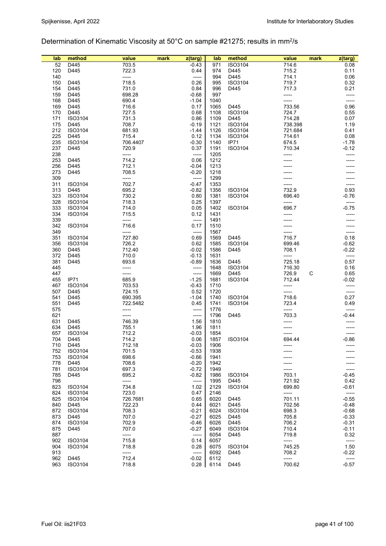Determination of Kinematic Viscosity at 50°C on sample #21275; results in mm2/s

|     | method         | value    | mark | z(targ) | lab  | method  | value   |   | mark | z(targ) |
|-----|----------------|----------|------|---------|------|---------|---------|---|------|---------|
| lab |                |          |      |         |      |         |         |   |      |         |
| 52  | D445           | 703.5    |      | $-0.43$ | 971  | ISO3104 | 714.6   |   |      | 0.08    |
| 120 | D445           | 722.3    |      | 0.44    | 974  | D445    | 715.2   |   |      | 0.11    |
| 140 |                | -----    |      | -----   | 994  | D445    | 714.1   |   |      | 0.06    |
| 150 | D445           | 718.5    |      | 0.26    | 995  | ISO3104 | 719.7   |   |      | 0.32    |
|     |                |          |      |         |      |         |         |   |      |         |
| 154 | D445           | 731.0    |      | 0.84    | 996  | D445    | 717.3   |   |      | 0.21    |
| 159 | D445           | 698.28   |      | $-0.68$ | 997  |         | -----   |   |      | -----   |
| 168 | D445           | 690.4    |      | $-1.04$ | 1040 |         |         |   |      | -----   |
| 169 | D445           | 716.6    |      | 0.17    | 1065 | D445    | 733.56  |   |      | 0.96    |
|     |                |          |      |         |      |         |         |   |      |         |
| 170 | D445           | 727.5    |      | 0.68    | 1108 | ISO3104 | 724.7   |   |      | 0.55    |
| 171 | ISO3104        | 731.3    |      | 0.86    | 1109 | D445    | 714.28  |   |      | 0.07    |
| 175 | D445           | 708.7    |      | $-0.19$ | 1121 | ISO3104 | 738.398 |   |      | 1.19    |
| 212 | ISO3104        | 681.93   |      | $-1.44$ | 1126 | ISO3104 | 721.684 |   |      | 0.41    |
| 225 | D445           | 715.4    |      | 0.12    | 1134 | ISO3104 | 714.61  |   |      | 0.08    |
|     |                |          |      |         |      |         |         |   |      |         |
| 235 | ISO3104        | 706.4407 |      | $-0.30$ | 1140 | IP71    | 674.5   |   |      | $-1.78$ |
| 237 | D445           | 720.9    |      | 0.37    | 1191 | ISO3104 | 710.34  |   |      | $-0.12$ |
| 238 |                | -----    |      | -----   | 1205 |         | -----   |   |      | -----   |
| 253 | D445           | 714.2    |      | 0.06    | 1212 |         |         |   |      |         |
|     |                |          |      |         |      |         |         |   |      |         |
| 256 | D445           | 712.1    |      | $-0.04$ | 1213 |         |         |   |      |         |
| 273 | D445           | 708.5    |      | $-0.20$ | 1218 |         |         |   |      |         |
| 309 |                | -----    |      | -----   | 1299 |         |         |   |      |         |
| 311 | ISO3104        | 702.7    |      | $-0.47$ | 1353 |         | -----   |   |      | -----   |
|     |                |          |      |         |      | ISO3104 |         |   |      |         |
| 313 | D445           | 695.2    |      | $-0.82$ | 1356 |         | 732.9   |   |      | 0.93    |
| 323 | ISO3104        | 730.2    |      | 0.80    | 1381 | ISO3104 | 696.40  |   |      | $-0.76$ |
| 328 | ISO3104        | 718.3    |      | 0.25    | 1397 |         | -----   |   |      | -----   |
| 333 | ISO3104        | 714.0    |      | 0.05    | 1402 | ISO3104 | 696.7   |   |      | $-0.75$ |
| 334 | ISO3104        | 715.5    |      | 0.12    | 1431 |         |         |   |      |         |
|     |                |          |      |         |      |         |         |   |      |         |
| 339 |                | -----    |      | -----   | 1491 |         |         |   |      |         |
| 342 | ISO3104        | 716.6    |      | 0.17    | 1510 |         |         |   |      |         |
| 349 |                | -----    |      | -----   | 1567 |         |         |   |      |         |
| 351 | ISO3104        | 727.80   |      | 0.69    | 1569 | D445    | 716.7   |   |      | 0.18    |
|     | ISO3104        | 726.2    |      | 0.62    | 1585 | ISO3104 | 699.46  |   |      | $-0.62$ |
| 356 |                |          |      |         |      |         |         |   |      |         |
| 360 | D445           | 712.40   |      | $-0.02$ | 1586 | D445    | 708.1   |   |      | $-0.22$ |
| 372 | D445           | 710.0    |      | $-0.13$ | 1631 |         | -----   |   |      | -----   |
| 381 | D445           | 693.6    |      | $-0.89$ | 1636 | D445    | 725.18  |   |      | 0.57    |
| 445 |                | -----    |      | -----   | 1648 | ISO3104 | 716.30  |   |      | 0.16    |
|     |                |          |      |         |      |         |         |   |      |         |
| 447 |                | -----    |      | -----   | 1669 | D445    | 726.9   | С |      | 0.65    |
| 455 | IP71           | 685.9    |      | $-1.25$ | 1681 | ISO3104 | 712.44  |   |      | $-0.02$ |
| 467 | ISO3104        | 703.53   |      | $-0.43$ | 1710 |         |         |   |      | -----   |
| 507 | D445           | 724.15   |      | 0.52    | 1720 |         | -----   |   |      | -----   |
| 541 | D445           | 690.395  |      | $-1.04$ | 1740 | ISO3104 | 718.6   |   |      | 0.27    |
|     |                |          |      |         |      |         |         |   |      |         |
| 551 | D445           | 722.5482 |      | 0.45    | 1741 | ISO3104 | 723.4   |   |      | 0.49    |
| 575 |                | -----    |      | -----   | 1776 |         | -----   |   |      | -----   |
| 621 |                | -----    |      | -----   | 1796 | D445    | 703.3   |   |      | $-0.44$ |
| 631 | D445           | 746.39   |      | 1.56    | 1810 |         |         |   |      |         |
| 634 | D445           | 755.1    |      | 1.96    | 1811 |         |         |   |      |         |
|     |                |          |      |         |      |         |         |   |      |         |
| 657 | ISO3104        | 712.2    |      | $-0.03$ | 1854 |         |         |   |      |         |
| 704 | D445           | 714.2    |      | 0.06    | 1857 | ISO3104 | 694.44  |   |      | $-0.86$ |
| 710 | D445           | 712.18   |      | $-0.03$ | 1906 |         |         |   |      |         |
| 752 | ISO3104        | 701.5    |      | $-0.53$ | 1938 |         |         |   |      |         |
| 753 | ISO3104        | 698.6    |      | $-0.66$ | 1941 |         |         |   |      |         |
|     |                |          |      |         |      |         |         |   |      |         |
| 778 | D445           | 708.6    |      | $-0.20$ | 1942 |         |         |   |      |         |
| 781 | ISO3104        | 697.3    |      | $-0.72$ | 1949 |         |         |   |      |         |
| 785 | D445           | 695.2    |      | $-0.82$ | 1986 | ISO3104 | 703.1   |   |      | $-0.45$ |
| 798 |                | -----    |      | -----   | 1995 | D445    | 721.92  |   |      | 0.42    |
|     |                |          |      |         |      |         |         |   |      |         |
| 823 | ISO3104        | 734.8    |      | 1.02    | 2129 | ISO3104 | 699.80  |   |      | $-0.61$ |
| 824 | <b>ISO3104</b> | 723.0    |      | 0.47    | 2146 |         | -----   |   |      | -----   |
| 825 | ISO3104        | 726.7681 |      | 0.65    | 6020 | D445    | 701.11  |   |      | $-0.55$ |
| 840 | D445           | 722.23   |      | 0.44    | 6021 | D445    | 702.56  |   |      | $-0.48$ |
|     |                |          |      |         |      |         |         |   |      |         |
| 872 | ISO3104        | 708.3    |      | $-0.21$ | 6024 | ISO3104 | 698.3   |   |      | $-0.68$ |
| 873 | D445           | 707.0    |      | $-0.27$ | 6025 | D445    | 705.8   |   |      | $-0.33$ |
| 874 | ISO3104        | 702.9    |      | $-0.46$ | 6026 | D445    | 706.2   |   |      | $-0.31$ |
| 875 | D445           | 707.0    |      | $-0.27$ | 6049 | ISO3104 | 710.4   |   |      | $-0.11$ |
| 887 |                | -----    |      | -----   | 6054 | D445    | 719.8   |   |      | 0.32    |
|     |                |          |      |         |      |         |         |   |      |         |
| 902 | ISO3104        | 715.8    |      | 0.14    | 6057 |         | -----   |   |      | -----   |
| 904 | ISO3104        | 718.8    |      | 0.28    | 6075 | ISO3104 | 745.25  |   |      | 1.50    |
| 913 |                | -----    |      | -----   | 6092 | D445    | 708.2   |   |      | $-0.22$ |
| 962 | D445           | 712.4    |      | $-0.02$ | 6112 |         | -----   |   |      | -----   |
| 963 |                | 718.8    |      | 0.28    |      | D445    | 700.62  |   |      | $-0.57$ |
|     | ISO3104        |          |      |         | 6114 |         |         |   |      |         |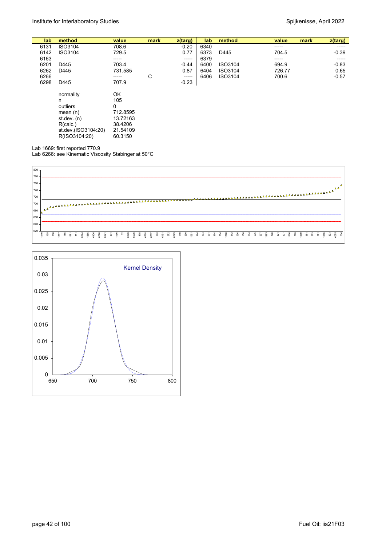| lab. | method              | value    | mark | z(targ) | lab  | method  | value<br>mark | z(targ) |
|------|---------------------|----------|------|---------|------|---------|---------------|---------|
| 6131 | ISO3104             | 708.6    |      | $-0.20$ | 6340 |         | -----         | -----   |
| 6142 | ISO3104             | 729.5    |      | 0.77    | 6373 | D445    | 704.5         | $-0.39$ |
| 6163 |                     | -----    |      | ------  | 6379 |         | -----         | -----   |
| 6201 | D445                | 703.4    |      | $-0.44$ | 6400 | ISO3104 | 694.9         | $-0.83$ |
| 6262 | D445                | 731.585  |      | 0.87    | 6404 | ISO3104 | 726.77        | 0.65    |
| 6266 |                     | -----    | С    | $--- -$ | 6406 | ISO3104 | 700.6         | $-0.57$ |
| 6298 | D445                | 707.9    |      | $-0.23$ |      |         |               |         |
|      | normality           | OK       |      |         |      |         |               |         |
|      | n                   | 105      |      |         |      |         |               |         |
|      | outliers            | 0        |      |         |      |         |               |         |
|      | mean $(n)$          | 712.8595 |      |         |      |         |               |         |
|      | st dev. (n)         | 13.72163 |      |         |      |         |               |         |
|      | R(calc.)            | 38.4206  |      |         |      |         |               |         |
|      | st.dev.(ISO3104:20) | 21.54109 |      |         |      |         |               |         |
|      | R(ISO3104:20)       | 60.3150  |      |         |      |         |               |         |
|      |                     |          |      |         |      |         |               |         |

Lab 1669: first reported 770.9

Lab 6266: see Kinematic Viscosity Stabinger at 50°C



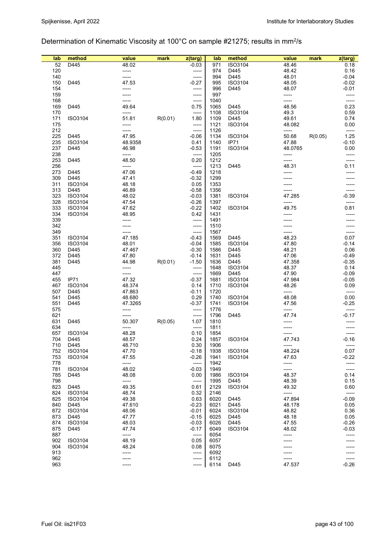Determination of Kinematic Viscosity at 100°C on sample #21275; results in mm2/s

| 52<br>D445<br>ISO3104<br>48.46<br>48.02<br>$-0.03$<br>971<br>0.18<br>120<br>48.42<br>0.16<br>974<br>D445<br>-----<br>-----<br>140<br>994<br>D445<br>$-0.04$<br>48.01<br>-----<br>47.53<br>$-0.27$<br>995<br>ISO3104<br>150<br>D445<br>48.05<br>$-0.02$<br>154<br>996<br>D445<br>48.07<br>$-0.01$<br>-----<br>-----<br>159<br>997<br>-----<br>-----<br>-----<br>168<br>1040<br>-----<br>-----<br>-----<br>49.64<br>0.23<br>169<br>D445<br>0.75<br>D445<br>48.56<br>1065<br>170<br>1108<br>ISO3104<br>49.3<br>0.59<br>-----<br>-----<br>51.81<br>171<br>ISO3104<br>R(0.01)<br>1.80<br>1109<br>D445<br>49.61<br>0.74<br>175<br>1121<br>ISO3104<br>48.082<br>0.00<br>-----<br>-----<br>212<br>1126<br>-----<br>-----<br>-----<br>-----<br>225<br>47.95<br>$-0.06$<br>1134<br>50.68<br>1.25<br>D445<br>ISO3104<br>R(0.05)<br>235<br><b>IP71</b><br>ISO3104<br>48.9358<br>0.41<br>1140<br>47.88<br>$-0.10$<br>237<br>D445<br>46.98<br>$-0.53$<br>1191<br>ISO3104<br>48.0765<br>0.00<br>238<br>1205<br>-----<br>-----<br>-----<br>-----<br>253<br>D445<br>48.50<br>0.20<br>1212<br>-----<br>-----<br>256<br>1213<br>48.31<br>0.11<br>D445<br>-----<br>-----<br>273<br>47.06<br>$-0.49$<br>1218<br>D445<br>309<br>1299<br>D445<br>47.41<br>$-0.32$<br>1353<br>311<br>ISO3104<br>48.18<br>0.05<br>313<br>D445<br>46.89<br>$-0.58$<br>1356<br>47.285<br>$-0.39$<br>323<br>ISO3104<br>48.02<br>$-0.03$<br>1381<br>ISO3104<br>328<br>ISO3104<br>47.54<br>$-0.26$<br>1397<br>-----<br>-----<br>1402<br>ISO3104<br>333<br>ISO3104<br>47.62<br>$-0.22$<br>49.75<br>0.81<br>334<br>ISO3104<br>48.95<br>0.42<br>1431<br>-----<br>-----<br>339<br>1491<br>-----<br>-----<br>342<br>1510<br>-----<br>349<br>1567<br>-----<br>48.23<br>0.07<br>351<br>ISO3104<br>47.185<br>$-0.43$<br>1569<br>D445<br>356<br>ISO3104<br>$-0.04$<br>1585<br>ISO3104<br>47.80<br>48.01<br>$-0.14$<br>1586<br>360<br>D445<br>47.467<br>$-0.30$<br>D445<br>48.21<br>0.06<br>372<br>D445<br>47.80<br>$-0.14$<br>1631<br>D445<br>47.06<br>$-0.49$<br>R(0.01)<br>1636<br>381<br>D445<br>44.98<br>$-1.50$<br>D445<br>47.358<br>$-0.35$<br>445<br>1648<br>ISO3104<br>48.37<br>0.14<br>-----<br>-----<br>1669<br>D445<br>447<br>47.90<br>$-0.09$<br>-----<br>-----<br>$-0.05$<br>455<br>IP71<br>47.32<br>$-0.37$<br>1681<br>ISO3104<br>47.984<br>467<br>ISO3104<br>48.374<br>0.14<br>1710<br>ISO3104<br>48.26<br>0.09<br>507<br>D445<br>47.863<br>$-0.11$<br>1720<br>-----<br>$-----$<br>48.08<br>0.00<br>541<br>D445<br>48.680<br>0.29<br>1740<br>ISO3104<br>551<br>D445<br>47.3265<br>$-0.37$<br>1741<br>ISO3104<br>47.56<br>$-0.25$<br>575<br>1776<br>-----<br>-----<br>-----<br>-----<br>47.74<br>$-0.17$<br>621<br>1796<br>D445<br>-----<br>-----<br>631<br>1810<br>D445<br>50.307<br>R(0.05)<br>1.07<br>634<br>1811<br>-----<br>657<br>ISO3104<br>48.28<br>0.10<br>1854<br>-----<br>-----<br>704<br>D445<br>48.57<br>0.24<br>1857<br>ISO3104<br>47.743<br>$-0.16$<br>0.30<br>710<br>1906<br>D445<br>48.710<br>-----<br>-----<br>752<br>$-0.18$<br>ISO3104<br>0.07<br>ISO3104<br>47.70<br>1938<br>48.224<br>753<br>ISO3104<br>47.55<br>$-0.26$<br>1941<br>ISO3104<br>47.63<br>$-0.22$<br>778<br>1942<br>-----<br>-----<br>-----<br>-----<br>781<br>ISO3104<br>48.02<br>$-0.03$<br>1949<br>-----<br>-----<br>785<br>48.08<br>0.00<br>1986<br>ISO3104<br>48.37<br>0.14<br>D445<br>798<br>1995<br>48.39<br>-----<br>-----<br>D445<br>0.15<br>823<br>D445<br>49.35<br>0.61<br>2129<br>ISO3104<br>49.32<br>0.60<br>824<br>48.74<br>0.32<br>2146<br>ISO3104<br>-----<br>-----<br>825<br>ISO3104<br>49.38<br>0.63<br>6020<br>D445<br>47.894<br>$-0.09$<br>840<br>$-0.23$<br>0.05<br>D445<br>47.610<br>6021<br>D445<br>48.178<br>872<br>ISO3104<br>$-0.01$<br>6024<br>ISO3104<br>48.82<br>0.36<br>48.06<br>873<br>D445<br>47.77<br>$-0.15$<br>6025<br>D445<br>48.18<br>0.05<br>874<br>ISO3104<br>48.03<br>$-0.03$<br>6026<br>D445<br>47.55<br>$-0.26$<br>875<br>6049<br>ISO3104<br>D445<br>47.74<br>$-0.17$<br>48.02<br>$-0.03$<br>887<br>6054<br>-----<br>-----<br>902<br>ISO3104<br>48.19<br>0.05<br>6057<br>904<br>48.24<br>ISO3104<br>0.08<br>6075<br>913<br>6092<br>-----<br>-----<br>962<br>6112<br>-----<br>----- | lab | method | value | mark | z(targ) | lab  | method | value  | mark | $z$ (targ) |
|-------------------------------------------------------------------------------------------------------------------------------------------------------------------------------------------------------------------------------------------------------------------------------------------------------------------------------------------------------------------------------------------------------------------------------------------------------------------------------------------------------------------------------------------------------------------------------------------------------------------------------------------------------------------------------------------------------------------------------------------------------------------------------------------------------------------------------------------------------------------------------------------------------------------------------------------------------------------------------------------------------------------------------------------------------------------------------------------------------------------------------------------------------------------------------------------------------------------------------------------------------------------------------------------------------------------------------------------------------------------------------------------------------------------------------------------------------------------------------------------------------------------------------------------------------------------------------------------------------------------------------------------------------------------------------------------------------------------------------------------------------------------------------------------------------------------------------------------------------------------------------------------------------------------------------------------------------------------------------------------------------------------------------------------------------------------------------------------------------------------------------------------------------------------------------------------------------------------------------------------------------------------------------------------------------------------------------------------------------------------------------------------------------------------------------------------------------------------------------------------------------------------------------------------------------------------------------------------------------------------------------------------------------------------------------------------------------------------------------------------------------------------------------------------------------------------------------------------------------------------------------------------------------------------------------------------------------------------------------------------------------------------------------------------------------------------------------------------------------------------------------------------------------------------------------------------------------------------------------------------------------------------------------------------------------------------------------------------------------------------------------------------------------------------------------------------------------------------------------------------------------------------------------------------------------------------------------------------------------------------------------------------------------------------------------------------------------------------------------------------------------------------------------------------------------------------------------------------------------------------------------------------------------------------------------------------------------------------------------------------------------------------------------------------------------------------------------------------------------------------------------------------------------------------------|-----|--------|-------|------|---------|------|--------|--------|------|------------|
|                                                                                                                                                                                                                                                                                                                                                                                                                                                                                                                                                                                                                                                                                                                                                                                                                                                                                                                                                                                                                                                                                                                                                                                                                                                                                                                                                                                                                                                                                                                                                                                                                                                                                                                                                                                                                                                                                                                                                                                                                                                                                                                                                                                                                                                                                                                                                                                                                                                                                                                                                                                                                                                                                                                                                                                                                                                                                                                                                                                                                                                                                                                                                                                                                                                                                                                                                                                                                                                                                                                                                                                                                                                                                                                                                                                                                                                                                                                                                                                                                                                                                                                                                                         |     |        |       |      |         |      |        |        |      |            |
|                                                                                                                                                                                                                                                                                                                                                                                                                                                                                                                                                                                                                                                                                                                                                                                                                                                                                                                                                                                                                                                                                                                                                                                                                                                                                                                                                                                                                                                                                                                                                                                                                                                                                                                                                                                                                                                                                                                                                                                                                                                                                                                                                                                                                                                                                                                                                                                                                                                                                                                                                                                                                                                                                                                                                                                                                                                                                                                                                                                                                                                                                                                                                                                                                                                                                                                                                                                                                                                                                                                                                                                                                                                                                                                                                                                                                                                                                                                                                                                                                                                                                                                                                                         |     |        |       |      |         |      |        |        |      |            |
|                                                                                                                                                                                                                                                                                                                                                                                                                                                                                                                                                                                                                                                                                                                                                                                                                                                                                                                                                                                                                                                                                                                                                                                                                                                                                                                                                                                                                                                                                                                                                                                                                                                                                                                                                                                                                                                                                                                                                                                                                                                                                                                                                                                                                                                                                                                                                                                                                                                                                                                                                                                                                                                                                                                                                                                                                                                                                                                                                                                                                                                                                                                                                                                                                                                                                                                                                                                                                                                                                                                                                                                                                                                                                                                                                                                                                                                                                                                                                                                                                                                                                                                                                                         |     |        |       |      |         |      |        |        |      |            |
|                                                                                                                                                                                                                                                                                                                                                                                                                                                                                                                                                                                                                                                                                                                                                                                                                                                                                                                                                                                                                                                                                                                                                                                                                                                                                                                                                                                                                                                                                                                                                                                                                                                                                                                                                                                                                                                                                                                                                                                                                                                                                                                                                                                                                                                                                                                                                                                                                                                                                                                                                                                                                                                                                                                                                                                                                                                                                                                                                                                                                                                                                                                                                                                                                                                                                                                                                                                                                                                                                                                                                                                                                                                                                                                                                                                                                                                                                                                                                                                                                                                                                                                                                                         |     |        |       |      |         |      |        |        |      |            |
|                                                                                                                                                                                                                                                                                                                                                                                                                                                                                                                                                                                                                                                                                                                                                                                                                                                                                                                                                                                                                                                                                                                                                                                                                                                                                                                                                                                                                                                                                                                                                                                                                                                                                                                                                                                                                                                                                                                                                                                                                                                                                                                                                                                                                                                                                                                                                                                                                                                                                                                                                                                                                                                                                                                                                                                                                                                                                                                                                                                                                                                                                                                                                                                                                                                                                                                                                                                                                                                                                                                                                                                                                                                                                                                                                                                                                                                                                                                                                                                                                                                                                                                                                                         |     |        |       |      |         |      |        |        |      |            |
|                                                                                                                                                                                                                                                                                                                                                                                                                                                                                                                                                                                                                                                                                                                                                                                                                                                                                                                                                                                                                                                                                                                                                                                                                                                                                                                                                                                                                                                                                                                                                                                                                                                                                                                                                                                                                                                                                                                                                                                                                                                                                                                                                                                                                                                                                                                                                                                                                                                                                                                                                                                                                                                                                                                                                                                                                                                                                                                                                                                                                                                                                                                                                                                                                                                                                                                                                                                                                                                                                                                                                                                                                                                                                                                                                                                                                                                                                                                                                                                                                                                                                                                                                                         |     |        |       |      |         |      |        |        |      |            |
|                                                                                                                                                                                                                                                                                                                                                                                                                                                                                                                                                                                                                                                                                                                                                                                                                                                                                                                                                                                                                                                                                                                                                                                                                                                                                                                                                                                                                                                                                                                                                                                                                                                                                                                                                                                                                                                                                                                                                                                                                                                                                                                                                                                                                                                                                                                                                                                                                                                                                                                                                                                                                                                                                                                                                                                                                                                                                                                                                                                                                                                                                                                                                                                                                                                                                                                                                                                                                                                                                                                                                                                                                                                                                                                                                                                                                                                                                                                                                                                                                                                                                                                                                                         |     |        |       |      |         |      |        |        |      |            |
|                                                                                                                                                                                                                                                                                                                                                                                                                                                                                                                                                                                                                                                                                                                                                                                                                                                                                                                                                                                                                                                                                                                                                                                                                                                                                                                                                                                                                                                                                                                                                                                                                                                                                                                                                                                                                                                                                                                                                                                                                                                                                                                                                                                                                                                                                                                                                                                                                                                                                                                                                                                                                                                                                                                                                                                                                                                                                                                                                                                                                                                                                                                                                                                                                                                                                                                                                                                                                                                                                                                                                                                                                                                                                                                                                                                                                                                                                                                                                                                                                                                                                                                                                                         |     |        |       |      |         |      |        |        |      |            |
|                                                                                                                                                                                                                                                                                                                                                                                                                                                                                                                                                                                                                                                                                                                                                                                                                                                                                                                                                                                                                                                                                                                                                                                                                                                                                                                                                                                                                                                                                                                                                                                                                                                                                                                                                                                                                                                                                                                                                                                                                                                                                                                                                                                                                                                                                                                                                                                                                                                                                                                                                                                                                                                                                                                                                                                                                                                                                                                                                                                                                                                                                                                                                                                                                                                                                                                                                                                                                                                                                                                                                                                                                                                                                                                                                                                                                                                                                                                                                                                                                                                                                                                                                                         |     |        |       |      |         |      |        |        |      |            |
|                                                                                                                                                                                                                                                                                                                                                                                                                                                                                                                                                                                                                                                                                                                                                                                                                                                                                                                                                                                                                                                                                                                                                                                                                                                                                                                                                                                                                                                                                                                                                                                                                                                                                                                                                                                                                                                                                                                                                                                                                                                                                                                                                                                                                                                                                                                                                                                                                                                                                                                                                                                                                                                                                                                                                                                                                                                                                                                                                                                                                                                                                                                                                                                                                                                                                                                                                                                                                                                                                                                                                                                                                                                                                                                                                                                                                                                                                                                                                                                                                                                                                                                                                                         |     |        |       |      |         |      |        |        |      |            |
|                                                                                                                                                                                                                                                                                                                                                                                                                                                                                                                                                                                                                                                                                                                                                                                                                                                                                                                                                                                                                                                                                                                                                                                                                                                                                                                                                                                                                                                                                                                                                                                                                                                                                                                                                                                                                                                                                                                                                                                                                                                                                                                                                                                                                                                                                                                                                                                                                                                                                                                                                                                                                                                                                                                                                                                                                                                                                                                                                                                                                                                                                                                                                                                                                                                                                                                                                                                                                                                                                                                                                                                                                                                                                                                                                                                                                                                                                                                                                                                                                                                                                                                                                                         |     |        |       |      |         |      |        |        |      |            |
|                                                                                                                                                                                                                                                                                                                                                                                                                                                                                                                                                                                                                                                                                                                                                                                                                                                                                                                                                                                                                                                                                                                                                                                                                                                                                                                                                                                                                                                                                                                                                                                                                                                                                                                                                                                                                                                                                                                                                                                                                                                                                                                                                                                                                                                                                                                                                                                                                                                                                                                                                                                                                                                                                                                                                                                                                                                                                                                                                                                                                                                                                                                                                                                                                                                                                                                                                                                                                                                                                                                                                                                                                                                                                                                                                                                                                                                                                                                                                                                                                                                                                                                                                                         |     |        |       |      |         |      |        |        |      |            |
|                                                                                                                                                                                                                                                                                                                                                                                                                                                                                                                                                                                                                                                                                                                                                                                                                                                                                                                                                                                                                                                                                                                                                                                                                                                                                                                                                                                                                                                                                                                                                                                                                                                                                                                                                                                                                                                                                                                                                                                                                                                                                                                                                                                                                                                                                                                                                                                                                                                                                                                                                                                                                                                                                                                                                                                                                                                                                                                                                                                                                                                                                                                                                                                                                                                                                                                                                                                                                                                                                                                                                                                                                                                                                                                                                                                                                                                                                                                                                                                                                                                                                                                                                                         |     |        |       |      |         |      |        |        |      |            |
|                                                                                                                                                                                                                                                                                                                                                                                                                                                                                                                                                                                                                                                                                                                                                                                                                                                                                                                                                                                                                                                                                                                                                                                                                                                                                                                                                                                                                                                                                                                                                                                                                                                                                                                                                                                                                                                                                                                                                                                                                                                                                                                                                                                                                                                                                                                                                                                                                                                                                                                                                                                                                                                                                                                                                                                                                                                                                                                                                                                                                                                                                                                                                                                                                                                                                                                                                                                                                                                                                                                                                                                                                                                                                                                                                                                                                                                                                                                                                                                                                                                                                                                                                                         |     |        |       |      |         |      |        |        |      |            |
|                                                                                                                                                                                                                                                                                                                                                                                                                                                                                                                                                                                                                                                                                                                                                                                                                                                                                                                                                                                                                                                                                                                                                                                                                                                                                                                                                                                                                                                                                                                                                                                                                                                                                                                                                                                                                                                                                                                                                                                                                                                                                                                                                                                                                                                                                                                                                                                                                                                                                                                                                                                                                                                                                                                                                                                                                                                                                                                                                                                                                                                                                                                                                                                                                                                                                                                                                                                                                                                                                                                                                                                                                                                                                                                                                                                                                                                                                                                                                                                                                                                                                                                                                                         |     |        |       |      |         |      |        |        |      |            |
|                                                                                                                                                                                                                                                                                                                                                                                                                                                                                                                                                                                                                                                                                                                                                                                                                                                                                                                                                                                                                                                                                                                                                                                                                                                                                                                                                                                                                                                                                                                                                                                                                                                                                                                                                                                                                                                                                                                                                                                                                                                                                                                                                                                                                                                                                                                                                                                                                                                                                                                                                                                                                                                                                                                                                                                                                                                                                                                                                                                                                                                                                                                                                                                                                                                                                                                                                                                                                                                                                                                                                                                                                                                                                                                                                                                                                                                                                                                                                                                                                                                                                                                                                                         |     |        |       |      |         |      |        |        |      |            |
|                                                                                                                                                                                                                                                                                                                                                                                                                                                                                                                                                                                                                                                                                                                                                                                                                                                                                                                                                                                                                                                                                                                                                                                                                                                                                                                                                                                                                                                                                                                                                                                                                                                                                                                                                                                                                                                                                                                                                                                                                                                                                                                                                                                                                                                                                                                                                                                                                                                                                                                                                                                                                                                                                                                                                                                                                                                                                                                                                                                                                                                                                                                                                                                                                                                                                                                                                                                                                                                                                                                                                                                                                                                                                                                                                                                                                                                                                                                                                                                                                                                                                                                                                                         |     |        |       |      |         |      |        |        |      |            |
|                                                                                                                                                                                                                                                                                                                                                                                                                                                                                                                                                                                                                                                                                                                                                                                                                                                                                                                                                                                                                                                                                                                                                                                                                                                                                                                                                                                                                                                                                                                                                                                                                                                                                                                                                                                                                                                                                                                                                                                                                                                                                                                                                                                                                                                                                                                                                                                                                                                                                                                                                                                                                                                                                                                                                                                                                                                                                                                                                                                                                                                                                                                                                                                                                                                                                                                                                                                                                                                                                                                                                                                                                                                                                                                                                                                                                                                                                                                                                                                                                                                                                                                                                                         |     |        |       |      |         |      |        |        |      |            |
|                                                                                                                                                                                                                                                                                                                                                                                                                                                                                                                                                                                                                                                                                                                                                                                                                                                                                                                                                                                                                                                                                                                                                                                                                                                                                                                                                                                                                                                                                                                                                                                                                                                                                                                                                                                                                                                                                                                                                                                                                                                                                                                                                                                                                                                                                                                                                                                                                                                                                                                                                                                                                                                                                                                                                                                                                                                                                                                                                                                                                                                                                                                                                                                                                                                                                                                                                                                                                                                                                                                                                                                                                                                                                                                                                                                                                                                                                                                                                                                                                                                                                                                                                                         |     |        |       |      |         |      |        |        |      |            |
|                                                                                                                                                                                                                                                                                                                                                                                                                                                                                                                                                                                                                                                                                                                                                                                                                                                                                                                                                                                                                                                                                                                                                                                                                                                                                                                                                                                                                                                                                                                                                                                                                                                                                                                                                                                                                                                                                                                                                                                                                                                                                                                                                                                                                                                                                                                                                                                                                                                                                                                                                                                                                                                                                                                                                                                                                                                                                                                                                                                                                                                                                                                                                                                                                                                                                                                                                                                                                                                                                                                                                                                                                                                                                                                                                                                                                                                                                                                                                                                                                                                                                                                                                                         |     |        |       |      |         |      |        |        |      |            |
|                                                                                                                                                                                                                                                                                                                                                                                                                                                                                                                                                                                                                                                                                                                                                                                                                                                                                                                                                                                                                                                                                                                                                                                                                                                                                                                                                                                                                                                                                                                                                                                                                                                                                                                                                                                                                                                                                                                                                                                                                                                                                                                                                                                                                                                                                                                                                                                                                                                                                                                                                                                                                                                                                                                                                                                                                                                                                                                                                                                                                                                                                                                                                                                                                                                                                                                                                                                                                                                                                                                                                                                                                                                                                                                                                                                                                                                                                                                                                                                                                                                                                                                                                                         |     |        |       |      |         |      |        |        |      |            |
|                                                                                                                                                                                                                                                                                                                                                                                                                                                                                                                                                                                                                                                                                                                                                                                                                                                                                                                                                                                                                                                                                                                                                                                                                                                                                                                                                                                                                                                                                                                                                                                                                                                                                                                                                                                                                                                                                                                                                                                                                                                                                                                                                                                                                                                                                                                                                                                                                                                                                                                                                                                                                                                                                                                                                                                                                                                                                                                                                                                                                                                                                                                                                                                                                                                                                                                                                                                                                                                                                                                                                                                                                                                                                                                                                                                                                                                                                                                                                                                                                                                                                                                                                                         |     |        |       |      |         |      |        |        |      |            |
|                                                                                                                                                                                                                                                                                                                                                                                                                                                                                                                                                                                                                                                                                                                                                                                                                                                                                                                                                                                                                                                                                                                                                                                                                                                                                                                                                                                                                                                                                                                                                                                                                                                                                                                                                                                                                                                                                                                                                                                                                                                                                                                                                                                                                                                                                                                                                                                                                                                                                                                                                                                                                                                                                                                                                                                                                                                                                                                                                                                                                                                                                                                                                                                                                                                                                                                                                                                                                                                                                                                                                                                                                                                                                                                                                                                                                                                                                                                                                                                                                                                                                                                                                                         |     |        |       |      |         |      |        |        |      |            |
|                                                                                                                                                                                                                                                                                                                                                                                                                                                                                                                                                                                                                                                                                                                                                                                                                                                                                                                                                                                                                                                                                                                                                                                                                                                                                                                                                                                                                                                                                                                                                                                                                                                                                                                                                                                                                                                                                                                                                                                                                                                                                                                                                                                                                                                                                                                                                                                                                                                                                                                                                                                                                                                                                                                                                                                                                                                                                                                                                                                                                                                                                                                                                                                                                                                                                                                                                                                                                                                                                                                                                                                                                                                                                                                                                                                                                                                                                                                                                                                                                                                                                                                                                                         |     |        |       |      |         |      |        |        |      |            |
|                                                                                                                                                                                                                                                                                                                                                                                                                                                                                                                                                                                                                                                                                                                                                                                                                                                                                                                                                                                                                                                                                                                                                                                                                                                                                                                                                                                                                                                                                                                                                                                                                                                                                                                                                                                                                                                                                                                                                                                                                                                                                                                                                                                                                                                                                                                                                                                                                                                                                                                                                                                                                                                                                                                                                                                                                                                                                                                                                                                                                                                                                                                                                                                                                                                                                                                                                                                                                                                                                                                                                                                                                                                                                                                                                                                                                                                                                                                                                                                                                                                                                                                                                                         |     |        |       |      |         |      |        |        |      |            |
|                                                                                                                                                                                                                                                                                                                                                                                                                                                                                                                                                                                                                                                                                                                                                                                                                                                                                                                                                                                                                                                                                                                                                                                                                                                                                                                                                                                                                                                                                                                                                                                                                                                                                                                                                                                                                                                                                                                                                                                                                                                                                                                                                                                                                                                                                                                                                                                                                                                                                                                                                                                                                                                                                                                                                                                                                                                                                                                                                                                                                                                                                                                                                                                                                                                                                                                                                                                                                                                                                                                                                                                                                                                                                                                                                                                                                                                                                                                                                                                                                                                                                                                                                                         |     |        |       |      |         |      |        |        |      |            |
|                                                                                                                                                                                                                                                                                                                                                                                                                                                                                                                                                                                                                                                                                                                                                                                                                                                                                                                                                                                                                                                                                                                                                                                                                                                                                                                                                                                                                                                                                                                                                                                                                                                                                                                                                                                                                                                                                                                                                                                                                                                                                                                                                                                                                                                                                                                                                                                                                                                                                                                                                                                                                                                                                                                                                                                                                                                                                                                                                                                                                                                                                                                                                                                                                                                                                                                                                                                                                                                                                                                                                                                                                                                                                                                                                                                                                                                                                                                                                                                                                                                                                                                                                                         |     |        |       |      |         |      |        |        |      |            |
|                                                                                                                                                                                                                                                                                                                                                                                                                                                                                                                                                                                                                                                                                                                                                                                                                                                                                                                                                                                                                                                                                                                                                                                                                                                                                                                                                                                                                                                                                                                                                                                                                                                                                                                                                                                                                                                                                                                                                                                                                                                                                                                                                                                                                                                                                                                                                                                                                                                                                                                                                                                                                                                                                                                                                                                                                                                                                                                                                                                                                                                                                                                                                                                                                                                                                                                                                                                                                                                                                                                                                                                                                                                                                                                                                                                                                                                                                                                                                                                                                                                                                                                                                                         |     |        |       |      |         |      |        |        |      |            |
|                                                                                                                                                                                                                                                                                                                                                                                                                                                                                                                                                                                                                                                                                                                                                                                                                                                                                                                                                                                                                                                                                                                                                                                                                                                                                                                                                                                                                                                                                                                                                                                                                                                                                                                                                                                                                                                                                                                                                                                                                                                                                                                                                                                                                                                                                                                                                                                                                                                                                                                                                                                                                                                                                                                                                                                                                                                                                                                                                                                                                                                                                                                                                                                                                                                                                                                                                                                                                                                                                                                                                                                                                                                                                                                                                                                                                                                                                                                                                                                                                                                                                                                                                                         |     |        |       |      |         |      |        |        |      |            |
|                                                                                                                                                                                                                                                                                                                                                                                                                                                                                                                                                                                                                                                                                                                                                                                                                                                                                                                                                                                                                                                                                                                                                                                                                                                                                                                                                                                                                                                                                                                                                                                                                                                                                                                                                                                                                                                                                                                                                                                                                                                                                                                                                                                                                                                                                                                                                                                                                                                                                                                                                                                                                                                                                                                                                                                                                                                                                                                                                                                                                                                                                                                                                                                                                                                                                                                                                                                                                                                                                                                                                                                                                                                                                                                                                                                                                                                                                                                                                                                                                                                                                                                                                                         |     |        |       |      |         |      |        |        |      |            |
|                                                                                                                                                                                                                                                                                                                                                                                                                                                                                                                                                                                                                                                                                                                                                                                                                                                                                                                                                                                                                                                                                                                                                                                                                                                                                                                                                                                                                                                                                                                                                                                                                                                                                                                                                                                                                                                                                                                                                                                                                                                                                                                                                                                                                                                                                                                                                                                                                                                                                                                                                                                                                                                                                                                                                                                                                                                                                                                                                                                                                                                                                                                                                                                                                                                                                                                                                                                                                                                                                                                                                                                                                                                                                                                                                                                                                                                                                                                                                                                                                                                                                                                                                                         |     |        |       |      |         |      |        |        |      |            |
|                                                                                                                                                                                                                                                                                                                                                                                                                                                                                                                                                                                                                                                                                                                                                                                                                                                                                                                                                                                                                                                                                                                                                                                                                                                                                                                                                                                                                                                                                                                                                                                                                                                                                                                                                                                                                                                                                                                                                                                                                                                                                                                                                                                                                                                                                                                                                                                                                                                                                                                                                                                                                                                                                                                                                                                                                                                                                                                                                                                                                                                                                                                                                                                                                                                                                                                                                                                                                                                                                                                                                                                                                                                                                                                                                                                                                                                                                                                                                                                                                                                                                                                                                                         |     |        |       |      |         |      |        |        |      |            |
|                                                                                                                                                                                                                                                                                                                                                                                                                                                                                                                                                                                                                                                                                                                                                                                                                                                                                                                                                                                                                                                                                                                                                                                                                                                                                                                                                                                                                                                                                                                                                                                                                                                                                                                                                                                                                                                                                                                                                                                                                                                                                                                                                                                                                                                                                                                                                                                                                                                                                                                                                                                                                                                                                                                                                                                                                                                                                                                                                                                                                                                                                                                                                                                                                                                                                                                                                                                                                                                                                                                                                                                                                                                                                                                                                                                                                                                                                                                                                                                                                                                                                                                                                                         |     |        |       |      |         |      |        |        |      |            |
|                                                                                                                                                                                                                                                                                                                                                                                                                                                                                                                                                                                                                                                                                                                                                                                                                                                                                                                                                                                                                                                                                                                                                                                                                                                                                                                                                                                                                                                                                                                                                                                                                                                                                                                                                                                                                                                                                                                                                                                                                                                                                                                                                                                                                                                                                                                                                                                                                                                                                                                                                                                                                                                                                                                                                                                                                                                                                                                                                                                                                                                                                                                                                                                                                                                                                                                                                                                                                                                                                                                                                                                                                                                                                                                                                                                                                                                                                                                                                                                                                                                                                                                                                                         |     |        |       |      |         |      |        |        |      |            |
|                                                                                                                                                                                                                                                                                                                                                                                                                                                                                                                                                                                                                                                                                                                                                                                                                                                                                                                                                                                                                                                                                                                                                                                                                                                                                                                                                                                                                                                                                                                                                                                                                                                                                                                                                                                                                                                                                                                                                                                                                                                                                                                                                                                                                                                                                                                                                                                                                                                                                                                                                                                                                                                                                                                                                                                                                                                                                                                                                                                                                                                                                                                                                                                                                                                                                                                                                                                                                                                                                                                                                                                                                                                                                                                                                                                                                                                                                                                                                                                                                                                                                                                                                                         |     |        |       |      |         |      |        |        |      |            |
|                                                                                                                                                                                                                                                                                                                                                                                                                                                                                                                                                                                                                                                                                                                                                                                                                                                                                                                                                                                                                                                                                                                                                                                                                                                                                                                                                                                                                                                                                                                                                                                                                                                                                                                                                                                                                                                                                                                                                                                                                                                                                                                                                                                                                                                                                                                                                                                                                                                                                                                                                                                                                                                                                                                                                                                                                                                                                                                                                                                                                                                                                                                                                                                                                                                                                                                                                                                                                                                                                                                                                                                                                                                                                                                                                                                                                                                                                                                                                                                                                                                                                                                                                                         |     |        |       |      |         |      |        |        |      |            |
|                                                                                                                                                                                                                                                                                                                                                                                                                                                                                                                                                                                                                                                                                                                                                                                                                                                                                                                                                                                                                                                                                                                                                                                                                                                                                                                                                                                                                                                                                                                                                                                                                                                                                                                                                                                                                                                                                                                                                                                                                                                                                                                                                                                                                                                                                                                                                                                                                                                                                                                                                                                                                                                                                                                                                                                                                                                                                                                                                                                                                                                                                                                                                                                                                                                                                                                                                                                                                                                                                                                                                                                                                                                                                                                                                                                                                                                                                                                                                                                                                                                                                                                                                                         |     |        |       |      |         |      |        |        |      |            |
|                                                                                                                                                                                                                                                                                                                                                                                                                                                                                                                                                                                                                                                                                                                                                                                                                                                                                                                                                                                                                                                                                                                                                                                                                                                                                                                                                                                                                                                                                                                                                                                                                                                                                                                                                                                                                                                                                                                                                                                                                                                                                                                                                                                                                                                                                                                                                                                                                                                                                                                                                                                                                                                                                                                                                                                                                                                                                                                                                                                                                                                                                                                                                                                                                                                                                                                                                                                                                                                                                                                                                                                                                                                                                                                                                                                                                                                                                                                                                                                                                                                                                                                                                                         |     |        |       |      |         |      |        |        |      |            |
|                                                                                                                                                                                                                                                                                                                                                                                                                                                                                                                                                                                                                                                                                                                                                                                                                                                                                                                                                                                                                                                                                                                                                                                                                                                                                                                                                                                                                                                                                                                                                                                                                                                                                                                                                                                                                                                                                                                                                                                                                                                                                                                                                                                                                                                                                                                                                                                                                                                                                                                                                                                                                                                                                                                                                                                                                                                                                                                                                                                                                                                                                                                                                                                                                                                                                                                                                                                                                                                                                                                                                                                                                                                                                                                                                                                                                                                                                                                                                                                                                                                                                                                                                                         |     |        |       |      |         |      |        |        |      |            |
|                                                                                                                                                                                                                                                                                                                                                                                                                                                                                                                                                                                                                                                                                                                                                                                                                                                                                                                                                                                                                                                                                                                                                                                                                                                                                                                                                                                                                                                                                                                                                                                                                                                                                                                                                                                                                                                                                                                                                                                                                                                                                                                                                                                                                                                                                                                                                                                                                                                                                                                                                                                                                                                                                                                                                                                                                                                                                                                                                                                                                                                                                                                                                                                                                                                                                                                                                                                                                                                                                                                                                                                                                                                                                                                                                                                                                                                                                                                                                                                                                                                                                                                                                                         |     |        |       |      |         |      |        |        |      |            |
|                                                                                                                                                                                                                                                                                                                                                                                                                                                                                                                                                                                                                                                                                                                                                                                                                                                                                                                                                                                                                                                                                                                                                                                                                                                                                                                                                                                                                                                                                                                                                                                                                                                                                                                                                                                                                                                                                                                                                                                                                                                                                                                                                                                                                                                                                                                                                                                                                                                                                                                                                                                                                                                                                                                                                                                                                                                                                                                                                                                                                                                                                                                                                                                                                                                                                                                                                                                                                                                                                                                                                                                                                                                                                                                                                                                                                                                                                                                                                                                                                                                                                                                                                                         |     |        |       |      |         |      |        |        |      |            |
|                                                                                                                                                                                                                                                                                                                                                                                                                                                                                                                                                                                                                                                                                                                                                                                                                                                                                                                                                                                                                                                                                                                                                                                                                                                                                                                                                                                                                                                                                                                                                                                                                                                                                                                                                                                                                                                                                                                                                                                                                                                                                                                                                                                                                                                                                                                                                                                                                                                                                                                                                                                                                                                                                                                                                                                                                                                                                                                                                                                                                                                                                                                                                                                                                                                                                                                                                                                                                                                                                                                                                                                                                                                                                                                                                                                                                                                                                                                                                                                                                                                                                                                                                                         |     |        |       |      |         |      |        |        |      |            |
|                                                                                                                                                                                                                                                                                                                                                                                                                                                                                                                                                                                                                                                                                                                                                                                                                                                                                                                                                                                                                                                                                                                                                                                                                                                                                                                                                                                                                                                                                                                                                                                                                                                                                                                                                                                                                                                                                                                                                                                                                                                                                                                                                                                                                                                                                                                                                                                                                                                                                                                                                                                                                                                                                                                                                                                                                                                                                                                                                                                                                                                                                                                                                                                                                                                                                                                                                                                                                                                                                                                                                                                                                                                                                                                                                                                                                                                                                                                                                                                                                                                                                                                                                                         |     |        |       |      |         |      |        |        |      |            |
|                                                                                                                                                                                                                                                                                                                                                                                                                                                                                                                                                                                                                                                                                                                                                                                                                                                                                                                                                                                                                                                                                                                                                                                                                                                                                                                                                                                                                                                                                                                                                                                                                                                                                                                                                                                                                                                                                                                                                                                                                                                                                                                                                                                                                                                                                                                                                                                                                                                                                                                                                                                                                                                                                                                                                                                                                                                                                                                                                                                                                                                                                                                                                                                                                                                                                                                                                                                                                                                                                                                                                                                                                                                                                                                                                                                                                                                                                                                                                                                                                                                                                                                                                                         |     |        |       |      |         |      |        |        |      |            |
|                                                                                                                                                                                                                                                                                                                                                                                                                                                                                                                                                                                                                                                                                                                                                                                                                                                                                                                                                                                                                                                                                                                                                                                                                                                                                                                                                                                                                                                                                                                                                                                                                                                                                                                                                                                                                                                                                                                                                                                                                                                                                                                                                                                                                                                                                                                                                                                                                                                                                                                                                                                                                                                                                                                                                                                                                                                                                                                                                                                                                                                                                                                                                                                                                                                                                                                                                                                                                                                                                                                                                                                                                                                                                                                                                                                                                                                                                                                                                                                                                                                                                                                                                                         |     |        |       |      |         |      |        |        |      |            |
|                                                                                                                                                                                                                                                                                                                                                                                                                                                                                                                                                                                                                                                                                                                                                                                                                                                                                                                                                                                                                                                                                                                                                                                                                                                                                                                                                                                                                                                                                                                                                                                                                                                                                                                                                                                                                                                                                                                                                                                                                                                                                                                                                                                                                                                                                                                                                                                                                                                                                                                                                                                                                                                                                                                                                                                                                                                                                                                                                                                                                                                                                                                                                                                                                                                                                                                                                                                                                                                                                                                                                                                                                                                                                                                                                                                                                                                                                                                                                                                                                                                                                                                                                                         |     |        |       |      |         |      |        |        |      |            |
|                                                                                                                                                                                                                                                                                                                                                                                                                                                                                                                                                                                                                                                                                                                                                                                                                                                                                                                                                                                                                                                                                                                                                                                                                                                                                                                                                                                                                                                                                                                                                                                                                                                                                                                                                                                                                                                                                                                                                                                                                                                                                                                                                                                                                                                                                                                                                                                                                                                                                                                                                                                                                                                                                                                                                                                                                                                                                                                                                                                                                                                                                                                                                                                                                                                                                                                                                                                                                                                                                                                                                                                                                                                                                                                                                                                                                                                                                                                                                                                                                                                                                                                                                                         |     |        |       |      |         |      |        |        |      |            |
|                                                                                                                                                                                                                                                                                                                                                                                                                                                                                                                                                                                                                                                                                                                                                                                                                                                                                                                                                                                                                                                                                                                                                                                                                                                                                                                                                                                                                                                                                                                                                                                                                                                                                                                                                                                                                                                                                                                                                                                                                                                                                                                                                                                                                                                                                                                                                                                                                                                                                                                                                                                                                                                                                                                                                                                                                                                                                                                                                                                                                                                                                                                                                                                                                                                                                                                                                                                                                                                                                                                                                                                                                                                                                                                                                                                                                                                                                                                                                                                                                                                                                                                                                                         |     |        |       |      |         |      |        |        |      |            |
|                                                                                                                                                                                                                                                                                                                                                                                                                                                                                                                                                                                                                                                                                                                                                                                                                                                                                                                                                                                                                                                                                                                                                                                                                                                                                                                                                                                                                                                                                                                                                                                                                                                                                                                                                                                                                                                                                                                                                                                                                                                                                                                                                                                                                                                                                                                                                                                                                                                                                                                                                                                                                                                                                                                                                                                                                                                                                                                                                                                                                                                                                                                                                                                                                                                                                                                                                                                                                                                                                                                                                                                                                                                                                                                                                                                                                                                                                                                                                                                                                                                                                                                                                                         |     |        |       |      |         |      |        |        |      |            |
|                                                                                                                                                                                                                                                                                                                                                                                                                                                                                                                                                                                                                                                                                                                                                                                                                                                                                                                                                                                                                                                                                                                                                                                                                                                                                                                                                                                                                                                                                                                                                                                                                                                                                                                                                                                                                                                                                                                                                                                                                                                                                                                                                                                                                                                                                                                                                                                                                                                                                                                                                                                                                                                                                                                                                                                                                                                                                                                                                                                                                                                                                                                                                                                                                                                                                                                                                                                                                                                                                                                                                                                                                                                                                                                                                                                                                                                                                                                                                                                                                                                                                                                                                                         |     |        |       |      |         |      |        |        |      |            |
|                                                                                                                                                                                                                                                                                                                                                                                                                                                                                                                                                                                                                                                                                                                                                                                                                                                                                                                                                                                                                                                                                                                                                                                                                                                                                                                                                                                                                                                                                                                                                                                                                                                                                                                                                                                                                                                                                                                                                                                                                                                                                                                                                                                                                                                                                                                                                                                                                                                                                                                                                                                                                                                                                                                                                                                                                                                                                                                                                                                                                                                                                                                                                                                                                                                                                                                                                                                                                                                                                                                                                                                                                                                                                                                                                                                                                                                                                                                                                                                                                                                                                                                                                                         |     |        |       |      |         |      |        |        |      |            |
|                                                                                                                                                                                                                                                                                                                                                                                                                                                                                                                                                                                                                                                                                                                                                                                                                                                                                                                                                                                                                                                                                                                                                                                                                                                                                                                                                                                                                                                                                                                                                                                                                                                                                                                                                                                                                                                                                                                                                                                                                                                                                                                                                                                                                                                                                                                                                                                                                                                                                                                                                                                                                                                                                                                                                                                                                                                                                                                                                                                                                                                                                                                                                                                                                                                                                                                                                                                                                                                                                                                                                                                                                                                                                                                                                                                                                                                                                                                                                                                                                                                                                                                                                                         |     |        |       |      |         |      |        |        |      |            |
|                                                                                                                                                                                                                                                                                                                                                                                                                                                                                                                                                                                                                                                                                                                                                                                                                                                                                                                                                                                                                                                                                                                                                                                                                                                                                                                                                                                                                                                                                                                                                                                                                                                                                                                                                                                                                                                                                                                                                                                                                                                                                                                                                                                                                                                                                                                                                                                                                                                                                                                                                                                                                                                                                                                                                                                                                                                                                                                                                                                                                                                                                                                                                                                                                                                                                                                                                                                                                                                                                                                                                                                                                                                                                                                                                                                                                                                                                                                                                                                                                                                                                                                                                                         |     |        |       |      |         |      |        |        |      |            |
|                                                                                                                                                                                                                                                                                                                                                                                                                                                                                                                                                                                                                                                                                                                                                                                                                                                                                                                                                                                                                                                                                                                                                                                                                                                                                                                                                                                                                                                                                                                                                                                                                                                                                                                                                                                                                                                                                                                                                                                                                                                                                                                                                                                                                                                                                                                                                                                                                                                                                                                                                                                                                                                                                                                                                                                                                                                                                                                                                                                                                                                                                                                                                                                                                                                                                                                                                                                                                                                                                                                                                                                                                                                                                                                                                                                                                                                                                                                                                                                                                                                                                                                                                                         |     |        |       |      |         |      |        |        |      |            |
|                                                                                                                                                                                                                                                                                                                                                                                                                                                                                                                                                                                                                                                                                                                                                                                                                                                                                                                                                                                                                                                                                                                                                                                                                                                                                                                                                                                                                                                                                                                                                                                                                                                                                                                                                                                                                                                                                                                                                                                                                                                                                                                                                                                                                                                                                                                                                                                                                                                                                                                                                                                                                                                                                                                                                                                                                                                                                                                                                                                                                                                                                                                                                                                                                                                                                                                                                                                                                                                                                                                                                                                                                                                                                                                                                                                                                                                                                                                                                                                                                                                                                                                                                                         |     |        |       |      |         |      |        |        |      |            |
|                                                                                                                                                                                                                                                                                                                                                                                                                                                                                                                                                                                                                                                                                                                                                                                                                                                                                                                                                                                                                                                                                                                                                                                                                                                                                                                                                                                                                                                                                                                                                                                                                                                                                                                                                                                                                                                                                                                                                                                                                                                                                                                                                                                                                                                                                                                                                                                                                                                                                                                                                                                                                                                                                                                                                                                                                                                                                                                                                                                                                                                                                                                                                                                                                                                                                                                                                                                                                                                                                                                                                                                                                                                                                                                                                                                                                                                                                                                                                                                                                                                                                                                                                                         |     |        |       |      |         |      |        |        |      |            |
|                                                                                                                                                                                                                                                                                                                                                                                                                                                                                                                                                                                                                                                                                                                                                                                                                                                                                                                                                                                                                                                                                                                                                                                                                                                                                                                                                                                                                                                                                                                                                                                                                                                                                                                                                                                                                                                                                                                                                                                                                                                                                                                                                                                                                                                                                                                                                                                                                                                                                                                                                                                                                                                                                                                                                                                                                                                                                                                                                                                                                                                                                                                                                                                                                                                                                                                                                                                                                                                                                                                                                                                                                                                                                                                                                                                                                                                                                                                                                                                                                                                                                                                                                                         |     |        |       |      |         |      |        |        |      |            |
|                                                                                                                                                                                                                                                                                                                                                                                                                                                                                                                                                                                                                                                                                                                                                                                                                                                                                                                                                                                                                                                                                                                                                                                                                                                                                                                                                                                                                                                                                                                                                                                                                                                                                                                                                                                                                                                                                                                                                                                                                                                                                                                                                                                                                                                                                                                                                                                                                                                                                                                                                                                                                                                                                                                                                                                                                                                                                                                                                                                                                                                                                                                                                                                                                                                                                                                                                                                                                                                                                                                                                                                                                                                                                                                                                                                                                                                                                                                                                                                                                                                                                                                                                                         |     |        |       |      |         |      |        |        |      |            |
|                                                                                                                                                                                                                                                                                                                                                                                                                                                                                                                                                                                                                                                                                                                                                                                                                                                                                                                                                                                                                                                                                                                                                                                                                                                                                                                                                                                                                                                                                                                                                                                                                                                                                                                                                                                                                                                                                                                                                                                                                                                                                                                                                                                                                                                                                                                                                                                                                                                                                                                                                                                                                                                                                                                                                                                                                                                                                                                                                                                                                                                                                                                                                                                                                                                                                                                                                                                                                                                                                                                                                                                                                                                                                                                                                                                                                                                                                                                                                                                                                                                                                                                                                                         |     |        |       |      |         |      |        |        |      |            |
|                                                                                                                                                                                                                                                                                                                                                                                                                                                                                                                                                                                                                                                                                                                                                                                                                                                                                                                                                                                                                                                                                                                                                                                                                                                                                                                                                                                                                                                                                                                                                                                                                                                                                                                                                                                                                                                                                                                                                                                                                                                                                                                                                                                                                                                                                                                                                                                                                                                                                                                                                                                                                                                                                                                                                                                                                                                                                                                                                                                                                                                                                                                                                                                                                                                                                                                                                                                                                                                                                                                                                                                                                                                                                                                                                                                                                                                                                                                                                                                                                                                                                                                                                                         |     |        |       |      |         |      |        |        |      |            |
|                                                                                                                                                                                                                                                                                                                                                                                                                                                                                                                                                                                                                                                                                                                                                                                                                                                                                                                                                                                                                                                                                                                                                                                                                                                                                                                                                                                                                                                                                                                                                                                                                                                                                                                                                                                                                                                                                                                                                                                                                                                                                                                                                                                                                                                                                                                                                                                                                                                                                                                                                                                                                                                                                                                                                                                                                                                                                                                                                                                                                                                                                                                                                                                                                                                                                                                                                                                                                                                                                                                                                                                                                                                                                                                                                                                                                                                                                                                                                                                                                                                                                                                                                                         |     |        |       |      |         |      |        |        |      |            |
|                                                                                                                                                                                                                                                                                                                                                                                                                                                                                                                                                                                                                                                                                                                                                                                                                                                                                                                                                                                                                                                                                                                                                                                                                                                                                                                                                                                                                                                                                                                                                                                                                                                                                                                                                                                                                                                                                                                                                                                                                                                                                                                                                                                                                                                                                                                                                                                                                                                                                                                                                                                                                                                                                                                                                                                                                                                                                                                                                                                                                                                                                                                                                                                                                                                                                                                                                                                                                                                                                                                                                                                                                                                                                                                                                                                                                                                                                                                                                                                                                                                                                                                                                                         |     |        |       |      |         |      |        |        |      |            |
|                                                                                                                                                                                                                                                                                                                                                                                                                                                                                                                                                                                                                                                                                                                                                                                                                                                                                                                                                                                                                                                                                                                                                                                                                                                                                                                                                                                                                                                                                                                                                                                                                                                                                                                                                                                                                                                                                                                                                                                                                                                                                                                                                                                                                                                                                                                                                                                                                                                                                                                                                                                                                                                                                                                                                                                                                                                                                                                                                                                                                                                                                                                                                                                                                                                                                                                                                                                                                                                                                                                                                                                                                                                                                                                                                                                                                                                                                                                                                                                                                                                                                                                                                                         |     |        |       |      |         |      |        |        |      |            |
|                                                                                                                                                                                                                                                                                                                                                                                                                                                                                                                                                                                                                                                                                                                                                                                                                                                                                                                                                                                                                                                                                                                                                                                                                                                                                                                                                                                                                                                                                                                                                                                                                                                                                                                                                                                                                                                                                                                                                                                                                                                                                                                                                                                                                                                                                                                                                                                                                                                                                                                                                                                                                                                                                                                                                                                                                                                                                                                                                                                                                                                                                                                                                                                                                                                                                                                                                                                                                                                                                                                                                                                                                                                                                                                                                                                                                                                                                                                                                                                                                                                                                                                                                                         |     |        |       |      |         |      |        |        |      |            |
|                                                                                                                                                                                                                                                                                                                                                                                                                                                                                                                                                                                                                                                                                                                                                                                                                                                                                                                                                                                                                                                                                                                                                                                                                                                                                                                                                                                                                                                                                                                                                                                                                                                                                                                                                                                                                                                                                                                                                                                                                                                                                                                                                                                                                                                                                                                                                                                                                                                                                                                                                                                                                                                                                                                                                                                                                                                                                                                                                                                                                                                                                                                                                                                                                                                                                                                                                                                                                                                                                                                                                                                                                                                                                                                                                                                                                                                                                                                                                                                                                                                                                                                                                                         |     |        |       |      |         |      |        |        |      |            |
|                                                                                                                                                                                                                                                                                                                                                                                                                                                                                                                                                                                                                                                                                                                                                                                                                                                                                                                                                                                                                                                                                                                                                                                                                                                                                                                                                                                                                                                                                                                                                                                                                                                                                                                                                                                                                                                                                                                                                                                                                                                                                                                                                                                                                                                                                                                                                                                                                                                                                                                                                                                                                                                                                                                                                                                                                                                                                                                                                                                                                                                                                                                                                                                                                                                                                                                                                                                                                                                                                                                                                                                                                                                                                                                                                                                                                                                                                                                                                                                                                                                                                                                                                                         |     |        |       |      |         |      |        |        |      |            |
|                                                                                                                                                                                                                                                                                                                                                                                                                                                                                                                                                                                                                                                                                                                                                                                                                                                                                                                                                                                                                                                                                                                                                                                                                                                                                                                                                                                                                                                                                                                                                                                                                                                                                                                                                                                                                                                                                                                                                                                                                                                                                                                                                                                                                                                                                                                                                                                                                                                                                                                                                                                                                                                                                                                                                                                                                                                                                                                                                                                                                                                                                                                                                                                                                                                                                                                                                                                                                                                                                                                                                                                                                                                                                                                                                                                                                                                                                                                                                                                                                                                                                                                                                                         |     |        |       |      |         |      |        |        |      |            |
|                                                                                                                                                                                                                                                                                                                                                                                                                                                                                                                                                                                                                                                                                                                                                                                                                                                                                                                                                                                                                                                                                                                                                                                                                                                                                                                                                                                                                                                                                                                                                                                                                                                                                                                                                                                                                                                                                                                                                                                                                                                                                                                                                                                                                                                                                                                                                                                                                                                                                                                                                                                                                                                                                                                                                                                                                                                                                                                                                                                                                                                                                                                                                                                                                                                                                                                                                                                                                                                                                                                                                                                                                                                                                                                                                                                                                                                                                                                                                                                                                                                                                                                                                                         | 963 |        |       |      | -----   | 6114 | D445   | 47.537 |      | $-0.26$    |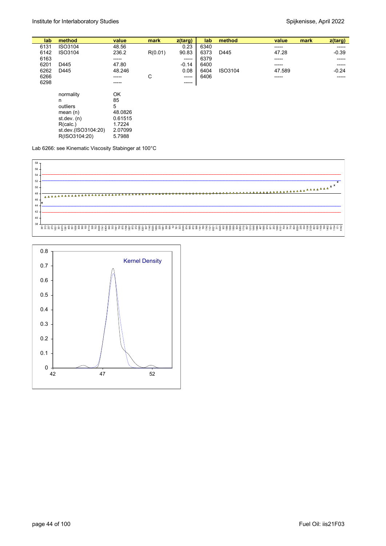| lab  | method              | value   | mark    | z(targ) | lab  | method  | value<br>mark | z(targ) |
|------|---------------------|---------|---------|---------|------|---------|---------------|---------|
| 6131 | ISO3104             | 48.56   |         | 0.23    | 6340 |         | -----         | -----   |
| 6142 | ISO3104             | 236.2   | R(0.01) | 90.83   | 6373 | D445    | 47.28         | $-0.39$ |
| 6163 |                     | -----   |         | ------  | 6379 |         | -----         | -----   |
| 6201 | D445                | 47.80   |         | $-0.14$ | 6400 |         | -----         | -----   |
| 6262 | D445                | 48.246  |         | 0.08    | 6404 | ISO3104 | 47.589        | $-0.24$ |
| 6266 |                     | -----   | С       | -----   | 6406 |         | -----         | -----   |
| 6298 |                     | -----   |         | ------  |      |         |               |         |
|      |                     |         |         |         |      |         |               |         |
|      | normality           | OK      |         |         |      |         |               |         |
|      | n                   | 85      |         |         |      |         |               |         |
|      | outliers            | 5       |         |         |      |         |               |         |
|      | mean $(n)$          | 48.0826 |         |         |      |         |               |         |
|      | st dev. $(n)$       | 0.61515 |         |         |      |         |               |         |
|      | R(calc.)            | 1.7224  |         |         |      |         |               |         |
|      | st.dev.(ISO3104:20) | 2.07099 |         |         |      |         |               |         |
|      | R(ISO3104:20)       | 5.7988  |         |         |      |         |               |         |

Lab 6266: see Kinematic Viscosity Stabinger at 100°C



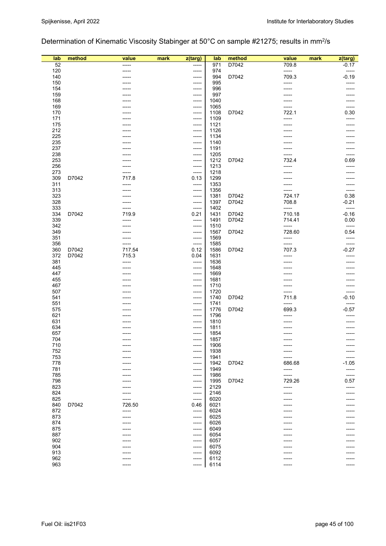## Determination of Kinematic Viscosity Stabinger at 50°C on sample #21275; results in mm2/s

| lab        | method | value  | mark | z(targ)        | lab          | method | value           | mark | $z$ (targ)       |
|------------|--------|--------|------|----------------|--------------|--------|-----------------|------|------------------|
| 52         |        | -----  |      | -----          | 971          | D7042  | 709.8           |      | $-0.17$          |
| 120        |        | -----  |      | ------         | 974          |        | -----           |      | -----            |
| 140        |        |        |      | -----          | 994          | D7042  | 709.3           |      | $-0.19$          |
| 150        |        |        |      | -----          | 995          |        | -----           |      | -----            |
| 154        |        |        |      | -----          | 996          |        |                 |      |                  |
| 159        |        |        |      | -----          | 997          |        |                 |      |                  |
| 168        |        |        |      | -----          | 1040         |        |                 |      | -----            |
| 169        |        |        |      | -----          | 1065         |        |                 |      | -----            |
| 170        |        |        |      | -----          | 1108         | D7042  | 722.1           |      | 0.30             |
| 171        |        |        |      | -----          | 1109         |        | -----           |      | -----            |
| 175<br>212 |        |        |      | -----          | 1121<br>1126 |        |                 |      |                  |
| 225        |        |        |      | -----<br>----- | 1134         |        |                 |      |                  |
| 235        |        |        |      | -----          | 1140         |        |                 |      |                  |
| 237        |        |        |      | -----          | 1191         |        |                 |      |                  |
| 238        |        |        |      | -----          | 1205         |        |                 |      |                  |
| 253        |        |        |      | -----          | 1212         | D7042  | 732.4           |      | 0.69             |
| 256        |        |        |      | -----          | 1213         |        | -----           |      | -----            |
| 273        |        | -----  |      | -----          | 1218         |        |                 |      |                  |
| 309        | D7042  | 717.8  |      | 0.13           | 1299         |        |                 |      |                  |
| 311        |        | -----  |      | -----          | 1353         |        |                 |      |                  |
| 313        |        | -----  |      | -----          | 1356         |        | -----           |      | -----            |
| 323        |        |        |      | -----          | 1381         | D7042  | 724.17          |      | 0.38             |
| 328        |        |        |      | -----          | 1397         | D7042  | 708.8           |      | $-0.21$          |
| 333        |        | ------ |      | -----          | 1402         |        | -----           |      | -----            |
| 334        | D7042  | 719.9  |      | 0.21           | 1431         | D7042  | 710.18          |      | $-0.16$          |
| 339        |        | -----  |      | -----          | 1491         | D7042  | 714.41          |      | 0.00             |
| 342<br>349 |        |        |      | -----<br>----- | 1510<br>1567 | D7042  | -----<br>728.60 |      | -----<br>0.54    |
| 351        |        | -----  |      | -----          | 1569         |        | -----           |      | -----            |
| 356        |        |        |      | -----          | 1585         |        | -----           |      | -----            |
| 360        | D7042  | 717.54 |      | 0.12           | 1586         | D7042  | 707.3           |      | $-0.27$          |
| 372        | D7042  | 715.3  |      | 0.04           | 1631         |        | -----           |      | -----            |
| 381        |        | -----  |      | -----          | 1636         |        |                 |      |                  |
| 445        |        |        |      | -----          | 1648         |        |                 |      |                  |
| 447        |        |        |      | -----          | 1669         |        |                 |      |                  |
| 455        |        |        |      | -----          | 1681         |        |                 |      |                  |
| 467        |        |        |      | -----          | 1710         |        |                 |      | -----            |
| 507        |        |        |      | -----          | 1720         |        |                 |      | -----            |
| 541        |        |        |      | -----          | 1740         | D7042  | 711.8           |      | $-0.10$          |
| 551        |        |        |      | -----          | 1741         |        | -----           |      | -----            |
| 575<br>621 |        |        |      | -----<br>----- | 1776<br>1796 | D7042  | 699.3           |      | $-0.57$<br>----- |
| 631        |        |        |      | -----          | 1810         |        |                 |      |                  |
| 634        |        |        |      | -----          | 1811         |        |                 |      |                  |
| 657        |        |        |      | -----          | 1854         |        |                 |      |                  |
| 704        |        | -----  |      | -----          | 1857         |        | -----           |      | -----            |
| 710        |        | -----  |      | -----          | 1906         |        | -----           |      | -----            |
| 752        |        | -----  |      | -----          | 1938         |        | -----           |      | -----            |
| 753        |        |        |      | -----          | 1941         |        |                 |      | -----            |
| 778        |        |        |      | -----          | 1942         | D7042  | 686.68          |      | $-1.05$          |
| 781        |        |        |      | -----          | 1949         |        | -----           |      | -----            |
| 785        |        |        |      | -----          | 1986         |        | -----           |      | -----            |
| 798<br>823 |        |        |      | -----          | 1995<br>2129 | D7042  | 729.26          |      | 0.57             |
| 824        |        | ----   |      | -----<br>----- | 2146         |        | -----<br>-----  |      | -----            |
| 825        |        |        |      | -----          | 6020         |        |                 |      |                  |
| 840        | D7042  | 726.50 |      | 0.46           | 6021         |        |                 |      |                  |
| 872        |        | -----  |      | -----          | 6024         |        |                 |      |                  |
| 873        |        | -----  |      | -----          | 6025         |        |                 |      |                  |
| 874        |        |        |      | -----          | 6026         |        |                 |      |                  |
| 875        |        |        |      | -----          | 6049         |        |                 |      |                  |
| 887        |        |        |      | -----          | 6054         |        |                 |      |                  |
| 902        |        |        |      | -----          | 6057         |        |                 |      |                  |
| 904        |        |        |      | -----          | 6075         |        |                 |      |                  |
| 913        |        |        |      | -----          | 6092         |        |                 |      |                  |
| 962        |        | -----  |      | -----          | 6112         |        |                 |      |                  |
| 963        |        | -----  |      | -----          | 6114         |        |                 |      |                  |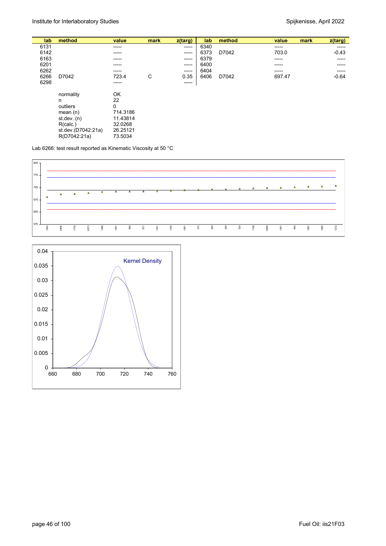| lab. | method             | value    | mark | z(targ) | lab  | method | value<br>mark | z(targ) |
|------|--------------------|----------|------|---------|------|--------|---------------|---------|
| 6131 |                    | -----    |      | -----   | 6340 |        | -----         | -----   |
| 6142 |                    | -----    |      | -----   | 6373 | D7042  | 703.0         | $-0.43$ |
| 6163 |                    | -----    |      | -----   | 6379 |        | -----         | -----   |
| 6201 |                    | -----    |      | -----   | 6400 |        | -----         | -----   |
| 6262 |                    | -----    |      | -----   | 6404 |        | -----         | -----   |
| 6266 | D7042              | 723.4    | C    | 0.35    | 6406 | D7042  | 697.47        | $-0.64$ |
| 6298 |                    | -----    |      | -----   |      |        |               |         |
|      |                    |          |      |         |      |        |               |         |
|      | normality          | OK       |      |         |      |        |               |         |
|      | n                  | 22       |      |         |      |        |               |         |
|      | outliers           | 0        |      |         |      |        |               |         |
|      | mean $(n)$         | 714.3186 |      |         |      |        |               |         |
|      | st.dev. $(n)$      | 11.43814 |      |         |      |        |               |         |
|      | R(calc.)           | 32.0268  |      |         |      |        |               |         |
|      | st.dev.(D7042:21a) | 26.25121 |      |         |      |        |               |         |
|      | R(D7042:21a)       | 73.5034  |      |         |      |        |               |         |

Lab 6266: test result reported as Kinematic Viscosity at 50 °C



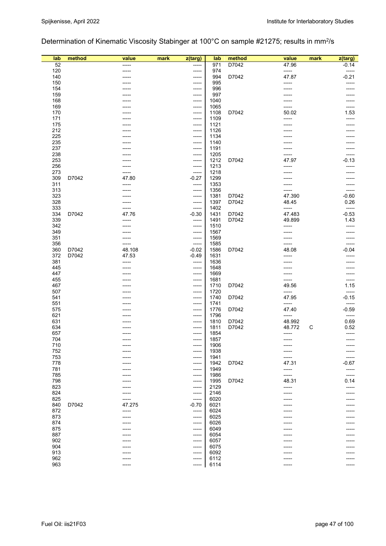## Determination of Kinematic Viscosity Stabinger at 100°C on sample #21275; results in mm2/s

| lab        | method | value          | mark<br>z(targ) | lab          | method | value   | mark<br>z(targ) |
|------------|--------|----------------|-----------------|--------------|--------|---------|-----------------|
| 52         |        | -----          | -----           | 971          | D7042  | 47.96   | $-0.14$         |
| 120        |        |                | -----           | 974          |        | -----   | -----           |
| 140        |        |                | -----           | 994          | D7042  | 47.87   | $-0.21$         |
| 150        |        |                | -----           | 995          |        | -----   | -----           |
| 154        |        |                | -----           | 996          |        |         |                 |
| 159        |        |                | -----           | 997          |        |         |                 |
| 168<br>169 |        |                | -----           | 1040<br>1065 |        |         |                 |
| 170        |        |                | -----<br>-----  | 1108         | D7042  | 50.02   | -----<br>1.53   |
| 171        |        |                | -----           | 1109         |        | -----   | -----           |
| 175        |        |                | -----           | 1121         |        |         |                 |
| 212        |        |                | -----           | 1126         |        |         |                 |
| 225        |        |                | -----           | 1134         |        |         |                 |
| 235        |        |                | -----           | 1140         |        |         |                 |
| 237        |        |                | -----           | 1191         |        |         |                 |
| 238        |        |                | -----           | 1205         |        |         |                 |
| 253        |        |                | -----           | 1212         | D7042  | 47.97   | $-0.13$         |
| 256        |        |                | -----           | 1213         |        | -----   |                 |
| 273        |        |                | -----           | 1218         |        |         |                 |
| 309        | D7042  | 47.80<br>----- | $-0.27$         | 1299         |        |         |                 |
| 311<br>313 |        |                | -----<br>-----  | 1353         |        | -----   | -----           |
| 323        |        |                | -----           | 1356<br>1381 | D7042  | 47.390  | $-0.60$         |
| 328        |        |                | -----           | 1397         | D7042  | 48.45   | 0.26            |
| 333        |        |                | -----           | 1402         |        | -----   | -----           |
| 334        | D7042  | 47.76          | $-0.30$         | 1431         | D7042  | 47.483  | $-0.53$         |
| 339        |        | -----          | -----           | 1491         | D7042  | 49.899  | 1.43            |
| 342        |        |                | -----           | 1510         |        | -----   | -----           |
| 349        |        |                | -----           | 1567         |        | -----   | -----           |
| 351        |        | -----          | -----           | 1569         |        | -----   | -----           |
| 356        |        |                | -----           | 1585         |        |         | -----           |
| 360        | D7042  | 48.108         | $-0.02$         | 1586         | D7042  | 48.08   | $-0.04$         |
| 372        | D7042  | 47.53          | $-0.49$         | 1631         |        | -----   |                 |
| 381        |        | -----          | -----           | 1636         |        |         |                 |
| 445        |        |                | -----           | 1648         |        |         |                 |
| 447<br>455 |        |                | -----<br>-----  | 1669<br>1681 |        | -----   | -----           |
| 467        |        |                | -----           | 1710         | D7042  | 49.56   | 1.15            |
| 507        |        |                | -----           | 1720         |        | $-----$ | -----           |
| 541        |        |                | -----           | 1740         | D7042  | 47.95   | $-0.15$         |
| 551        |        |                | -----           | 1741         |        | -----   | -----           |
| 575        |        |                | -----           | 1776         | D7042  | 47.40   | $-0.59$         |
| 621        |        |                | -----           | 1796         |        | -----   | -----           |
| 631        |        |                | -----           | 1810         | D7042  | 48.992  | 0.69            |
| 634        |        |                | -----           | 1811         | D7042  | 48.772  | C<br>0.52       |
| 657        |        |                | -----           | 1854         |        | -----   | -----           |
| 704        |        | -----          | -----           | 1857         |        | -----   | -----           |
| 710        |        | -----          | -----           | 1906         |        | -----   |                 |
| 752<br>753 |        | -----          | -----<br>-----  | 1938         |        | -----   | -----<br>-----  |
| 778        |        |                | -----           | 1941<br>1942 | D7042  | 47.31   | $-0.67$         |
| 781        |        |                | -----           | 1949         |        | -----   | -----           |
| 785        |        |                | -----           | 1986         |        | -----   | -----           |
| 798        |        |                | -----           | 1995         | D7042  | 48.31   | 0.14            |
| 823        |        |                | -----           | 2129         |        | -----   | -----           |
| 824        |        |                | -----           | 2146         |        | -----   | -----           |
| 825        |        |                | -----           | 6020         |        |         | -----           |
| 840        | D7042  | 47.275         | $-0.70$         | 6021         |        |         |                 |
| 872        |        | -----          | -----           | 6024         |        |         | -----           |
| 873        |        | -----          | -----           | 6025         |        |         |                 |
| 874        |        |                | -----           | 6026         |        |         |                 |
| 875        |        |                | -----           | 6049         |        |         |                 |
| 887<br>902 |        |                | -----<br>-----  | 6054<br>6057 |        |         | -----           |
| 904        |        |                | -----           | 6075         |        |         |                 |
| 913        |        |                | -----           | 6092         |        |         |                 |
| 962        |        |                | -----           | 6112         |        |         |                 |
| 963        |        |                | -----           | 6114         |        |         |                 |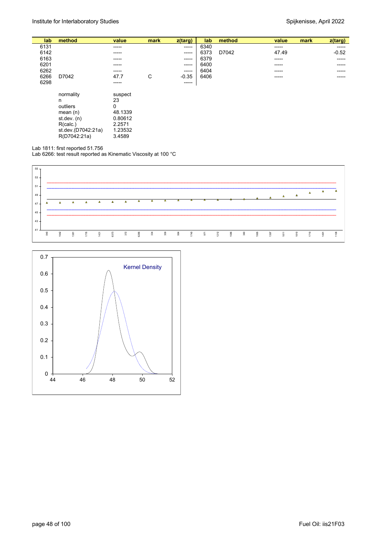| lab  | method             | value       | mark | z(targ) | lab  | method | value<br>mark | z(targ) |
|------|--------------------|-------------|------|---------|------|--------|---------------|---------|
| 6131 |                    | -----       |      | -----   | 6340 |        | -----         | -----   |
| 6142 |                    | -----       |      | -----   | 6373 | D7042  | 47.49         | $-0.52$ |
| 6163 |                    | ------      |      | ------  | 6379 |        | -----         | -----   |
| 6201 |                    | ------      |      | ------  | 6400 |        | -----         | -----   |
| 6262 |                    | -----       |      | -----   | 6404 |        | -----         | -----   |
| 6266 | D7042              | 47.7        | С    | $-0.35$ | 6406 |        | -----         | -----   |
| 6298 |                    | -----       |      | -----   |      |        |               |         |
|      |                    |             |      |         |      |        |               |         |
|      | normality          | suspect     |      |         |      |        |               |         |
|      | n                  | 23          |      |         |      |        |               |         |
|      | outliers           | $\mathbf 0$ |      |         |      |        |               |         |
|      | mean $(n)$         | 48.1339     |      |         |      |        |               |         |
|      | st.dev. $(n)$      | 0.80612     |      |         |      |        |               |         |
|      | R(calc.)           | 2.2571      |      |         |      |        |               |         |
|      | st.dev.(D7042:21a) | 1.23532     |      |         |      |        |               |         |
|      | R(D7042:21a)       | 3.4589      |      |         |      |        |               |         |

Lab 1811: first reported 51.756

Lab 6266: test result reported as Kinematic Viscosity at 100 °C



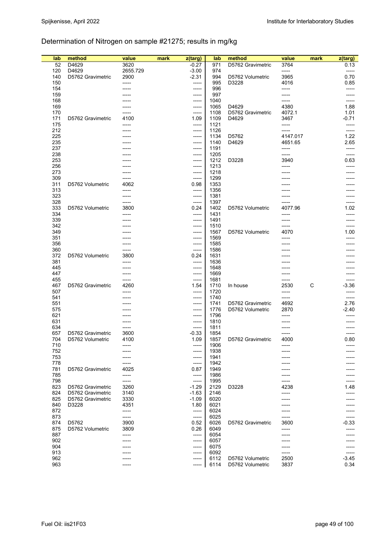## Determination of Nitrogen on sample #21275; results in mg/kg

| lab        | method            | value    | mark | z(targ)        | lab          | method            | value         | mark | $z$ (targ)       |
|------------|-------------------|----------|------|----------------|--------------|-------------------|---------------|------|------------------|
| 52         | D4629             | 3620     |      | $-0.27$        | 971          | D5762 Gravimetric | 3764          |      | 0.13             |
| 120        | D4629             | 2655.729 |      | $-3.00$        | 974          |                   | -----         |      | -----            |
| 140        | D5762 Gravimetric | 2900     |      | $-2.31$        | 994          | D5762 Volumetric  | 3965          |      | 0.70             |
| 150        |                   | -----    |      | -----          | 995          | D3228             | 4016          |      | 0.85             |
| 154        |                   |          |      | -----          | 996          |                   | -----         |      | -----            |
| 159        |                   |          |      | -----          | 997          |                   | -----         |      |                  |
| 168        |                   |          |      | -----          | 1040         |                   | -----         |      | -----            |
| 169        |                   |          |      | -----          | 1065         | D4629             | 4380          |      | 1.88             |
| 170        |                   |          |      | -----          | 1108         | D5762 Gravimetric | 4072.1        |      | 1.01             |
| 171        | D5762 Gravimetric | 4100     |      | 1.09           | 1109         | D4629             | 3467          |      | -0.71            |
| 175        |                   | -----    |      | -----          | 1121         |                   | -----         |      | -----            |
| 212        |                   |          |      | -----          | 1126         |                   | -----         |      | -----            |
| 225        |                   |          |      | -----          | 1134         | D5762             | 4147.017      |      | 1.22             |
| 235        |                   |          |      | -----          | 1140         | D4629             | 4651.65       |      | 2.65             |
| 237        |                   |          |      | -----          | 1191         |                   | -----         |      | -----            |
| 238        |                   |          |      | -----          | 1205         |                   | -----         |      | -----            |
| 253        |                   |          |      | -----          | 1212         | D3228             | 3940          |      | 0.63             |
| 256        |                   |          |      | -----          | 1213         |                   | -----         |      | -----            |
| 273        |                   |          |      | -----          | 1218         |                   | -----         |      |                  |
| 309        |                   |          |      | -----          | 1299         |                   |               |      |                  |
| 311        | D5762 Volumetric  | 4062     |      | 0.98           | 1353         |                   |               |      |                  |
| 313        |                   | -----    |      | -----          | 1356         |                   |               |      |                  |
| 323        |                   | -----    |      | -----          | 1381         |                   |               |      |                  |
| 328        |                   |          |      | -----          | 1397         |                   |               |      |                  |
| 333        | D5762 Volumetric  | 3800     |      | 0.24           | 1402         | D5762 Volumetric  | 4077.96       |      | 1.02             |
| 334        |                   |          |      | -----          | 1431         |                   | -----         |      |                  |
| 339        |                   |          |      | -----          | 1491         |                   | -----         |      |                  |
| 342<br>349 |                   |          |      | -----          | 1510         | D5762 Volumetric  | -----<br>4070 |      |                  |
| 351        |                   |          |      | -----<br>----- | 1567<br>1569 |                   | -----         |      | 1.00             |
| 356        |                   |          |      | -----          | 1585         |                   | -----         |      |                  |
| 360        |                   |          |      | -----          | 1586         |                   |               |      |                  |
| 372        | D5762 Volumetric  | 3800     |      | 0.24           | 1631         |                   |               |      |                  |
| 381        |                   | -----    |      | -----          | 1636         |                   |               |      |                  |
| 445        |                   | -----    |      | -----          | 1648         |                   |               |      |                  |
| 447        |                   |          |      | -----          | 1669         |                   |               |      |                  |
| 455        |                   | -----    |      | -----          | 1681         |                   | -----         |      |                  |
| 467        | D5762 Gravimetric | 4260     |      | 1.54           | 1710         | In house          | 2530          | C    | -3.36            |
| 507        |                   |          |      | -----          | 1720         |                   | -----         |      |                  |
| 541        |                   |          |      | -----          | 1740         |                   | -----         |      | -----            |
| 551        |                   |          |      | -----          | 1741         | D5762 Gravimetric | 4692          |      | 2.76             |
| 575        |                   |          |      | -----          | 1776         | D5762 Volumetric  | 2870          |      | -2.40            |
| 621        |                   |          |      | -----          | 1796         |                   |               |      |                  |
| 631        |                   |          |      | -----          | 1810         |                   |               |      |                  |
| 634        |                   |          |      | -----          | 1811         |                   |               |      |                  |
| 657        | D5762 Gravimetric | 3600     |      | $-0.33$        | 1854         |                   |               |      |                  |
| 704        | D5762 Volumetric  | 4100     |      | 1.09           | 1857         | D5762 Gravimetric | 4000          |      | 0.80             |
| 710        |                   |          |      | -----          | 1906         |                   |               |      | -----            |
| 752        |                   |          |      | ------         | 1938         |                   |               |      |                  |
| 753        |                   |          |      | -----          | 1941         |                   |               |      |                  |
| 778        |                   |          |      | -----          | 1942         |                   |               |      |                  |
| 781        | D5762 Gravimetric | 4025     |      | 0.87           | 1949         |                   |               |      |                  |
| 785        |                   |          |      | -----          | 1986         |                   | -----         |      |                  |
| 798        |                   | -----    |      | -----          | 1995         |                   | -----         |      |                  |
| 823        | D5762 Gravimetric | 3260     |      | $-1.29$        | 2129         | D3228             | 4238          |      | 1.48             |
| 824        | D5762 Gravimetric | 3140     |      | $-1.63$        | 2146         |                   | -----         |      |                  |
| 825        | D5762 Gravimetric | 3330     |      | $-1.09$        | 6020         |                   |               |      |                  |
| 840        | D3228             | 4351     |      | 1.80           | 6021         |                   |               |      |                  |
| 872        |                   | -----    |      | -----          | 6024         |                   |               |      |                  |
| 873        |                   | -----    |      | -----          | 6025         |                   |               |      |                  |
| 874        | D5762             | 3900     |      | 0.52           | 6026         | D5762 Gravimetric | 3600          |      | -0.33            |
| 875        | D5762 Volumetric  | 3809     |      | 0.26           | 6049         |                   | -----         |      |                  |
| 887        |                   | -----    |      | -----          | 6054         |                   | -----         |      |                  |
| 902        |                   |          |      | -----          | 6057         |                   |               |      |                  |
| 904        |                   |          |      | -----          | 6075         |                   |               |      |                  |
| 913<br>962 |                   |          |      | -----          | 6092         | D5762 Volumetric  | -----<br>2500 |      | -----<br>$-3.45$ |
| 963        |                   |          |      | -----<br>----- | 6112<br>6114 | D5762 Volumetric  | 3837          |      | 0.34             |
|            |                   |          |      |                |              |                   |               |      |                  |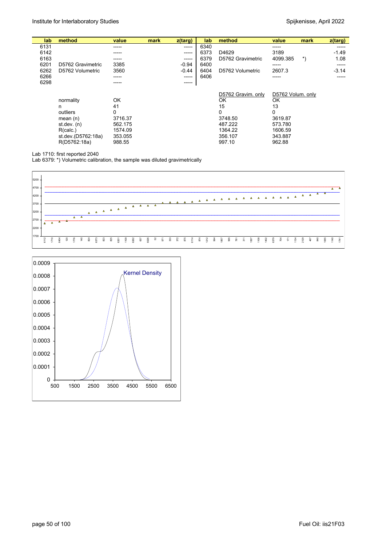| lab  | method             | value    | mark | z(targ) | lab  | method             | value             | mark  | z(targ) |
|------|--------------------|----------|------|---------|------|--------------------|-------------------|-------|---------|
| 6131 |                    | -----    |      | -----   | 6340 |                    | -----             |       | -----   |
| 6142 |                    | -----    |      | -----   | 6373 | D4629              | 3189              |       | $-1.49$ |
| 6163 |                    | -----    |      | -----   | 6379 | D5762 Gravimetric  | 4099.385          | $^*)$ | 1.08    |
| 6201 | D5762 Gravimetric  | 3385     |      | $-0.94$ | 6400 |                    | -----             |       | -----   |
| 6262 | D5762 Volumetric   | 3560     |      | $-0.44$ | 6404 | D5762 Volumetric   | 2607.3            |       | $-3.14$ |
| 6266 |                    | -----    |      | ------  | 6406 |                    | -----             |       | -----   |
| 6298 |                    | -----    |      | ------  |      |                    |                   |       |         |
|      |                    |          |      |         |      | D5762 Gravim. only | D5762 Volum. only |       |         |
|      | normality          | OK       |      |         |      | OK                 | OK                |       |         |
|      | n                  | 41       |      |         |      | 15                 | 13                |       |         |
|      | outliers           | $\Omega$ |      |         |      | 0                  | $\Omega$          |       |         |
|      | mean $(n)$         | 3716.37  |      |         |      | 3748.50            | 3619.87           |       |         |
|      | st dev. $(n)$      | 562.175  |      |         |      | 487.222            | 573.780           |       |         |
|      | R(calc.)           | 1574.09  |      |         |      | 1364.22            | 1606.59           |       |         |
|      | st.dev.(D5762:18a) | 353.055  |      |         |      | 356.107            | 343.887           |       |         |
|      | R(D5762:18a)       | 988.55   |      |         |      | 997.10             | 962.88            |       |         |

Lab 1710: first reported 2040

Lab 6379: \*) Volumetric calibration, the sample was diluted gravimetrically



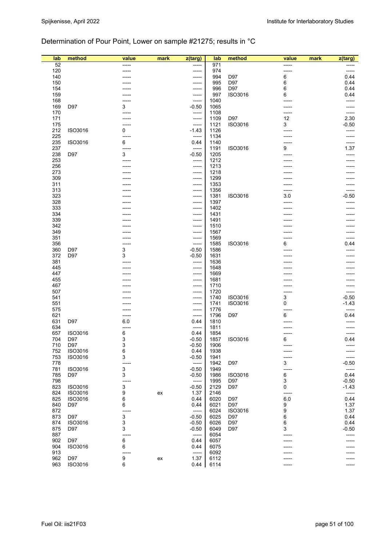## Determination of Pour Point, Lower on sample #21275; results in °C

| lab        | method         | value | mark       | z(targ)        | lab          | method  | value | mark | z(targ) |
|------------|----------------|-------|------------|----------------|--------------|---------|-------|------|---------|
| 52         |                |       |            |                | 971          |         | ----- |      |         |
| 120        |                |       |            | -----          | 974          |         | ----- |      | -----   |
| 140        |                |       |            | -----          | 994          | D97     | 6     |      | 0.44    |
| 150        |                |       |            | -----          | 995          | D97     | 6     |      | 0.44    |
| 154        |                |       |            | -----          | 996          | D97     | 6     |      | 0.44    |
| 159        |                |       |            | -----          | 997          | ISO3016 | 6     |      | 0.44    |
| 168        |                |       |            | -----          | 1040         |         |       |      |         |
| 169        | D97            | 3     |            | $-0.50$        | 1065         |         |       |      |         |
| 170        |                |       |            | -----          | 1108         |         | ----- |      | -----   |
| 171        |                |       |            | -----          | 1109         | D97     | 12    |      | 2.30    |
| 175        |                |       |            | -----          | 1121         | ISO3016 | 3     |      | $-0.50$ |
| 212        | ISO3016        | 0     |            | $-1.43$        | 1126         |         |       |      |         |
| 225        |                | ----- |            | -----          | 1134         |         |       |      |         |
| 235        | ISO3016        | 6     |            | 0.44           | 1140         |         |       |      |         |
| 237        |                |       |            | -----          | 1191         | ISO3016 | 9     |      | 1.37    |
| 238        | D97            | 3     |            | $-0.50$        | 1205         |         |       |      |         |
| 253        |                |       |            | -----          | 1212         |         |       |      |         |
| 256        |                |       |            | -----          | 1213         |         |       |      |         |
| 273        |                |       |            | -----          | 1218         |         |       |      |         |
| 309        |                |       |            | -----          | 1299         |         |       |      |         |
| 311        |                |       |            | -----          | 1353         |         |       |      |         |
| 313        |                |       |            | -----          | 1356         |         |       |      |         |
| 323        |                |       |            | -----          | 1381         | ISO3016 | 3.0   |      | $-0.50$ |
| 328        |                |       |            | -----          | 1397         |         |       |      |         |
| 333        |                |       |            | -----          | 1402         |         |       |      |         |
| 334<br>339 |                |       |            | -----          | 1431         |         |       |      |         |
|            |                |       |            | -----          | 1491         |         |       |      |         |
| 342<br>349 |                |       |            | -----          | 1510<br>1567 |         |       |      |         |
| 351        |                |       |            | -----<br>----- | 1569         |         |       |      |         |
| 356        |                |       |            | -----          | 1585         | ISO3016 | 6     |      | 0.44    |
| 360        | D97            | 3     |            | $-0.50$        | 1586         |         |       |      |         |
| 372        | D97            | 3     |            | $-0.50$        | 1631         |         |       |      |         |
| 381        |                |       |            | -----          | 1636         |         |       |      |         |
| 445        |                |       |            | -----          | 1648         |         |       |      |         |
| 447        |                |       |            | -----          | 1669         |         |       |      |         |
| 455        |                |       |            | -----          | 1681         |         |       |      |         |
| 467        |                |       |            | -----          | 1710         |         |       |      |         |
| 507        |                |       |            | -----          | 1720         |         |       |      |         |
| 541        |                |       |            | -----          | 1740         | ISO3016 | 3     |      | $-0.50$ |
| 551        |                |       |            | -----          | 1741         | ISO3016 | 0     |      | $-1.43$ |
| 575        |                |       |            | -----          | 1776         |         |       |      | -----   |
| 621        |                | ----- |            | -----          | 1796         | D97     | 6     |      | 0.44    |
| 631        | D97            | 6.0   |            | 0.44           | 1810         |         |       |      |         |
| 634        |                | ----- |            | -----          | 1811         |         |       |      |         |
| 657        | ISO3016        | 6     |            | 0.44           | 1854         |         |       |      |         |
| 704        | D97            | 3     |            | $-0.50$        | 1857         | ISO3016 | 6     |      | 0.44    |
| 710        | D97            | 3     |            | $-0.50$        | 1906         |         |       |      |         |
| 752        | ISO3016        | 6     |            | 0.44           | 1938         |         |       |      |         |
| 753        | ISO3016        | 3     |            | $-0.50$        | 1941         |         |       |      |         |
| 778        |                | ----- |            | -----          | 1942         | D97     | 3     |      | $-0.50$ |
| 781        | ISO3016        | 3     |            | $-0.50$        | 1949         |         |       |      |         |
| 785        | D97            | 3     |            | $-0.50$        | 1986         | ISO3016 | 6     |      | 0.44    |
| 798        |                | ----  |            | -----          | 1995         | D97     | 3     |      | $-0.50$ |
| 823        | ISO3016        | 3     |            | $-0.50$        | 2129         | D97     | 0     |      | $-1.43$ |
| 824        | <b>ISO3016</b> | 9     | ex         | 1.37           | 2146         |         | ----  |      | -----   |
| 825        | ISO3016        | 6     |            | 0.44           | 6020         | D97     | 6.0   |      | 0.44    |
| 840        | D97            | 6     |            | 0.44           | 6021         | D97     | 9     |      | 1.37    |
| 872        |                |       |            | -----          | 6024         | ISO3016 | 9     |      | 1.37    |
| 873        | D97            | 3     |            | $-0.50$        | 6025         | D97     | 6     |      | 0.44    |
| 874        | ISO3016        | 3     |            | $-0.50$        | 6026         | D97     | 6     |      | 0.44    |
| 875        | D97            | 3     |            | $-0.50$        | 6049         | D97     | 3     |      | $-0.50$ |
| 887        |                | ----  |            | -----          | 6054         |         |       |      |         |
| 902        | D97            | 6     |            | 0.44           | 6057         |         |       |      |         |
| 904        | ISO3016        | 6     |            | 0.44           | 6075         |         |       |      |         |
| 913        |                | ---   |            | -----          | 6092         |         |       |      |         |
| 962        | D97            | 9     | ${\sf ex}$ | 1.37           | 6112         |         |       |      |         |
| 963        | ISO3016        | 6     |            | 0.44           | 6114         |         |       |      |         |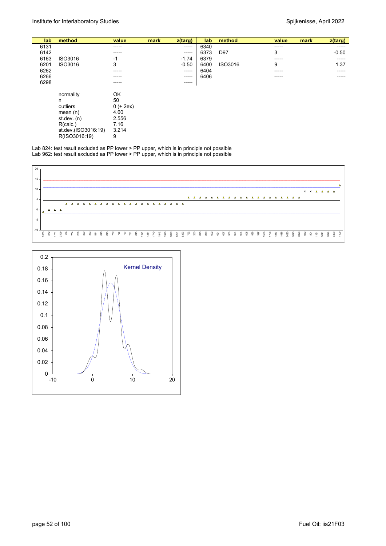| lab  | method              | value       | mark | $z$ (targ) | lab  | method  | value | mark<br>z(targ) |
|------|---------------------|-------------|------|------------|------|---------|-------|-----------------|
| 6131 |                     | ------      |      | -----      | 6340 |         | ----- | -----           |
| 6142 |                     | -----       |      | $-----1$   | 6373 | D97     | 3     | $-0.50$         |
| 6163 | ISO3016             | $-1$        |      | $-1.74$    | 6379 |         | ----- | -----           |
| 6201 | ISO3016             | 3           |      | $-0.50$    | 6400 | ISO3016 | 9     | 1.37            |
| 6262 |                     | ------      |      | $-----$    | 6404 |         | ----- | -----           |
| 6266 |                     | ------      |      | $-----$    | 6406 |         | ----- |                 |
| 6298 |                     | ------      |      | -----      |      |         |       |                 |
|      |                     |             |      |            |      |         |       |                 |
|      | normality           | OK          |      |            |      |         |       |                 |
|      | n                   | 50          |      |            |      |         |       |                 |
|      | outliers            | $0 (+ 2ex)$ |      |            |      |         |       |                 |
|      | mean $(n)$          | 4.60        |      |            |      |         |       |                 |
|      | st.dev. $(n)$       | 2.556       |      |            |      |         |       |                 |
|      | R(calc.)            | 7.16        |      |            |      |         |       |                 |
|      | st.dev.(ISO3016:19) | 3.214       |      |            |      |         |       |                 |

R(ISO3016:19) 9

Lab 824: test result excluded as PP lower > PP upper, which is in principle not possible Lab 962: test result excluded as PP lower > PP upper, which is in principle not possible



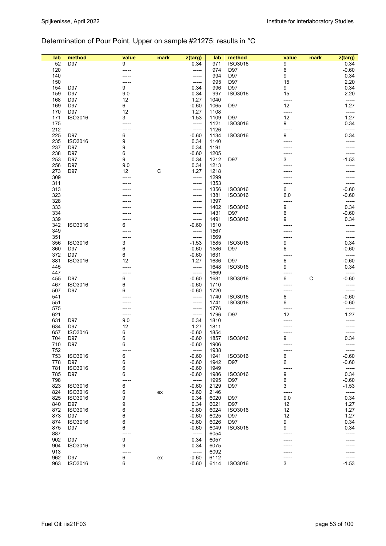### Determination of Pour Point, Upper on sample #21275; results in °C

| lab | method  | value | mark        | z(targ) | lab  | method  |   | value | mark        | z(targ) |
|-----|---------|-------|-------------|---------|------|---------|---|-------|-------------|---------|
| 52  | D97     | 9     |             | 0.34    | 971  | ISO3016 |   | 9     |             | 0.34    |
| 120 |         |       |             | -----   | 974  | D97     | 6 |       |             | $-0.60$ |
| 140 |         |       |             | -----   | 994  | D97     | 9 |       |             | 0.34    |
| 150 |         |       |             | -----   | 995  | D97     |   | 15    |             | 2.20    |
| 154 | D97     | 9     |             | 0.34    | 996  | D97     |   | 9     |             | 0.34    |
| 159 | D97     | 9.0   |             | 0.34    | 997  | ISO3016 |   | 15    |             | 2.20    |
| 168 | D97     | 12    |             | 1.27    | 1040 |         |   | ----- |             | -----   |
| 169 | D97     | 6     |             | $-0.60$ | 1065 | D97     |   | 12    |             | 1.27    |
| 170 | D97     | 12    |             | 1.27    | 1108 |         |   | ----- |             | -----   |
| 171 | ISO3016 | 3     |             | $-1.53$ | 1109 | D97     |   | 12    |             | 1.27    |
| 175 |         |       |             | -----   | 1121 | ISO3016 |   | 9     |             | 0.34    |
| 212 |         |       |             | -----   | 1126 |         |   | ----- |             | -----   |
| 225 | D97     | 6     |             | $-0.60$ | 1134 | ISO3016 |   | 9     |             | 0.34    |
| 235 | ISO3016 | 9     |             | 0.34    | 1140 |         |   |       |             |         |
| 237 | D97     | 9     |             | 0.34    | 1191 |         |   |       |             |         |
| 238 | D97     | 6     |             | $-0.60$ | 1205 |         |   |       |             |         |
| 253 | D97     | 9     |             | 0.34    | 1212 | D97     |   | 3     |             | $-1.53$ |
| 256 | D97     | 9.0   |             | 0.34    | 1213 |         |   |       |             |         |
| 273 | D97     | 12    | $\mathsf C$ | 1.27    | 1218 |         |   |       |             |         |
| 309 |         |       |             | -----   | 1299 |         |   |       |             |         |
| 311 |         |       |             | -----   | 1353 |         |   |       |             |         |
| 313 |         |       |             | -----   | 1356 | ISO3016 |   | 6     |             | $-0.60$ |
| 323 |         |       |             | -----   | 1381 | ISO3016 |   | 6.0   |             | $-0.60$ |
| 328 |         |       |             | -----   | 1397 |         |   | ----- |             | -----   |
| 333 |         |       |             | -----   | 1402 | ISO3016 |   | 9     |             | 0.34    |
| 334 |         |       |             | -----   | 1431 | D97     |   | 6     |             | $-0.60$ |
| 339 |         |       |             | -----   | 1491 | ISO3016 | 9 |       |             | 0.34    |
| 342 | ISO3016 | 6     |             | $-0.60$ | 1510 |         |   |       |             |         |
| 349 |         |       |             | -----   | 1567 |         |   |       |             |         |
| 351 |         |       |             | -----   | 1569 |         |   |       |             |         |
| 356 | ISO3016 | 3     |             | $-1.53$ | 1585 | ISO3016 |   | 9     |             | 0.34    |
| 360 | D97     | 6     |             | $-0.60$ | 1586 | D97     |   | 6     |             | $-0.60$ |
| 372 | D97     | 6     |             | $-0.60$ | 1631 |         |   |       |             | -----   |
| 381 | ISO3016 | 12    |             | 1.27    | 1636 | D97     |   | 6     |             | $-0.60$ |
| 445 |         |       |             | -----   | 1648 | ISO3016 |   | 9     |             | 0.34    |
| 447 |         |       |             | -----   | 1669 |         |   |       |             | -----   |
| 455 | D97     | 6     |             | $-0.60$ | 1681 | ISO3016 |   | 6     | $\mathsf C$ | $-0.60$ |
| 467 | ISO3016 | 6     |             | $-0.60$ | 1710 |         |   |       |             |         |
| 507 | D97     | 6     |             | $-0.60$ | 1720 |         |   |       |             | -----   |
| 541 |         |       |             | -----   | 1740 | ISO3016 |   | 6     |             | $-0.60$ |
| 551 |         |       |             | -----   | 1741 | ISO3016 |   | 6     |             | $-0.60$ |
| 575 |         |       |             | -----   | 1776 |         |   |       |             | -----   |
| 621 |         |       |             | -----   | 1796 | D97     |   | 12    |             | 1.27    |
| 631 | D97     | 9.0   |             | 0.34    | 1810 |         |   |       |             |         |
| 634 | D97     | 12    |             | 1.27    | 1811 |         |   |       |             |         |
| 657 | ISO3016 | 6     |             | $-0.60$ | 1854 |         |   |       |             |         |
| 704 | D97     | 6     |             | $-0.60$ | 1857 | ISO3016 |   | 9     |             | 0.34    |
| 710 | D97     | 6     |             | $-0.60$ | 1906 |         |   |       |             |         |
| 752 |         | ----- |             | -----   | 1938 |         |   | ----- |             | -----   |
| 753 | ISO3016 | 6     |             | $-0.60$ | 1941 | ISO3016 |   | 6     |             | $-0.60$ |
| 778 | D97     | 6     |             | $-0.60$ | 1942 | D97     |   | 6     |             | $-0.60$ |
| 781 | ISO3016 | 6     |             | $-0.60$ | 1949 |         |   |       |             | -----   |
| 785 | D97     | 6     |             | $-0.60$ | 1986 | ISO3016 |   | 9     |             | 0.34    |
| 798 |         |       |             | -----   | 1995 | D97     |   | 6     |             | $-0.60$ |
| 823 | ISO3016 | 6     |             | $-0.60$ | 2129 | D97     |   | 3     |             | $-1.53$ |
| 824 | ISO3016 | 6     | ex          | $-0.60$ | 2146 |         |   |       |             | -----   |
| 825 | ISO3016 | 9     |             | 0.34    | 6020 | D97     |   | 9.0   |             | 0.34    |
| 840 | D97     | 9     |             | 0.34    | 6021 | D97     |   | 12    |             | 1.27    |
| 872 | ISO3016 | 6     |             | $-0.60$ | 6024 | ISO3016 |   | 12    |             | 1.27    |
| 873 | D97     | 6     |             | $-0.60$ | 6025 | D97     |   | 12    |             | 1.27    |
| 874 | ISO3016 | 6     |             | $-0.60$ | 6026 | D97     |   | 9     |             | 0.34    |
| 875 | D97     | 6     |             | $-0.60$ | 6049 | ISO3016 |   | 9     |             | 0.34    |
| 887 |         |       |             | -----   | 6054 |         |   |       |             | -----   |
| 902 | D97     | 9     |             | 0.34    | 6057 |         |   |       |             |         |
| 904 | ISO3016 | 9     |             | 0.34    | 6075 |         |   |       |             |         |
| 913 |         |       |             | -----   | 6092 |         |   |       |             |         |
| 962 | D97     | 6     | ex          | $-0.60$ | 6112 |         |   |       |             | -----   |
| 963 | ISO3016 | 6     |             | $-0.60$ | 6114 | ISO3016 | 3 |       |             | $-1.53$ |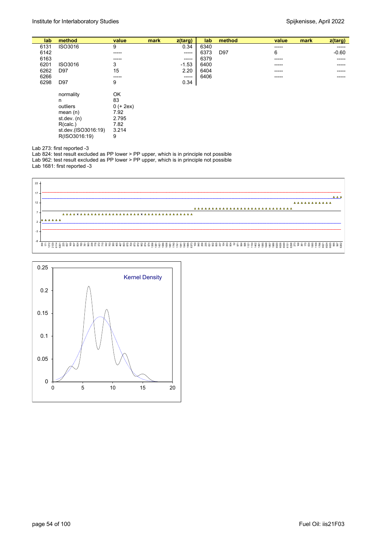| lab  | method        | value       | mark | $z$ (targ)  | lab  | method | value | mark<br>$z$ (targ) |
|------|---------------|-------------|------|-------------|------|--------|-------|--------------------|
| 6131 | ISO3016       | 9           |      | 0.34        | 6340 |        | ----- | -----              |
| 6142 |               | -----       |      | $- - - - -$ | 6373 | D97    | 6     | $-0.60$            |
| 6163 |               | -----       |      | $-----$     | 6379 |        | ----- | -----              |
| 6201 | ISO3016       | 3           |      | $-1.53$     | 6400 |        | ----- |                    |
| 6262 | D97           | 15          |      | 2.20        | 6404 |        | ----- |                    |
| 6266 |               | -----       |      | -----       | 6406 |        | ----- |                    |
| 6298 | D97           | 9           |      | 0.34        |      |        |       |                    |
|      | normality     | OK          |      |             |      |        |       |                    |
|      | n             | 83          |      |             |      |        |       |                    |
|      | outliers      | $0 (+ 2ex)$ |      |             |      |        |       |                    |
|      | mean $(n)$    | 7.92        |      |             |      |        |       |                    |
|      | st.dev. $(n)$ | 2.795       |      |             |      |        |       |                    |

Lab 273: first reported -3

 R(calc.) 7.82 st.dev.(ISO3016:19) 3.214 R(ISO3016:19) 9

Lab 824: test result excluded as PP lower > PP upper, which is in principle not possible Lab 962: test result excluded as PP lower > PP upper, which is in principle not possible Lab 1681: first reported -3



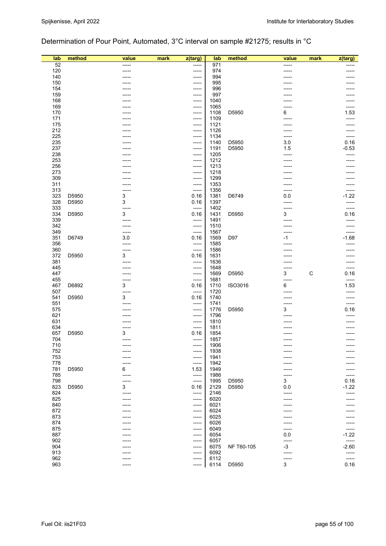# Determination of Pour Point, Automated, 3°C interval on sample #21275; results in °C

| lab        | method | value      | mark | z(targ)        | lab          | method     | value      | mark         | z(targ)        |
|------------|--------|------------|------|----------------|--------------|------------|------------|--------------|----------------|
| 52         |        | -----      |      | -----          | 971          |            | -----      |              |                |
| 120        |        |            |      | -----          | 974          |            |            |              |                |
| 140        |        |            |      | -----          | 994          |            |            |              |                |
| 150        |        |            |      | -----          | 995          |            |            |              |                |
| 154        |        |            |      | -----          | 996          |            |            |              |                |
| 159        |        |            |      | -----          | 997          |            |            |              |                |
| 168        |        |            |      | -----          | 1040         |            |            |              |                |
| 169        |        |            |      | -----          | 1065         |            |            |              |                |
| 170<br>171 |        |            |      | -----<br>----- | 1108<br>1109 | D5950      | 6          |              | 1.53<br>-----  |
| 175        |        |            |      | -----          | 1121         |            |            |              |                |
| 212        |        |            |      | -----          | 1126         |            |            |              |                |
| 225        |        |            |      | -----          | 1134         |            |            |              | -----          |
| 235        |        |            |      | -----          | 1140         | D5950      | 3.0        |              | 0.16           |
| 237        |        |            |      | -----          | 1191         | D5950      | 1.5        |              | $-0.53$        |
| 238        |        |            |      | -----          | 1205         |            |            |              |                |
| 253        |        |            |      | -----          | 1212         |            |            |              |                |
| 256        |        |            |      | -----          | 1213         |            |            |              |                |
| 273        |        |            |      | -----          | 1218         |            |            |              |                |
| 309        |        |            |      | -----          | 1299         |            |            |              |                |
| 311        |        |            |      | -----          | 1353         |            |            |              |                |
| 313        |        |            |      | -----          | 1356         |            |            |              |                |
| 323        | D5950  | 3          |      | 0.16           | 1381         | D6749      | 0.0        |              | $-1.22$        |
| 328        | D5950  | 3          |      | 0.16           | 1397         |            | -----      |              |                |
| 333<br>334 | D5950  | 3          |      | -----<br>0.16  | 1402<br>1431 | D5950      | 3          |              | 0.16           |
| 339        |        | -----      |      | -----          | 1491         |            | -----      |              | -----          |
| 342        |        |            |      | -----          | 1510         |            |            |              |                |
| 349        |        | -----      |      | -----          | 1567         |            | -----      |              | -----          |
| 351        | D6749  | 3.0        |      | 0.16           | 1569         | D97        | -1         |              | $-1.68$        |
| 356        |        | -----      |      | -----          | 1585         |            |            |              |                |
| 360        |        |            |      | -----          | 1586         |            |            |              |                |
| 372        | D5950  | 3          |      | 0.16           | 1631         |            |            |              |                |
| 381        |        |            |      | -----          | 1636         |            |            |              |                |
| 445        |        |            |      | -----          | 1648         |            |            |              |                |
| 447        |        |            |      | -----          | 1669         | D5950      | 3          | $\mathsf{C}$ | 0.16           |
| 455        |        |            |      | -----          | 1681         |            | -----      |              | -----          |
| 467        | D6892  | 3          |      | 0.16           | 1710         | ISO3016    | 6          |              | 1.53           |
| 507        |        | -----<br>3 |      | -----          | 1720         |            |            |              | -----          |
| 541<br>551 | D5950  |            |      | 0.16<br>-----  | 1740<br>1741 |            | -----      |              | -----<br>----- |
| 575        |        |            |      | -----          | 1776         | D5950      | 3          |              | 0.16           |
| 621        |        |            |      | -----          | 1796         |            |            |              |                |
| 631        |        |            |      | -----          | 1810         |            |            |              |                |
| 634        |        |            |      | -----          | 1811         |            |            |              |                |
| 657        | D5950  | 3          |      | 0.16           | 1854         |            |            |              |                |
| 704        |        | -----      |      | -----          | 1857         |            |            |              | -----          |
| 710        |        | -----      |      | -----          | 1906         |            | -----      |              |                |
| 752        |        |            |      | -----          | 1938         |            |            |              |                |
| 753        |        |            |      | -----          | 1941         |            |            |              |                |
| 778        |        |            |      | -----          | 1942         |            |            |              |                |
| 781        | D5950  | 6          |      | 1.53           | 1949         |            |            |              |                |
| 785<br>798 |        | -----      |      | -----<br>----- | 1986<br>1995 | D5950      | 3          |              | 0.16           |
| 823        | D5950  | 3          |      | 0.16           | 2129         | D5950      | 0.0        |              | $-1.22$        |
| 824        |        | -----      |      | -----          | 2146         |            | -----      |              | -----          |
| 825        |        |            |      | -----          | 6020         |            | -----      |              |                |
| 840        |        |            |      | -----          | 6021         |            |            |              |                |
| 872        |        |            |      | -----          | 6024         |            |            |              |                |
| 873        |        |            |      | -----          | 6025         |            |            |              |                |
| 874        |        |            |      | -----          | 6026         |            |            |              |                |
| 875        |        |            |      | -----          | 6049         |            | -----      |              | -----          |
| 887        |        |            |      | -----          | 6054         |            | 0.0        |              | $-1.22$        |
| 902        |        |            |      | -----          | 6057         |            | $-----$    |              | -----          |
| 904        |        |            |      | -----          | 6075         | NF T60-105 | -3         |              | $-2.60$        |
| 913        |        |            |      | -----          | 6092         |            | -----      |              | -----          |
| 962<br>963 |        |            |      | -----<br>----- | 6112<br>6114 | D5950      | -----<br>3 |              | -----<br>0.16  |
|            |        |            |      |                |              |            |            |              |                |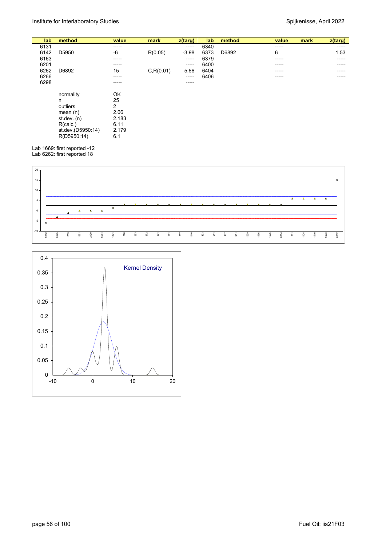| lab  | method                                                                                                    | value                                                               | mark       |             | lab  | method | value  | mark |         |
|------|-----------------------------------------------------------------------------------------------------------|---------------------------------------------------------------------|------------|-------------|------|--------|--------|------|---------|
|      |                                                                                                           |                                                                     |            | $z$ (targ)  |      |        |        |      | z(targ) |
| 6131 |                                                                                                           | -----                                                               |            | $-----$     | 6340 |        | ------ |      | -----   |
| 6142 | D5950                                                                                                     | -6                                                                  | R(0.05)    | $-3.98$     | 6373 | D6892  | 6      |      | 1.53    |
| 6163 |                                                                                                           | -----                                                               |            | -----       | 6379 |        | ------ |      | -----   |
| 6201 |                                                                                                           | -----                                                               |            | -----       | 6400 |        | ------ |      | -----   |
| 6262 | D6892                                                                                                     | 15                                                                  | C, R(0.01) | 5.66        | 6404 |        | -----  |      | -----   |
| 6266 |                                                                                                           | -----                                                               |            | $- - - - -$ | 6406 |        | ------ |      | -----   |
| 6298 |                                                                                                           | -----                                                               |            | -----       |      |        |        |      |         |
|      | normality<br>n<br>outliers<br>mean $(n)$<br>st.dev. $(n)$<br>R(calc.)<br>st.dev.(D5950:14)<br>R(D5950:14) | OK<br>25<br>$\overline{2}$<br>2.66<br>2.183<br>6.11<br>2.179<br>6.1 |            |             |      |        |        |      |         |

Lab 1669: first reported -12 Lab 6262: first reported 18



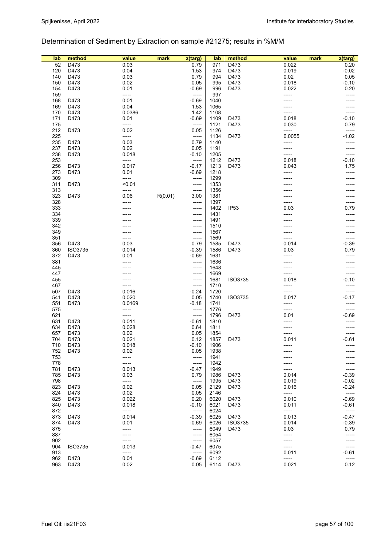### Determination of Sediment by Extraction on sample #21275; results in %M/M

| 52<br>0.03<br>0.022<br>0.20<br>D473<br>0.79<br>971<br>D473<br>0.04<br>D473<br>0.019<br>$-0.02$<br>120<br>D473<br>1.53<br>974<br>0.03<br>0.79<br>D473<br>0.02<br>0.05<br>140<br>D473<br>994<br>150<br>D473<br>0.02<br>0.05<br>995<br>D473<br>0.018<br>$-0.10$<br>D473<br>154<br>D473<br>0.01<br>$-0.69$<br>996<br>0.022<br>0.20<br>159<br>997<br>-----<br>-----<br>168<br>0.01<br>D473<br>$-0.69$<br>1040<br>0.04<br>169<br>D473<br>1.53<br>1065<br>170<br>D473<br>0.0386<br>1108<br>1.42<br>0.018<br>0.01<br>D473<br>$-0.10$<br>171<br>D473<br>$-0.69$<br>1109<br>175<br>1121<br>D473<br>0.030<br>0.79<br>-----<br>-----<br>212<br>D473<br>0.02<br>0.05<br>1126<br>-----<br>-----<br>225<br>0.0055<br>$-1.02$<br>1134<br>D473<br>-----<br>-----<br>235<br>0.03<br>1140<br>D473<br>0.79<br>-----<br>237<br>0.02<br>D473<br>0.05<br>1191<br>238<br>D473<br>0.018<br>$-0.10$<br>1205<br>253<br>1212<br>D473<br>0.018<br>$-0.10$<br>-----<br>-----<br>256<br>0.017<br>1.75<br>D473<br>$-0.17$<br>1213<br>D473<br>0.043<br>273<br>D473<br>0.01<br>$-0.69$<br>1218<br>309<br>1299<br>-----<br>-----<br>< 0.01<br>311<br>D473<br>1353<br>-----<br>313<br>1356<br>-----<br>-----<br>323<br>0.06<br>D473<br>R(0.01)<br>3.00<br>1381<br>328<br>1397<br>-----<br>0.03<br>333<br>IP <sub>53</sub><br>0.79<br>1402<br>-----<br>334<br>1431<br>-----<br>339<br>1491<br>-----<br>342<br>1510<br>-----<br>349<br>1567<br>-----<br>351<br>1569<br>-----<br>-----<br>0.03<br>0.014<br>$-0.39$<br>356<br>D473<br>0.79<br>1585<br>D473<br>360<br>ISO3735<br>0.014<br>$-0.39$<br>1586<br>D473<br>0.79<br>0.03<br>372<br>D473<br>0.01<br>$-0.69$<br>1631<br>381<br>1636<br>-----<br>445<br>1648<br>-----<br>447<br>1669<br>-----<br>ISO3735<br>455<br>1681<br>0.018<br>$-0.10$<br>-----<br>467<br>1710<br>-----<br>507<br>D473<br>0.016<br>$-0.24$<br>1720<br>-----<br>0.017<br>$-0.17$<br>541<br>D473<br>0.020<br>0.05<br>ISO3735<br>1740<br>551<br>D473<br>0.0169<br>1741<br>$-0.18$<br>-----<br>575<br>1776<br>-----<br>621<br>1796<br>D473<br>0.01<br>$-0.69$<br>-----<br>631<br>0.011<br>1810<br>D473<br>$-0.61$<br>634<br>D473<br>0.028<br>1811<br>0.64<br>0.02<br>657<br>D473<br>1854<br>0.05<br>704<br>D473<br>0.021<br>1857<br>D473<br>0.011<br>$-0.61$<br>0.12<br>1906<br>710<br>D473<br>$-0.10$<br>0.018<br>D473<br>0.02<br>0.05<br>752<br>1938<br>753<br>1941<br>-----<br>-----<br>778<br>1942<br>-----<br>781<br>D473<br>0.013<br>$-0.47$<br>1949<br>-----<br>0.014<br>$-0.39$<br>785<br>D473<br>0.03<br>0.79<br>1986<br>D473<br>798<br>-----<br>1995<br>D473<br>0.019<br>$-0.02$<br>-----<br>0.02<br>823<br>D473<br>0.05<br>2129<br>D473<br>0.016<br>$-0.24$<br>824<br>D473<br>0.02<br>2146<br>0.05<br>-----<br>-----<br>825<br>D473<br>0.022<br>0.20<br>6020<br>D473<br>0.010<br>$-0.69$<br>840<br>D473<br>0.018<br>$-0.10$<br>6021<br>D473<br>0.011<br>$-0.61$<br>872<br>-----<br>6024<br>-----<br>-----<br>-----<br>873<br>0.013<br>D473<br>0.014<br>$-0.39$<br>6025<br>D473<br>$-0.47$<br>874<br>$-0.39$<br>D473<br>0.01<br>6026<br>ISO3735<br>0.014<br>$-0.69$<br>875<br>0.79<br>6049<br>D473<br>0.03<br>-----<br>-----<br>887<br>6054<br>-----<br>-----<br>-----<br>902<br>6057<br>-----<br>-----<br>-----<br>904<br>ISO3735<br>0.013<br>$-0.47$<br>6075<br>-----<br>913<br>0.011<br>6092<br>$-0.61$<br>-----<br>-----<br>962<br>0.01<br>D473<br>$-0.69$<br>6112<br>-----<br>-----<br>D473<br>0.05<br>D473<br>6114 | lab | method | value | mark | z(targ) | lab | method | value | mark<br>z(targ) |
|------------------------------------------------------------------------------------------------------------------------------------------------------------------------------------------------------------------------------------------------------------------------------------------------------------------------------------------------------------------------------------------------------------------------------------------------------------------------------------------------------------------------------------------------------------------------------------------------------------------------------------------------------------------------------------------------------------------------------------------------------------------------------------------------------------------------------------------------------------------------------------------------------------------------------------------------------------------------------------------------------------------------------------------------------------------------------------------------------------------------------------------------------------------------------------------------------------------------------------------------------------------------------------------------------------------------------------------------------------------------------------------------------------------------------------------------------------------------------------------------------------------------------------------------------------------------------------------------------------------------------------------------------------------------------------------------------------------------------------------------------------------------------------------------------------------------------------------------------------------------------------------------------------------------------------------------------------------------------------------------------------------------------------------------------------------------------------------------------------------------------------------------------------------------------------------------------------------------------------------------------------------------------------------------------------------------------------------------------------------------------------------------------------------------------------------------------------------------------------------------------------------------------------------------------------------------------------------------------------------------------------------------------------------------------------------------------------------------------------------------------------------------------------------------------------------------------------------------------------------------------------------------------------------------------------------------------------------------------------------------------------------------------------------------------------------------------------------------------------------------------------------------------------------------------------------------------------------------------------------------------------------------------------------------------------------------------------------------------------------------------------------------------------------|-----|--------|-------|------|---------|-----|--------|-------|-----------------|
|                                                                                                                                                                                                                                                                                                                                                                                                                                                                                                                                                                                                                                                                                                                                                                                                                                                                                                                                                                                                                                                                                                                                                                                                                                                                                                                                                                                                                                                                                                                                                                                                                                                                                                                                                                                                                                                                                                                                                                                                                                                                                                                                                                                                                                                                                                                                                                                                                                                                                                                                                                                                                                                                                                                                                                                                                                                                                                                                                                                                                                                                                                                                                                                                                                                                                                                                                                                                                  |     |        |       |      |         |     |        |       |                 |
|                                                                                                                                                                                                                                                                                                                                                                                                                                                                                                                                                                                                                                                                                                                                                                                                                                                                                                                                                                                                                                                                                                                                                                                                                                                                                                                                                                                                                                                                                                                                                                                                                                                                                                                                                                                                                                                                                                                                                                                                                                                                                                                                                                                                                                                                                                                                                                                                                                                                                                                                                                                                                                                                                                                                                                                                                                                                                                                                                                                                                                                                                                                                                                                                                                                                                                                                                                                                                  |     |        |       |      |         |     |        |       |                 |
|                                                                                                                                                                                                                                                                                                                                                                                                                                                                                                                                                                                                                                                                                                                                                                                                                                                                                                                                                                                                                                                                                                                                                                                                                                                                                                                                                                                                                                                                                                                                                                                                                                                                                                                                                                                                                                                                                                                                                                                                                                                                                                                                                                                                                                                                                                                                                                                                                                                                                                                                                                                                                                                                                                                                                                                                                                                                                                                                                                                                                                                                                                                                                                                                                                                                                                                                                                                                                  |     |        |       |      |         |     |        |       |                 |
|                                                                                                                                                                                                                                                                                                                                                                                                                                                                                                                                                                                                                                                                                                                                                                                                                                                                                                                                                                                                                                                                                                                                                                                                                                                                                                                                                                                                                                                                                                                                                                                                                                                                                                                                                                                                                                                                                                                                                                                                                                                                                                                                                                                                                                                                                                                                                                                                                                                                                                                                                                                                                                                                                                                                                                                                                                                                                                                                                                                                                                                                                                                                                                                                                                                                                                                                                                                                                  |     |        |       |      |         |     |        |       |                 |
|                                                                                                                                                                                                                                                                                                                                                                                                                                                                                                                                                                                                                                                                                                                                                                                                                                                                                                                                                                                                                                                                                                                                                                                                                                                                                                                                                                                                                                                                                                                                                                                                                                                                                                                                                                                                                                                                                                                                                                                                                                                                                                                                                                                                                                                                                                                                                                                                                                                                                                                                                                                                                                                                                                                                                                                                                                                                                                                                                                                                                                                                                                                                                                                                                                                                                                                                                                                                                  |     |        |       |      |         |     |        |       |                 |
|                                                                                                                                                                                                                                                                                                                                                                                                                                                                                                                                                                                                                                                                                                                                                                                                                                                                                                                                                                                                                                                                                                                                                                                                                                                                                                                                                                                                                                                                                                                                                                                                                                                                                                                                                                                                                                                                                                                                                                                                                                                                                                                                                                                                                                                                                                                                                                                                                                                                                                                                                                                                                                                                                                                                                                                                                                                                                                                                                                                                                                                                                                                                                                                                                                                                                                                                                                                                                  |     |        |       |      |         |     |        |       |                 |
|                                                                                                                                                                                                                                                                                                                                                                                                                                                                                                                                                                                                                                                                                                                                                                                                                                                                                                                                                                                                                                                                                                                                                                                                                                                                                                                                                                                                                                                                                                                                                                                                                                                                                                                                                                                                                                                                                                                                                                                                                                                                                                                                                                                                                                                                                                                                                                                                                                                                                                                                                                                                                                                                                                                                                                                                                                                                                                                                                                                                                                                                                                                                                                                                                                                                                                                                                                                                                  |     |        |       |      |         |     |        |       |                 |
|                                                                                                                                                                                                                                                                                                                                                                                                                                                                                                                                                                                                                                                                                                                                                                                                                                                                                                                                                                                                                                                                                                                                                                                                                                                                                                                                                                                                                                                                                                                                                                                                                                                                                                                                                                                                                                                                                                                                                                                                                                                                                                                                                                                                                                                                                                                                                                                                                                                                                                                                                                                                                                                                                                                                                                                                                                                                                                                                                                                                                                                                                                                                                                                                                                                                                                                                                                                                                  |     |        |       |      |         |     |        |       |                 |
|                                                                                                                                                                                                                                                                                                                                                                                                                                                                                                                                                                                                                                                                                                                                                                                                                                                                                                                                                                                                                                                                                                                                                                                                                                                                                                                                                                                                                                                                                                                                                                                                                                                                                                                                                                                                                                                                                                                                                                                                                                                                                                                                                                                                                                                                                                                                                                                                                                                                                                                                                                                                                                                                                                                                                                                                                                                                                                                                                                                                                                                                                                                                                                                                                                                                                                                                                                                                                  |     |        |       |      |         |     |        |       |                 |
|                                                                                                                                                                                                                                                                                                                                                                                                                                                                                                                                                                                                                                                                                                                                                                                                                                                                                                                                                                                                                                                                                                                                                                                                                                                                                                                                                                                                                                                                                                                                                                                                                                                                                                                                                                                                                                                                                                                                                                                                                                                                                                                                                                                                                                                                                                                                                                                                                                                                                                                                                                                                                                                                                                                                                                                                                                                                                                                                                                                                                                                                                                                                                                                                                                                                                                                                                                                                                  |     |        |       |      |         |     |        |       |                 |
|                                                                                                                                                                                                                                                                                                                                                                                                                                                                                                                                                                                                                                                                                                                                                                                                                                                                                                                                                                                                                                                                                                                                                                                                                                                                                                                                                                                                                                                                                                                                                                                                                                                                                                                                                                                                                                                                                                                                                                                                                                                                                                                                                                                                                                                                                                                                                                                                                                                                                                                                                                                                                                                                                                                                                                                                                                                                                                                                                                                                                                                                                                                                                                                                                                                                                                                                                                                                                  |     |        |       |      |         |     |        |       |                 |
|                                                                                                                                                                                                                                                                                                                                                                                                                                                                                                                                                                                                                                                                                                                                                                                                                                                                                                                                                                                                                                                                                                                                                                                                                                                                                                                                                                                                                                                                                                                                                                                                                                                                                                                                                                                                                                                                                                                                                                                                                                                                                                                                                                                                                                                                                                                                                                                                                                                                                                                                                                                                                                                                                                                                                                                                                                                                                                                                                                                                                                                                                                                                                                                                                                                                                                                                                                                                                  |     |        |       |      |         |     |        |       |                 |
|                                                                                                                                                                                                                                                                                                                                                                                                                                                                                                                                                                                                                                                                                                                                                                                                                                                                                                                                                                                                                                                                                                                                                                                                                                                                                                                                                                                                                                                                                                                                                                                                                                                                                                                                                                                                                                                                                                                                                                                                                                                                                                                                                                                                                                                                                                                                                                                                                                                                                                                                                                                                                                                                                                                                                                                                                                                                                                                                                                                                                                                                                                                                                                                                                                                                                                                                                                                                                  |     |        |       |      |         |     |        |       |                 |
|                                                                                                                                                                                                                                                                                                                                                                                                                                                                                                                                                                                                                                                                                                                                                                                                                                                                                                                                                                                                                                                                                                                                                                                                                                                                                                                                                                                                                                                                                                                                                                                                                                                                                                                                                                                                                                                                                                                                                                                                                                                                                                                                                                                                                                                                                                                                                                                                                                                                                                                                                                                                                                                                                                                                                                                                                                                                                                                                                                                                                                                                                                                                                                                                                                                                                                                                                                                                                  |     |        |       |      |         |     |        |       |                 |
|                                                                                                                                                                                                                                                                                                                                                                                                                                                                                                                                                                                                                                                                                                                                                                                                                                                                                                                                                                                                                                                                                                                                                                                                                                                                                                                                                                                                                                                                                                                                                                                                                                                                                                                                                                                                                                                                                                                                                                                                                                                                                                                                                                                                                                                                                                                                                                                                                                                                                                                                                                                                                                                                                                                                                                                                                                                                                                                                                                                                                                                                                                                                                                                                                                                                                                                                                                                                                  |     |        |       |      |         |     |        |       |                 |
|                                                                                                                                                                                                                                                                                                                                                                                                                                                                                                                                                                                                                                                                                                                                                                                                                                                                                                                                                                                                                                                                                                                                                                                                                                                                                                                                                                                                                                                                                                                                                                                                                                                                                                                                                                                                                                                                                                                                                                                                                                                                                                                                                                                                                                                                                                                                                                                                                                                                                                                                                                                                                                                                                                                                                                                                                                                                                                                                                                                                                                                                                                                                                                                                                                                                                                                                                                                                                  |     |        |       |      |         |     |        |       |                 |
|                                                                                                                                                                                                                                                                                                                                                                                                                                                                                                                                                                                                                                                                                                                                                                                                                                                                                                                                                                                                                                                                                                                                                                                                                                                                                                                                                                                                                                                                                                                                                                                                                                                                                                                                                                                                                                                                                                                                                                                                                                                                                                                                                                                                                                                                                                                                                                                                                                                                                                                                                                                                                                                                                                                                                                                                                                                                                                                                                                                                                                                                                                                                                                                                                                                                                                                                                                                                                  |     |        |       |      |         |     |        |       |                 |
|                                                                                                                                                                                                                                                                                                                                                                                                                                                                                                                                                                                                                                                                                                                                                                                                                                                                                                                                                                                                                                                                                                                                                                                                                                                                                                                                                                                                                                                                                                                                                                                                                                                                                                                                                                                                                                                                                                                                                                                                                                                                                                                                                                                                                                                                                                                                                                                                                                                                                                                                                                                                                                                                                                                                                                                                                                                                                                                                                                                                                                                                                                                                                                                                                                                                                                                                                                                                                  |     |        |       |      |         |     |        |       |                 |
|                                                                                                                                                                                                                                                                                                                                                                                                                                                                                                                                                                                                                                                                                                                                                                                                                                                                                                                                                                                                                                                                                                                                                                                                                                                                                                                                                                                                                                                                                                                                                                                                                                                                                                                                                                                                                                                                                                                                                                                                                                                                                                                                                                                                                                                                                                                                                                                                                                                                                                                                                                                                                                                                                                                                                                                                                                                                                                                                                                                                                                                                                                                                                                                                                                                                                                                                                                                                                  |     |        |       |      |         |     |        |       |                 |
|                                                                                                                                                                                                                                                                                                                                                                                                                                                                                                                                                                                                                                                                                                                                                                                                                                                                                                                                                                                                                                                                                                                                                                                                                                                                                                                                                                                                                                                                                                                                                                                                                                                                                                                                                                                                                                                                                                                                                                                                                                                                                                                                                                                                                                                                                                                                                                                                                                                                                                                                                                                                                                                                                                                                                                                                                                                                                                                                                                                                                                                                                                                                                                                                                                                                                                                                                                                                                  |     |        |       |      |         |     |        |       |                 |
|                                                                                                                                                                                                                                                                                                                                                                                                                                                                                                                                                                                                                                                                                                                                                                                                                                                                                                                                                                                                                                                                                                                                                                                                                                                                                                                                                                                                                                                                                                                                                                                                                                                                                                                                                                                                                                                                                                                                                                                                                                                                                                                                                                                                                                                                                                                                                                                                                                                                                                                                                                                                                                                                                                                                                                                                                                                                                                                                                                                                                                                                                                                                                                                                                                                                                                                                                                                                                  |     |        |       |      |         |     |        |       |                 |
|                                                                                                                                                                                                                                                                                                                                                                                                                                                                                                                                                                                                                                                                                                                                                                                                                                                                                                                                                                                                                                                                                                                                                                                                                                                                                                                                                                                                                                                                                                                                                                                                                                                                                                                                                                                                                                                                                                                                                                                                                                                                                                                                                                                                                                                                                                                                                                                                                                                                                                                                                                                                                                                                                                                                                                                                                                                                                                                                                                                                                                                                                                                                                                                                                                                                                                                                                                                                                  |     |        |       |      |         |     |        |       |                 |
|                                                                                                                                                                                                                                                                                                                                                                                                                                                                                                                                                                                                                                                                                                                                                                                                                                                                                                                                                                                                                                                                                                                                                                                                                                                                                                                                                                                                                                                                                                                                                                                                                                                                                                                                                                                                                                                                                                                                                                                                                                                                                                                                                                                                                                                                                                                                                                                                                                                                                                                                                                                                                                                                                                                                                                                                                                                                                                                                                                                                                                                                                                                                                                                                                                                                                                                                                                                                                  |     |        |       |      |         |     |        |       |                 |
|                                                                                                                                                                                                                                                                                                                                                                                                                                                                                                                                                                                                                                                                                                                                                                                                                                                                                                                                                                                                                                                                                                                                                                                                                                                                                                                                                                                                                                                                                                                                                                                                                                                                                                                                                                                                                                                                                                                                                                                                                                                                                                                                                                                                                                                                                                                                                                                                                                                                                                                                                                                                                                                                                                                                                                                                                                                                                                                                                                                                                                                                                                                                                                                                                                                                                                                                                                                                                  |     |        |       |      |         |     |        |       |                 |
|                                                                                                                                                                                                                                                                                                                                                                                                                                                                                                                                                                                                                                                                                                                                                                                                                                                                                                                                                                                                                                                                                                                                                                                                                                                                                                                                                                                                                                                                                                                                                                                                                                                                                                                                                                                                                                                                                                                                                                                                                                                                                                                                                                                                                                                                                                                                                                                                                                                                                                                                                                                                                                                                                                                                                                                                                                                                                                                                                                                                                                                                                                                                                                                                                                                                                                                                                                                                                  |     |        |       |      |         |     |        |       |                 |
|                                                                                                                                                                                                                                                                                                                                                                                                                                                                                                                                                                                                                                                                                                                                                                                                                                                                                                                                                                                                                                                                                                                                                                                                                                                                                                                                                                                                                                                                                                                                                                                                                                                                                                                                                                                                                                                                                                                                                                                                                                                                                                                                                                                                                                                                                                                                                                                                                                                                                                                                                                                                                                                                                                                                                                                                                                                                                                                                                                                                                                                                                                                                                                                                                                                                                                                                                                                                                  |     |        |       |      |         |     |        |       |                 |
|                                                                                                                                                                                                                                                                                                                                                                                                                                                                                                                                                                                                                                                                                                                                                                                                                                                                                                                                                                                                                                                                                                                                                                                                                                                                                                                                                                                                                                                                                                                                                                                                                                                                                                                                                                                                                                                                                                                                                                                                                                                                                                                                                                                                                                                                                                                                                                                                                                                                                                                                                                                                                                                                                                                                                                                                                                                                                                                                                                                                                                                                                                                                                                                                                                                                                                                                                                                                                  |     |        |       |      |         |     |        |       |                 |
|                                                                                                                                                                                                                                                                                                                                                                                                                                                                                                                                                                                                                                                                                                                                                                                                                                                                                                                                                                                                                                                                                                                                                                                                                                                                                                                                                                                                                                                                                                                                                                                                                                                                                                                                                                                                                                                                                                                                                                                                                                                                                                                                                                                                                                                                                                                                                                                                                                                                                                                                                                                                                                                                                                                                                                                                                                                                                                                                                                                                                                                                                                                                                                                                                                                                                                                                                                                                                  |     |        |       |      |         |     |        |       |                 |
|                                                                                                                                                                                                                                                                                                                                                                                                                                                                                                                                                                                                                                                                                                                                                                                                                                                                                                                                                                                                                                                                                                                                                                                                                                                                                                                                                                                                                                                                                                                                                                                                                                                                                                                                                                                                                                                                                                                                                                                                                                                                                                                                                                                                                                                                                                                                                                                                                                                                                                                                                                                                                                                                                                                                                                                                                                                                                                                                                                                                                                                                                                                                                                                                                                                                                                                                                                                                                  |     |        |       |      |         |     |        |       |                 |
|                                                                                                                                                                                                                                                                                                                                                                                                                                                                                                                                                                                                                                                                                                                                                                                                                                                                                                                                                                                                                                                                                                                                                                                                                                                                                                                                                                                                                                                                                                                                                                                                                                                                                                                                                                                                                                                                                                                                                                                                                                                                                                                                                                                                                                                                                                                                                                                                                                                                                                                                                                                                                                                                                                                                                                                                                                                                                                                                                                                                                                                                                                                                                                                                                                                                                                                                                                                                                  |     |        |       |      |         |     |        |       |                 |
|                                                                                                                                                                                                                                                                                                                                                                                                                                                                                                                                                                                                                                                                                                                                                                                                                                                                                                                                                                                                                                                                                                                                                                                                                                                                                                                                                                                                                                                                                                                                                                                                                                                                                                                                                                                                                                                                                                                                                                                                                                                                                                                                                                                                                                                                                                                                                                                                                                                                                                                                                                                                                                                                                                                                                                                                                                                                                                                                                                                                                                                                                                                                                                                                                                                                                                                                                                                                                  |     |        |       |      |         |     |        |       |                 |
|                                                                                                                                                                                                                                                                                                                                                                                                                                                                                                                                                                                                                                                                                                                                                                                                                                                                                                                                                                                                                                                                                                                                                                                                                                                                                                                                                                                                                                                                                                                                                                                                                                                                                                                                                                                                                                                                                                                                                                                                                                                                                                                                                                                                                                                                                                                                                                                                                                                                                                                                                                                                                                                                                                                                                                                                                                                                                                                                                                                                                                                                                                                                                                                                                                                                                                                                                                                                                  |     |        |       |      |         |     |        |       |                 |
|                                                                                                                                                                                                                                                                                                                                                                                                                                                                                                                                                                                                                                                                                                                                                                                                                                                                                                                                                                                                                                                                                                                                                                                                                                                                                                                                                                                                                                                                                                                                                                                                                                                                                                                                                                                                                                                                                                                                                                                                                                                                                                                                                                                                                                                                                                                                                                                                                                                                                                                                                                                                                                                                                                                                                                                                                                                                                                                                                                                                                                                                                                                                                                                                                                                                                                                                                                                                                  |     |        |       |      |         |     |        |       |                 |
|                                                                                                                                                                                                                                                                                                                                                                                                                                                                                                                                                                                                                                                                                                                                                                                                                                                                                                                                                                                                                                                                                                                                                                                                                                                                                                                                                                                                                                                                                                                                                                                                                                                                                                                                                                                                                                                                                                                                                                                                                                                                                                                                                                                                                                                                                                                                                                                                                                                                                                                                                                                                                                                                                                                                                                                                                                                                                                                                                                                                                                                                                                                                                                                                                                                                                                                                                                                                                  |     |        |       |      |         |     |        |       |                 |
|                                                                                                                                                                                                                                                                                                                                                                                                                                                                                                                                                                                                                                                                                                                                                                                                                                                                                                                                                                                                                                                                                                                                                                                                                                                                                                                                                                                                                                                                                                                                                                                                                                                                                                                                                                                                                                                                                                                                                                                                                                                                                                                                                                                                                                                                                                                                                                                                                                                                                                                                                                                                                                                                                                                                                                                                                                                                                                                                                                                                                                                                                                                                                                                                                                                                                                                                                                                                                  |     |        |       |      |         |     |        |       |                 |
|                                                                                                                                                                                                                                                                                                                                                                                                                                                                                                                                                                                                                                                                                                                                                                                                                                                                                                                                                                                                                                                                                                                                                                                                                                                                                                                                                                                                                                                                                                                                                                                                                                                                                                                                                                                                                                                                                                                                                                                                                                                                                                                                                                                                                                                                                                                                                                                                                                                                                                                                                                                                                                                                                                                                                                                                                                                                                                                                                                                                                                                                                                                                                                                                                                                                                                                                                                                                                  |     |        |       |      |         |     |        |       |                 |
|                                                                                                                                                                                                                                                                                                                                                                                                                                                                                                                                                                                                                                                                                                                                                                                                                                                                                                                                                                                                                                                                                                                                                                                                                                                                                                                                                                                                                                                                                                                                                                                                                                                                                                                                                                                                                                                                                                                                                                                                                                                                                                                                                                                                                                                                                                                                                                                                                                                                                                                                                                                                                                                                                                                                                                                                                                                                                                                                                                                                                                                                                                                                                                                                                                                                                                                                                                                                                  |     |        |       |      |         |     |        |       |                 |
|                                                                                                                                                                                                                                                                                                                                                                                                                                                                                                                                                                                                                                                                                                                                                                                                                                                                                                                                                                                                                                                                                                                                                                                                                                                                                                                                                                                                                                                                                                                                                                                                                                                                                                                                                                                                                                                                                                                                                                                                                                                                                                                                                                                                                                                                                                                                                                                                                                                                                                                                                                                                                                                                                                                                                                                                                                                                                                                                                                                                                                                                                                                                                                                                                                                                                                                                                                                                                  |     |        |       |      |         |     |        |       |                 |
|                                                                                                                                                                                                                                                                                                                                                                                                                                                                                                                                                                                                                                                                                                                                                                                                                                                                                                                                                                                                                                                                                                                                                                                                                                                                                                                                                                                                                                                                                                                                                                                                                                                                                                                                                                                                                                                                                                                                                                                                                                                                                                                                                                                                                                                                                                                                                                                                                                                                                                                                                                                                                                                                                                                                                                                                                                                                                                                                                                                                                                                                                                                                                                                                                                                                                                                                                                                                                  |     |        |       |      |         |     |        |       |                 |
|                                                                                                                                                                                                                                                                                                                                                                                                                                                                                                                                                                                                                                                                                                                                                                                                                                                                                                                                                                                                                                                                                                                                                                                                                                                                                                                                                                                                                                                                                                                                                                                                                                                                                                                                                                                                                                                                                                                                                                                                                                                                                                                                                                                                                                                                                                                                                                                                                                                                                                                                                                                                                                                                                                                                                                                                                                                                                                                                                                                                                                                                                                                                                                                                                                                                                                                                                                                                                  |     |        |       |      |         |     |        |       |                 |
|                                                                                                                                                                                                                                                                                                                                                                                                                                                                                                                                                                                                                                                                                                                                                                                                                                                                                                                                                                                                                                                                                                                                                                                                                                                                                                                                                                                                                                                                                                                                                                                                                                                                                                                                                                                                                                                                                                                                                                                                                                                                                                                                                                                                                                                                                                                                                                                                                                                                                                                                                                                                                                                                                                                                                                                                                                                                                                                                                                                                                                                                                                                                                                                                                                                                                                                                                                                                                  |     |        |       |      |         |     |        |       |                 |
|                                                                                                                                                                                                                                                                                                                                                                                                                                                                                                                                                                                                                                                                                                                                                                                                                                                                                                                                                                                                                                                                                                                                                                                                                                                                                                                                                                                                                                                                                                                                                                                                                                                                                                                                                                                                                                                                                                                                                                                                                                                                                                                                                                                                                                                                                                                                                                                                                                                                                                                                                                                                                                                                                                                                                                                                                                                                                                                                                                                                                                                                                                                                                                                                                                                                                                                                                                                                                  |     |        |       |      |         |     |        |       |                 |
|                                                                                                                                                                                                                                                                                                                                                                                                                                                                                                                                                                                                                                                                                                                                                                                                                                                                                                                                                                                                                                                                                                                                                                                                                                                                                                                                                                                                                                                                                                                                                                                                                                                                                                                                                                                                                                                                                                                                                                                                                                                                                                                                                                                                                                                                                                                                                                                                                                                                                                                                                                                                                                                                                                                                                                                                                                                                                                                                                                                                                                                                                                                                                                                                                                                                                                                                                                                                                  |     |        |       |      |         |     |        |       |                 |
|                                                                                                                                                                                                                                                                                                                                                                                                                                                                                                                                                                                                                                                                                                                                                                                                                                                                                                                                                                                                                                                                                                                                                                                                                                                                                                                                                                                                                                                                                                                                                                                                                                                                                                                                                                                                                                                                                                                                                                                                                                                                                                                                                                                                                                                                                                                                                                                                                                                                                                                                                                                                                                                                                                                                                                                                                                                                                                                                                                                                                                                                                                                                                                                                                                                                                                                                                                                                                  |     |        |       |      |         |     |        |       |                 |
|                                                                                                                                                                                                                                                                                                                                                                                                                                                                                                                                                                                                                                                                                                                                                                                                                                                                                                                                                                                                                                                                                                                                                                                                                                                                                                                                                                                                                                                                                                                                                                                                                                                                                                                                                                                                                                                                                                                                                                                                                                                                                                                                                                                                                                                                                                                                                                                                                                                                                                                                                                                                                                                                                                                                                                                                                                                                                                                                                                                                                                                                                                                                                                                                                                                                                                                                                                                                                  |     |        |       |      |         |     |        |       |                 |
|                                                                                                                                                                                                                                                                                                                                                                                                                                                                                                                                                                                                                                                                                                                                                                                                                                                                                                                                                                                                                                                                                                                                                                                                                                                                                                                                                                                                                                                                                                                                                                                                                                                                                                                                                                                                                                                                                                                                                                                                                                                                                                                                                                                                                                                                                                                                                                                                                                                                                                                                                                                                                                                                                                                                                                                                                                                                                                                                                                                                                                                                                                                                                                                                                                                                                                                                                                                                                  |     |        |       |      |         |     |        |       |                 |
|                                                                                                                                                                                                                                                                                                                                                                                                                                                                                                                                                                                                                                                                                                                                                                                                                                                                                                                                                                                                                                                                                                                                                                                                                                                                                                                                                                                                                                                                                                                                                                                                                                                                                                                                                                                                                                                                                                                                                                                                                                                                                                                                                                                                                                                                                                                                                                                                                                                                                                                                                                                                                                                                                                                                                                                                                                                                                                                                                                                                                                                                                                                                                                                                                                                                                                                                                                                                                  |     |        |       |      |         |     |        |       |                 |
|                                                                                                                                                                                                                                                                                                                                                                                                                                                                                                                                                                                                                                                                                                                                                                                                                                                                                                                                                                                                                                                                                                                                                                                                                                                                                                                                                                                                                                                                                                                                                                                                                                                                                                                                                                                                                                                                                                                                                                                                                                                                                                                                                                                                                                                                                                                                                                                                                                                                                                                                                                                                                                                                                                                                                                                                                                                                                                                                                                                                                                                                                                                                                                                                                                                                                                                                                                                                                  |     |        |       |      |         |     |        |       |                 |
|                                                                                                                                                                                                                                                                                                                                                                                                                                                                                                                                                                                                                                                                                                                                                                                                                                                                                                                                                                                                                                                                                                                                                                                                                                                                                                                                                                                                                                                                                                                                                                                                                                                                                                                                                                                                                                                                                                                                                                                                                                                                                                                                                                                                                                                                                                                                                                                                                                                                                                                                                                                                                                                                                                                                                                                                                                                                                                                                                                                                                                                                                                                                                                                                                                                                                                                                                                                                                  |     |        |       |      |         |     |        |       |                 |
|                                                                                                                                                                                                                                                                                                                                                                                                                                                                                                                                                                                                                                                                                                                                                                                                                                                                                                                                                                                                                                                                                                                                                                                                                                                                                                                                                                                                                                                                                                                                                                                                                                                                                                                                                                                                                                                                                                                                                                                                                                                                                                                                                                                                                                                                                                                                                                                                                                                                                                                                                                                                                                                                                                                                                                                                                                                                                                                                                                                                                                                                                                                                                                                                                                                                                                                                                                                                                  |     |        |       |      |         |     |        |       |                 |
|                                                                                                                                                                                                                                                                                                                                                                                                                                                                                                                                                                                                                                                                                                                                                                                                                                                                                                                                                                                                                                                                                                                                                                                                                                                                                                                                                                                                                                                                                                                                                                                                                                                                                                                                                                                                                                                                                                                                                                                                                                                                                                                                                                                                                                                                                                                                                                                                                                                                                                                                                                                                                                                                                                                                                                                                                                                                                                                                                                                                                                                                                                                                                                                                                                                                                                                                                                                                                  |     |        |       |      |         |     |        |       |                 |
|                                                                                                                                                                                                                                                                                                                                                                                                                                                                                                                                                                                                                                                                                                                                                                                                                                                                                                                                                                                                                                                                                                                                                                                                                                                                                                                                                                                                                                                                                                                                                                                                                                                                                                                                                                                                                                                                                                                                                                                                                                                                                                                                                                                                                                                                                                                                                                                                                                                                                                                                                                                                                                                                                                                                                                                                                                                                                                                                                                                                                                                                                                                                                                                                                                                                                                                                                                                                                  |     |        |       |      |         |     |        |       |                 |
|                                                                                                                                                                                                                                                                                                                                                                                                                                                                                                                                                                                                                                                                                                                                                                                                                                                                                                                                                                                                                                                                                                                                                                                                                                                                                                                                                                                                                                                                                                                                                                                                                                                                                                                                                                                                                                                                                                                                                                                                                                                                                                                                                                                                                                                                                                                                                                                                                                                                                                                                                                                                                                                                                                                                                                                                                                                                                                                                                                                                                                                                                                                                                                                                                                                                                                                                                                                                                  |     |        |       |      |         |     |        |       |                 |
|                                                                                                                                                                                                                                                                                                                                                                                                                                                                                                                                                                                                                                                                                                                                                                                                                                                                                                                                                                                                                                                                                                                                                                                                                                                                                                                                                                                                                                                                                                                                                                                                                                                                                                                                                                                                                                                                                                                                                                                                                                                                                                                                                                                                                                                                                                                                                                                                                                                                                                                                                                                                                                                                                                                                                                                                                                                                                                                                                                                                                                                                                                                                                                                                                                                                                                                                                                                                                  |     |        |       |      |         |     |        |       |                 |
|                                                                                                                                                                                                                                                                                                                                                                                                                                                                                                                                                                                                                                                                                                                                                                                                                                                                                                                                                                                                                                                                                                                                                                                                                                                                                                                                                                                                                                                                                                                                                                                                                                                                                                                                                                                                                                                                                                                                                                                                                                                                                                                                                                                                                                                                                                                                                                                                                                                                                                                                                                                                                                                                                                                                                                                                                                                                                                                                                                                                                                                                                                                                                                                                                                                                                                                                                                                                                  |     |        |       |      |         |     |        |       |                 |
|                                                                                                                                                                                                                                                                                                                                                                                                                                                                                                                                                                                                                                                                                                                                                                                                                                                                                                                                                                                                                                                                                                                                                                                                                                                                                                                                                                                                                                                                                                                                                                                                                                                                                                                                                                                                                                                                                                                                                                                                                                                                                                                                                                                                                                                                                                                                                                                                                                                                                                                                                                                                                                                                                                                                                                                                                                                                                                                                                                                                                                                                                                                                                                                                                                                                                                                                                                                                                  |     |        |       |      |         |     |        |       |                 |
|                                                                                                                                                                                                                                                                                                                                                                                                                                                                                                                                                                                                                                                                                                                                                                                                                                                                                                                                                                                                                                                                                                                                                                                                                                                                                                                                                                                                                                                                                                                                                                                                                                                                                                                                                                                                                                                                                                                                                                                                                                                                                                                                                                                                                                                                                                                                                                                                                                                                                                                                                                                                                                                                                                                                                                                                                                                                                                                                                                                                                                                                                                                                                                                                                                                                                                                                                                                                                  |     |        |       |      |         |     |        |       |                 |
|                                                                                                                                                                                                                                                                                                                                                                                                                                                                                                                                                                                                                                                                                                                                                                                                                                                                                                                                                                                                                                                                                                                                                                                                                                                                                                                                                                                                                                                                                                                                                                                                                                                                                                                                                                                                                                                                                                                                                                                                                                                                                                                                                                                                                                                                                                                                                                                                                                                                                                                                                                                                                                                                                                                                                                                                                                                                                                                                                                                                                                                                                                                                                                                                                                                                                                                                                                                                                  |     |        |       |      |         |     |        |       |                 |
|                                                                                                                                                                                                                                                                                                                                                                                                                                                                                                                                                                                                                                                                                                                                                                                                                                                                                                                                                                                                                                                                                                                                                                                                                                                                                                                                                                                                                                                                                                                                                                                                                                                                                                                                                                                                                                                                                                                                                                                                                                                                                                                                                                                                                                                                                                                                                                                                                                                                                                                                                                                                                                                                                                                                                                                                                                                                                                                                                                                                                                                                                                                                                                                                                                                                                                                                                                                                                  |     |        |       |      |         |     |        |       |                 |
|                                                                                                                                                                                                                                                                                                                                                                                                                                                                                                                                                                                                                                                                                                                                                                                                                                                                                                                                                                                                                                                                                                                                                                                                                                                                                                                                                                                                                                                                                                                                                                                                                                                                                                                                                                                                                                                                                                                                                                                                                                                                                                                                                                                                                                                                                                                                                                                                                                                                                                                                                                                                                                                                                                                                                                                                                                                                                                                                                                                                                                                                                                                                                                                                                                                                                                                                                                                                                  |     |        |       |      |         |     |        |       |                 |
|                                                                                                                                                                                                                                                                                                                                                                                                                                                                                                                                                                                                                                                                                                                                                                                                                                                                                                                                                                                                                                                                                                                                                                                                                                                                                                                                                                                                                                                                                                                                                                                                                                                                                                                                                                                                                                                                                                                                                                                                                                                                                                                                                                                                                                                                                                                                                                                                                                                                                                                                                                                                                                                                                                                                                                                                                                                                                                                                                                                                                                                                                                                                                                                                                                                                                                                                                                                                                  |     |        |       |      |         |     |        |       |                 |
|                                                                                                                                                                                                                                                                                                                                                                                                                                                                                                                                                                                                                                                                                                                                                                                                                                                                                                                                                                                                                                                                                                                                                                                                                                                                                                                                                                                                                                                                                                                                                                                                                                                                                                                                                                                                                                                                                                                                                                                                                                                                                                                                                                                                                                                                                                                                                                                                                                                                                                                                                                                                                                                                                                                                                                                                                                                                                                                                                                                                                                                                                                                                                                                                                                                                                                                                                                                                                  |     |        |       |      |         |     |        |       |                 |
|                                                                                                                                                                                                                                                                                                                                                                                                                                                                                                                                                                                                                                                                                                                                                                                                                                                                                                                                                                                                                                                                                                                                                                                                                                                                                                                                                                                                                                                                                                                                                                                                                                                                                                                                                                                                                                                                                                                                                                                                                                                                                                                                                                                                                                                                                                                                                                                                                                                                                                                                                                                                                                                                                                                                                                                                                                                                                                                                                                                                                                                                                                                                                                                                                                                                                                                                                                                                                  |     |        |       |      |         |     |        |       |                 |
|                                                                                                                                                                                                                                                                                                                                                                                                                                                                                                                                                                                                                                                                                                                                                                                                                                                                                                                                                                                                                                                                                                                                                                                                                                                                                                                                                                                                                                                                                                                                                                                                                                                                                                                                                                                                                                                                                                                                                                                                                                                                                                                                                                                                                                                                                                                                                                                                                                                                                                                                                                                                                                                                                                                                                                                                                                                                                                                                                                                                                                                                                                                                                                                                                                                                                                                                                                                                                  |     |        |       |      |         |     |        |       |                 |
|                                                                                                                                                                                                                                                                                                                                                                                                                                                                                                                                                                                                                                                                                                                                                                                                                                                                                                                                                                                                                                                                                                                                                                                                                                                                                                                                                                                                                                                                                                                                                                                                                                                                                                                                                                                                                                                                                                                                                                                                                                                                                                                                                                                                                                                                                                                                                                                                                                                                                                                                                                                                                                                                                                                                                                                                                                                                                                                                                                                                                                                                                                                                                                                                                                                                                                                                                                                                                  |     |        |       |      |         |     |        |       |                 |
|                                                                                                                                                                                                                                                                                                                                                                                                                                                                                                                                                                                                                                                                                                                                                                                                                                                                                                                                                                                                                                                                                                                                                                                                                                                                                                                                                                                                                                                                                                                                                                                                                                                                                                                                                                                                                                                                                                                                                                                                                                                                                                                                                                                                                                                                                                                                                                                                                                                                                                                                                                                                                                                                                                                                                                                                                                                                                                                                                                                                                                                                                                                                                                                                                                                                                                                                                                                                                  |     |        |       |      |         |     |        |       |                 |
|                                                                                                                                                                                                                                                                                                                                                                                                                                                                                                                                                                                                                                                                                                                                                                                                                                                                                                                                                                                                                                                                                                                                                                                                                                                                                                                                                                                                                                                                                                                                                                                                                                                                                                                                                                                                                                                                                                                                                                                                                                                                                                                                                                                                                                                                                                                                                                                                                                                                                                                                                                                                                                                                                                                                                                                                                                                                                                                                                                                                                                                                                                                                                                                                                                                                                                                                                                                                                  |     |        |       |      |         |     |        |       |                 |
|                                                                                                                                                                                                                                                                                                                                                                                                                                                                                                                                                                                                                                                                                                                                                                                                                                                                                                                                                                                                                                                                                                                                                                                                                                                                                                                                                                                                                                                                                                                                                                                                                                                                                                                                                                                                                                                                                                                                                                                                                                                                                                                                                                                                                                                                                                                                                                                                                                                                                                                                                                                                                                                                                                                                                                                                                                                                                                                                                                                                                                                                                                                                                                                                                                                                                                                                                                                                                  |     |        |       |      |         |     |        |       |                 |
|                                                                                                                                                                                                                                                                                                                                                                                                                                                                                                                                                                                                                                                                                                                                                                                                                                                                                                                                                                                                                                                                                                                                                                                                                                                                                                                                                                                                                                                                                                                                                                                                                                                                                                                                                                                                                                                                                                                                                                                                                                                                                                                                                                                                                                                                                                                                                                                                                                                                                                                                                                                                                                                                                                                                                                                                                                                                                                                                                                                                                                                                                                                                                                                                                                                                                                                                                                                                                  |     |        |       |      |         |     |        |       |                 |
|                                                                                                                                                                                                                                                                                                                                                                                                                                                                                                                                                                                                                                                                                                                                                                                                                                                                                                                                                                                                                                                                                                                                                                                                                                                                                                                                                                                                                                                                                                                                                                                                                                                                                                                                                                                                                                                                                                                                                                                                                                                                                                                                                                                                                                                                                                                                                                                                                                                                                                                                                                                                                                                                                                                                                                                                                                                                                                                                                                                                                                                                                                                                                                                                                                                                                                                                                                                                                  |     |        |       |      |         |     |        |       |                 |
|                                                                                                                                                                                                                                                                                                                                                                                                                                                                                                                                                                                                                                                                                                                                                                                                                                                                                                                                                                                                                                                                                                                                                                                                                                                                                                                                                                                                                                                                                                                                                                                                                                                                                                                                                                                                                                                                                                                                                                                                                                                                                                                                                                                                                                                                                                                                                                                                                                                                                                                                                                                                                                                                                                                                                                                                                                                                                                                                                                                                                                                                                                                                                                                                                                                                                                                                                                                                                  |     |        |       |      |         |     |        |       |                 |
|                                                                                                                                                                                                                                                                                                                                                                                                                                                                                                                                                                                                                                                                                                                                                                                                                                                                                                                                                                                                                                                                                                                                                                                                                                                                                                                                                                                                                                                                                                                                                                                                                                                                                                                                                                                                                                                                                                                                                                                                                                                                                                                                                                                                                                                                                                                                                                                                                                                                                                                                                                                                                                                                                                                                                                                                                                                                                                                                                                                                                                                                                                                                                                                                                                                                                                                                                                                                                  |     |        |       |      |         |     |        |       |                 |
|                                                                                                                                                                                                                                                                                                                                                                                                                                                                                                                                                                                                                                                                                                                                                                                                                                                                                                                                                                                                                                                                                                                                                                                                                                                                                                                                                                                                                                                                                                                                                                                                                                                                                                                                                                                                                                                                                                                                                                                                                                                                                                                                                                                                                                                                                                                                                                                                                                                                                                                                                                                                                                                                                                                                                                                                                                                                                                                                                                                                                                                                                                                                                                                                                                                                                                                                                                                                                  |     |        |       |      |         |     |        |       |                 |
|                                                                                                                                                                                                                                                                                                                                                                                                                                                                                                                                                                                                                                                                                                                                                                                                                                                                                                                                                                                                                                                                                                                                                                                                                                                                                                                                                                                                                                                                                                                                                                                                                                                                                                                                                                                                                                                                                                                                                                                                                                                                                                                                                                                                                                                                                                                                                                                                                                                                                                                                                                                                                                                                                                                                                                                                                                                                                                                                                                                                                                                                                                                                                                                                                                                                                                                                                                                                                  |     |        |       |      |         |     |        |       |                 |
|                                                                                                                                                                                                                                                                                                                                                                                                                                                                                                                                                                                                                                                                                                                                                                                                                                                                                                                                                                                                                                                                                                                                                                                                                                                                                                                                                                                                                                                                                                                                                                                                                                                                                                                                                                                                                                                                                                                                                                                                                                                                                                                                                                                                                                                                                                                                                                                                                                                                                                                                                                                                                                                                                                                                                                                                                                                                                                                                                                                                                                                                                                                                                                                                                                                                                                                                                                                                                  |     |        |       |      |         |     |        |       |                 |
|                                                                                                                                                                                                                                                                                                                                                                                                                                                                                                                                                                                                                                                                                                                                                                                                                                                                                                                                                                                                                                                                                                                                                                                                                                                                                                                                                                                                                                                                                                                                                                                                                                                                                                                                                                                                                                                                                                                                                                                                                                                                                                                                                                                                                                                                                                                                                                                                                                                                                                                                                                                                                                                                                                                                                                                                                                                                                                                                                                                                                                                                                                                                                                                                                                                                                                                                                                                                                  |     |        |       |      |         |     |        |       |                 |
|                                                                                                                                                                                                                                                                                                                                                                                                                                                                                                                                                                                                                                                                                                                                                                                                                                                                                                                                                                                                                                                                                                                                                                                                                                                                                                                                                                                                                                                                                                                                                                                                                                                                                                                                                                                                                                                                                                                                                                                                                                                                                                                                                                                                                                                                                                                                                                                                                                                                                                                                                                                                                                                                                                                                                                                                                                                                                                                                                                                                                                                                                                                                                                                                                                                                                                                                                                                                                  |     |        |       |      |         |     |        |       |                 |
|                                                                                                                                                                                                                                                                                                                                                                                                                                                                                                                                                                                                                                                                                                                                                                                                                                                                                                                                                                                                                                                                                                                                                                                                                                                                                                                                                                                                                                                                                                                                                                                                                                                                                                                                                                                                                                                                                                                                                                                                                                                                                                                                                                                                                                                                                                                                                                                                                                                                                                                                                                                                                                                                                                                                                                                                                                                                                                                                                                                                                                                                                                                                                                                                                                                                                                                                                                                                                  |     |        |       |      |         |     |        |       |                 |
|                                                                                                                                                                                                                                                                                                                                                                                                                                                                                                                                                                                                                                                                                                                                                                                                                                                                                                                                                                                                                                                                                                                                                                                                                                                                                                                                                                                                                                                                                                                                                                                                                                                                                                                                                                                                                                                                                                                                                                                                                                                                                                                                                                                                                                                                                                                                                                                                                                                                                                                                                                                                                                                                                                                                                                                                                                                                                                                                                                                                                                                                                                                                                                                                                                                                                                                                                                                                                  |     |        |       |      |         |     |        |       |                 |
|                                                                                                                                                                                                                                                                                                                                                                                                                                                                                                                                                                                                                                                                                                                                                                                                                                                                                                                                                                                                                                                                                                                                                                                                                                                                                                                                                                                                                                                                                                                                                                                                                                                                                                                                                                                                                                                                                                                                                                                                                                                                                                                                                                                                                                                                                                                                                                                                                                                                                                                                                                                                                                                                                                                                                                                                                                                                                                                                                                                                                                                                                                                                                                                                                                                                                                                                                                                                                  |     |        |       |      |         |     |        |       |                 |
|                                                                                                                                                                                                                                                                                                                                                                                                                                                                                                                                                                                                                                                                                                                                                                                                                                                                                                                                                                                                                                                                                                                                                                                                                                                                                                                                                                                                                                                                                                                                                                                                                                                                                                                                                                                                                                                                                                                                                                                                                                                                                                                                                                                                                                                                                                                                                                                                                                                                                                                                                                                                                                                                                                                                                                                                                                                                                                                                                                                                                                                                                                                                                                                                                                                                                                                                                                                                                  |     |        |       |      |         |     |        |       |                 |
|                                                                                                                                                                                                                                                                                                                                                                                                                                                                                                                                                                                                                                                                                                                                                                                                                                                                                                                                                                                                                                                                                                                                                                                                                                                                                                                                                                                                                                                                                                                                                                                                                                                                                                                                                                                                                                                                                                                                                                                                                                                                                                                                                                                                                                                                                                                                                                                                                                                                                                                                                                                                                                                                                                                                                                                                                                                                                                                                                                                                                                                                                                                                                                                                                                                                                                                                                                                                                  |     |        |       |      |         |     |        |       |                 |
|                                                                                                                                                                                                                                                                                                                                                                                                                                                                                                                                                                                                                                                                                                                                                                                                                                                                                                                                                                                                                                                                                                                                                                                                                                                                                                                                                                                                                                                                                                                                                                                                                                                                                                                                                                                                                                                                                                                                                                                                                                                                                                                                                                                                                                                                                                                                                                                                                                                                                                                                                                                                                                                                                                                                                                                                                                                                                                                                                                                                                                                                                                                                                                                                                                                                                                                                                                                                                  | 963 |        | 0.02  |      |         |     |        | 0.021 | 0.12            |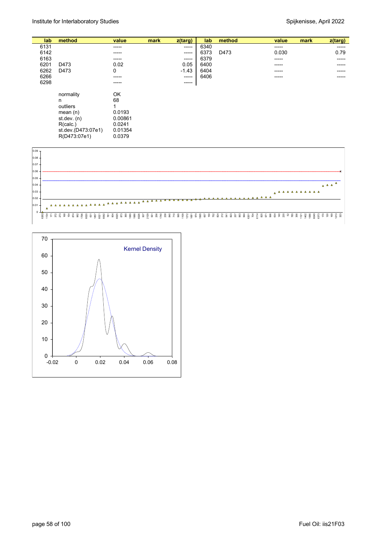R(D473:07e1) 0.0379

| lab  | method             | value   | mark | z(targ) | lab  | method | value | mark<br>z(targ) |
|------|--------------------|---------|------|---------|------|--------|-------|-----------------|
| 6131 |                    | -----   |      | ------  | 6340 |        | ----- | -----           |
| 6142 |                    | -----   |      | -----   | 6373 | D473   | 0.030 | 0.79            |
| 6163 |                    | -----   |      | -----   | 6379 |        | ----- | -----           |
| 6201 | D473               | 0.02    |      | 0.05    | 6400 |        | ----- | -----           |
| 6262 | D473               | 0       |      | $-1.43$ | 6404 |        | ----- | -----           |
| 6266 |                    | ------  |      | -----   | 6406 |        | ----- | -----           |
| 6298 |                    | ------  |      | -----   |      |        |       |                 |
|      |                    |         |      |         |      |        |       |                 |
|      | normality          | OK      |      |         |      |        |       |                 |
|      | n                  | 68      |      |         |      |        |       |                 |
|      | outliers           |         |      |         |      |        |       |                 |
|      | mean $(n)$         | 0.0193  |      |         |      |        |       |                 |
|      | st.dev. $(n)$      | 0.00861 |      |         |      |        |       |                 |
|      | R(calc.)           | 0.0241  |      |         |      |        |       |                 |
|      | st.dev.(D473:07e1) | 0.01354 |      |         |      |        |       |                 |



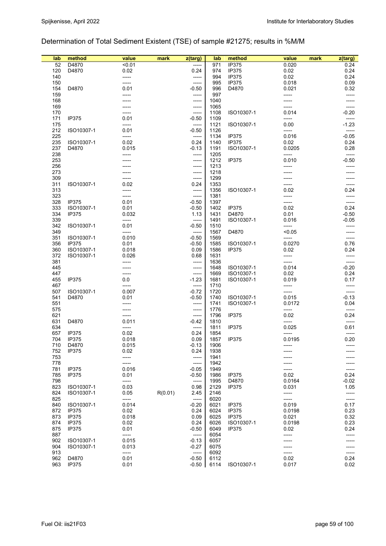### Determination of Total Sediment Existent (TSE) of sample #21275; results in %M/M

| lab | method       | value  | mark    | $z$ (targ) | lab  | method       | value  | mark<br>$z$ (targ) |
|-----|--------------|--------|---------|------------|------|--------------|--------|--------------------|
| 52  | D4870        | < 0.01 |         | -----      | 971  | <b>IP375</b> | 0.020  | 0.24               |
|     | D4870        |        |         |            |      | <b>IP375</b> |        |                    |
| 120 |              | 0.02   |         | 0.24       | 974  |              | 0.02   | 0.24               |
| 140 |              | -----  |         | -----      | 994  | IP375        | 0.02   | 0.24               |
| 150 |              | -----  |         | -----      | 995  | IP375        | 0.018  | 0.09               |
| 154 | D4870        | 0.01   |         | $-0.50$    | 996  | D4870        | 0.021  | 0.32               |
| 159 |              |        |         | -----      | 997  |              | -----  |                    |
| 168 |              |        |         | -----      | 1040 |              |        |                    |
| 169 |              |        |         | -----      | 1065 |              |        |                    |
| 170 |              |        |         | -----      | 1108 | ISO10307-1   | 0.014  | $-0.20$            |
| 171 | <b>IP375</b> | 0.01   |         | $-0.50$    | 1109 |              | -----  |                    |
| 175 |              | -----  |         | -----      | 1121 | ISO10307-1   | 0.00   | $-1.23$            |
| 212 | ISO10307-1   | 0.01   |         | $-0.50$    | 1126 |              | -----  | -----              |
| 225 |              |        |         |            | 1134 | <b>IP375</b> | 0.016  | $-0.05$            |
|     |              | -----  |         | -----      |      | <b>IP375</b> |        |                    |
| 235 | ISO10307-1   | 0.02   |         | 0.24       | 1140 |              | 0.02   | 0.24               |
| 237 | D4870        | 0.015  |         | $-0.13$    | 1191 | ISO10307-1   | 0.0205 | 0.28               |
| 238 |              |        |         | -----      | 1205 |              | -----  |                    |
| 253 |              |        |         | -----      | 1212 | IP375        | 0.010  | $-0.50$            |
| 256 |              |        |         | -----      | 1213 |              |        |                    |
| 273 |              |        |         | -----      | 1218 |              |        |                    |
| 309 |              |        |         | -----      | 1299 |              |        |                    |
| 311 | ISO10307-1   | 0.02   |         | 0.24       | 1353 |              |        |                    |
| 313 |              | -----  |         | -----      | 1356 | ISO10307-1   | 0.02   | 0.24               |
| 323 |              |        |         | -----      | 1381 |              | -----  | -----              |
| 328 | <b>IP375</b> | 0.01   |         | $-0.50$    | 1397 |              |        |                    |
| 333 | ISO10307-1   | 0.01   |         | $-0.50$    | 1402 | <b>IP375</b> | 0.02   | 0.24               |
|     |              |        |         |            |      |              |        |                    |
| 334 | <b>IP375</b> | 0.032  |         | 1.13       | 1431 | D4870        | 0.01   | $-0.50$            |
| 339 |              | -----  |         | -----      | 1491 | ISO10307-1   | 0.016  | $-0.05$            |
| 342 | ISO10307-1   | 0.01   |         | $-0.50$    | 1510 |              | -----  |                    |
| 349 |              | -----  |         | -----      | 1567 | D4870        | < 0.05 |                    |
| 351 | ISO10307-1   | 0.010  |         | $-0.50$    | 1569 |              | -----  | -----              |
| 356 | <b>IP375</b> | 0.01   |         | $-0.50$    | 1585 | ISO10307-1   | 0.0270 | 0.76               |
| 360 | ISO10307-1   | 0.018  |         | 0.09       | 1586 | IP375        | 0.02   | 0.24               |
| 372 | ISO10307-1   | 0.026  |         | 0.68       | 1631 |              | -----  | -----              |
| 381 |              |        |         | -----      | 1636 |              | -----  | -----              |
| 445 |              |        |         | -----      | 1648 | ISO10307-1   | 0.014  | $-0.20$            |
| 447 |              |        |         | -----      | 1669 | ISO10307-1   | 0.02   | 0.24               |
| 455 | <b>IP375</b> | 0.0    |         | $-1.23$    | 1681 | ISO10307-1   | 0.019  | 0.17               |
|     |              | -----  |         |            |      |              |        |                    |
| 467 |              |        |         | -----      | 1710 |              | -----  | -----              |
| 507 | ISO10307-1   | 0.007  |         | $-0.72$    | 1720 |              | -----  |                    |
| 541 | D4870        | 0.01   |         | $-0.50$    | 1740 | ISO10307-1   | 0.015  | $-0.13$            |
| 551 |              |        |         | -----      | 1741 | ISO10307-1   | 0.0172 | 0.04               |
| 575 |              |        |         | -----      | 1776 |              | -----  | -----              |
| 621 |              |        |         | -----      | 1796 | IP375        | 0.02   | 0.24               |
| 631 | D4870        | 0.011  |         | -0.42      | 1810 |              | -----  | -----              |
| 634 |              | -----  |         | -----      | 1811 | IP375        | 0.025  | 0.61               |
| 657 | <b>IP375</b> | 0.02   |         | 0.24       | 1854 |              |        |                    |
| 704 | <b>IP375</b> | 0.018  |         | 0.09       | 1857 | <b>IP375</b> | 0.0195 | 0.20               |
| 710 | D4870        | 0.015  |         | $-0.13$    | 1906 |              |        |                    |
| 752 | <b>IP375</b> | 0.02   |         | 0.24       | 1938 |              |        |                    |
| 753 |              | -----  |         | -----      | 1941 |              |        |                    |
| 778 |              |        |         | -----      | 1942 |              |        |                    |
| 781 | <b>IP375</b> | 0.016  |         | $-0.05$    | 1949 |              |        |                    |
| 785 | <b>IP375</b> | 0.01   |         | $-0.50$    | 1986 | <b>IP375</b> | 0.02   | 0.24               |
| 798 |              | -----  |         | -----      |      | D4870        | 0.0164 | $-0.02$            |
|     |              |        |         |            | 1995 |              |        |                    |
| 823 | ISO10307-1   | 0.03   |         | 0.98       | 2129 | IP375        | 0.031  | 1.05               |
| 824 | ISO10307-1   | 0.05   | R(0.01) | 2.45       | 2146 |              | -----  | -----              |
| 825 |              | -----  |         | -----      | 6020 |              | -----  | -----              |
| 840 | ISO10307-1   | 0.014  |         | $-0.20$    | 6021 | IP375        | 0.019  | 0.17               |
| 872 | <b>IP375</b> | 0.02   |         | 0.24       | 6024 | <b>IP375</b> | 0.0198 | 0.23               |
| 873 | <b>IP375</b> | 0.018  |         | 0.09       | 6025 | <b>IP375</b> | 0.021  | 0.32               |
| 874 | <b>IP375</b> | 0.02   |         | 0.24       | 6026 | ISO10307-1   | 0.0198 | 0.23               |
| 875 | <b>IP375</b> | 0.01   |         | $-0.50$    | 6049 | IP375        | 0.02   | 0.24               |
| 887 |              | -----  |         | -----      | 6054 |              | -----  | -----              |
| 902 | ISO10307-1   | 0.015  |         | $-0.13$    | 6057 |              |        |                    |
| 904 | ISO10307-1   | 0.013  |         | $-0.27$    | 6075 |              |        |                    |
| 913 |              | -----  |         | -----      | 6092 |              | -----  | -----              |
| 962 | D4870        | 0.01   |         | $-0.50$    | 6112 |              | 0.02   | 0.24               |
| 963 | <b>IP375</b> | 0.01   |         | $-0.50$    | 6114 | ISO10307-1   | 0.017  | 0.02               |
|     |              |        |         |            |      |              |        |                    |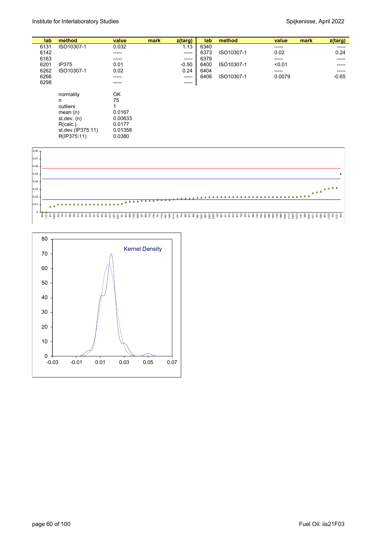| lab  | method            | value   | mark | z(targ)     | lab  | method     | value  | mark | z(targ) |
|------|-------------------|---------|------|-------------|------|------------|--------|------|---------|
| 6131 | ISO10307-1        | 0.032   |      | 1.13        | 6340 |            | -----  |      | -----   |
| 6142 |                   | -----   |      | -----       | 6373 | ISO10307-1 | 0.02   |      | 0.24    |
| 6163 |                   | -----   |      | -----       | 6379 |            | -----  |      | -----   |
| 6201 | <b>IP375</b>      | 0.01    |      | $-0.50$     | 6400 | ISO10307-1 | < 0.01 |      | -----   |
| 6262 | ISO10307-1        | 0.02    |      | 0.24        | 6404 |            | -----  |      | -----   |
| 6266 |                   | -----   |      | $- - - - -$ | 6406 | ISO10307-1 | 0.0079 |      | $-0.65$ |
| 6298 |                   | -----   |      | ------      |      |            |        |      |         |
|      | normality         | OK      |      |             |      |            |        |      |         |
|      | n                 | 75      |      |             |      |            |        |      |         |
|      | outliers          |         |      |             |      |            |        |      |         |
|      | mean $(n)$        | 0.0167  |      |             |      |            |        |      |         |
|      | st.dev. $(n)$     | 0.00633 |      |             |      |            |        |      |         |
|      | R(calc.)          | 0.0177  |      |             |      |            |        |      |         |
|      | st.dev.(IP375:11) | 0.01358 |      |             |      |            |        |      |         |
|      | R(IP375:11)       | 0.0380  |      |             |      |            |        |      |         |
|      |                   |         |      |             |      |            |        |      |         |



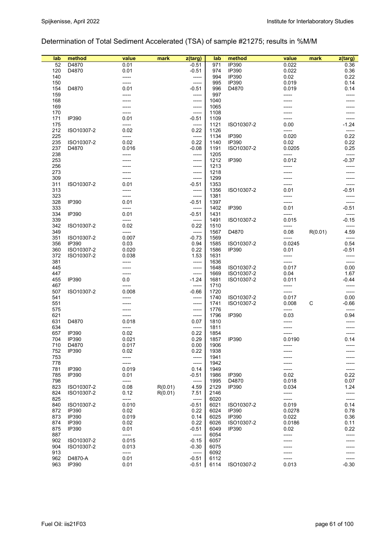### Determination of Total Sediment Accelerated (TSA) of sample #21275; results in %M/M

| lab        | method     | value          | mark    | z(targ)          | lab          | method         | value          | mark    | z(targ)        |
|------------|------------|----------------|---------|------------------|--------------|----------------|----------------|---------|----------------|
| 52         | D4870      | 0.01           |         | $-0.51$          | 971          | IP390          | 0.022          |         | 0.36           |
| 120        | D4870      | 0.01           |         | $-0.51$          | 974          | IP390          | 0.022          |         | 0.36           |
| 140        |            | -----          |         | -----            | 994          | IP390          | 0.02           |         | 0.22           |
| 150        |            | -----          |         | -----            | 995          | IP390          | 0.019          |         | 0.14           |
| 154        | D4870      | 0.01           |         | -0.51            | 996          | D4870          | 0.019          |         | 0.14           |
| 159        |            |                |         | -----            | 997          |                | -----          |         |                |
| 168        |            |                |         | -----            | 1040         |                |                |         |                |
| 169        |            |                |         | -----            | 1065         |                |                |         |                |
| 170        |            |                |         | -----            | 1108         |                |                |         |                |
| 171        | IP390      | 0.01           |         | $-0.51$          | 1109         |                |                |         |                |
| 175        |            | -----          |         | -----            | 1121         | ISO10307-2     | 0.00           |         | -1.24          |
| 212        | ISO10307-2 | 0.02           |         | 0.22             | 1126         |                | -----          |         | -----          |
| 225<br>235 | ISO10307-2 | -----<br>0.02  |         | -----<br>0.22    | 1134<br>1140 | IP390<br>IP390 | 0.020<br>0.02  |         | 0.22<br>0.22   |
| 237        | D4870      | 0.016          |         | $-0.08$          | 1191         | ISO10307-2     | 0.0205         |         | 0.25           |
| 238        |            | -----          |         | -----            | 1205         |                | -----          |         | -----          |
| 253        |            |                |         | -----            | 1212         | IP390          | 0.012          |         | $-0.37$        |
| 256        |            |                |         | -----            | 1213         |                | -----          |         |                |
| 273        |            |                |         | -----            | 1218         |                |                |         |                |
| 309        |            |                |         | -----            | 1299         |                |                |         |                |
| 311        | ISO10307-2 | 0.01           |         | -0.51            | 1353         |                |                |         |                |
| 313        |            |                |         | -----            | 1356         | ISO10307-2     | 0.01           |         | $-0.51$        |
| 323        |            | -----          |         | -----            | 1381         |                | -----          |         | -----          |
| 328        | IP390      | 0.01           |         | $-0.51$          | 1397         |                |                |         |                |
| 333        |            |                |         | -----            | 1402         | IP390          | 0.01           |         | $-0.51$        |
| 334        | IP390      | 0.01           |         | $-0.51$          | 1431         |                | -----          |         | -----          |
| 339        |            | -----          |         | -----            | 1491         | ISO10307-2     | 0.015          |         | $-0.15$        |
| 342        | ISO10307-2 | 0.02           |         | 0.22             | 1510         |                | -----          |         | -----          |
| 349<br>351 | ISO10307-2 | -----<br>0.007 |         | -----<br>$-0.73$ | 1567<br>1569 | D4870          | 0.08<br>-----  | R(0.01) | 4.59<br>-----  |
| 356        | IP390      | 0.03           |         | 0.94             | 1585         | ISO10307-2     | 0.0245         |         | 0.54           |
| 360        | ISO10307-2 | 0.020          |         | 0.22             | 1586         | IP390          | 0.01           |         | $-0.51$        |
| 372        | ISO10307-2 | 0.038          |         | 1.53             | 1631         |                | -----          |         | -----          |
| 381        |            | -----          |         | -----            | 1636         |                | -----          |         | -----          |
| 445        |            | -----          |         | -----            | 1648         | ISO10307-2     | 0.017          |         | 0.00           |
| 447        |            |                |         | -----            | 1669         | ISO10307-2     | 0.04           |         | 1.67           |
| 455        | IP390      | 0.0            |         | $-1.24$          | 1681         | ISO10307-2     | 0.011          |         | -0.44          |
| 467        |            | -----          |         | -----            | 1710         |                | -----          |         | -----          |
| 507        | ISO10307-2 | 0.008          |         | $-0.66$          | 1720         |                |                |         | -----          |
| 541        |            |                |         | -----            | 1740         | ISO10307-2     | 0.017          |         | 0.00           |
| 551        |            |                |         | -----            | 1741         | ISO10307-2     | 0.008          | C       | -0.66          |
| 575        |            |                |         | -----            | 1776         |                | -----          |         | -----          |
| 621<br>631 | D4870      | 0.018          |         | -----<br>0.07    | 1796<br>1810 | IP390          | 0.03           |         | 0.94<br>-----  |
| 634        |            | -----          |         | -----            | 1811         |                |                |         |                |
| 657        | IP390      | 0.02           |         | 0.22             | 1854         |                |                |         |                |
| 704        | IP390      | 0.021          |         | 0.29             | 1857         | IP390          | 0.0190         |         | 0.14           |
| 710        | D4870      | 0.017          |         | 0.00             | 1906         |                |                |         |                |
| 752        | IP390      | 0.02           |         | 0.22             | 1938         |                |                |         |                |
| 753        |            | -----          |         | -----            | 1941         |                |                |         |                |
| 778        |            |                |         | -----            | 1942         |                |                |         |                |
| 781        | IP390      | 0.019          |         | 0.14             | 1949         |                |                |         | -----          |
| 785        | IP390      | 0.01           |         | $-0.51$          | 1986         | IP390          | 0.02           |         | 0.22           |
| 798        |            | -----          |         | -----            | 1995         | D4870          | 0.018          |         | 0.07           |
| 823        | ISO10307-2 | 0.08           | R(0.01) | 4.59             | 2129         | IP390          | 0.034          |         | 1.24           |
| 824<br>825 | ISO10307-2 | 0.12<br>-----  | R(0.01) | 7.51<br>-----    | 2146<br>6020 |                | -----<br>----- |         | -----<br>----- |
| 840        | ISO10307-2 | 0.010          |         | $-0.51$          | 6021         | ISO10307-2     | 0.019          |         | 0.14           |
| 872        | IP390      | 0.02           |         | 0.22             | 6024         | IP390          | 0.0278         |         | 0.78           |
| 873        | IP390      | 0.019          |         | 0.14             | 6025         | IP390          | 0.022          |         | 0.36           |
| 874        | IP390      | 0.02           |         | 0.22             | 6026         | ISO10307-2     | 0.0186         |         | 0.11           |
| 875        | IP390      | 0.01           |         | $-0.51$          | 6049         | IP390          | 0.02           |         | 0.22           |
| 887        |            | -----          |         | -----            | 6054         |                | -----          |         | -----          |
| 902        | ISO10307-2 | 0.015          |         | $-0.15$          | 6057         |                |                |         |                |
| 904        | ISO10307-2 | 0.013          |         | $-0.30$          | 6075         |                |                |         |                |
| 913        |            | -----          |         | -----            | 6092         |                |                |         |                |
| 962        | D4870-A    | 0.01           |         | $-0.51$          | 6112         |                | -----          |         | -----          |
| 963        | IP390      | 0.01           |         | $-0.51$          | 6114         | ISO10307-2     | 0.013          |         | -0.30          |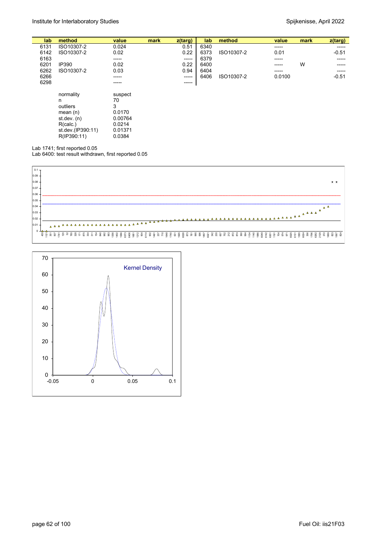| lab  | method     | value  | mark | z(targ)     | lab  | method     | value  | mark | z(targ) |
|------|------------|--------|------|-------------|------|------------|--------|------|---------|
|      |            |        |      |             |      |            |        |      |         |
| 6131 | ISO10307-2 | 0.024  |      | 0.51        | 6340 |            | -----  |      | ------  |
| 6142 | ISO10307-2 | 0.02   |      | 0.22        | 6373 | ISO10307-2 | 0.01   |      | $-0.51$ |
| 6163 |            | ------ |      | $- - - - -$ | 6379 |            | -----  |      |         |
| 6201 | IP390      | 0.02   |      | 0.22        | 6400 |            | ------ | W    | -----   |
| 6262 | ISO10307-2 | 0.03   |      | 0.94        | 6404 |            | -----  |      | -----   |
| 6266 |            | -----  |      | $- - - - -$ | 6406 | ISO10307-2 | 0.0100 |      | $-0.51$ |
| 6298 |            | ------ |      | $- - - - -$ |      |            |        |      |         |
|      |            |        |      |             |      |            |        |      |         |

| normality         | suspect |
|-------------------|---------|
| n                 | 70      |
| outliers          | 3       |
| mean(n)           | 0.0170  |
| st.dev. (n)       | 0.00764 |
| R(calc.)          | 0.0214  |
| st.dev.(IP390:11) | 0.01371 |
| R(IP390:11)       | 0.0384  |
|                   |         |

Lab 1741; first reported 0.05

Lab 6400: test result withdrawn, first reported 0.05



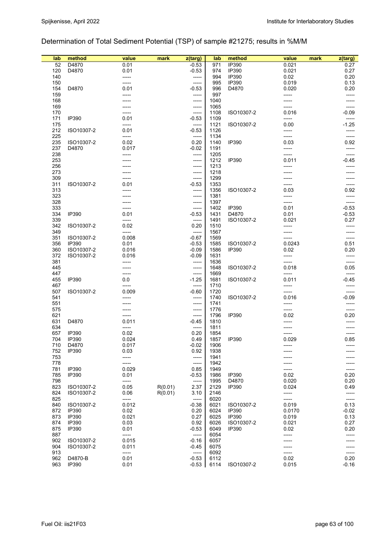## Determination of Total Sediment Potential (TSP) of sample #21275; results in %M/M

| lab        | method     | value | mark    | z(targ)          | lab          | method       | value          | mark<br>$z$ (targ) |
|------------|------------|-------|---------|------------------|--------------|--------------|----------------|--------------------|
| 52         | D4870      | 0.01  |         | $-0.53$          | 971          | IP390        | 0.021          | 0.27               |
| 120        | D4870      | 0.01  |         | $-0.53$          | 974          | IP390        | 0.021          | 0.27               |
| 140        |            | ----- |         | -----            | 994          | IP390        | 0.02           | 0.20               |
| 150        |            | ----- |         | -----            | 995          | IP390        | 0.019          | 0.13               |
| 154        | D4870      | 0.01  |         | $-0.53$          | 996          | D4870        | 0.020          | 0.20               |
| 159        |            |       |         | -----            | 997          |              | -----          |                    |
| 168        |            |       |         | -----            | 1040         |              |                |                    |
| 169        |            |       |         | -----            | 1065         |              | -----          | -----              |
| 170        |            |       |         | -----            | 1108         | ISO10307-2   | 0.016          | $-0.09$            |
| 171        | IP390      | 0.01  |         | $-0.53$          | 1109         |              | -----          |                    |
| 175        |            | ----- |         | -----            | 1121         | ISO10307-2   | 0.00           | $-1.25$            |
| 212        | ISO10307-2 | 0.01  |         | $-0.53$          | 1126         |              | -----          |                    |
| 225        |            | ----- |         | -----            | 1134         |              | -----          |                    |
| 235        | ISO10307-2 | 0.02  |         | 0.20             | 1140         | IP390        | 0.03           | 0.92               |
| 237        | D4870      | 0.017 |         | $-0.02$          | 1191         |              | -----          | -----              |
| 238        |            |       |         | -----            | 1205         |              |                |                    |
| 253        |            |       |         | -----            | 1212         | IP390        | 0.011          | -0.45              |
| 256        |            |       |         | -----            | 1213         |              |                |                    |
| 273        |            |       |         | -----            | 1218         |              |                |                    |
| 309        |            |       |         | -----            | 1299         |              |                |                    |
| 311        | ISO10307-2 | 0.01  |         | $-0.53$          | 1353         |              |                |                    |
| 313        |            |       |         | -----            | 1356         | ISO10307-2   | 0.03           | 0.92               |
| 323        |            |       |         | -----            | 1381         |              | -----          | -----              |
| 328        |            |       |         | -----            | 1397         |              |                |                    |
| 333        |            |       |         | -----            | 1402         | IP390        | 0.01           | $-0.53$            |
| 334        | IP390      | 0.01  |         | $-0.53$          | 1431         | D4870        | 0.01           | $-0.53$            |
| 339        |            |       |         | -----            | 1491         | ISO10307-2   | 0.021          | 0.27               |
| 342        | ISO10307-2 | 0.02  |         | 0.20             | 1510         |              |                |                    |
| 349        |            | ----- |         | -----            | 1567         |              |                |                    |
| 351        | ISO10307-2 | 0.008 |         | $-0.67$          | 1569         |              | -----          |                    |
| 356        | IP390      | 0.01  |         | $-0.53$          | 1585         | ISO10307-2   | 0.0243         | 0.51               |
| 360        | ISO10307-2 | 0.016 |         | $-0.09$          | 1586         | <b>IP390</b> | 0.02           | 0.20               |
| 372        | ISO10307-2 | 0.016 |         | $-0.09$          | 1631         |              | -----          | -----              |
| 381        |            |       |         | -----            | 1636         |              | -----          | -----              |
| 445        |            |       |         | -----            | 1648         | ISO10307-2   | 0.018          | 0.05               |
| 447        |            |       |         | -----            | 1669         |              | -----          | -----              |
| 455        | IP390      | 0.0   |         | $-1.25$          | 1681         | ISO10307-2   | 0.011          | -0.45              |
| 467        |            | ----- |         | -----            | 1710         |              | -----          |                    |
| 507<br>541 | ISO10307-2 | 0.009 |         | $-0.60$<br>----- | 1720<br>1740 | ISO10307-2   | -----<br>0.016 | $-0.09$            |
| 551        |            |       |         | -----            | 1741         |              | -----          |                    |
| 575        |            |       |         | -----            | 1776         |              | -----          | -----              |
| 621        |            |       |         | -----            | 1796         | IP390        | 0.02           | 0.20               |
| 631        | D4870      | 0.011 |         | $-0.45$          | 1810         |              |                | -----              |
| 634        |            | ----- |         | -----            | 1811         |              |                |                    |
| 657        | IP390      | 0.02  |         | 0.20             | 1854         |              |                |                    |
| 704        | IP390      | 0.024 |         | 0.49             | 1857         | IP390        | 0.029          | 0.85               |
| 710        | D4870      | 0.017 |         | $-0.02$          | 1906         |              |                |                    |
| 752        | IP390      | 0.03  |         | 0.92             | 1938         |              |                |                    |
| 753        |            | ----- |         | -----            | 1941         |              |                |                    |
| 778        |            |       |         | -----            | 1942         |              |                |                    |
| 781        | IP390      | 0.029 |         | 0.85             | 1949         |              |                | -----              |
| 785        | IP390      | 0.01  |         | $-0.53$          | 1986         | IP390        | 0.02           | 0.20               |
| 798        |            | ----- |         | -----            | 1995         | D4870        | 0.020          | 0.20               |
| 823        | ISO10307-2 | 0.05  | R(0.01) | 2.37             | 2129         | IP390        | 0.024          | 0.49               |
| 824        | ISO10307-2 | 0.06  | R(0.01) | 3.10             | 2146         |              | -----          | -----              |
| 825        |            | ----- |         | -----            | 6020         |              | -----          | -----              |
| 840        | ISO10307-2 | 0.012 |         | $-0.38$          | 6021         | ISO10307-2   | 0.019          | 0.13               |
| 872        | IP390      | 0.02  |         | 0.20             | 6024         | IP390        | 0.0170         | $-0.02$            |
| 873        | IP390      | 0.021 |         | 0.27             | 6025         | IP390        | 0.019          | 0.13               |
| 874        | IP390      | 0.03  |         | 0.92             | 6026         | ISO10307-2   | 0.021          | 0.27               |
| 875        | IP390      | 0.01  |         | $-0.53$          | 6049         | IP390        | 0.02           | 0.20               |
| 887        |            | ----- |         | -----            | 6054         |              | -----          | -----              |
| 902        | ISO10307-2 | 0.015 |         | $-0.16$          | 6057         |              |                |                    |
| 904        | ISO10307-2 | 0.011 |         | $-0.45$          | 6075         |              |                |                    |
| 913        |            | ----- |         | -----            | 6092         |              | -----          | -----              |
| 962        | D4870-B    | 0.01  |         | $-0.53$          | 6112         |              | 0.02           | 0.20               |
| 963        | IP390      | 0.01  |         | $-0.53$          | 6114         | ISO10307-2   | 0.015          | $-0.16$            |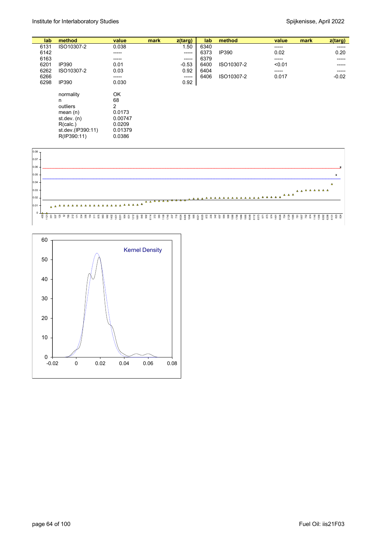| lab. | method            | value   | mark | z(targ) | lab  | method     | value  | mark | z(targ) |
|------|-------------------|---------|------|---------|------|------------|--------|------|---------|
| 6131 | ISO10307-2        | 0.038   |      | 1.50    | 6340 |            | -----  |      | -----   |
| 6142 |                   | -----   |      | -----   | 6373 | IP390      | 0.02   |      | 0.20    |
| 6163 |                   | -----   |      | ------  | 6379 |            | -----  |      | -----   |
| 6201 | IP390             | 0.01    |      | $-0.53$ | 6400 | ISO10307-2 | < 0.01 |      | -----   |
| 6262 | ISO10307-2        | 0.03    |      | 0.92    | 6404 |            | -----  |      | -----   |
| 6266 |                   | -----   |      | $--- -$ | 6406 | ISO10307-2 | 0.017  |      | $-0.02$ |
| 6298 | IP390             | 0.030   |      | 0.92    |      |            |        |      |         |
|      | normality         | OK      |      |         |      |            |        |      |         |
|      | n                 | 68      |      |         |      |            |        |      |         |
|      | outliers          | 2       |      |         |      |            |        |      |         |
|      | mean $(n)$        | 0.0173  |      |         |      |            |        |      |         |
|      | st.dev. $(n)$     | 0.00747 |      |         |      |            |        |      |         |
|      | R(calc.)          | 0.0209  |      |         |      |            |        |      |         |
|      | st.dev.(IP390:11) | 0.01379 |      |         |      |            |        |      |         |
|      | R(IP390:11)       | 0.0386  |      |         |      |            |        |      |         |
|      |                   |         |      |         |      |            |        |      |         |



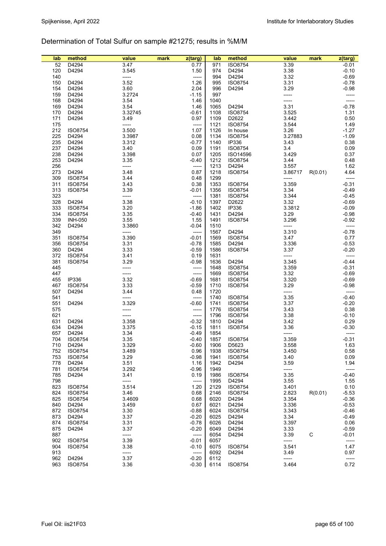### Determination of Total Sulfur on sample #21275; results in %M/M

| lab | method         | value   | mark | z(targ) | lab  | method         | value   | mark    | z(targ) |
|-----|----------------|---------|------|---------|------|----------------|---------|---------|---------|
| 52  | D4294          | 3.47    |      | 0.77    | 971  | <b>ISO8754</b> | 3.39    |         | $-0.01$ |
| 120 | D4294          | 3.545   |      | 1.50    | 974  | D4294          | 3.38    |         | $-0.10$ |
|     |                |         |      |         |      |                |         |         |         |
| 140 |                | -----   |      | -----   | 994  | D4294          | 3.32    |         | $-0.69$ |
| 150 | D4294          | 3.52    |      | 1.26    | 995  | <b>ISO8754</b> | 3.31    |         | $-0.78$ |
| 154 | D4294          | 3.60    |      | 2.04    | 996  | D4294          | 3.29    |         | $-0.98$ |
| 159 | D4294          | 3.2724  |      | $-1.15$ | 997  |                | -----   |         | -----   |
| 168 | D4294          | 3.54    |      | 1.46    | 1040 |                | -----   |         | -----   |
| 169 | D4294          | 3.54    |      | 1.46    | 1065 | D4294          | 3.31    |         | $-0.78$ |
| 170 | D4294          | 3.32745 |      | $-0.61$ | 1108 | <b>ISO8754</b> | 3.525   |         | 1.31    |
| 171 | D4294          | 3.49    |      | 0.97    | 1109 | D2622          | 3.442   |         | 0.50    |
| 175 |                | -----   |      | -----   | 1121 | <b>ISO8754</b> | 3.544   |         | 1.49    |
| 212 | <b>ISO8754</b> | 3.500   |      | 1.07    | 1126 | In house       | 3.26    |         | $-1.27$ |
| 225 | D4294          | 3.3987  |      | 0.08    | 1134 |                | 3.27883 |         | $-1.09$ |
|     |                |         |      |         |      | <b>ISO8754</b> |         |         |         |
| 235 | D4294          | 3.312   |      | $-0.77$ | 1140 | <b>IP336</b>   | 3.43    |         | 0.38    |
| 237 | D4294          | 3.40    |      | 0.09    | 1191 | <b>ISO8754</b> | 3.4     |         | 0.09    |
| 238 | D4294          | 3.398   |      | 0.07    | 1205 | ISO14596       | 3.429   |         | 0.37    |
| 253 | D4294          | 3.35    |      | $-0.40$ | 1212 | ISO8754        | 3.44    |         | 0.48    |
| 256 |                | -----   |      | -----   | 1213 | D4294          | 3.557   |         | 1.62    |
| 273 | D4294          | 3.48    |      | 0.87    | 1218 | <b>ISO8754</b> | 3.86717 | R(0.01) | 4.64    |
| 309 | <b>ISO8754</b> | 3.44    |      | 0.48    | 1299 |                | -----   |         | $-----$ |
| 311 | <b>ISO8754</b> | 3.43    |      | 0.38    | 1353 | <b>ISO8754</b> | 3.359   |         | $-0.31$ |
| 313 | <b>ISO8754</b> | 3.39    |      | $-0.01$ | 1356 | <b>ISO8754</b> | 3.34    |         | $-0.49$ |
| 323 |                | -----   |      | -----   | 1381 | <b>ISO8754</b> | 3.344   |         | $-0.45$ |
| 328 | D4294          | 3.38    |      | $-0.10$ | 1397 | D2622          | 3.32    |         | $-0.69$ |
| 333 | <b>ISO8754</b> | 3.20    |      | $-1.86$ | 1402 | IP336          | 3.3812  |         | $-0.09$ |
|     |                | 3.35    |      |         | 1431 | D4294          |         |         |         |
| 334 | <b>ISO8754</b> |         |      | $-0.40$ |      | <b>ISO8754</b> | 3.29    |         | $-0.98$ |
| 339 | <b>INH-050</b> | 3.55    |      | 1.55    | 1491 |                | 3.296   |         | $-0.92$ |
| 342 | D4294          | 3.3860  |      | $-0.04$ | 1510 |                | -----   |         | -----   |
| 349 |                | -----   |      | -----   | 1567 | D4294          | 3.310   |         | $-0.78$ |
| 351 | <b>ISO8754</b> | 3.390   |      | $-0.01$ | 1569 | <b>ISO8754</b> | 3.47    |         | 0.77    |
| 356 | <b>ISO8754</b> | 3.31    |      | $-0.78$ | 1585 | D4294          | 3.336   |         | $-0.53$ |
| 360 | D4294          | 3.33    |      | $-0.59$ | 1586 | <b>ISO8754</b> | 3.37    |         | $-0.20$ |
| 372 | <b>ISO8754</b> | 3.41    |      | 0.19    | 1631 |                | -----   |         | -----   |
| 381 | <b>ISO8754</b> | 3.29    |      | $-0.98$ | 1636 | D4294          | 3.345   |         | $-0.44$ |
| 445 |                | -----   |      | -----   | 1648 | <b>ISO8754</b> | 3.359   |         | $-0.31$ |
| 447 |                | -----   |      | -----   | 1669 | <b>ISO8754</b> | 3.32    |         | $-0.69$ |
| 455 | IP336          | 3.32    |      | $-0.69$ | 1681 | <b>ISO8754</b> | 3.320   |         | $-0.69$ |
| 467 | <b>ISO8754</b> | 3.33    |      | $-0.59$ | 1710 | <b>ISO8754</b> | 3.29    |         | $-0.98$ |
|     |                |         |      |         |      |                |         |         |         |
| 507 | D4294          | 3.44    |      | 0.48    | 1720 |                | -----   |         | -----   |
| 541 |                | -----   |      | -----   | 1740 | <b>ISO8754</b> | 3.35    |         | $-0.40$ |
| 551 | D4294          | 3.329   |      | $-0.60$ | 1741 | <b>ISO8754</b> | 3.37    |         | $-0.20$ |
| 575 |                | -----   |      | -----   | 1776 | <b>ISO8754</b> | 3.43    |         | 0.38    |
| 621 |                | -----   |      | -----   | 1796 | <b>ISO8754</b> | 3.38    |         | $-0.10$ |
| 631 | D4294          | 3.358   |      | $-0.32$ | 1810 | D4294          | 3.42    |         | 0.29    |
| 634 | D4294          | 3.375   |      | $-0.15$ | 1811 | <b>ISO8754</b> | 3.36    |         | $-0.30$ |
| 657 | D4294          | 3.34    |      | $-0.49$ | 1854 |                | -----   |         | -----   |
| 704 | ISO8754        | 3.35    |      | $-0.40$ | 1857 | <b>ISO8754</b> | 3.359   |         | $-0.31$ |
| 710 | D4294          | 3.329   |      | $-0.60$ | 1906 | D5623          | 3.558   |         | 1.63    |
| 752 | <b>ISO8754</b> | 3.489   |      | 0.96    | 1938 | ISO8754        | 3.450   |         | 0.58    |
| 753 | <b>ISO8754</b> | 3.29    |      | $-0.98$ | 1941 | <b>ISO8754</b> | 3.40    |         | 0.09    |
| 778 | D4294          | 3.51    |      | 1.16    | 1942 | D4294          | 3.59    |         | 1.94    |
| 781 | <b>ISO8754</b> | 3.292   |      | $-0.96$ | 1949 |                | -----   |         | -----   |
| 785 | D4294          | 3.41    |      | 0.19    | 1986 | <b>ISO8754</b> | 3.35    |         | $-0.40$ |
|     |                |         |      |         |      |                |         |         |         |
| 798 |                | -----   |      | -----   | 1995 | D4294          | 3.55    |         | 1.55    |
| 823 | <b>ISO8754</b> | 3.514   |      | 1.20    | 2129 | <b>ISO8754</b> | 3.401   |         | 0.10    |
| 824 | <b>ISO8754</b> | 3.46    |      | 0.68    | 2146 | ISO8754        | 2.823   | R(0.01) | $-5.53$ |
| 825 | <b>ISO8754</b> | 3.4609  |      | 0.68    | 6020 | D4294          | 3.354   |         | $-0.36$ |
| 840 | D4294          | 3.459   |      | 0.67    | 6021 | D4294          | 3.336   |         | $-0.53$ |
| 872 | <b>ISO8754</b> | 3.30    |      | $-0.88$ | 6024 | <b>ISO8754</b> | 3.343   |         | $-0.46$ |
| 873 | D4294          | 3.37    |      | $-0.20$ | 6025 | D4294          | 3.34    |         | $-0.49$ |
| 874 | <b>ISO8754</b> | 3.31    |      | $-0.78$ | 6026 | D4294          | 3.397   |         | 0.06    |
| 875 | D4294          | 3.37    |      | $-0.20$ | 6049 | D4294          | 3.33    |         | $-0.59$ |
| 887 |                | -----   |      | -----   | 6054 | D4294          | 3.39    | C       | $-0.01$ |
| 902 | ISO8754        | 3.39    |      | $-0.01$ | 6057 |                | -----   |         | -----   |
| 904 | <b>ISO8754</b> | 3.38    |      | $-0.10$ | 6075 | <b>ISO8754</b> | 3.541   |         | 1.47    |
| 913 |                | -----   |      | -----   | 6092 | D4294          | 3.49    |         | 0.97    |
|     | D4294          |         |      |         |      |                |         |         |         |
| 962 |                | 3.37    |      | $-0.20$ | 6112 |                | -----   |         | -----   |
| 963 | <b>ISO8754</b> | 3.36    |      | $-0.30$ | 6114 | <b>ISO8754</b> | 3.464   |         | 0.72    |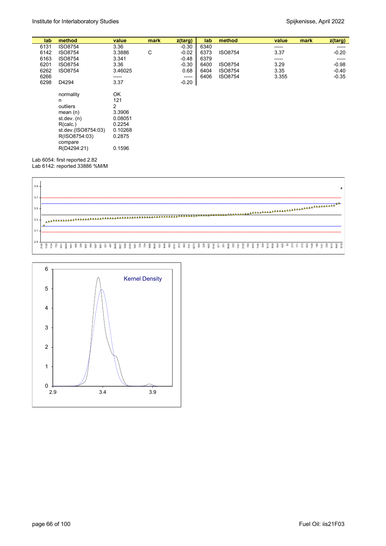| lab  | method                 | value          | mark | z(targ) | lab  | method         | value | mark<br>z(targ) |         |
|------|------------------------|----------------|------|---------|------|----------------|-------|-----------------|---------|
| 6131 | <b>ISO8754</b>         | 3.36           |      | $-0.30$ | 6340 |                | ----- |                 | -----   |
| 6142 | <b>ISO8754</b>         | 3.3886         | С    | $-0.02$ | 6373 | <b>ISO8754</b> | 3.37  |                 | $-0.20$ |
| 6163 | <b>ISO8754</b>         | 3.341          |      | $-0.48$ | 6379 |                | ----- |                 | -----   |
| 6201 | <b>ISO8754</b>         | 3.36           |      | $-0.30$ | 6400 | <b>ISO8754</b> | 3.29  |                 | $-0.98$ |
| 6262 | <b>ISO8754</b>         | 3.46025        |      | 0.68    | 6404 | <b>ISO8754</b> | 3.35  |                 | $-0.40$ |
| 6266 |                        | -----          |      | -----   | 6406 | <b>ISO8754</b> | 3.355 |                 | $-0.35$ |
| 6298 | D4294                  | 3.37           |      | $-0.20$ |      |                |       |                 |         |
|      | normality              | OK             |      |         |      |                |       |                 |         |
|      | n                      | 121            |      |         |      |                |       |                 |         |
|      | outliers               | $\overline{2}$ |      |         |      |                |       |                 |         |
|      | mean $(n)$             | 3.3906         |      |         |      |                |       |                 |         |
|      | st.dev. (n)            | 0.08051        |      |         |      |                |       |                 |         |
|      | R(calc.)               | 0.2254         |      |         |      |                |       |                 |         |
|      | st.dev.(ISO8754:03)    | 0.10268        |      |         |      |                |       |                 |         |
|      | R(ISO8754:03)          | 0.2875         |      |         |      |                |       |                 |         |
|      |                        |                |      |         |      |                |       |                 |         |
|      | compare<br>R(D4294:21) | 0.1596         |      |         |      |                |       |                 |         |
|      |                        |                |      |         |      |                |       |                 |         |

Lab 6054: first reported 2.82

Lab 6142: reported 33886 %M/M



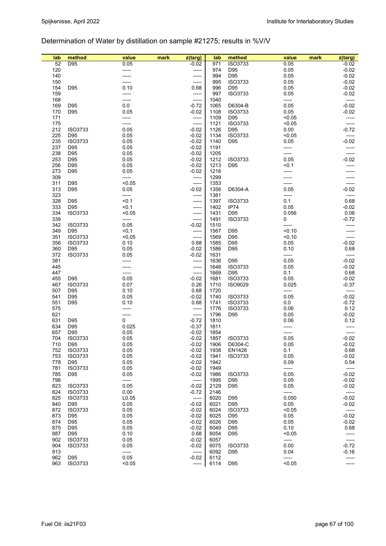#### Determination of Water by distillation on sample #21275; results in %V/V

| lab        | method          | value         | mark | z(targ)            | lab          | method                            | value          | mark | z(targ)            |
|------------|-----------------|---------------|------|--------------------|--------------|-----------------------------------|----------------|------|--------------------|
| 52         | D95             | 0.05          |      | $-0.02$            | 971          | <b>ISO3733</b>                    | 0.05           |      | $-0.02$            |
| 120        |                 |               |      | -----              | 974          | D95                               | 0.05           |      | $-0.02$            |
| 140        |                 |               |      | -----              | 994          | D95                               | 0.05           |      | $-0.02$            |
| 150        |                 |               |      | -----              | 995          | <b>ISO3733</b>                    | 0.05           |      | $-0.02$            |
| 154        | D95             | 0.10          |      | 0.68               | 996          | D <sub>95</sub>                   | 0.05           |      | $-0.02$            |
| 159        |                 | -----         |      | -----              | 997          | <b>ISO3733</b>                    | 0.05           |      | $-0.02$            |
| 168        |                 | -----         |      | -----              | 1040         |                                   | -----          |      | -----              |
| 169        | D95             | 0.0           |      | $-0.72$            | 1065         | D6304-B                           | 0.05           |      | $-0.02$            |
| 170        | D95             | 0.05          |      | $-0.02$            | 1108         | <b>ISO3733</b>                    | 0.05           |      | $-0.02$            |
| 171        |                 | -----         |      | -----              | 1109         | D95                               | < 0.05         |      | -----              |
| 175        | ISO3733         | -----         |      | -----              | 1121         | <b>ISO3733</b>                    | < 0.05         |      | -----              |
| 212<br>225 | D95             | 0.05<br>0.05  |      | $-0.02$<br>$-0.02$ | 1126<br>1134 | D <sub>95</sub><br><b>ISO3733</b> | 0.00<br>< 0.05 |      | $-0.72$<br>-----   |
| 235        | <b>ISO3733</b>  | 0.05          |      | $-0.02$            | 1140         | D <sub>95</sub>                   | 0.05           |      | $-0.02$            |
| 237        | D95             | 0.05          |      | $-0.02$            | 1191         |                                   | -----          |      | -----              |
| 238        | D95             | 0.05          |      | $-0.02$            | 1205         |                                   | -----          |      |                    |
| 253        | D95             | 0.05          |      | $-0.02$            | 1212         | <b>ISO3733</b>                    | 0.05           |      | $-0.02$            |
| 256        | D95             | 0.05          |      | $-0.02$            | 1213         | D95                               | < 0.1          |      |                    |
| 273        | D95             | 0.05          |      | $-0.02$            | 1218         |                                   |                |      |                    |
| 309        |                 | -----         |      | -----              | 1299         |                                   |                |      |                    |
| 311        | D95             | < 0.05        |      | -----              | 1353         |                                   |                |      |                    |
| 313        | D95             | 0.05          |      | $-0.02$            | 1356         | D6304-A                           | 0.05           |      | $-0.02$            |
| 323        |                 | -----         |      | -----              | 1381         |                                   | -----          |      |                    |
| 328        | D95             | < 0.1         |      | -----              | 1397         | <b>ISO3733</b>                    | 0.1            |      | 0.68               |
| 333        | D95             | < 0.1         |      | -----              | 1402         | IP74                              | 0.05           |      | $-0.02$            |
| 334        | <b>ISO3733</b>  | < 0.05        |      | -----              | 1431         | D95                               | 0.056          |      | 0.06               |
| 339        |                 | -----         |      | -----              | 1491         | <b>ISO3733</b>                    | 0              |      | $-0.72$            |
| 342        | <b>ISO3733</b>  | 0.05          |      | $-0.02$            | 1510         |                                   | -----          |      |                    |
| 349        | D95             | $0,1$         |      | -----              | 1567         | D95                               | < 0.10         |      | -----              |
| 351        | <b>ISO3733</b>  | < 0,05        |      | -----              | 1569         | D95                               | < 0, 10        |      |                    |
| 356        | ISO3733         | 0.10          |      | 0.68               | 1585         | D95                               | 0.05           |      | $-0.02$            |
| 360        | D95             | 0.05          |      | $-0.02$            | 1586         | D95                               | 0.10           |      | 0.68               |
| 372        | ISO3733         | 0.05          |      | $-0.02$            | 1631         |                                   | -----          |      | -----              |
| 381<br>445 |                 |               |      | -----              | 1636         | D <sub>95</sub><br><b>ISO3733</b> | 0.05<br>0.05   |      | $-0.02$<br>$-0.02$ |
| 447        |                 |               |      | -----<br>-----     | 1648<br>1669 | D95                               | 0.1            |      | 0.68               |
| 455        | D95             | 0.05          |      | $-0.02$            | 1681         | <b>ISO3733</b>                    | 0.05           |      | $-0.02$            |
| 467        | ISO3733         | 0.07          |      | 0.26               | 1710         | ISO9029                           | 0.025          |      | $-0.37$            |
| 507        | D95             | 0.10          |      | 0.68               | 1720         |                                   | -----          |      |                    |
| 541        | D95             | 0.05          |      | $-0.02$            | 1740         | <b>ISO3733</b>                    | 0.05           |      | $-0.02$            |
| 551        | D95             | 0.10          |      | 0.68               | 1741         | <b>ISO3733</b>                    | 0.0            |      | $-0.72$            |
| 575        |                 |               |      | -----              | 1776         | <b>ISO3733</b>                    | 0.06           |      | 0.12               |
| 621        |                 | -----         |      | -----              | 1796         | D95                               | 0.05           |      | $-0.02$            |
| 631        | D95             | 0             |      | $-0.72$            | 1810         |                                   | 0.06           |      | 0.12               |
| 634        | D <sub>95</sub> | 0.025         |      | $-0.37$            | 1811         |                                   |                |      |                    |
| 657        | D95             | 0.05          |      | $-0.02$            | 1854         |                                   | -----          |      |                    |
| 704        | <b>ISO3733</b>  | 0.05          |      | $-0.02$            | 1857         | <b>ISO3733</b>                    | 0.05           |      | $-0.02$            |
| 710        | D95             | 0.05          |      | $-0.02$            | 1906         | D6304-C                           | 0.05           |      | $-0.02$            |
| 752        | <b>ISO3733</b>  | 0.05          |      | $-0.02$            | 1938         | EN1428                            | 0.1            |      | 0.68               |
| 753        | <b>ISO3733</b>  | 0.05          |      | $-0.02$            | 1941         | <b>ISO3733</b>                    | 0.05           |      | $-0.02$            |
| 778        | D95             | 0.05          |      | $-0.02$            | 1942         |                                   | 0.09           |      | 0.54               |
| 781        | ISO3733         | 0.05          |      | $-0.02$            | 1949         |                                   | -----          |      | -----              |
| 785<br>798 | D95             | 0.05<br>----- |      | $-0.02$<br>-----   | 1986<br>1995 | <b>ISO3733</b>                    | 0.05<br>0.05   |      | $-0.02$<br>$-0.02$ |
| 823        | <b>ISO3733</b>  | 0.05          |      | $-0.02$            | 2129         | D95<br>D95                        | 0.05           |      | $-0.02$            |
| 824        | ISO3733         | 0.00          |      | $-0.72$            | 2146         |                                   | -----          |      | $-----$            |
| 825        | ISO3733         | L0.05         |      | $-----$            | 6020         | D <sub>95</sub>                   | 0.050          |      | $-0.02$            |
| 840        | D95             | 0.05          |      | $-0.02$            | 6021         | D <sub>95</sub>                   | 0.05           |      | $-0.02$            |
| 872        | <b>ISO3733</b>  | 0.05          |      | $-0.02$            | 6024         | <b>ISO3733</b>                    | < 0.05         |      | -----              |
| 873        | D95             | 0.05          |      | $-0.02$            | 6025         | D95                               | 0.05           |      | $-0.02$            |
| 874        | D95             | 0.05          |      | $-0.02$            | 6026         | D95                               | 0.05           |      | $-0.02$            |
| 875        | D95             | 0.05          |      | $-0.02$            | 6049         | D95                               | 0.10           |      | 0.68               |
| 887        | D95             | 0.10          |      | 0.68               | 6054         | D95                               | < 0.05         |      | -----              |
| 902        | <b>ISO3733</b>  | 0.05          |      | $-0.02$            | 6057         |                                   | -----          |      | -----              |
| 904        | ISO3733         | 0.05          |      | $-0.02$            | 6075         | <b>ISO3733</b>                    | 0.00           |      | $-0.72$            |
| 913        |                 | -----         |      | $-----$            | 6092         | D95                               | 0.04           |      | $-0.16$            |
| 962        | D95             | 0.05          |      | $-0.02$            | 6112         |                                   | -----          |      | -----              |
| 963        | <b>ISO3733</b>  | < 0.05        |      | -----              | 6114         | D95                               | < 0.05         |      |                    |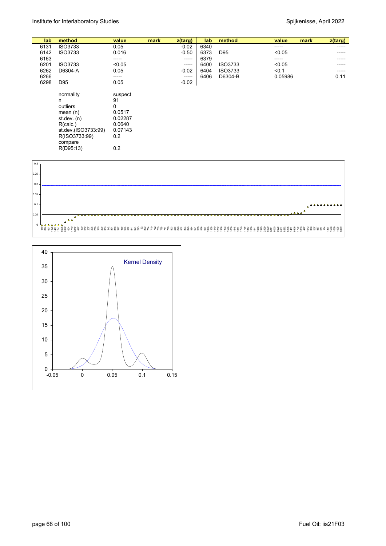| lab  | method              | value    | mark | z(targ) | lab  | method  | value   | mark | z(targ) |
|------|---------------------|----------|------|---------|------|---------|---------|------|---------|
| 6131 | ISO3733             | 0.05     |      | $-0.02$ | 6340 |         | -----   |      | -----   |
| 6142 | ISO3733             | 0.016    |      | $-0.50$ | 6373 | D95     | < 0.05  |      | -----   |
| 6163 |                     | -----    |      | -----   | 6379 |         | -----   |      | -----   |
| 6201 | ISO3733             | < 0.05   |      | -----   | 6400 | ISO3733 | < 0.05  |      |         |
| 6262 | D6304-A             | 0.05     |      | $-0.02$ | 6404 | ISO3733 | < 0, 1  |      | -----   |
| 6266 |                     | -----    |      | -----   | 6406 | D6304-B | 0.05986 |      | 0.11    |
| 6298 | D <sub>95</sub>     | 0.05     |      | $-0.02$ |      |         |         |      |         |
|      | normality           | suspect  |      |         |      |         |         |      |         |
|      | n                   | 91       |      |         |      |         |         |      |         |
|      | outliers            | $\Omega$ |      |         |      |         |         |      |         |
|      | mean $(n)$          | 0.0517   |      |         |      |         |         |      |         |
|      | st. dev. (n)        | 0.02287  |      |         |      |         |         |      |         |
|      | R(calc.)            | 0.0640   |      |         |      |         |         |      |         |
|      | st.dev.(ISO3733:99) | 0.07143  |      |         |      |         |         |      |         |
|      | R(ISO3733:99)       | 0.2      |      |         |      |         |         |      |         |
|      | compare             |          |      |         |      |         |         |      |         |
|      | R(D95:13)           | 0.2      |      |         |      |         |         |      |         |



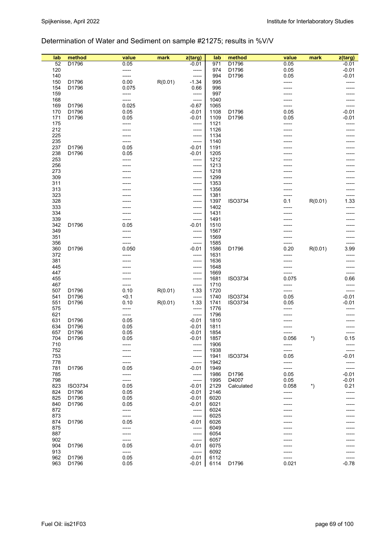#### Determination of Water and Sediment on sample #21275; results in %V/V

| lab<br>52  | method<br>D1796 | value<br>0.05  | mark    | z(targ)<br>$-0.01$ | lab<br>971   | method<br>D1796 | value<br>0.05 | mark              | $z$ (targ)<br>$-0.01$ |
|------------|-----------------|----------------|---------|--------------------|--------------|-----------------|---------------|-------------------|-----------------------|
| 120        |                 |                |         |                    | 974          | D1796           | 0.05          |                   | $-0.01$               |
| 140        |                 | -----<br>----- |         | -----<br>-----     | 994          | D1796           | 0.05          |                   | $-0.01$               |
| 150        | D1796           | 0.00           | R(0.01) | $-1.34$            | 995          |                 | -----         |                   | -----                 |
| 154        | D1796           | 0.075          |         | 0.66               | 996          |                 |               |                   |                       |
| 159        |                 |                |         |                    | 997          |                 |               |                   |                       |
| 168        |                 | -----<br>----- |         | -----<br>-----     | 1040         |                 |               |                   |                       |
| 169        | D1796           | 0.025          |         | $-0.67$            | 1065         |                 |               |                   |                       |
| 170        | D1796           | 0.05           |         | $-0.01$            | 1108         | D1796           | 0.05          |                   | $-0.01$               |
| 171        | D1796           | 0.05           |         | $-0.01$            | 1109         | D1796           | 0.05          |                   | $-0.01$               |
| 175        |                 | -----          |         | -----              | 1121         |                 | -----         |                   |                       |
| 212        |                 |                |         | -----              | 1126         |                 |               |                   |                       |
| 225        |                 |                |         | -----              | 1134         |                 |               |                   |                       |
| 235        |                 |                |         | -----              | 1140         |                 |               |                   |                       |
| 237        | D1796           | 0.05           |         | $-0.01$            | 1191         |                 |               |                   |                       |
| 238        | D1796           | 0.05           |         | $-0.01$            | 1205         |                 |               |                   |                       |
| 253        |                 | -----          |         | -----              | 1212         |                 |               |                   |                       |
| 256        |                 |                |         | -----              | 1213         |                 |               |                   |                       |
| 273        |                 |                |         | -----              | 1218         |                 |               |                   |                       |
| 309        |                 |                |         | -----              | 1299         |                 |               |                   |                       |
| 311        |                 |                |         | -----              | 1353         |                 |               |                   |                       |
| 313        |                 |                |         | -----              | 1356         |                 |               |                   |                       |
| 323        |                 |                |         | -----              | 1381         |                 | -----         |                   |                       |
| 328        |                 |                |         | -----              | 1397         | ISO3734         | 0.1           | R(0.01)           | 1.33                  |
| 333        |                 |                |         | -----              | 1402         |                 | -----         |                   |                       |
| 334        |                 |                |         | -----              | 1431         |                 |               |                   |                       |
| 339        |                 |                |         | -----              | 1491         |                 |               |                   |                       |
| 342        | D1796           | 0.05           |         | $-0.01$            | 1510         |                 |               |                   |                       |
| 349        |                 |                |         | -----              | 1567         |                 |               |                   |                       |
| 351        |                 |                |         | -----              | 1569         |                 |               |                   |                       |
| 356        |                 | -----          |         | -----              | 1585         |                 | -----         |                   |                       |
| 360        | D1796           | 0.050          |         | $-0.01$            | 1586         | D1796           | 0.20          | R(0.01)           | 3.99                  |
| 372        |                 |                |         | -----              | 1631         |                 | -----         |                   |                       |
| 381        |                 |                |         | -----              | 1636         |                 |               |                   |                       |
| 445        |                 |                |         | -----              | 1648         |                 |               |                   |                       |
| 447        |                 |                |         | -----              | 1669         |                 | -----         |                   | -----                 |
| 455        |                 |                |         | -----              | 1681         | ISO3734         | 0.075         |                   | 0.66                  |
| 467        |                 |                |         | -----              | 1710         |                 | -----         |                   |                       |
| 507        | D1796           | 0.10           | R(0.01) | 1.33               | 1720         |                 | -----         |                   | -----                 |
| 541        | D1796           | < 0.1          |         | -----              | 1740         | ISO3734         | 0.05          |                   | $-0.01$               |
| 551        | D1796           | 0.10           | R(0.01) | 1.33               | 1741         | ISO3734         | 0.05          |                   | $-0.01$               |
| 575        |                 | -----          |         | -----              | 1776         |                 |               |                   |                       |
| 621        | D1796           | -----          |         | -----              | 1796         |                 |               |                   |                       |
| 631        | D1796           | 0.05           |         | $-0.01$            | 1810         |                 |               |                   |                       |
| 634<br>657 | D1796           | 0.05           |         | $-0.01$<br>$-0.01$ | 1811<br>1854 |                 |               |                   |                       |
| 704        | D1796           | 0.05<br>0.05   |         | $-0.01$            | 1857         |                 | 0.056         | $\boldsymbol{r})$ | 0.15                  |
| 710        |                 |                |         | -----              | 1906         |                 | -----         |                   | -----                 |
| 752        |                 |                |         | -----              | 1938         |                 | -----         |                   |                       |
| 753        |                 |                |         | -----              | 1941         | ISO3734         | 0.05          |                   | $-0.01$               |
| 778        |                 |                |         | -----              | 1942         |                 | -----         |                   | -----                 |
| 781        | D1796           | 0.05           |         | -0.01              | 1949         |                 | -----         |                   | -----                 |
| 785        |                 |                |         | -----              | 1986         | D1796           | 0.05          |                   | $-0.01$               |
| 798        |                 | -----          |         | -----              | 1995         | D4007           | 0.05          |                   | $-0.01$               |
| 823        | ISO3734         | 0.05           |         | $-0.01$            | 2129         | Calculated      | 0.058         | $\boldsymbol{r})$ | 0.21                  |
| 824        | D1796           | 0.05           |         | $-0.01$            | 2146         |                 | -----         |                   | -----                 |
| 825        | D1796           | 0.05           |         | $-0.01$            | 6020         |                 |               |                   |                       |
| 840        | D1796           | 0.05           |         | $-0.01$            | 6021         |                 |               |                   |                       |
| 872        |                 | -----          |         | -----              | 6024         |                 |               |                   |                       |
| 873        |                 |                |         | -----              | 6025         |                 |               |                   |                       |
| 874        | D1796           | 0.05           |         | $-0.01$            | 6026         |                 |               |                   |                       |
| 875        |                 | -----          |         | -----              | 6049         |                 |               |                   |                       |
| 887        |                 | -----          |         | -----              | 6054         |                 |               |                   |                       |
| 902        |                 |                |         | -----              | 6057         |                 |               |                   |                       |
| 904        | D1796           | 0.05           |         | $-0.01$            | 6075         |                 |               |                   |                       |
| 913        |                 | -----          |         | -----              | 6092         |                 |               |                   |                       |
| 962        | D1796           | 0.05           |         | $-0.01$            | 6112         |                 | -----         |                   | -----                 |
| 963        | D1796           | 0.05           |         | $-0.01$            | 6114         | D1796           | 0.021         |                   | $-0.78$               |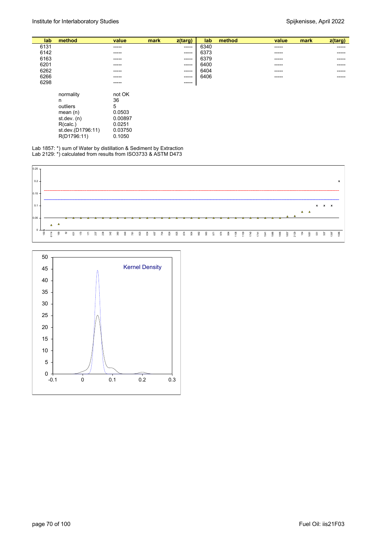| lab  | method    | value  | mark | $z$ (targ)  | lab  | method | value       | mark | z(targ) |
|------|-----------|--------|------|-------------|------|--------|-------------|------|---------|
| 6131 |           | ------ |      | ------      | 6340 |        | $- - - - -$ |      | ------  |
| 6142 |           | ------ |      | $- - - - -$ | 6373 |        | $- - - - -$ |      | -----   |
| 6163 |           | ------ |      | ------      | 6379 |        | -----       |      | -----   |
| 6201 |           | ------ |      | ------      | 6400 |        | -----       |      | ------  |
| 6262 |           | ------ |      | ------      | 6404 |        | $- - - - -$ |      | ------  |
| 6266 |           | ------ |      | ------      | 6406 |        | -----       |      | ------  |
| 6298 |           | ------ |      | ------      |      |        |             |      |         |
|      |           |        |      |             |      |        |             |      |         |
|      | normality | not OK |      |             |      |        |             |      |         |
|      | $\sim$    | $\sim$ |      |             |      |        |             |      |         |

| n                 | 36      |
|-------------------|---------|
| outliers          | 5       |
| mean(n)           | 0.0503  |
| st.dev. (n)       | 0.00897 |
| R(calc.)          | 0.0251  |
| st.dev.(D1796:11) | 0.03750 |
| R(D1796:11)       | 0.1050  |

Lab 1857: \*) sum of Water by distillation & Sediment by Extraction Lab 2129: \*) calculated from results from ISO3733 & ASTM D473



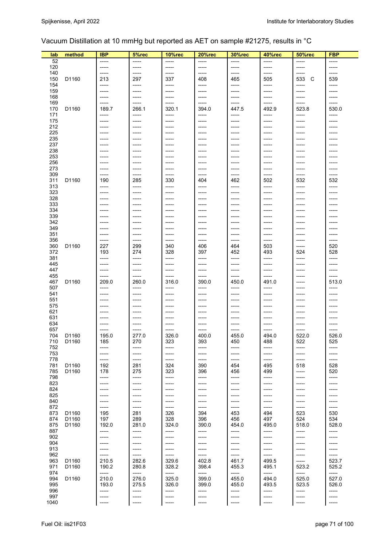# Vacuum Distillation at 10 mmHg but reported as AET on sample #21275, results in °C

| lab        | method            | <b>IBP</b>       | 5%rec          | 10%rec         | 20%rec          | <b>30%rec</b>  | 40%rec         | 50%rec         | <b>FBP</b>     |
|------------|-------------------|------------------|----------------|----------------|-----------------|----------------|----------------|----------------|----------------|
| 52         |                   | -----            | $-----$        | -----          | -----           | -----          | -----          | -----          | $--- -$        |
| 120        |                   | -----            | -----          | -----          | -----           | -----          | -----          | -----          | -----          |
| 140        |                   | -----            | -----          | -----          | -----           | -----          | -----          | -----          | -----          |
| 150        | D1160             | 213              | 297            | 337            | 408             | 465            | 505            | 533<br>- C     | 539            |
| 154<br>159 |                   | $-----$<br>----- | -----<br>----- | -----          | -----<br>-----  | -----<br>----- | -----<br>----- | -----<br>----- | -----<br>----- |
| 168        |                   | -----            | $--- - -$      | -----          | -----           | -----          | -----          | -----          | -----          |
| 169        |                   | -----            | -----          | -----          |                 | -----          | -----          | -----          | -----          |
| 170        | D <sub>1160</sub> | 189.7            | 266.1          | 320.1          | 394.0           | 447.5          | 492.9          | 523.8          | 530.0          |
| 171        |                   | -----            | -----          | -----          | -----           | -----          | -----          | -----          | -----          |
| 175        |                   | -----            | -----          | -----          | -----           | -----          | -----          | -----          | -----          |
| 212<br>225 |                   | -----<br>-----   | -----<br>----- | -----<br>----- | -----           | -----<br>----- | -----<br>----- | -----<br>----- | -----<br>----- |
| 235        |                   | -----            | -----          | -----          | -----           | -----          | -----          | -----          | -----          |
| 237        |                   | -----            | -----          | -----          | -----           | -----          | -----          | -----          | -----          |
| 238        |                   | -----            | -----          |                |                 | -----          | -----          | -----          | $--- -$        |
| 253        |                   | -----            | -----          |                |                 | -----          | -----          | -----          | -----          |
| 256<br>273 |                   | -----<br>-----   | -----<br>----- | -----<br>----- | -----<br>-----  | -----<br>----- | -----<br>----- | -----<br>----- | -----<br>----- |
| 309        |                   | -----            | -----          | -----          | -----           | -----          | -----          | -----          | -----          |
| 311        | D1160             | 190              | 285            | 330            | 404             | 462            | 502            | 532            | 532            |
| 313        |                   | -----            | -----          | -----          | ------          | -----          | -----          | -----          | -----          |
| 323        |                   | -----            | -----          | -----          | -----           | -----          | -----          | -----          | -----          |
| 328        |                   | -----            | -----          | -----          | -----           | -----          | -----          | -----          | -----          |
| 333<br>334 |                   | -----            | -----          |                | -----<br>-----  | -----<br>----- | -----          | -----          | -----          |
| 339        |                   | -----<br>-----   | -----<br>----- | -----<br>----- | -----           | -----          | -----<br>----- | -----<br>----- | -----          |
| 342        |                   | -----            | -----          | -----          |                 | -----          | -----          | -----          | -----          |
| 349        |                   | -----            | -----          | -----          | -----           | -----          | -----          | -----          | -----          |
| 351        |                   | -----            | -----          | -----          | ------          | -----          | -----          | -----          | ------         |
| 356        |                   | -----            | -----          | -----          | -----           | -----          | -----          | -----          | -----          |
| 360<br>372 | D1160             | 227<br>193       | 299            | 340            | 406             | 464            | 503            | -----          | 520            |
| 381        |                   | -----            | 274<br>-----   | 328<br>-----   | 397<br>-----    | 452<br>-----   | 493<br>-----   | 524<br>-----   | 528<br>-----   |
| 445        |                   | -----            | -----          | -----          | -----           | -----          | -----          | -----          | -----          |
| 447        |                   | -----            | -----          | -----          | -----           | -----          | -----          | -----          | -----          |
| 455        |                   | -----            | $-----$        | -----          | -----           | -----          | $-----$        | -----          | -----          |
| 467        | D1160             | 209.0            | 260.0          | 316.0          | 390.0           | 450.0          | 491.0          | -----          | 513.0          |
| 507<br>541 |                   | -----<br>-----   | -----<br>----- | -----<br>----- | ------<br>----- | -----<br>----- | -----<br>----- | -----<br>----- | -----<br>----- |
| 551        |                   | -----            | -----          | -----          | -----           | -----          | -----          | -----          | -----          |
| 575        |                   | -----            | -----          | -----          | -----           | -----          | -----          | -----          |                |
| 621        |                   | -----            | -----          | -----          | -----           | -----          | -----          | -----          | -----          |
| 631        |                   | -----            | -----          | -----          | -----           | -----          | -----          | -----          | -----          |
| 634        |                   | -----            | -----          | -----          | -----           | -----          | -----          | -----          | -----          |
| 657<br>704 | D1160             | -----<br>195.0   | -----<br>277.0 | 326.0          | 400.0           | -----<br>455.0 | -----<br>494.0 | -----<br>522.0 | -----<br>526.0 |
| 710        | D1160             | 185              | 270            | 323            | 393             | 450            | 488            | 522            | 525            |
| 752        |                   | -----            | -----          | -----          | -----           | -----          | -----          | -----          | -----          |
| 753        |                   | -----            | -----          | -----          | -----           | -----          | -----          | -----          | -----          |
| 778        |                   | -----            | -----          | -----          | -----           | -----          | -----          | -----          | -----          |
| 781<br>785 | D1160<br>D1160    | 192<br>178       | 281<br>275     | 324<br>323     | 390<br>396      | 454<br>456     | 495<br>499     | 518<br>-----   | 528<br>520     |
| 798        |                   | -----            | -----          | -----          | -----           | -----          | -----          | -----          | -----          |
| 823        |                   | -----            | -----          | -----          | -----           | -----          | -----          | -----          | -----          |
| 824        |                   | -----            | -----          | -----          | -----           | -----          | -----          | -----          | -----          |
| 825        |                   | -----            | -----          | -----          | -----           | -----          | -----          | -----          | -----          |
| 840        |                   | -----            | -----          | -----          | -----           | -----          | -----          | -----          | -----          |
| 872<br>873 | D1160             | -----<br>195     | -----<br>281   | -----<br>326   | -----<br>394    | -----<br>453   | -----<br>494   | -----<br>523   | -----<br>530   |
| 874        | D1160             | 197              | 289            | 328            | 396             | 456            | 497            | 524            | 534            |
| 875        | D <sub>1160</sub> | 192.0            | 281.0          | 324.0          | 390.0           | 454.0          | 495.0          | 518.0          | 528.0          |
| 887        |                   | -----            | -----          | -----          | -----           | -----          | -----          | -----          | $-----$        |
| 902        |                   | -----            | -----          | -----          | -----           |                | -----          | -----          | -----          |
| 904<br>913 |                   | -----<br>-----   | -----          |                |                 | -----<br>----- | -----<br>----- | -----<br>----- | -----<br>----- |
| 962        |                   | -----            | -----<br>----- | -----          | -----           | -----          | -----          | -----          | -----          |
| 963        | D1160             | 210.5            | 282.6          | 329.6          | 402.8           | 461.7          | 499.5          | -----          | 523.7          |
| 971        | D1160             | 190.2            | 280.8          | 328.2          | 398.4           | 455.3          | 495.1          | 523.2          | 525.2          |
| 974        |                   | -----            | -----          | -----          | -----           | -----          | -----          | -----          | -----          |
| 994        | D1160             | 210.0            | 276.0          | 325.0          | 399.0           | 455.0          | 494.0          | 525.0          | 527.0          |
| 995<br>996 |                   | 193.0<br>-----   | 275.5<br>----- | 326.0<br>----- | 399.0<br>-----  | 455.0<br>----- | 493.5<br>----- | 523.5<br>----- | 526.0<br>----- |
| 997        |                   | -----            | -----          | -----          | -----           | -----          | -----          | -----          | -----          |
| 1040       |                   | -----            | -----          | -----          | -----           | -----          | -----          | -----          | -----          |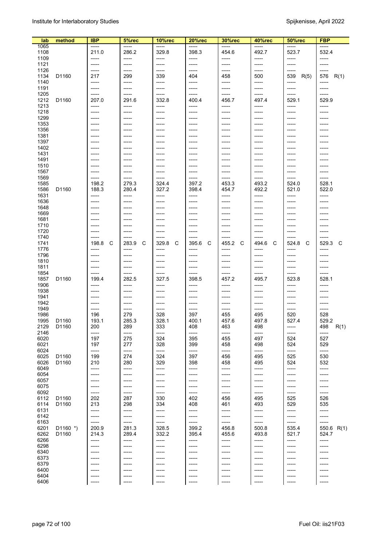| lab          | method                 | <b>IBP</b>          | 5%rec               | 10%rec              | 20%rec               | <b>30%rec</b>       | 40%rec              | <b>50%rec</b>        | <b>FBP</b>             |
|--------------|------------------------|---------------------|---------------------|---------------------|----------------------|---------------------|---------------------|----------------------|------------------------|
| 1065         |                        | -----               | -----               | -----               | -----                | -----               | -----               | -----                | -----                  |
| 1108<br>1109 |                        | 211.0<br>-----      | 286.2<br>-----      | 329.8<br>-----      | 398.3<br>-----       | 454.6<br>$-----$    | 492.7<br>-----      | 523.7<br>-----       | 532.4<br>-----         |
| 1121         |                        | -----               | -----               | -----               | -----                | -----               | -----               | -----                | -----                  |
| 1126         |                        | -----               | -----               | -----               | -----                | -----               | -----               | -----                | -----                  |
| 1134<br>1140 | D1160                  | 217<br>-----        | 299<br>-----        | 339<br>-----        | 404<br>-----         | 458<br>$-----$      | 500<br>-----        | 539<br>R(5)<br>----- | 576<br>R(1)<br>-----   |
| 1191         |                        | -----               | -----               | -----               | -----                | -----               | -----               | -----                | -----                  |
| 1205         |                        | -----               | -----               | -----               | -----                | -----               | -----               | -----                | $-----$                |
| 1212         | D1160                  | 207.0               | 291.6               | 332.8               | 400.4                | 456.7               | 497.4               | 529.1                | 529.9                  |
| 1213<br>1218 |                        | -----<br>-----      | -----<br>-----      | -----<br>-----      | ------<br>-----      | $-----$<br>-----    | -----<br>------     | -----<br>-----       | $-----$<br>$--- -$     |
| 1299         |                        | -----               | -----               | -----               | -----                | -----               | -----               | -----                | -----                  |
| 1353         |                        | -----               | -----               | -----               | -----                | -----               | -----               | -----                | -----                  |
| 1356         |                        | -----               | -----               | -----               | -----                | -----               | -----               | -----                | -----                  |
| 1381<br>1397 |                        | -----<br>-----      | -----<br>-----      | -----<br>-----      | -----                | -----<br>-----      | -----<br>-----      | -----<br>-----       | -----<br>-----         |
| 1402         |                        | -----               | ------              | -----               | -----                | -----               | ------              | -----                | -----                  |
| 1431         |                        | -----               | -----               | -----               | -----                | $-----1$            | -----               | -----                | -----                  |
| 1491<br>1510 |                        | -----<br>-----      | -----<br>------     | -----<br>-----      | -----<br>-----       | -----<br>$--- -$    | -----<br>-----      | -----<br>-----       | -----<br>-----         |
| 1567         |                        | -----               | -----               | -----               | -----                | -----               | -----               | -----                | -----                  |
| 1569         |                        | -----               | -----               | -----               | $--- -$              | -----               | -----               | -----                | $--- -$                |
| 1585         |                        | 198.2               | 279.3               | 324.4               | 397.2                | 453.3               | 493.2               | 524.0                | 528.1                  |
| 1586<br>1631 | D1160                  | 188.3<br>-----      | 280.4<br>-----      | 327.2<br>-----      | 398.4<br>-----       | 454.7<br>-----      | 492.2<br>-----      | 521.0<br>-----       | 522.0<br>-----         |
| 1636         |                        | -----               | -----               | -----               | -----                | $--- -$             | ------              | -----                | -----                  |
| 1648         |                        | -----               | -----               | -----               | -----                | $--- -$             | ------              | -----                | $--- -$                |
| 1669         |                        | -----               | -----               | -----               | -----                | -----               | -----               | -----                | -----                  |
| 1681<br>1710 |                        | -----<br>-----      | -----<br>-----      | -----<br>-----      | -----<br>-----       | -----<br>-----      | -----<br>-----      | -----<br>-----       | -----<br>-----         |
| 1720         |                        | -----               | -----               | -----               | -----                | -----               | -----               | -----                | -----                  |
| 1740         |                        | -----               | -----               | -----               | -----                | -----               | -----               | -----                | -----                  |
| 1741<br>1776 |                        | 198.8<br>C<br>----- | 283.9<br>C<br>----- | 329.8<br>C<br>----- | 395.6<br>C<br>------ | 455.2<br>C<br>----- | C<br>494.6<br>----- | 524.8<br>C<br>-----  | C<br>529.3<br>-----    |
| 1796         |                        | -----               | -----               | -----               | -----                | -----               | -----               | -----                | -----                  |
| 1810         |                        | -----               | -----               | -----               | -----                | -----               | -----               | -----                | -----                  |
| 1811         |                        | -----               | -----               | -----               | -----                | -----               | -----               | -----                | -----                  |
| 1854<br>1857 | D1160                  | -----<br>199.4      | -----<br>282.5      | ------<br>327.5     | -----<br>398.5       | -----<br>457.2      | -----<br>495.7      | -----<br>523.8       | -----<br>528.1         |
| 1906         |                        | -----               | -----               | -----               | -----                | -----               | -----               | -----                | -----                  |
| 1938         |                        | -----               | -----               | -----               | -----                | $------$            | -----               | -----                | -----                  |
| 1941<br>1942 |                        | -----<br>-----      | ------<br>-----     | ------<br>-----     | -----<br>-----       | $-----$<br>-----    | -----<br>-----      | -----<br>-----       | $--- -$<br>-----       |
| 1949         |                        | -----               | -----               | -----               | -----                | -----               | -----               | -----                | -----                  |
| 1986         |                        | 196                 | 279                 | 328                 | 397                  | 455                 | 495                 | 520                  | 528                    |
| 1995         | D1160                  | 193.1               | 285.3               | 328.1               | 400.1                | 457.6               | 497.8               | 527.4                | 529.2                  |
| 2129<br>2146 | D <sub>1160</sub>      | 200<br>-----        | 289<br>-----        | 333<br>-----        | 408<br>-----         | 463<br>-----        | 498<br>-----        | -----<br>-----       | 498<br>R(1)<br>$--- -$ |
| 6020         |                        | 197                 | 275                 | 324                 | 395                  | 455                 | 497                 | 524                  | 527                    |
| 6021         |                        | 197                 | 277                 | 328                 | 399                  | 458                 | 498                 | 524                  | 529                    |
| 6024<br>6025 | D1160                  | -----<br>199        | -----<br>274        | -----<br>324        | -----<br>397         | -----<br>456        | -----<br>495        | -----<br>525         | -----<br>530           |
| 6026         | D1160                  | 210                 | 280                 | 329                 | 398                  | 458                 | 495                 | 524                  | 532                    |
| 6049         |                        | -----               | -----               | -----               | -----                | -----               | -----               | -----                | -----                  |
| 6054         |                        | -----               | ------              | -----               | -----                | -----               | -----               | -----                | -----                  |
| 6057<br>6075 |                        | -----<br>-----      | -----               | -----<br>-----      | -----<br>-----       | -----<br>-----      | -----<br>-----      | -----<br>-----       | -----                  |
| 6092         |                        | -----               | -----               | -----               | -----                | -----               | -----               | -----                | -----                  |
| 6112         | D1160                  | 202                 | 287                 | 330                 | 402                  | 456                 | 495                 | 525                  | 526                    |
| 6114<br>6131 | D1160                  | 213<br>-----        | 298<br>-----        | 334<br>-----        | 408<br>-----         | 461<br>-----        | 493<br>-----        | 529<br>-----         | 535<br>-----           |
| 6142         |                        | -----               | -----               | -----               | -----                | -----               | -----               | -----                | -----                  |
| 6163         |                        | -----               | -----               | -----               | -----                | -----               | -----               | -----                | -----                  |
| 6201<br>6262 | D <sub>1160</sub> $*)$ | 200.9<br>214.3      | 281.3<br>289.4      | 328.5               | 399.2<br>395.4       | 456.8<br>455.6      | 500.8<br>493.8      | 535.4                | 550.6 $R(1)$           |
| 6266         | D <sub>1160</sub>      | -----               | -----               | 332.2<br>-----      | -----                | -----               | -----               | 521.7<br>-----       | 524.7<br>-----         |
| 6298         |                        | -----               |                     | -----               | -----                | -----               | -----               | -----                |                        |
| 6340         |                        | -----               | -----               | -----               |                      | -----               | -----               | -----                |                        |
| 6373<br>6379 |                        | -----<br>-----      | -----               | -----<br>-----      | -----<br>-----       | -----<br>-----      | ------<br>-----     | -----<br>-----       | -----                  |
| 6400         |                        | -----               |                     |                     |                      | -----               | -----               | -----                |                        |
| 6404         |                        |                     |                     |                     |                      | -----               | -----               | -----                | -----                  |
| 6406         |                        | -----               | -----               | -----               | -----                | -----               | -----               | -----                | -----                  |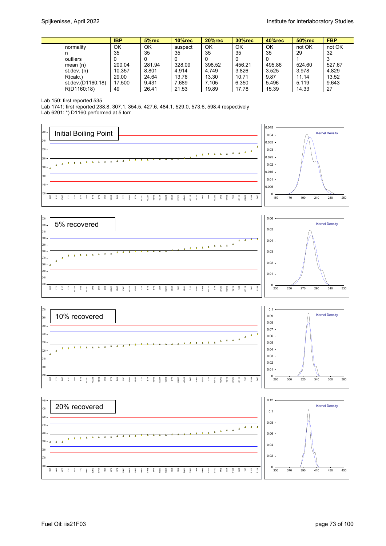$\overline{\phantom{a}}$ 

|                   | <b>IBP</b> | 5%rec  | 10%rec  | 20%rec | <b>30%rec</b> | 40%rec | <b>50%rec</b> | <b>FBP</b> |
|-------------------|------------|--------|---------|--------|---------------|--------|---------------|------------|
| normality         | OK         | OK     | suspect | OK     | OK            | OK     | not OK        | not OK     |
| n                 | 35         | 35     | 35      | 35     | 35            | 35     | 29            | 32         |
| outliers          | 0          |        |         | 0      | 0             |        |               | 3          |
| mean(n)           | 200.04     | 281.94 | 328.09  | 398.52 | 456.21        | 495.86 | 524.60        | 527.67     |
| st dev. $(n)$     | 10.357     | 8.801  | 4.914   | 4.749  | 3.826         | 3.525  | 3.978         | 4.829      |
| R(calc.)          | 29.00      | 24.64  | 13.76   | 13.30  | 10.71         | 9.87   | 11.14         | 13.52      |
| st.dev.(D1160:18) | 17.500     | 9.431  | 7.689   | 7.105  | 6.350         | 5.496  | 5.119         | 9.643      |
| R(D1160:18)       | 49         | 26.41  | 21.53   | 19.89  | 17.78         | 15.39  | 14.33         | 27         |
|                   |            |        |         |        |               |        |               |            |

Lab 150: first reported 535

Lab 1741: first reported 238.8, 307.1, 354.5, 427.6, 484.1, 529.0, 573.6, 598.4 respectively

Lab 6201: \*) D1160 performed at 5 torr







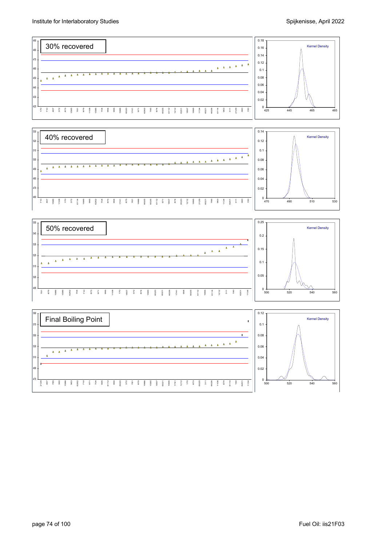

2129 467 785 360 1586 963 6262 710 971 704 995 6112 994 6020 372 781 875 1986

1585 1857 6021

1995 1741 1212 170 873 6025

311 6026

1108 874 6114 150 6201 1134

500 520 540 560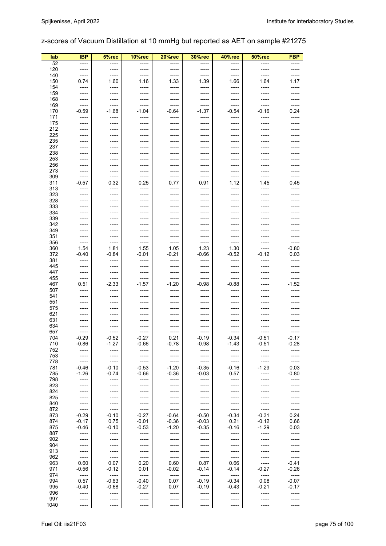# z-scores of Vacuum Distillation at 10 mmHg but reported as AET on sample #21275

| lab        | <b>IBP</b>     | 5%rec            | <b>10%rec</b>    | 20%rec         | <b>30%rec</b>  | 40%rec           | 50%rec           | <b>FBP</b> |
|------------|----------------|------------------|------------------|----------------|----------------|------------------|------------------|------------|
| 52         |                |                  |                  | -----          |                |                  |                  |            |
| 120        | -----          | -----            | -----            | -----          | -----          | -----            | $--- -$          |            |
| 140        | -----          |                  | -----            | -----          | -----          | -----            | -----            |            |
| 150        | 0.74           | 1.60             | 1.16             | 1.33           | 1.39           | 1.66             | 1.64             | 1.17       |
| 154<br>159 | -----          |                  | -----<br>-----   |                |                | -----            | -----            |            |
| 168        | -----          |                  | -----            | -----          |                | -----            | -----            |            |
| 169        | -----          | -----            | -----            | -----          | -----          | -----            | -----            |            |
| 170        | $-0.59$        | $-1.68$          | $-1.04$          | $-0.64$        | $-1.37$        | $-0.54$          | $-0.16$          | 0.24       |
| 171        | -----          | -----            | $--- -$          | -----          | ------         | -----            | -----            |            |
| 175        | -----          | -----            | -----            | -----          | -----          | -----            | -----            |            |
| 212        | -----          |                  | -----            | -----          |                | -----            | -----            |            |
| 225<br>235 | -----<br>----- | -----            | -----<br>-----   | -----<br>----- | -----          | -----<br>-----   | -----<br>-----   |            |
| 237        | -----          | -----            | -----            | -----          |                | -----            | -----            |            |
| 238        | -----          | -----            | -----            | -----          |                | -----            | -----            |            |
| 253        | -----          | -----            | -----            | -----          | -----          | -----            | -----            |            |
| 256        | -----          | -----            | -----            | -----          | -----          | -----            | -----            |            |
| 273        | -----          | -----            | -----            | -----          | -----          | -----            | -----            |            |
| 309<br>311 | -----<br>-0.57 | -----<br>0.32    | -----<br>0.25    | -----<br>0.77  | -----<br>0.91  | -----<br>1.12    | -----<br>1.45    | 0.45       |
| 313        | -----          | -----            | $-----$          | -----          | -----          | -----            | -----            |            |
| 323        | -----          | -----            | -----            | -----          | -----          | -----            | -----            |            |
| 328        | -----          | -----            | -----            | -----          | -----          | -----            | -----            |            |
| 333        | -----          | -----            | -----            | -----          | -----          | -----            | -----            |            |
| 334        | -----          | -----            | -----            | -----          | -----          | -----            | -----            |            |
| 339        | -----          |                  | -----            | -----          |                | -----            | -----            |            |
| 342<br>349 | -----          | -----            | -----<br>-----   | -----<br>----- |                | -----<br>-----   | -----<br>-----   |            |
| 351        | -----          | -----            | -----            | -----          | -----          | -----            | -----            |            |
| 356        | -----          | -----            | $-----$          | -----          | -----          | -----            | -----            |            |
| 360        | 1.54           | 1.81             | 1.55             | 1.05           | 1.23           | 1.30             | -----            | $-0.80$    |
| 372        | $-0.40$        | $-0.84$          | $-0.01$          | $-0.21$        | $-0.66$        | $-0.52$          | -0.12            | 0.03       |
| 381        | -----          | -----            | -----            | -----          | -----          | -----            | $-----$          |            |
| 445        | -----          |                  | -----            | -----          | -----          | -----            | -----            |            |
| 447<br>455 | -----<br>----- | -----            | -----<br>-----   | -----<br>----- | -----<br>----- | -----<br>-----   | -----<br>-----   | -----      |
| 467        | 0.51           | $-2.33$          | $-1.57$          | $-1.20$        | $-0.98$        | $-0.88$          | -----            | $-1.52$    |
| 507        | -----          | -----            | -----            | -----          | -----          | -----            | -----            |            |
| 541        | -----          | -----            | -----            | -----          | -----          | -----            | -----            |            |
| 551        | -----          | -----            | -----            | -----          | -----          | -----            | -----            |            |
| 575        | -----          |                  | -----            | -----          |                | -----            | -----            |            |
| 621<br>631 | -----          | -----            | -----<br>-----   | -----<br>----- | -----          | -----<br>-----   | -----<br>-----   |            |
| 634        | -----          | -----            | -----            | -----          | -----          | -----            | -----            |            |
| 657        |                | -----            | -----            | -----          | -----          | -----            | ------           | -----      |
| 704        | $-0.29$        | $-0.52$          | $-0.27$          | 0.21           | $-0.19$        | $-0.34$          | -0.51            | $-0.17$    |
| 710        | $-0.86$        | $-1.27$          | $-0.66$          | $-0.78$        | $-0.98$        | $-1.43$          | $-0.51$          | $-0.28$    |
| 752        | -----          | -----            | -----            | -----          | -----          | -----            | -----            |            |
| 753<br>778 | -----<br>----- | -----            | -----<br>-----   | -----<br>----- | -----<br>----- | -----<br>-----   | -----<br>-----   |            |
| 781        | $-0.46$        | $-0.10$          | $-0.53$          | $-1.20$        | $-0.35$        | $-0.16$          | $-1.29$          | 0.03       |
| 785        | $-1.26$        | $-0.74$          | $-0.66$          | $-0.36$        | $-0.03$        | 0.57             | -----            | $-0.80$    |
| 798        | -----          | -----            | -----            | -----          | -----          | -----            | -----            |            |
| 823        | -----          | -----            | -----            | -----          | -----          | -----            | -----            |            |
| 824        | -----          | -----            | -----            | -----          |                | -----            | -----            |            |
| 825<br>840 | -----<br>----- | -----            | -----<br>-----   | -----<br>----- | -----          | -----<br>-----   | -----<br>-----   |            |
| 872        | -----          | -----            | -----            | -----          | -----          | -----            | -----            |            |
| 873        | $-0.29$        | $-0.10$          | $-0.27$          | $-0.64$        | $-0.50$        | $-0.34$          | $-0.31$          | 0.24       |
| 874        | $-0.17$        | 0.75             | $-0.01$          | $-0.36$        | $-0.03$        | 0.21             | $-0.12$          | 0.66       |
| 875        | $-0.46$        | $-0.10$          | $-0.53$          | $-1.20$        | $-0.35$        | $-0.16$          | $-1.29$          | 0.03       |
| 887        | -----          | -----            | -----            | -----          | -----          | -----            | -----            |            |
| 902<br>904 | -----          | -----            | -----            | -----          | -----<br>---   | -----            | -----<br>-----   |            |
| 913        | -----<br>----- | -----            | -----<br>-----   | -----<br>----- | -----          | -----<br>-----   | -----            |            |
| 962        | -----          | -----            | -----            | -----          | -----          | -----            | -----            | -----      |
| 963        | 0.60           | 0.07             | 0.20             | 0.60           | 0.87           | 0.66             | -----            | $-0.41$    |
| 971        | $-0.56$        | $-0.12$          | 0.01             | $-0.02$        | $-0.14$        | $-0.14$          | $-0.27$          | $-0.26$    |
| 974        | -----          | -----            | -----            | -----          | -----          | -----            | $-----1$         | -----      |
| 994        | 0.57           | $-0.63$          | $-0.40$          | 0.07           | $-0.19$        | $-0.34$          | 0.08             | $-0.07$    |
| 995<br>996 | -0.40<br>----- | $-0.68$<br>----- | $-0.27$<br>----- | 0.07<br>-----  | -0.19<br>----- | $-0.43$<br>----- | $-0.21$<br>----- | $-0.17$    |
| 997        | -----          | -----            | -----            | -----          | -----          | -----            | -----            |            |
| 1040       | -----          | -----            | -----            | -----          | -----          | -----            | -----            |            |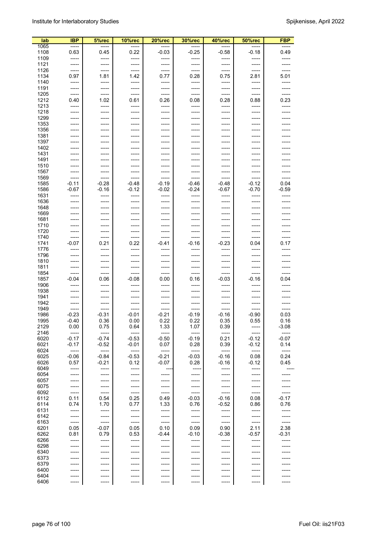| lab          | <b>IBP</b>      | 5%rec            | 10%rec         | 20%rec          | <b>30%rec</b>     | 40%rec           | 50%rec           | <b>FBP</b> |
|--------------|-----------------|------------------|----------------|-----------------|-------------------|------------------|------------------|------------|
| 1065         | -----           | -----            | -----          |                 |                   |                  | -----            |            |
| 1108         | 0.63<br>$--- -$ | 0.45             | 0.22<br>-----  | $-0.03$         | $-0.25$<br>------ | $-0.58$          | $-0.18$          | 0.49       |
| 1109<br>1121 |                 | -----<br>-----   | -----          | -----<br>-----  |                   | -----<br>-----   | -----<br>-----   |            |
| 1126         |                 | -----            | -----          | -----           | -----             | -----            | -----            |            |
| 1134         | 0.97            | 1.81             | 1.42           | 0.77            | 0.28              | 0.75             | 2.81             | 5.01       |
| 1140         |                 | -----            | -----          | -----           | -----             | -----            | -----            |            |
| 1191         |                 | -----            | -----          | -----           | -----             | -----            | -----            |            |
| 1205         |                 | -----            | -----          | -----           | -----             | -----            | -----            |            |
| 1212         | 0.40            | 1.02             | 0.61           | 0.26            | 0.08              | 0.28             | 0.88             | 0.23       |
| 1213         |                 | -----            | -----          | -----           |                   | -----            | -----            |            |
| 1218         |                 | -----            | -----          | -----           | -----             | -----            | -----            |            |
| 1299         | -----           | -----            | -----          | -----           | -----             | -----            | -----            |            |
| 1353         | -----           | -----            | -----          | -----           | -----             | -----            | -----            |            |
| 1356         |                 |                  | -----          |                 |                   |                  | -----            |            |
| 1381<br>1397 | -----           | -----<br>------  | -----          | -----<br>-----  | -----<br>-----    | -----<br>$--- -$ | -----<br>-----   |            |
| 1402         |                 | -----            | -----          |                 |                   | -----            | -----            |            |
| 1431         |                 |                  |                |                 |                   |                  |                  |            |
| 1491         | -----           | -----            | -----          | -----           | -----             | -----            | -----            |            |
| 1510         | -----           | -----            | -----          | -----           | -----             | -----            | -----            |            |
| 1567         |                 | -----            | -----          | -----           | -----             | -----            | -----            |            |
| 1569         |                 | -----            | -----          | -----           | -----             | -----            | -----            |            |
| 1585         | $-0.11$         | $-0.28$          | $-0.48$        | $-0.19$         | $-0.46$           | $-0.48$          | $-0.12$          | 0.04       |
| 1586         | $-0.67$         | $-0.16$          | $-0.12$        | $-0.02$         | $-0.24$           | $-0.67$          | $-0.70$          | $-0.59$    |
| 1631         |                 | -----            | -----          | -----           |                   | -----            | -----            |            |
| 1636         |                 | -----            | -----          | -----           | -----             | -----            | -----            |            |
| 1648         |                 | -----            | -----          | -----           |                   |                  | -----            |            |
| 1669         |                 | -----            | -----          | -----           |                   | -----            | -----            |            |
| 1681         |                 |                  | -----          |                 |                   |                  | -----            |            |
| 1710<br>1720 |                 | -----<br>-----   | -----<br>----- | -----<br>-----  | -----             | -----<br>-----   | -----<br>-----   |            |
| 1740         |                 | -----            | -----          | -----           | -----             | -----            | -----            |            |
| 1741         | $-0.07$         | 0.21             | 0.22           | $-0.41$         | $-0.16$           | $-0.23$          | 0.04             | 0.17       |
| 1776         | -----           | -----            | -----          | -----           | -----             | -----            | -----            |            |
| 1796         |                 | -----            | -----          | -----           | -----             | -----            | -----            |            |
| 1810         |                 |                  | -----          |                 |                   |                  | -----            |            |
| 1811         |                 | -----            | -----          | -----           | -----             | -----            | -----            |            |
| 1854         |                 | -----            | -----          | -----           | -----             | -----            | -----            |            |
| 1857         | $-0.04$         | 0.06             | $-0.08$        | 0.00            | 0.16              | $-0.03$          | $-0.16$          | 0.04       |
| 1906         |                 | -----            | -----          | -----           |                   | -----            | -----            |            |
| 1938         | -----           | -----            | -----          | -----           | -----             | -----            | -----            |            |
| 1941         | -----           | -----            | -----          | -----           | -----             | -----            | -----            |            |
| 1942         |                 | -----            | -----<br>----- | -----           |                   | -----<br>-----   | -----            |            |
| 1949<br>1986 | $-0.23$         | -----<br>$-0.31$ | $-0.01$        | -----           | $-0.19$           | $-0.16$          | -----<br>$-0.90$ | 0.03       |
| 1995         | $-0.40$         | 0.36             | 0.00           | $-0.21$<br>0.22 | 0.22              | 0.35             | 0.55             | 0.16       |
| 2129         | 0.00            | 0.75             | 0.64           | 1.33            | 1.07              | 0.39             | $-----1$         | -3.08      |
| 2146         | -----           | -----            | -----          | -----           | -----             | -----            | -----            | -----      |
| 6020         | $-0.17$         | $-0.74$          | $-0.53$        | $-0.50$         | $-0.19$           | 0.21             | $-0.12$          | $-0.07$    |
| 6021         | $-0.17$         | $-0.52$          | $-0.01$        | 0.07            | 0.28              | 0.39             | $-0.12$          | 0.14       |
| 6024         | -----           | -----            | -----          | -----           | -----             | -----            | -----            | -----      |
| 6025         | $-0.06$         | $-0.84$          | $-0.53$        | $-0.21$         | $-0.03$           | $-0.16$          | 0.08             | 0.24       |
| 6026         | 0.57            | $-0.21$          | 0.12           | $-0.07$         | 0.28              | $-0.16$          | $-0.12$          | 0.45       |
| 6049         | -----           | -----            | -----          | ---             | -----             | -----            | -----            | -----      |
| 6054         |                 | -----            | -----          | -----           | -----             | -----            | -----            |            |
| 6057<br>6075 | -----           | -----            | -----          | -----           | -----             | -----            | -----            |            |
| 6092         | -----<br>-----  | -----<br>-----   | -----<br>----- | -----<br>-----  | -----<br>-----    | -----<br>-----   | -----<br>-----   |            |
| 6112         | 0.11            | 0.54             | 0.25           | 0.49            | $-0.03$           | $-0.16$          | 0.08             | $-0.17$    |
| 6114         | 0.74            | 1.70             | 0.77           | 1.33            | 0.76              | $-0.52$          | 0.86             | 0.76       |
| 6131         | -----           | -----            | -----          | -----           | -----             | -----            | -----            |            |
| 6142         | -----           | -----            | -----          | -----           | -----             | -----            | $-----$          |            |
| 6163         | -----           | -----            | -----          | -----           | -----             | -----            | -----            |            |
| 6201         | 0.05            | $-0.07$          | 0.05           | 0.10            | 0.09              | 0.90             | 2.11             | 2.38       |
| 6262         | 0.81            | 0.79             | 0.53           | $-0.44$         | $-0.10$           | $-0.38$          | $-0.57$          | $-0.31$    |
| 6266         | -----           | -----            | -----          | -----           | -----             | -----            | -----            |            |
| 6298         |                 | -----            | -----          | -----           | -----             | -----            | -----            |            |
| 6340         | -----           | -----            | -----          | -----           | -----             | -----            | -----            |            |
| 6373         | -----           | -----            | -----          | -----           | -----             | -----            | -----            |            |
| 6379         | -----           | -----            | -----          | -----           | -----             | -----            | -----            |            |
| 6400<br>6404 | -----<br>-----  | -----<br>-----   | -----<br>----- | -----           | -----             | -----            | -----<br>-----   |            |
| 6406         | -----           | -----            | -----          | -----<br>-----  | -----             | -----            | -----            |            |
|              |                 |                  |                |                 |                   |                  |                  |            |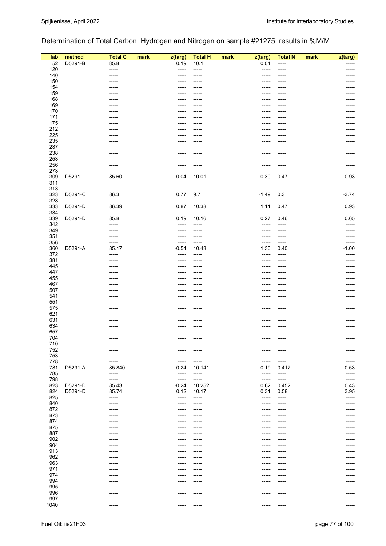## Determination of Total Carbon, Hydrogen and Nitrogen on sample #21275; results in %M/M

| lab        | method  | <b>Total C</b>  | mark | z(targ)            | <b>Total H</b>   | mark | z(targ)          | <b>Total N</b>   | mark | z(targ)        |
|------------|---------|-----------------|------|--------------------|------------------|------|------------------|------------------|------|----------------|
| 52         | D5291-B | 85.8            |      | 0.19               | 10.1             |      | 0.04             | -----            |      |                |
| 120<br>140 |         | -----<br>-----  |      | -----<br>-----     | -----<br>-----   |      | -----<br>-----   | $-----$<br>----- |      |                |
| 150        |         | -----           |      | -----              | -----            |      | -----            | -----            |      |                |
| 154<br>159 |         | -----<br>-----  |      | -----<br>-----     | -----<br>-----   |      | -----<br>-----   | -----            |      |                |
| 168        |         | -----           |      | -----              | -----            |      | -----            | -----            |      |                |
| 169        |         | -----           |      | -----              | -----            |      | -----            | -----            |      |                |
| 170<br>171 |         | -----<br>-----  |      | -----<br>-----     | -----<br>-----   |      | -----<br>-----   | -----<br>-----   |      |                |
| 175        |         | -----           |      | -----              | -----            |      | -----            | -----            |      |                |
| 212        |         | -----           |      | -----              | -----            |      | -----            | -----            |      |                |
| 225<br>235 |         | -----<br>-----  |      | -----<br>-----     | -----<br>-----   |      | -----<br>-----   | -----<br>-----   |      |                |
| 237        |         | -----           |      | -----              | ------           |      | -----            | -----            |      |                |
| 238<br>253 |         | -----<br>-----  |      | -----<br>-----     | -----<br>-----   |      | -----<br>-----   | -----<br>-----   |      |                |
| 256        |         | -----           |      | -----              | -----            |      | -----            | -----            |      |                |
| 273        |         | -----           |      | -----              | -----            |      | -----            | -----            |      |                |
| 309<br>311 | D5291   | 85.60<br>-----  |      | $-0.04$<br>-----   | 10.01<br>-----   |      | $-0.30$<br>----- | 0.47<br>-----    |      | 0.93<br>-----  |
| 313        |         | -----           |      | -----              | $-----$          |      | -----            | -----            |      | -----          |
| 323        | D5291-C | 86.3            |      | 0.77               | 9.7              |      | $-1.49$          | 0.3              |      | $-3.74$        |
| 328<br>333 | D5291-D | -----<br>86.39  |      | -----<br>0.87      | -----<br>10.38   |      | -----<br>1.11    | $-----$<br>0.47  |      | -----<br>0.93  |
| 334        |         | -----           |      | -----              | -----            |      | -----            | $-----$          |      | -----          |
| 339<br>342 | D5291-D | 85.8<br>-----   |      | 0.19<br>-----      | 10.16<br>-----   |      | 0.27<br>-----    | 0.46<br>-----    |      | 0.65<br>-----  |
| 349        |         | -----           |      | -----              | -----            |      | -----            | -----            |      | -----          |
| 351        |         | -----           |      | -----              | $-----$          |      | -----            | $--- -$          |      |                |
| 356<br>360 | D5291-A | -----<br>85.17  |      | -----<br>$-0.54$   | -----<br>10.43   |      | -----<br>1.30    | -----<br>0.40    |      | $-1.00$        |
| 372        |         | -----           |      | -----              | $-----$          |      | -----            | $-----$          |      | -----          |
| 381        |         | -----           |      | -----              | -----            |      | -----            | -----            |      |                |
| 445<br>447 |         | -----<br>-----  |      | -----<br>-----     | -----<br>-----   |      | -----<br>-----   | -----<br>-----   |      |                |
| 455        |         | -----           |      | -----              | -----            |      | -----            | -----            |      |                |
| 467        |         |                 |      | -----              | -----            |      | -----            | -----            |      |                |
| 507<br>541 |         | ------<br>----- |      | -----<br>-----     | ------<br>-----  |      | -----<br>-----   | $--- -$<br>----- |      |                |
| 551        |         | -----           |      | -----              | -----            |      | -----            | $-----$          |      |                |
| 575<br>621 |         | -----<br>-----  |      | -----<br>-----     | -----<br>-----   |      | -----<br>-----   | -----<br>-----   |      |                |
| 631        |         | -----           |      | -----              | ------           |      | -----            | -----            |      |                |
| 634        |         |                 |      | -----              | -----            |      | -----            | -----            |      |                |
| 657<br>704 |         | -----<br>-----  |      | -----              | -----<br>$-----$ |      | -----            | -----<br>$-----$ |      |                |
| 710        |         | -----           |      | -----              | -----            |      | -----            | -----            |      |                |
| 752        |         |                 |      | -----              | -----            |      | -----            | -----            |      |                |
| 753<br>778 |         | -----<br>-----  |      | -----<br>-----     | -----<br>-----   |      | -----<br>-----   | -----<br>-----   |      | -----          |
| 781        | D5291-A | 85.840          |      | 0.24               | 10.141           |      | 0.19             | 0.417            |      | $-0.53$        |
| 785<br>798 |         | -----<br>-----  |      | -----              | -----<br>$-----$ |      | -----            | -----<br>$-----$ |      | -----          |
| 823        | D5291-D | 85.43           |      | $-----$<br>$-0.24$ | 10.252           |      | -----<br>0.62    | 0.452            |      | -----<br>0.43  |
| 824        | D5291-D | 85.74           |      | 0.12               | 10.17            |      | 0.31             | 0.58             |      | 3.95           |
| 825<br>840 |         | -----<br>-----  |      | -----<br>-----     | -----<br>-----   |      | -----<br>-----   | -----<br>-----   |      | -----<br>----- |
| 872        |         | -----           |      | -----              | -----            |      | -----            | -----            |      |                |
| 873        |         | -----           |      | -----              | -----            |      | -----            | -----            |      |                |
| 874<br>875 |         | -----           |      | -----<br>-----     | ------<br>-----  |      | -----<br>-----   | -----<br>-----   |      |                |
| 887        |         | -----           |      | -----              | -----            |      | -----            | -----            |      |                |
| 902        |         |                 |      | -----              |                  |      | -----            | -----            |      |                |
| 904<br>913 |         | -----<br>-----  |      | -----<br>-----     | -----<br>-----   |      | -----<br>------  | ----<br>-----    |      |                |
| 962        |         | -----           |      | -----              | -----            |      | -----            | -----            |      |                |
| 963        |         |                 |      | -----              |                  |      | -----            |                  |      |                |
| 971<br>974 |         | -----<br>-----  |      | -----<br>-----     | -----<br>-----   |      | -----<br>-----   | -----<br>-----   |      |                |
| 994        |         | -----           |      | -----              | -----            |      | -----            | -----            |      |                |
| 995<br>996 |         | -----<br>-----  |      | -----<br>-----     | -----<br>-----   |      | -----<br>-----   | -----<br>-----   |      |                |
| 997        |         | -----           |      | -----              | -----            |      | -----            | -----            |      |                |
| 1040       |         | -----           |      | -----              | -----            |      | -----            | $-----$          |      |                |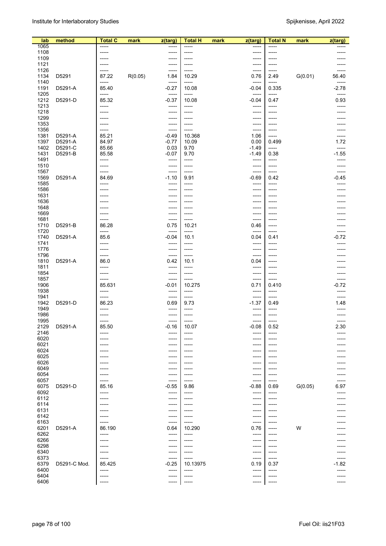| lab          | method       | <b>Total C</b>     | mark    | z(targ)          | <b>Total H</b> | mark | z(targ)          | <b>Total N</b>       | mark    | z(targ)       |
|--------------|--------------|--------------------|---------|------------------|----------------|------|------------------|----------------------|---------|---------------|
| 1065         |              | -----              |         | -----            | -----          |      | -----            | -----                |         |               |
| 1108         |              | -----              |         | -----            |                |      |                  | -----                |         |               |
| 1109<br>1121 |              | $--- -$<br>$--- -$ |         | -----            | -----          |      | -----<br>-----   | -----<br>------      |         |               |
| 1126         |              | ------             |         | -----            |                |      | -----            | -----                |         |               |
| 1134         | D5291        | 87.22              | R(0.05) | 1.84             | 10.29          |      | 0.76             | 2.49                 | G(0.01) | 56.40         |
| 1140         |              | $-----$            |         | -----            | -----          |      | -----            | -----                |         | -----         |
| 1191         | D5291-A      | 85.40              |         | $-0.27$          | 10.08          |      | $-0.04$          | 0.335                |         | $-2.78$       |
| 1205         |              | -----              |         | -----            | -----          |      | -----            | -----                |         | -----         |
| 1212         | D5291-D      | 85.32              |         | $-0.37$          | 10.08          |      | $-0.04$          | 0.47                 |         | 0.93          |
| 1213<br>1218 |              | $-----$<br>-----   |         | -----<br>-----   | -----<br>----- |      | -----<br>-----   | -----<br>------      |         | -----         |
| 1299         |              | -----              |         | -----            | -----          |      | -----            | -----                |         |               |
| 1353         |              | -----              |         | -----            | -----          |      | -----            | -----                |         |               |
| 1356         |              | -----              |         | -----            | -----          |      | -----            | -----                |         |               |
| 1381         | D5291-A      | 85.21              |         | $-0.49$          | 10.368         |      | 1.06             | -----                |         |               |
| 1397         | D5291-A      | 84.97              |         | $-0.77$          | 10.09          |      | 0.00             | 0.499                |         | 1.72          |
| 1402         | D5291-C      | 85.66              |         | 0.03             | 9.70           |      | $-1.49$          | -----                |         | -----         |
| 1431<br>1491 | D5291-B      | 85.58<br>-----     |         | $-0.07$<br>----- | 9.70<br>-----  |      | $-1.49$<br>----- | 0.38<br>-----        |         | $-1.55$       |
| 1510         |              | -----              |         | -----            | -----          |      | -----            | -----                |         | -----         |
| 1567         |              | -----              |         | -----            | -----          |      | -----            | -----                |         | -----         |
| 1569         | D5291-A      | 84.69              |         | $-1.10$          | 9.91           |      | $-0.69$          | 0.42                 |         | $-0.45$       |
| 1585         |              | -----              |         | -----            | -----          |      | -----            | -----                |         |               |
| 1586         |              | -----              |         | -----            |                |      | -----            | -----                |         |               |
| 1631         |              | $-----$            |         | -----            | -----          |      | -----            | $- - - - -$          |         |               |
| 1636<br>1648 |              | ------<br>------   |         | -----<br>-----   |                |      | -----<br>-----   | -----<br>$- - - - -$ |         |               |
| 1669         |              | -----              |         | -----            | -----          |      | -----            | -----                |         |               |
| 1681         |              | -----              |         | -----            | -----          |      | -----            | -----                |         |               |
| 1710         | D5291-B      | 86.28              |         | 0.75             | 10.21          |      | 0.46             | -----                |         |               |
| 1720         |              | -----              |         | -----            | -----          |      | -----            | -----                |         | -----         |
| 1740         | D5291-A      | 85.6               |         | $-0.04$          | 10.1           |      | 0.04             | 0.41                 |         | $-0.72$       |
| 1741         |              | -----              |         | -----            | -----          |      | -----            | -----                |         |               |
| 1776<br>1796 |              | -----<br>-----     |         | -----<br>-----   | -----<br>----- |      | -----<br>-----   | -----<br>-----       |         |               |
| 1810         | D5291-A      | 86.0               |         | 0.42             | 10.1           |      | 0.04             | -----                |         |               |
| 1811         |              | -----              |         | -----            | -----          |      | -----            |                      |         |               |
| 1854         |              | -----              |         | -----            | -----          |      | -----            | -----                |         |               |
| 1857         |              | -----              |         | -----            | -----          |      | -----            | -----                |         |               |
| 1906         |              | 85.631             |         | $-0.01$          | 10.275         |      | 0.71             | 0.410                |         | $-0.72$       |
| 1938         |              | -----              |         | -----            | -----          |      | -----            | -----                |         | -----         |
| 1941<br>1942 | D5291-D      | -----<br>86.23     |         | -----<br>0.69    | -----<br>9.73  |      | -----<br>$-1.37$ | -----<br>0.49        |         | -----<br>1.48 |
| 1949         |              | -----              |         | -----            | -----          |      | -----            | -----                |         |               |
| 1986         |              | -----              |         | -----            | -----          |      | -----            | -----                |         |               |
| 1995         |              | -----              |         | -----            | -----          |      | -----            | -----                |         | -----         |
| 2129         | D5291-A      | 85.50              |         | $-0.16$          | 10.07          |      | $-0.08$          | 0.52                 |         | 2.30          |
| 2146         |              | -----              |         | -----            | -----          |      | -----            | -----                |         |               |
| 6020         |              | -----<br>-----     |         | -----            |                |      |                  |                      |         |               |
| 6021<br>6024 |              | -----              |         | -----            |                |      |                  |                      |         |               |
| 6025         |              |                    |         | -----            |                |      | -----            |                      |         |               |
| 6026         |              | -----              |         | -----            | -----          |      | -----            | -----                |         |               |
| 6049         |              |                    |         | -----            |                |      | -----            |                      |         |               |
| 6054         |              | -----              |         | -----            | -----          |      | -----            | -----                |         |               |
| 6057         |              | -----              |         | -----            |                |      | -----            | -----                |         |               |
| 6075<br>6092 | D5291-D      | 85.16<br>-----     |         | $-0.55$          | 9.86<br>-----  |      | $-0.88$          | 0.69                 | G(0.05) | 6.97          |
| 6112         |              | -----              |         | -----<br>-----   | -----          |      | -----<br>-----   | -----<br>-----       |         |               |
| 6114         |              | -----              |         | -----            |                |      | -----            | -----                |         |               |
| 6131         |              | -----              |         | -----            |                |      | -----            | -----                |         |               |
| 6142         |              | -----              |         | -----            | -----          |      | -----            | -----                |         |               |
| 6163         |              | -----              |         | -----            | -----          |      | -----            | -----                |         |               |
| 6201         | D5291-A      | 86.190             |         | 0.64             | 10.290         |      | 0.76             | -----                | W       |               |
| 6262         |              | -----              |         | -----            | -----          |      | -----            |                      |         |               |
| 6266<br>6298 |              | -----<br>-----     |         | -----<br>-----   | -----          |      | -----<br>-----   | -----                |         |               |
| 6340         |              | -----              |         | -----            |                |      | -----            | -----                |         |               |
| 6373         |              |                    |         | -----            |                |      | -----            | -----                |         |               |
| 6379         | D5291-C Mod. | 85.425             |         | $-0.25$          | 10.13975       |      | 0.19             | 0.37                 |         | $-1.82$       |
| 6400         |              | -----              |         | -----            | -----          |      | -----            | -----                |         |               |
| 6404         |              | -----              |         | -----            | -----          |      |                  | -----                |         |               |
| 6406         |              | -----              |         | -----            | -----          |      | -----            | -----                |         | -----         |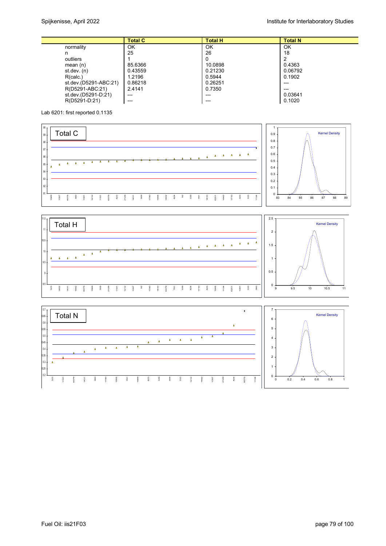|                       | <b>Total C</b> | <b>Total H</b> | <b>Total N</b> |
|-----------------------|----------------|----------------|----------------|
| normality             | OK             | OK             | OK             |
| n                     | 25             | 26             | 18             |
| outliers              |                | 0              |                |
| mean $(n)$            | 85.6366        | 10.0898        | 0.4363         |
| st dev. $(n)$         | 0.43559        | 0.21230        | 0.06792        |
| R(calc.)              | 1.2196         | 0.5944         | 0.1902         |
| st.dev.(D5291-ABC:21) | 0.86218        | 0.26251        | ---            |
| R(D5291-ABC:21)       | 2.4141         | 0.7350         | $---$          |
| st.dev.(D5291-D:21)   | $---$          | $---$          | 0.03641        |
| R(D5291-D:21)         | $---$          | $---$          | 0.1020         |

Lab 6201: first reported 0.1135





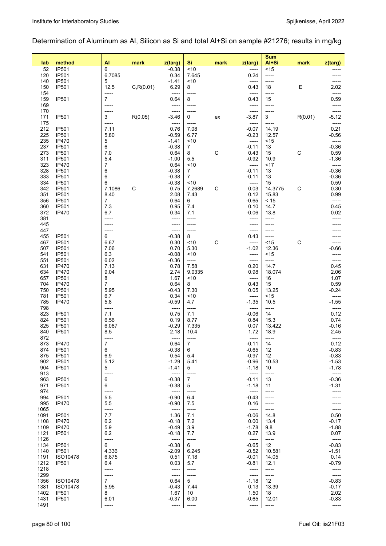### Determination of Aluminum as Al, Silicon as Si and total Al+Si on sample #21276; results in mg/kg

|              |                              |                         |             |                 |                     |              |                    | <b>Sum</b>                 |             |                    |
|--------------|------------------------------|-------------------------|-------------|-----------------|---------------------|--------------|--------------------|----------------------------|-------------|--------------------|
| lab          | method                       | AI                      | mark        | z(targ)         | Si                  | mark         | z(targ)            | Al+Si                      | mark        | z(targ)            |
| 52           | <b>IP501</b>                 | 6                       |             | $-0.38$         | ~10                 |              | -----              | < 15                       |             |                    |
| 120<br>140   | IP501<br>IP501               | 6.7085<br>5             |             | 0.34<br>$-1.41$ | 7.645<br>~10        |              | 0.24<br>-----      | -----                      |             |                    |
| 150          | <b>IP501</b>                 | 12.5                    | C, R(0.01)  | 6.29            | 8                   |              | 0.43               | -----<br>18                | Ε           | 2.02               |
| 154          |                              | -----                   |             | -----           | -----               |              | -----              | -----                      |             | -----              |
| 159          | <b>IP501</b>                 | $\overline{7}$          |             | 0.64            | 8                   |              | 0.43               | 15                         |             | 0.59               |
| 169          |                              | -----                   |             | $---$           | -----               |              | -----              | -----                      |             | -----              |
| 170          |                              |                         |             | -----           | -----               |              | -----              |                            |             |                    |
| 171          | <b>IP501</b>                 | $\mathsf 3$             | R(0.05)     | $-3.46$         | $\mathbf 0$         | ex           | $-3.87$            | 3                          | R(0.01)     | $-5.12$            |
| 175          |                              | -----                   |             | -----           | -----               |              | -----              | -----                      |             | -----              |
| 212          | <b>IP501</b>                 | 7.11                    |             | 0.76            | 7.08                |              | $-0.07$            | 14.19                      |             | 0.21               |
| 225          | <b>IP501</b>                 | 5.80                    |             | $-0.59$         | 6.77                |              | $-0.23$            | 12.57                      |             | $-0.56$            |
| 235          | <b>IP470</b>                 | 5                       |             | $-1.41$         | ~10                 |              | -----              | < 15                       |             | -----              |
| 237          | <b>IP501</b>                 | 6                       |             | $-0.38$         | $\overline{7}$<br>8 |              | $-0.11$            | 13                         |             | $-0.36$            |
| 273<br>311   | <b>IP501</b><br><b>IP501</b> | 7.0<br>5.4              |             | 0.64<br>$-1.00$ | 5.5                 | С            | 0.43<br>$-0.92$    | 15<br>10.9                 | $\mathsf C$ | 0.59<br>$-1.36$    |
| 323          | <b>IP470</b>                 | 7                       |             | 0.64            | ~10                 |              | -----              | <17                        |             | -----              |
| 328          | <b>IP501</b>                 | 6                       |             | $-0.38$         | $\overline{7}$      |              | $-0.11$            | 13                         |             | $-0.36$            |
| 333          | <b>IP501</b>                 | 6                       |             | $-0.38$         | $\boldsymbol{7}$    |              | $-0.11$            | 13                         |             | $-0.36$            |
| 334          | <b>IP501</b>                 | 6                       |             | $-0.38$         | ~10                 |              | -----              | 15                         |             | 0.59               |
| 342          | IP501                        | 7.1086                  | $\mathsf C$ | 0.75            | 7.2689              | С            | 0.03               | 14.3775                    | $\mathsf C$ | 0.30               |
| 351          | <b>IP501</b>                 | 8.40                    |             | 2.08            | 7.43                |              | 0.12               | 15.83                      |             | 0.99               |
| 356          | <b>IP501</b>                 | 7                       |             | 0.64            | 6                   |              | $-0.65$            | < 15                       |             | -----              |
| 360          | <b>IP501</b>                 | 7.3                     |             | 0.95            | 7.4                 |              | 0.10               | 14.7                       |             | 0.45               |
| 372          | <b>IP470</b>                 | 6.7                     |             | 0.34            | 7.1                 |              | $-0.06$            | 13.8                       |             | 0.02               |
| 381          |                              |                         |             | -----           | -----               |              | -----              | -----                      |             |                    |
| 445<br>447   |                              | -----<br>-----          |             | -----<br>-----  | -----               |              | -----<br>-----     | -----                      |             |                    |
| 455          | <b>IP501</b>                 | 6                       |             | $-0.38$         | 8                   |              | 0.43               | -----                      |             |                    |
| 467          | IP501                        | 6.67                    |             | 0.30            | ~10                 | $\mathsf{C}$ | -----              | < 15                       | $\mathsf C$ |                    |
| 507          | <b>IP501</b>                 | 7.06                    |             | 0.70            | 5.30                |              | $-1.02$            | 12.36                      |             | $-0.66$            |
| 541          | IP501                        | 6.3                     |             | $-0.08$         | ~10                 |              | -----              | < 15                       |             |                    |
| 551          | <b>IP501</b>                 | 6.02                    |             | $-0.36$         | -----               |              | -----              | -----                      |             | -----              |
| 631          | <b>IP470</b>                 | 7.13                    |             | 0.78            | 7.58                |              | 0.20               | 14.7                       |             | 0.45               |
| 634          | <b>IP470</b>                 | 9.04                    |             | 2.74            | 9.0335              |              | 0.98               | 18.074                     |             | 2.06               |
| 657          | <b>IP501</b>                 | 8                       |             | 1.67            | ~10                 |              | -----              | 16                         |             | 1.07               |
| 704          | <b>IP470</b>                 | 7                       |             | 0.64            | 8                   |              | 0.43               | 15                         |             | 0.59               |
| 750<br>781   | <b>IP501</b><br><b>IP501</b> | 5.95<br>6.7             |             | $-0.43$<br>0.34 | 7.30<br>~10         |              | 0.05               | 13.25<br>< 15              |             | $-0.24$            |
| 785          | <b>IP470</b>                 | 5.8                     |             | $-0.59$         | 4.7                 |              | -----<br>$-1.35$   | 10.5                       |             | -----<br>$-1.55$   |
| 798          |                              | -----                   |             | -----           | -----               |              | -----              | -----                      |             | -----              |
| 823          | <b>IP501</b>                 | 7.1                     |             | 0.75            | $7.1$               |              | $-0.06$            | 14                         |             | 0.12               |
| 824          | <b>IP501</b>                 | 6.56                    |             | 0.19            | 8.77                |              | 0.84               | 15.3                       |             | 0.74               |
| 825          | <b>IP501</b>                 | 6.087                   |             | $-0.29$         | 7.335               |              | 0.07               | 13.422                     |             | $-0.16$            |
| 840          | <b>IP501</b>                 | 8.5                     |             | 2.18            | 10.4                |              | 1.72               | 18.9                       |             | 2.45               |
| 872          |                              | -----                   |             | -----           | -----               |              | -----              | -----                      |             | -----              |
| 873          | IP470                        | 7                       |             | 0.64            | $\boldsymbol{7}$    |              | $-0.11$            | 14                         |             | 0.12               |
| 874<br>875   | <b>IP501</b><br><b>IP501</b> | 6<br>6.9                |             | $-0.38$<br>0.54 | 6<br>5.4            |              | $-0.65$<br>$-0.97$ | 12<br>12                   |             | $-0.83$<br>$-0.83$ |
| 902          | <b>IP501</b>                 | 5.12                    |             | $-1.29$         | 5.41                |              | $-0.96$            | 10.53                      |             | $-1.53$            |
| 904          | <b>IP501</b>                 | 5                       |             | $-1.41$         | 5                   |              | $-1.18$            | 10                         |             | $-1.78$            |
| 913          |                              | -----                   |             | -----           | -----               |              | $-----$            | -----                      |             | -----              |
| 963          | <b>IP501</b>                 | 6                       |             | $-0.38$         | $\overline{7}$      |              | -0.11              | 13                         |             | $-0.36$            |
| 971          | <b>IP501</b>                 | 6                       |             | $-0.38$         | 5                   |              | $-1.18$            | 11                         |             | $-1.31$            |
| 974          |                              | -----                   |             | -----           | -----               |              | -----              | -----                      |             |                    |
| 994          | <b>IP501</b>                 | 5.5                     |             | $-0.90$         | 6.4                 |              | $-0.43$            | -----                      |             |                    |
| 995          | <b>IP470</b>                 | 5.5                     |             | $-0.90$         | 7.5                 |              | 0.16               | -----                      |             |                    |
| 1065         | <b>IP501</b>                 | -----<br>7.7            |             | -----<br>1.36   | -----<br>7.1        |              | -----              | -----                      |             | -----<br>0.50      |
| 1091<br>1108 | <b>IP470</b>                 | 6.2                     |             | $-0.18$         | 7.2                 |              | $-0.06$<br>0.00    | 14.8<br>13.4               |             | $-0.17$            |
| 1109         | IP470                        | 5.9                     |             | $-0.49$         | 3.9                 |              | -1.78              | 9.8                        |             | $-1.88$            |
| 1121         | <b>IP501</b>                 | 6.2                     |             | $-0.18$         | 7.7                 |              | 0.27               | 13.9                       |             | 0.07               |
| 1126         |                              | -----                   |             | -----           | -----               |              | -----              | -----                      |             | -----              |
| 1134         | <b>IP501</b>                 | 6                       |             | $-0.38$         | 6                   |              | $-0.65$            | 12                         |             | $-0.83$            |
| 1140         | <b>IP501</b>                 | 4.336                   |             | $-2.09$         | 6.245               |              | $-0.52$            | 10.581                     |             | $-1.51$            |
| 1191         | ISO10478                     | 6.875                   |             | 0.51            | 7.18                |              | -0.01              | 14.05                      |             | 0.14               |
| 1212         | <b>IP501</b>                 | 6.4                     |             | 0.03            | 5.7                 |              | -0.81              | 12.1                       |             | $-0.79$            |
| 1218         |                              | -----                   |             | -----           | -----               |              | -----              | -----                      |             | -----              |
| 1299<br>1356 | ISO10478                     | -----<br>7 <sup>7</sup> |             | -----<br>0.64   | -----<br>5          |              | -----<br>-1.18     | -----<br>$12 \overline{ }$ |             | -----<br>$-0.83$   |
| 1381         | ISO10478                     | 5.95                    |             | $-0.43$         | 7.44                |              | 0.13               | 13.39                      |             | $-0.17$            |
| 1402         | <b>IP501</b>                 | 8                       |             | 1.67            | 10                  |              | 1.50               | 18                         |             | 2.02               |
| 1431         | <b>IP501</b>                 | 6.01                    |             | $-0.37$         | 6.00                |              | $-0.65$            | 12.01                      |             | $-0.83$            |
| 1491         |                              | -----                   |             | -----           | -----               |              | -----              | -----                      |             | -----              |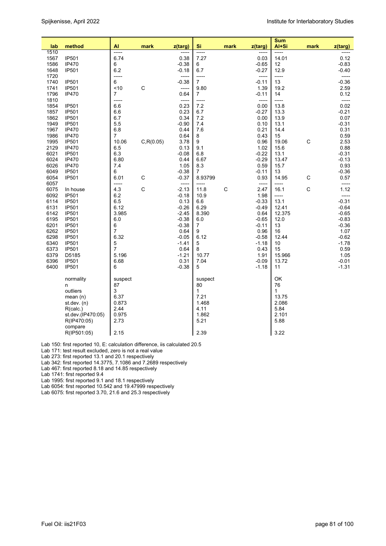| lab          | method                 | AI             | mark       | z(targ)          | Si                      | mark         | z(targ)          | <b>Sum</b><br>Al+Si | mark         | z(targ)          |
|--------------|------------------------|----------------|------------|------------------|-------------------------|--------------|------------------|---------------------|--------------|------------------|
| 1510         |                        | -----          |            |                  | -----                   |              |                  | -----               |              |                  |
| 1567         | <b>IP501</b>           | 6.74           |            | 0.38             | 7.27                    |              | 0.03             | 14.01               |              | 0.12             |
| 1586         | <b>IP470</b>           | 6              |            | $-0.38$          | 6                       |              | $-0.65$          | 12                  |              | $-0.83$          |
| 1648         | IP501                  | 6.2            |            | $-0.18$          | 6.7                     |              | $-0.27$          | 12.9                |              | -0.40            |
| 1720<br>1740 | IP501                  | -----<br>6     |            | -----<br>$-0.38$ | -----<br>$\overline{7}$ |              | -----<br>$-0.11$ | -----<br>13         |              | -----<br>$-0.36$ |
| 1741         | IP501                  | < 10           | C          | -----            | 9.80                    |              | 1.39             | 19.2                |              | 2.59             |
| 1796         | <b>IP470</b>           | $\overline{7}$ |            | 0.64             | 7                       |              | $-0.11$          | 14                  |              | 0.12             |
| 1810         |                        | -----          |            | -----            | -----                   |              | -----            | -----               |              | -----            |
| 1854         | <b>IP501</b>           | 6.6            |            | 0.23             | 7.2                     |              | 0.00             | 13.8                |              | 0.02             |
| 1857         | <b>IP501</b>           | 6.6            |            | 0.23             | 6.7                     |              | $-0.27$          | 13.3                |              | -0.21            |
| 1862         | IP501                  | 6.7            |            | 0.34             | 7.2                     |              | 0.00             | 13.9                |              | 0.07             |
| 1949         | <b>IP501</b>           | 5.5            |            | $-0.90$          | 7.4                     |              | 0.10             | 13.1                |              | $-0.31$          |
| 1967         | <b>IP470</b>           | 6.8            |            | 0.44             | 7.6                     |              | 0.21             | 14.4                |              | 0.31             |
| 1986         | <b>IP470</b>           | $\overline{7}$ |            | 0.64             | 8                       |              | 0.43             | 15                  |              | 0.59             |
| 1995         | <b>IP501</b>           | 10.06          | C, R(0.05) | 3.78             | 9                       |              | 0.96             | 19.06               | C            | 2.53             |
| 2129         | <b>IP470</b>           | 6.5            |            | 0.13             | 9.1                     |              | 1.02             | 15.6                |              | 0.88             |
| 6021         | <b>IP501</b>           | 6.3            |            | $-0.08$          | 6.8                     |              | $-0.22$          | 13.1                |              | $-0.31$          |
| 6024         | <b>IP470</b>           | 6.80           |            | 0.44             | 6.67                    |              | $-0.29$          | 13.47               |              | $-0.13$          |
| 6026         | <b>IP470</b>           | 7.4            |            | 1.05             | 8.3                     |              | 0.59             | 15.7                |              | 0.93             |
| 6049         | IP501                  | 6              |            | $-0.38$          | 7                       |              | $-0.11$          | 13                  |              | $-0.36$          |
| 6054<br>6057 | IP501                  | 6.01<br>-----  | С          | $-0.37$<br>----- | 8.93799<br>-----        |              | 0.93<br>-----    | 14.95<br>-----      | C            | 0.57<br>-----    |
| 6075         | In house               | 4.3            | C          | $-2.13$          | 11.8                    | $\mathsf{C}$ | 2.47             | 16.1                | $\mathsf{C}$ | 1.12             |
| 6092         | <b>IP501</b>           | 6.2            |            | $-0.18$          | 10.9                    |              | 1.98             | -----               |              | -----            |
| 6114         | <b>IP501</b>           | 6.5            |            | 0.13             | 6.6                     |              | $-0.33$          | 13.1                |              | $-0.31$          |
| 6131         | <b>IP501</b>           | 6.12           |            | $-0.26$          | 6.29                    |              | $-0.49$          | 12.41               |              | $-0.64$          |
| 6142         | IP501                  | 3.985          |            | $-2.45$          | 8.390                   |              | 0.64             | 12.375              |              | $-0.65$          |
| 6195         | <b>IP501</b>           | 6.0            |            | $-0.38$          | 6.0                     |              | $-0.65$          | 12.0                |              | $-0.83$          |
| 6201         | <b>IP501</b>           | 6              |            | $-0.38$          | 7                       |              | $-0.11$          | 13                  |              | $-0.36$          |
| 6262         | <b>IP501</b>           | $\overline{7}$ |            | 0.64             | 9                       |              | 0.96             | 16                  |              | 1.07             |
| 6298         | <b>IP501</b>           | 6.32           |            | $-0.05$          | 6.12                    |              | $-0.58$          | 12.44               |              | $-0.62$          |
| 6340         | <b>IP501</b>           | 5              |            | $-1.41$          | 5                       |              | $-1.18$          | 10                  |              | $-1.78$          |
| 6373         | <b>IP501</b>           | $\overline{7}$ |            | 0.64             | 8                       |              | 0.43             | 15                  |              | 0.59             |
| 6379         | D5185                  | 5.196          |            | $-1.21$          | 10.77                   |              | 1.91             | 15.966              |              | 1.05             |
| 6396         | IP501                  | 6.68           |            | 0.31             | 7.04                    |              | $-0.09$          | 13.72               |              | $-0.01$          |
| 6400         | IP501                  | 6              |            | $-0.38$          | 5                       |              | $-1.18$          | 11                  |              | $-1.31$          |
|              | normality              | suspect        |            |                  | suspect                 |              |                  | OK                  |              |                  |
|              | n                      | 87             |            |                  | 80                      |              |                  | 76                  |              |                  |
|              | outliers               | 3              |            |                  | 1                       |              |                  | $\mathbf{1}$        |              |                  |
|              | mean $(n)$             | 6.37           |            |                  | 7.21                    |              |                  | 13.75               |              |                  |
|              | st.dev. (n)            | 0.873          |            |                  | 1.468                   |              |                  | 2.086               |              |                  |
|              | R(calc.)               | 2.44           |            |                  | 4.11                    |              |                  | 5.84                |              |                  |
|              | st.dev.(IP470:05)      | 0.975          |            |                  | 1.862                   |              |                  | 2.101               |              |                  |
|              | R(IP470:05)            | 2.73           |            |                  | 5.21                    |              |                  | 5.88                |              |                  |
|              | compare<br>R(IP501:05) | 2.15           |            |                  | 2.39                    |              |                  | 3.22                |              |                  |

Lab 150: first reported 10, E: calculation difference, iis calculated 20.5

Lab 171: test result excluded, zero is not a real value

Lab 273: first reported 13.1 and 20.1 respectively

Lab 342: first reported 14.3775, 7.1086 and 7.2689 respectively

Lab 467: first reported 8.18 and 14.85 respectively

Lab 1741: first reported 9.4

Lab 1995: first reported 9.1 and 18.1 respectively

Lab 6054: first reported 10.542 and 19.47999 respectively

Lab 6075: first reported 3.70, 21.6 and 25.3 respectively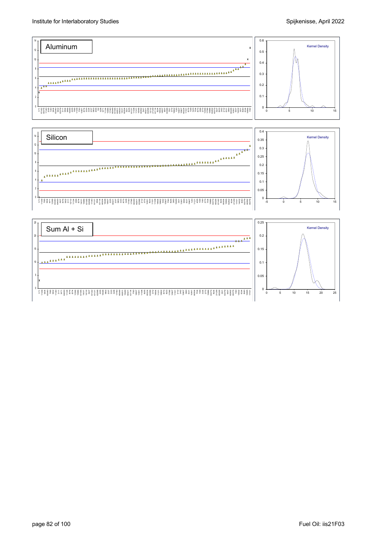



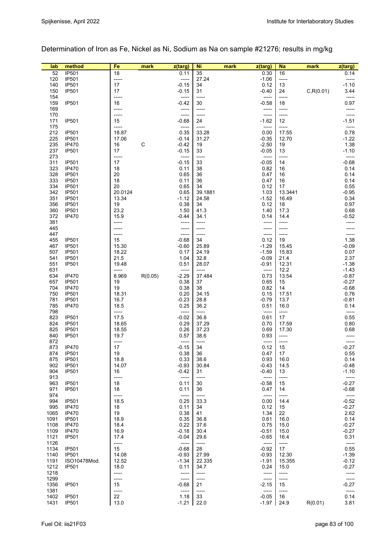### Determination of Iron as Fe, Nickel as Ni, Sodium as Na on sample #21276; results in mg/kg

| lab  | method       | Fe       | mark        | z(targ)      | Ni       | mark | z(targ)      | <b>Na</b> | mark       | z(targ)         |
|------|--------------|----------|-------------|--------------|----------|------|--------------|-----------|------------|-----------------|
| 52   | <b>IP501</b> | 18       |             | 0.11         | 35       |      | 0.30         | 16        |            | 0.14            |
| 120  | <b>IP501</b> | -----    |             | -----        | 27.24    |      | $-1.06$      | -----     |            | -----           |
| 140  | <b>IP501</b> | 17       |             | $-0.15$      | 34       |      | 0.12         | 13        |            | $-1.10$         |
| 150  | <b>IP501</b> | 17       |             | $-0.15$      | 31       |      | $-0.40$      | 24        | C, R(0.01) | 3.44            |
| 154  |              | -----    |             | -----        | -----    |      | -----        | -----     |            | -----           |
| 159  | <b>IP501</b> | 16       |             | $-0.42$      | 30       |      | $-0.58$      | 18        |            | 0.97            |
|      |              |          |             |              |          |      |              |           |            |                 |
| 169  |              | -----    |             | -----        | -----    |      | -----        | -----     |            |                 |
| 170  |              | -----    |             | -----        | -----    |      | -----        | -----     |            |                 |
| 171  | IP501        | 15       |             | $-0.68$      | 24       |      | $-1.62$      | 12        |            | $-1.51$         |
| 175  |              | -----    |             | -----        | -----    |      | -----        | -----     |            | -----           |
| 212  | <b>IP501</b> | 18.87    |             | 0.35         | 33.28    |      | 0.00         | 17.55     |            | 0.78            |
| 225  | <b>IP501</b> | 17.06    |             | $-0.14$      | 31.27    |      | $-0.35$      | 12.70     |            | $-1.22$         |
| 235  | <b>IP470</b> | 16       | $\mathsf C$ | $-0.42$      | 19       |      | $-2.50$      | 19        |            | 1.38            |
| 237  | <b>IP501</b> | 17       |             | $-0.15$      | 33       |      | $-0.05$      | 13        |            | $-1.10$         |
| 273  |              | -----    |             | -----        | -----    |      | -----        | -----     |            | -----           |
| 311  | IP501        | 17       |             | $-0.15$      | 33       |      | $-0.05$      | 14        |            | $-0.68$         |
| 323  | <b>IP470</b> | 18       |             | 0.11         | 38       |      | 0.82         | 16        |            | 0.14            |
| 328  | <b>IP501</b> | 20       |             | 0.65         | 36       |      | 0.47         | 16        |            | 0.14            |
| 333  | <b>IP501</b> | 18       |             | 0.11         | 36       |      | 0.47         | 16        |            | 0.14            |
| 334  | <b>IP501</b> | 20       |             | 0.65         | 34       |      | 0.12         | 17        |            | 0.55            |
| 342  | <b>IP501</b> | 20.0124  |             | 0.65         | 39.1881  |      | 1.03         | 13.3441   |            | $-0.95$         |
| 351  | <b>IP501</b> | 13.34    |             | $-1.12$      | 24.58    |      | $-1.52$      | 16.49     |            | 0.34            |
| 356  | <b>IP501</b> | 19       |             | 0.38         | 34       |      | 0.12         | 18        |            | 0.97            |
| 360  | <b>IP501</b> | 23.2     |             | 1.50         | 41.3     |      | 1.40         | 17.3      |            | 0.68            |
| 372  | <b>IP470</b> | 15.9     |             | $-0.44$      | 34.1     |      | 0.14         | 14.4      |            | $-0.52$         |
| 381  |              |          |             | -----        | -----    |      | -----        |           |            |                 |
| 445  |              | -----    |             | -----        | -----    |      | -----        | -----     |            |                 |
| 447  |              | -----    |             | -----        | -----    |      | -----        | -----     |            |                 |
| 455  | <b>IP501</b> | 15       |             | $-0.68$      | 34       |      | 0.12         | 19        |            | 1.38            |
| 467  | <b>IP501</b> | 15.30    |             | $-0.60$      | 25.89    |      | $-1.29$      | 15.45     |            | $-0.09$         |
| 507  | <b>IP501</b> | 18.22    |             | 0.17         | 24.19    |      | $-1.59$      | 15.83     |            | 0.07            |
| 541  | <b>IP501</b> | 21.5     |             | 1.04         | 32.8     |      | $-0.09$      | 21.4      |            | 2.37            |
| 551  | <b>IP501</b> | 19.48    |             | 0.51         | 28.07    |      | $-0.91$      | 12.31     |            | $-1.38$         |
| 631  |              | -----    |             | -----        | -----    |      | -----        | 12.2      |            | $-1.43$         |
| 634  | <b>IP470</b> | 8.969    | R(0.05)     | $-2.29$      | 37.484   |      | 0.73         | 13.54     |            | $-0.87$         |
| 657  | <b>IP501</b> | 19       |             | 0.38         | 37       |      | 0.65         | 15        |            | $-0.27$         |
| 704  | <b>IP470</b> | 19       |             | 0.38         | 38       |      | 0.82         | 14        |            | $-0.68$         |
| 750  | <b>IP501</b> | 18.31    |             | 0.20         | 34.15    |      | 0.15         | 17.51     |            | 0.76            |
| 781  | <b>IP501</b> | 16.7     |             | $-0.23$      | 28.8     |      | $-0.79$      | 13.7      |            | $-0.81$         |
| 785  | <b>IP470</b> | 18.5     |             | 0.25         | 36.2     |      | 0.51         | 16.0      |            | 0.14            |
| 798  |              | -----    |             | -----        | -----    |      | -----        | -----     |            | -----           |
| 823  | <b>IP501</b> | 17.5     |             | $-0.02$      | 36.8     |      | 0.61         | 17        |            | 0.55            |
| 824  | <b>IP501</b> | 18.65    |             | 0.29         | 37.29    |      | 0.70         | 17.59     |            | 0.80            |
| 825  | <b>IP501</b> | 18.55    |             | 0.26         | 37.23    |      | 0.69         | 17.30     |            | 0.68            |
| 840  | <b>IP501</b> | 19.7     |             | 0.57         | 38.6     |      | 0.93         | -----     |            | -----           |
| 872  |              | -----    |             | -----        | -----    |      | -----        | $-----$   |            | -----           |
| 873  | <b>IP470</b> | 17       |             | $-0.15$      | 34       |      | 0.12         | 15        |            | $-0.27$         |
| 874  | <b>IP501</b> | 19       |             | 0.38         | 36       |      | 0.47         | 17        |            | 0.55            |
| 875  | <b>IP501</b> | 18.8     |             | 0.33         | 38.6     |      | 0.93         | 16.0      |            | 0.14            |
| 902  | <b>IP501</b> | 14.07    |             | $-0.93$      | 30.84    |      | $-0.43$      | 14.5      |            | $-0.48$         |
| 904  | <b>IP501</b> | 16       |             | $-0.42$      | 31       |      | $-0.40$      | 13        |            | $-1.10$         |
| 913  |              | -----    |             | -----        | -----    |      | -----        | -----     |            | -----           |
| 963  | IP501        | 18       |             | 0.11         | 30       |      | $-0.58$      | 15        |            | $-0.27$         |
| 971  | <b>IP501</b> | 18       |             | 0.11         | 36       |      | 0.47         | 14        |            | $-0.68$         |
| 974  |              | -----    |             | -----        | -----    |      | -----        | -----     |            | -----           |
| 994  | <b>IP501</b> | 18.5     |             | 0.25         | 33.3     |      | 0.00         | 14.4      |            | $-0.52$         |
|      |              |          |             |              |          |      |              |           |            |                 |
| 995  | IP470        | 18<br>19 |             | 0.11<br>0.38 | 34<br>41 |      | 0.12<br>1.34 | 15<br>22  |            | $-0.27$<br>2.62 |
| 1065 | IP470        |          |             |              |          |      |              |           |            |                 |
| 1091 | <b>IP501</b> | 18.9     |             | 0.35         | 36.8     |      | 0.61         | 16.0      |            | 0.14            |
| 1108 | IP470        | 18.4     |             | 0.22         | 37.6     |      | 0.75         | 15.0      |            | $-0.27$         |
| 1109 | <b>IP470</b> | 16.9     |             | $-0.18$      | 30.4     |      | $-0.51$      | 15.0      |            | $-0.27$         |
| 1121 | <b>IP501</b> | 17.4     |             | $-0.04$      | 29.6     |      | $-0.65$      | 16.4      |            | 0.31            |
| 1126 |              | -----    |             | -----        | -----    |      | -----        | -----     |            | -----           |
| 1134 | <b>IP501</b> | 15       |             | $-0.68$      | 28       |      | $-0.92$      | 17        |            | 0.55            |
| 1140 | <b>IP501</b> | 14.08    |             | $-0.93$      | 27.99    |      | $-0.93$      | 12.30     |            | $-1.39$         |
| 1191 | ISO10478Mod. | 12.52    |             | $-1.34$      | 22.335   |      | $-1.91$      | 15.355    |            | $-0.12$         |
| 1212 | <b>IP501</b> | 18.0     |             | 0.11         | 34.7     |      | 0.24         | 15.0      |            | $-0.27$         |
| 1218 |              | -----    |             | -----        | -----    |      | -----        | -----     |            | -----           |
| 1299 |              | -----    |             | -----        | -----    |      | -----        | -----     |            | -----           |
| 1356 | <b>IP501</b> | 15       |             | $-0.68$      | 21       |      | $-2.15$      | 15        |            | $-0.27$         |
| 1381 |              | -----    |             | -----        | -----    |      | -----        | -----     |            | -----           |
| 1402 | <b>IP501</b> | 22       |             | 1.18         | 33       |      | $-0.05$      | 16        |            | 0.14            |
| 1431 | <b>IP501</b> | 13.0     |             | $-1.21$      | 22.0     |      | $-1.97$      | 24.9      | R(0.01)    | 3.81            |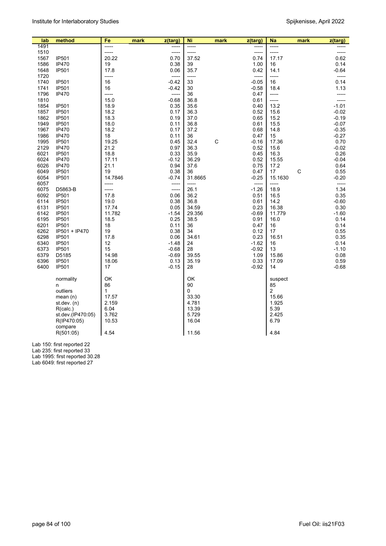| lab          | method                       | Fe            | z(targ)<br>mark    | Ni            | mark | z(targ)            | <b>Na</b>      | mark | z(targ)       |
|--------------|------------------------------|---------------|--------------------|---------------|------|--------------------|----------------|------|---------------|
| 1491         |                              | -----         | -----              | -----         |      |                    | -----          |      |               |
| 1510         |                              | -----         | -----              | -----         |      | -----              | -----          |      | -----         |
| 1567         | <b>IP501</b>                 | 20.22         | 0.70               | 37.52         |      | 0.74               | 17.17          |      | 0.62          |
| 1586         | <b>IP470</b>                 | 19            | 0.38               | 39            |      | 1.00               | 16             |      | 0.14          |
| 1648         | <b>IP501</b>                 | 17.8          | 0.06               | 35.7          |      | 0.42               | 14.1           |      | $-0.64$       |
| 1720         |                              | -----<br>16   | -----              | -----<br>33   |      | -----              | -----<br>16    |      | -----         |
| 1740<br>1741 | <b>IP501</b><br><b>IP501</b> | 16            | $-0.42$<br>$-0.42$ | 30            |      | $-0.05$<br>$-0.58$ | 18.4           |      | 0.14<br>1.13  |
| 1796         | <b>IP470</b>                 | -----         | -----              | 36            |      | 0.47               | -----          |      | -----         |
| 1810         |                              | 15.0          | $-0.68$            | 36.8          |      | 0.61               | -----          |      | -----         |
| 1854         | <b>IP501</b>                 | 18.9          | 0.35               | 35.6          |      | 0.40               | 13.2           |      | $-1.01$       |
| 1857         | <b>IP501</b>                 | 18.2          | 0.17               | 36.3          |      | 0.52               | 15.6           |      | $-0.02$       |
| 1862         | <b>IP501</b>                 | 18.3          | 0.19               | 37.0          |      | 0.65               | 15.2           |      | $-0.19$       |
| 1949         | <b>IP501</b>                 | 18.0          | 0.11               | 36.8          |      | 0.61               | 15.5           |      | $-0.07$       |
| 1967         | <b>IP470</b>                 | 18.2          | 0.17               | 37.2          |      | 0.68               | 14.8           |      | $-0.35$       |
| 1986         | <b>IP470</b>                 | 18            | 0.11               | 36            |      | 0.47               | 15             |      | $-0.27$       |
| 1995         | <b>IP501</b>                 | 19.25         | 0.45               | 32.4          | C    | $-0.16$            | 17.36          |      | 0.70          |
| 2129         | <b>IP470</b>                 | 21.2          | 0.97               | 36.3          |      | 0.52               | 15.6           |      | $-0.02$       |
| 6021         | <b>IP501</b>                 | 18.8          | 0.33               | 35.9          |      | 0.45               | 16.3           |      | 0.26          |
| 6024         | <b>IP470</b>                 | 17.11         | $-0.12$            | 36.29         |      | 0.52               | 15.55          |      | $-0.04$       |
| 6026         | <b>IP470</b>                 | 21.1          | 0.94               | 37.6          |      | 0.75               | 17.2           |      | 0.64          |
| 6049         | <b>IP501</b>                 | 19            | 0.38               | 36            |      | 0.47               | 17             | С    | 0.55          |
| 6054         | <b>IP501</b>                 | 14.7846       | $-0.74$            | 31.8665       |      | $-0.25$            | 15.1630        |      | $-0.20$       |
| 6057<br>6075 |                              | -----         | -----              | -----<br>26.1 |      | -----<br>$-1.26$   | -----<br>18.9  |      | -----<br>1.34 |
| 6092         | D5863-B<br><b>IP501</b>      | -----<br>17.8 | -----<br>0.06      | 36.2          |      | 0.51               | 16.5           |      | 0.35          |
| 6114         | <b>IP501</b>                 | 19.0          | 0.38               | 36.8          |      | 0.61               | 14.2           |      | $-0.60$       |
| 6131         | IP501                        | 17.74         | 0.05               | 34.59         |      | 0.23               | 16.38          |      | 0.30          |
| 6142         | <b>IP501</b>                 | 11.782        | $-1.54$            | 29.356        |      | $-0.69$            | 11.779         |      | $-1.60$       |
| 6195         | <b>IP501</b>                 | 18.5          | 0.25               | 38.5          |      | 0.91               | 16.0           |      | 0.14          |
| 6201         | <b>IP501</b>                 | 18            | 0.11               | 36            |      | 0.47               | 16             |      | 0.14          |
| 6262         | IP501 + IP470                | 19            | 0.38               | 34            |      | 0.12               | 17             |      | 0.55          |
| 6298         | <b>IP501</b>                 | 17.8          | 0.06               | 34.61         |      | 0.23               | 16.51          |      | 0.35          |
| 6340         | <b>IP501</b>                 | 12            | $-1.48$            | 24            |      | $-1.62$            | 16             |      | 0.14          |
| 6373         | <b>IP501</b>                 | 15            | $-0.68$            | 28            |      | $-0.92$            | 13             |      | $-1.10$       |
| 6379         | D5185                        | 14.98         | $-0.69$            | 39.55         |      | 1.09               | 15.86          |      | 0.08          |
| 6396         | <b>IP501</b>                 | 18.06         | 0.13               | 35.19         |      | 0.33               | 17.09          |      | 0.59          |
| 6400         | <b>IP501</b>                 | 17            | $-0.15$            | 28            |      | $-0.92$            | 14             |      | $-0.68$       |
|              | normality                    | OK            |                    | OK            |      |                    | suspect        |      |               |
|              | n                            | 86            |                    | 90            |      |                    | 85             |      |               |
|              | outliers                     | 1             |                    | $\Omega$      |      |                    | $\overline{2}$ |      |               |
|              | mean $(n)$                   | 17.57         |                    | 33.30         |      |                    | 15.66          |      |               |
|              | st.dev. (n)                  | 2.159         |                    | 4.781         |      |                    | 1.925          |      |               |
|              | R(calc.)                     | 6.04          |                    | 13.39         |      |                    | 5.39           |      |               |
|              | st.dev.(IP470:05)            | 3.762         |                    | 5.729         |      |                    | 2.425          |      |               |
|              | R(IP470:05)                  | 10.53         |                    | 16.04         |      |                    | 6.79           |      |               |
|              | compare<br>R(501:05)         | 4.54          |                    | 11.56         |      |                    | 4.84           |      |               |
|              |                              |               |                    |               |      |                    |                |      |               |

Lab 150: first reported 22

Lab 235: first reported 33

Lab 1995: first reported 30.28

Lab 6049: first reported 27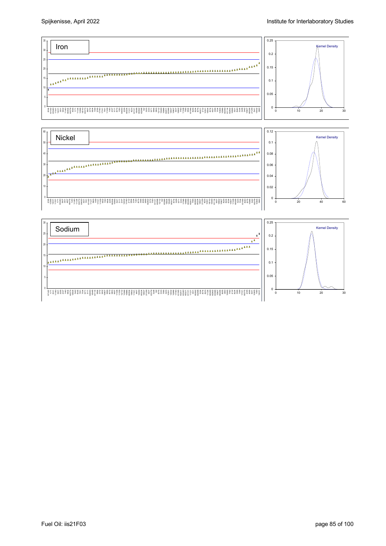

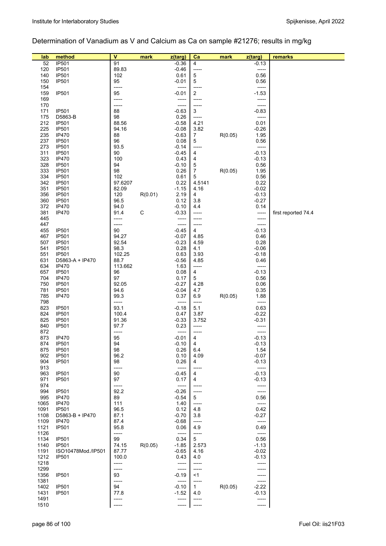#### Determination of Vanadium as V and Calcium as Ca on sample #21276; results in mg/kg

| lab        | method                       | V           | mark        | z(targ)          | $ca$             | mark    | z(targ)          | remarks             |
|------------|------------------------------|-------------|-------------|------------------|------------------|---------|------------------|---------------------|
| 52         | IP501                        | 91          |             | -0.36            | $\overline{4}$   |         | $-0.13$          |                     |
| 120        | IP501                        | 89.83       |             | $-0.46$          | -----            |         | -----            |                     |
| 140        | <b>IP501</b>                 | 102         |             | 0.61             | $\,$ 5 $\,$      |         | 0.56             |                     |
| 150        | <b>IP501</b>                 | 95          |             | $-0.01$          | 5                |         | 0.56             |                     |
| 154        |                              | -----       |             | -----            | -----            |         | -----            |                     |
| 159        | <b>IP501</b>                 | 95          |             | $-0.01$          | $\overline{2}$   |         | $-1.53$          |                     |
| 169        |                              | -----       |             | -----            | -----            |         | -----            |                     |
| 170        |                              | -----       |             | -----            | -----            |         | -----            |                     |
| 171        | IP501                        | 88          |             | $-0.63$          | 3                |         | $-0.83$          |                     |
| 175        | D5863-B                      | 98          |             | 0.26             | -----            |         | -----            |                     |
| 212        | IP501                        | 88.56       |             | $-0.58$          | 4.21             |         | 0.01             |                     |
| 225        | <b>IP501</b>                 | 94.16       |             | $-0.08$          | 3.82             |         | $-0.26$          |                     |
| 235        | <b>IP470</b>                 | 88          |             | $-0.63$          | $\overline{7}$   | R(0.05) | 1.95             |                     |
| 237        | <b>IP501</b>                 | 96          |             | 0.08             | 5                |         | 0.56             |                     |
| 273        | IP501                        | 93.5        |             | $-0.14$          | -----            |         | -----            |                     |
| 311        | <b>IP501</b>                 | 90          |             | $-0.45$          | 4                |         | $-0.13$          |                     |
| 323        | <b>IP470</b>                 | 100         |             | 0.43             | 4                |         | $-0.13$          |                     |
| 328        | <b>IP501</b>                 | 94          |             | $-0.10$          | $\mathbf 5$      |         | 0.56             |                     |
| 333        | <b>IP501</b>                 | 98          |             | 0.26             | $\boldsymbol{7}$ | R(0.05) | 1.95             |                     |
| 334        | <b>IP501</b>                 | 102         |             | 0.61             | 5                |         | 0.56             |                     |
| 342        | <b>IP501</b>                 | 97.6207     |             | 0.22             | 4.5141           |         | 0.22             |                     |
| 351        | <b>IP501</b>                 | 82.09       |             | $-1.15$          | 4.16             |         | $-0.02$          |                     |
| 356        | <b>IP501</b>                 | 120         | R(0.01)     | 2.19             | 4                |         | $-0.13$          |                     |
| 360        | <b>IP501</b>                 | 96.5        |             | 0.12             | 3.8              |         | $-0.27$          |                     |
| 372        | <b>IP470</b>                 | 94.0        |             | $-0.10$          | 4.4              |         | 0.14             |                     |
| 381        | <b>IP470</b>                 | 91.4        | $\mathsf C$ | $-0.33$          | -----            |         | -----            | first reported 74.4 |
| 445        |                              | -----       |             | -----            | -----            |         | -----            |                     |
| 447        |                              | -----       |             | -----            | -----            |         | -----            |                     |
| 455        | <b>IP501</b>                 | 90          |             | $-0.45$          | 4                |         | $-0.13$          |                     |
| 467        | <b>IP501</b>                 | 94.27       |             | $-0.07$          | 4.85             |         | 0.46             |                     |
| 507        | <b>IP501</b>                 | 92.54       |             | $-0.23$          | 4.59             |         | 0.28             |                     |
| 541        | <b>IP501</b>                 | 98.3        |             | 0.28             | 4.1              |         | $-0.06$          |                     |
| 551        | <b>IP501</b>                 | 102.25      |             | 0.63             | 3.93             |         | $-0.18$          |                     |
| 631        | D5863-A + IP470              | 88.7        |             | $-0.56$          | 4.85             |         | 0.46             |                     |
| 634        | <b>IP470</b>                 | 113.662     |             | 1.63             | -----            |         |                  |                     |
| 657        | <b>IP501</b>                 | 96          |             | 0.08             | $\overline{4}$   |         | -0.13            |                     |
| 704        | <b>IP470</b>                 | 97          |             | 0.17             | 5                |         | 0.56             |                     |
| 750        | <b>IP501</b>                 | 92.05       |             | $-0.27$          | 4.28             |         | 0.06             |                     |
| 781        | IP501                        | 94.6        |             | $-0.04$          | 4.7              |         | 0.35             |                     |
| 785        | <b>IP470</b>                 | 99.3        |             | 0.37             | 6.9              | R(0.05) | 1.88             |                     |
| 798        |                              | -----       |             | -----            | -----            |         | -----            |                     |
| 823        | <b>IP501</b>                 | 93.1        |             | -0.18            | 5.1              |         | 0.63             |                     |
| 824        | <b>IP501</b>                 | 100.4       |             | 0.47             | 3.87             |         | $-0.22$          |                     |
| 825        | <b>IP501</b>                 | 91.36       |             | $-0.33$          | 3.752            |         | $-0.31$          |                     |
| 840        | <b>IP501</b>                 | 97.7        |             | 0.23             | -----            |         | -----            |                     |
| 872        |                              | -----       |             | -----            | -----            |         |                  |                     |
| 873        | <b>IP470</b>                 | 95          |             | $-0.01$          | 4                |         | $-0.13$          |                     |
| 874        | IP501                        | 94          |             | $-0.10$          | 4                |         | $-0.13$          |                     |
| 875        | <b>IP501</b>                 | 98<br>96.2  |             | 0.26<br>0.10     | 6.4              |         | 1.54             |                     |
| 902<br>904 | <b>IP501</b><br><b>IP501</b> |             |             | 0.26             | 4.09             |         | $-0.07$          |                     |
| 913        |                              | 98          |             |                  | 4                |         | $-0.13$          |                     |
| 963        | <b>IP501</b>                 | -----<br>90 |             | -----<br>$-0.45$ | -----<br>4       |         | -----<br>$-0.13$ |                     |
| 971        | <b>IP501</b>                 | 97          |             | 0.17             | 4                |         | $-0.13$          |                     |
| 974        |                              | -----       |             | -----            | -----            |         | -----            |                     |
| 994        | IP501                        | 92.2        |             | $-0.26$          | -----            |         | -----            |                     |
| 995        | <b>IP470</b>                 | 89          |             | $-0.54$          | 5                |         | 0.56             |                     |
| 1065       | <b>IP470</b>                 | 111         |             | 1.40             | -----            |         | -----            |                     |
| 1091       | <b>IP501</b>                 | 96.5        |             | 0.12             | 4.8              |         | 0.42             |                     |
| 1108       | D5863-B + IP470              | 87.1        |             | $-0.70$          | 3.8              |         | $-0.27$          |                     |
| 1109       | <b>IP470</b>                 | 87.4        |             | $-0.68$          | -----            |         | -----            |                     |
| 1121       | <b>IP501</b>                 | 95.8        |             | 0.06             | 4.9              |         | 0.49             |                     |
| 1126       |                              | -----       |             | $-----$          | -----            |         | -----            |                     |
| 1134       | <b>IP501</b>                 | 99          |             | 0.34             | 5                |         | 0.56             |                     |
| 1140       | <b>IP501</b>                 | 74.15       | R(0.05)     | $-1.85$          | 2.573            |         | $-1.13$          |                     |
| 1191       | ISO10478Mod./IP501           | 87.77       |             | $-0.65$          | 4.16             |         | $-0.02$          |                     |
| 1212       | <b>IP501</b>                 | 100.0       |             | 0.43             | 4.0              |         | $-0.13$          |                     |
| 1218       |                              | -----       |             | -----            | -----            |         |                  |                     |
| 1299       |                              | -----       |             | -----            | -----            |         |                  |                     |
| 1356       | <b>IP501</b>                 | 93          |             | $-0.19$          | <1               |         | -----            |                     |
| 1381       |                              | -----       |             | -----            | -----            |         | -----            |                     |
| 1402       | <b>IP501</b>                 | 94          |             | $-0.10$          | $\mathbf{1}$     | R(0.05) | $-2.22$          |                     |
| 1431       | <b>IP501</b>                 | 77.8        |             | $-1.52$          | 4.0              |         | -0.13            |                     |
| 1491       |                              | -----       |             | -----            | -----            |         | -----            |                     |
| 1510       |                              | -----       |             | -----            | -----            |         | -----            |                     |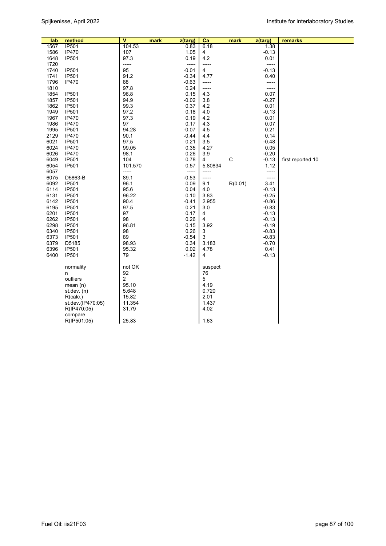| lab  | method            | ۷       | mark | z(targ) | Ca      | mark    | z(targ) | remarks           |
|------|-------------------|---------|------|---------|---------|---------|---------|-------------------|
| 1567 | <b>IP501</b>      | 104.53  |      | 0.83    | 6.18    |         | 1.38    |                   |
| 1586 | IP470             | 107     |      | 1.05    | 4       |         | $-0.13$ |                   |
| 1648 | <b>IP501</b>      | 97.3    |      | 0.19    | 4.2     |         | 0.01    |                   |
| 1720 |                   | -----   |      | -----   | -----   |         | -----   |                   |
| 1740 | <b>IP501</b>      | 95      |      | $-0.01$ | 4       |         | $-0.13$ |                   |
| 1741 | <b>IP501</b>      | 91.2    |      | $-0.34$ | 4.77    |         | 0.40    |                   |
| 1796 | <b>IP470</b>      | 88      |      | $-0.63$ | -----   |         | -----   |                   |
| 1810 |                   | 97.8    |      | 0.24    | -----   |         | -----   |                   |
|      |                   |         |      |         |         |         |         |                   |
| 1854 | <b>IP501</b>      | 96.8    |      | 0.15    | 4.3     |         | 0.07    |                   |
| 1857 | <b>IP501</b>      | 94.9    |      | $-0.02$ | 3.8     |         | $-0.27$ |                   |
| 1862 | <b>IP501</b>      | 99.3    |      | 0.37    | 4.2     |         | 0.01    |                   |
| 1949 | <b>IP501</b>      | 97.2    |      | 0.18    | 4.0     |         | $-0.13$ |                   |
| 1967 | IP470             | 97.3    |      | 0.19    | 4.2     |         | 0.01    |                   |
| 1986 | <b>IP470</b>      | 97      |      | 0.17    | 4.3     |         | 0.07    |                   |
| 1995 | <b>IP501</b>      | 94.28   |      | $-0.07$ | 4.5     |         | 0.21    |                   |
| 2129 | <b>IP470</b>      | 90.1    |      | $-0.44$ | 4.4     |         | 0.14    |                   |
| 6021 | <b>IP501</b>      | 97.5    |      | 0.21    | 3.5     |         | $-0.48$ |                   |
| 6024 | <b>IP470</b>      | 99.05   |      | 0.35    | 4.27    |         | 0.05    |                   |
| 6026 | <b>IP470</b>      | 98.1    |      | 0.26    | 3.9     |         | $-0.20$ |                   |
| 6049 | <b>IP501</b>      | 104     |      | 0.78    | 4       | C       | $-0.13$ | first reported 10 |
| 6054 | <b>IP501</b>      | 101.570 |      | 0.57    | 5.80834 |         | 1.12    |                   |
| 6057 |                   | -----   |      | -----   | -----   |         | -----   |                   |
| 6075 | D5863-B           | 89.1    |      | $-0.53$ | -----   |         | -----   |                   |
| 6092 | <b>IP501</b>      | 96.1    |      | 0.09    | 9.1     | R(0.01) | 3.41    |                   |
| 6114 | <b>IP501</b>      | 95.6    |      | 0.04    | 4.0     |         | $-0.13$ |                   |
| 6131 | <b>IP501</b>      | 96.22   |      | 0.10    | 3.83    |         | $-0.25$ |                   |
| 6142 | <b>IP501</b>      | 90.4    |      | $-0.41$ | 2.955   |         | $-0.86$ |                   |
| 6195 | <b>IP501</b>      | 97.5    |      | 0.21    | 3.0     |         | $-0.83$ |                   |
| 6201 | <b>IP501</b>      | 97      |      | 0.17    | 4       |         | $-0.13$ |                   |
| 6262 | <b>IP501</b>      | 98      |      | 0.26    | 4       |         | $-0.13$ |                   |
| 6298 | <b>IP501</b>      | 96.81   |      | 0.15    | 3.92    |         | $-0.19$ |                   |
| 6340 | <b>IP501</b>      | 98      |      | 0.26    | 3       |         | $-0.83$ |                   |
|      |                   |         |      |         |         |         |         |                   |
| 6373 | <b>IP501</b>      | 89      |      | $-0.54$ | 3       |         | $-0.83$ |                   |
| 6379 | D5185             | 98.93   |      | 0.34    | 3.183   |         | $-0.70$ |                   |
| 6396 | <b>IP501</b>      | 95.32   |      | 0.02    | 4.78    |         | 0.41    |                   |
| 6400 | <b>IP501</b>      | 79      |      | -1.42   | 4       |         | $-0.13$ |                   |
|      |                   |         |      |         |         |         |         |                   |
|      | normality         | not OK  |      |         | suspect |         |         |                   |
|      | n                 | 92      |      |         | 76      |         |         |                   |
|      | outliers          | 2       |      |         | 5       |         |         |                   |
|      | mean(n)           | 95.10   |      |         | 4.19    |         |         |                   |
|      | st. dev. (n)      | 5.648   |      |         | 0.720   |         |         |                   |
|      | R(calc.)          | 15.82   |      |         | 2.01    |         |         |                   |
|      | st.dev.(IP470:05) | 11.354  |      |         | 1.437   |         |         |                   |
|      | R(IP470:05)       | 31.79   |      |         | 4.02    |         |         |                   |
|      | compare           |         |      |         |         |         |         |                   |
|      | R(IP501:05)       | 25.83   |      |         | 1.63    |         |         |                   |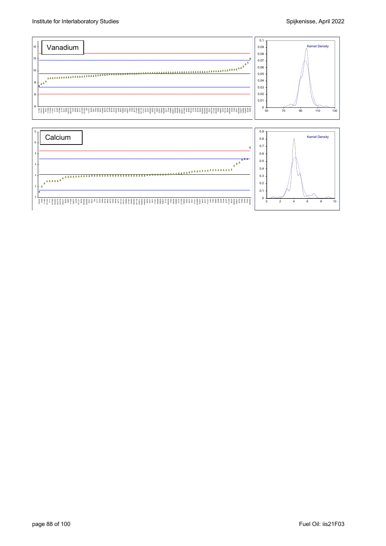

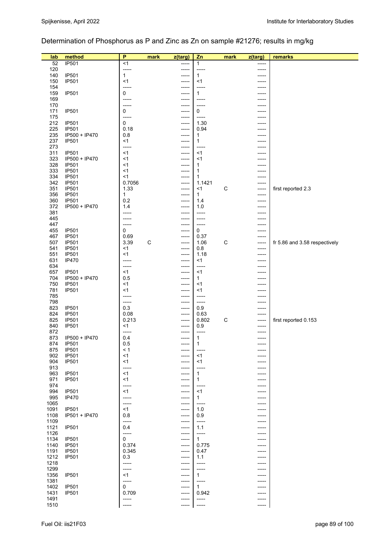## Determination of Phosphorus as P and Zinc as Zn on sample #21276; results in mg/kg

| lab          | method                        | P                    | mark | z(targ)        | Zn                    | mark | z(targ)        | remarks                       |
|--------------|-------------------------------|----------------------|------|----------------|-----------------------|------|----------------|-------------------------------|
| 52           | IP501                         | < 1                  |      | -----          | $\mathbf{1}$          |      | -----          |                               |
| 120          |                               | -----                |      | -----          | -----                 |      | -----          |                               |
| 140          | <b>IP501</b>                  | $\mathbf{1}$         |      | -----          | $\mathbf{1}$          |      | -----          |                               |
| 150          | <b>IP501</b>                  | $<$ 1                |      | -----          | <1                    |      | -----          |                               |
| 154          |                               | -----                |      | -----          | -----                 |      | -----          |                               |
| 159          | <b>IP501</b>                  | 0                    |      | -----          | $\mathbf{1}$          |      | -----          |                               |
| 169          |                               | -----                |      | -----          | -----                 |      | -----          |                               |
| 170          |                               | -----<br>$\mathbf 0$ |      | -----          | -----                 |      | -----          |                               |
| 171<br>175   | IP501                         | -----                |      | -----<br>----- | 0<br>-----            |      | -----<br>----- |                               |
| 212          | <b>IP501</b>                  | $\pmb{0}$            |      | -----          | 1.30                  |      | -----          |                               |
| 225          | <b>IP501</b>                  | 0.18                 |      | -----          | 0.94                  |      | -----          |                               |
| 235          | IP500 + IP470                 | 0.8                  |      | -----          | 1                     |      | -----          |                               |
| 237          | <b>IP501</b>                  | $<$ 1                |      | -----          | $\mathbf{1}$          |      | -----          |                               |
| 273          |                               | -----                |      | -----          | -----                 |      | -----          |                               |
| 311          | IP501                         | <1                   |      | -----          | $<$ 1                 |      | ------         |                               |
| 323          | IP500 + IP470                 | <1                   |      | -----          | <1                    |      | -----          |                               |
| 328<br>333   | <b>IP501</b><br><b>IP501</b>  | $<$ 1<br>$<$ 1       |      | -----<br>----- | 1<br>1                |      | -----<br>----- |                               |
| 334          | <b>IP501</b>                  | $<$ 1                |      | -----          | 1                     |      | -----          |                               |
| 342          | <b>IP501</b>                  | 0.7056               |      | -----          | 1.1421                |      | -----          |                               |
| 351          | <b>IP501</b>                  | 1.33                 |      | -----          | $<$ 1                 | C    | -----          | first reported 2.3            |
| 356          | <b>IP501</b>                  | 1                    |      | -----          | $\mathbf{1}$          |      | -----          |                               |
| 360          | <b>IP501</b>                  | 0.2                  |      | -----          | 1.4                   |      | -----          |                               |
| 372          | IP500 + IP470                 | 1.4                  |      | -----          | 1.0                   |      | -----          |                               |
| 381          |                               | ------               |      | -----          | -----                 |      |                |                               |
| 445<br>447   |                               | -----                |      | -----          | -----                 |      | -----          |                               |
| 455          | IP501                         | -----<br>0           |      | -----<br>----- | -----<br>0            |      | -----<br>----- |                               |
| 467          | <b>IP501</b>                  | 0.69                 |      | -----          | 0.37                  |      | -----          |                               |
| 507          | <b>IP501</b>                  | 3.39                 | C    | -----          | 1.06                  | C    | -----          | fr 5.86 and 3.58 respectively |
| 541          | <b>IP501</b>                  | <1                   |      | -----          | 0.8                   |      | -----          |                               |
| 551          | <b>IP501</b>                  | $<$ 1                |      | -----          | 1.18                  |      | -----          |                               |
| 631          | <b>IP470</b>                  | -----                |      | -----          | <1                    |      | -----          |                               |
| 634          |                               | -----                |      | -----          | -----                 |      | -----          |                               |
| 657<br>704   | <b>IP501</b><br>IP500 + IP470 | $<$ 1<br>0.5         |      | -----<br>----- | $<$ 1<br>$\mathbf{1}$ |      | -----<br>----- |                               |
| 750          | <b>IP501</b>                  | $<$ 1                |      | -----          | <1                    |      | -----          |                               |
| 781          | IP501                         | $<$ 1                |      | -----          | <1                    |      | -----          |                               |
| 785          |                               | -----                |      | -----          | -----                 |      | -----          |                               |
| 798          |                               | -----                |      | -----          | -----                 |      | -----          |                               |
| 823          | <b>IP501</b><br><b>IP501</b>  | 0.3<br>0.08          |      | -----          | 0.9<br>0.63           |      | -----          |                               |
| 824<br>825   | <b>IP501</b>                  | 0.213                |      | -----<br>----- | 0.802                 | C    | -----<br>----- | first reported 0.153          |
| 840          | <b>IP501</b>                  | <1                   |      | -----          | 0.9                   |      | -----          |                               |
| 872          |                               | -----                |      | -----          | -----                 |      | -----          |                               |
| 873          | IP500 + IP470                 | 0.4                  |      | $-----$        | $\mathbf{1}$          |      | ------         |                               |
| 874          | <b>IP501</b>                  | 0.5                  |      | -----          | 1                     |      |                |                               |
| 875<br>902   | <b>IP501</b><br><b>IP501</b>  | $\leq 1$<br>$<$ 1    |      | -----          | -----<br>$<$ 1        |      | -----          |                               |
| 904          | <b>IP501</b>                  | $<$ 1                |      | -----<br>----- | <1                    |      | -----          |                               |
| 913          |                               | -----                |      | -----          | -----                 |      |                |                               |
| 963          | <b>IP501</b>                  | $<$ 1                |      | -----          | $\mathbf{1}$          |      | -----          |                               |
| 971          | IP501                         | $<$ 1                |      | -----          | $\mathbf{1}$          |      |                |                               |
| 974          |                               | -----                |      | -----          | -----                 |      |                |                               |
| 994<br>995   | <b>IP501</b><br><b>IP470</b>  | $<$ 1<br>-----       |      | -----<br>----- | <1<br>$\mathbf{1}$    |      |                |                               |
| 1065         |                               | -----                |      | -----          | -----                 |      |                |                               |
| 1091         | <b>IP501</b>                  | $<$ 1                |      | -----          | 1.0                   |      | -----          |                               |
| 1108         | IP501 + IP470                 | 0.8                  |      | -----          | 0.9                   |      | -----          |                               |
| 1109         |                               | -----                |      | -----          | -----                 |      | -----          |                               |
| 1121<br>1126 | <b>IP501</b>                  | 0.4<br>-----         |      | -----          | 1.1<br>-----          |      | -----          |                               |
| 1134         | <b>IP501</b>                  | 0                    |      | -----<br>----- | $\mathbf{1}$          |      | -----          |                               |
| 1140         | <b>IP501</b>                  | 0.374                |      | -----          | 0.775                 |      | -----          |                               |
| 1191         | <b>IP501</b>                  | 0.345                |      | -----          | 0.47                  |      | -----          |                               |
| 1212         | <b>IP501</b>                  | 0.3                  |      | -----          | 1.1                   |      | -----          |                               |
| 1218         |                               | -----                |      | -----          | -----                 |      | -----          |                               |
| 1299         |                               | $--- -$              |      | -----          | -----                 |      | -----          |                               |
| 1356<br>1381 | <b>IP501</b>                  | <1<br>-----          |      | -----<br>----- | $\mathbf{1}$<br>----- |      |                |                               |
| 1402         | <b>IP501</b>                  | 0                    |      | -----          | $\mathbf{1}$          |      |                |                               |
| 1431         | <b>IP501</b>                  | 0.709                |      | -----          | 0.942                 |      | -----          |                               |
| 1491         |                               | -----                |      | -----          | -----                 |      | -----          |                               |
| 1510         |                               | -----                |      | -----          | -----                 |      | -----          |                               |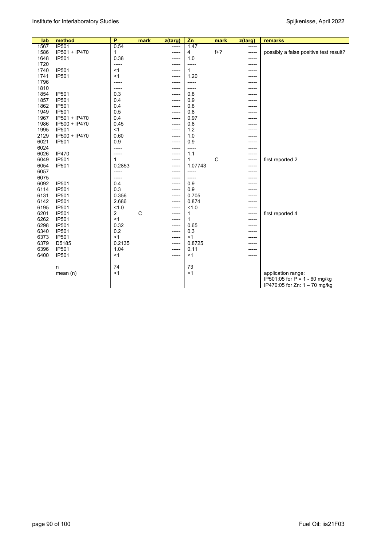| lab  | method        | P              | mark | z(targ) | Zn           | mark  | z(targ) | remarks                                |
|------|---------------|----------------|------|---------|--------------|-------|---------|----------------------------------------|
| 1567 | <b>IP501</b>  | 0.54           |      | -----   | 1.47         |       | -----   |                                        |
| 1586 | IP501 + IP470 | 1              |      | -----   | 4            | $f+?$ | -----   | possibly a false positive test result? |
| 1648 | <b>IP501</b>  | 0.38           |      | -----   | 1.0          |       | -----   |                                        |
| 1720 |               | -----          |      | -----   | -----        |       | -----   |                                        |
| 1740 | <b>IP501</b>  | <1             |      | -----   | $\mathbf{1}$ |       | -----   |                                        |
| 1741 | <b>IP501</b>  | $<$ 1          |      | -----   | 1.20         |       | -----   |                                        |
| 1796 |               | -----          |      | -----   | -----        |       | -----   |                                        |
| 1810 |               | -----          |      | -----   | -----        |       | -----   |                                        |
| 1854 | <b>IP501</b>  | 0.3            |      | -----   | 0.8          |       | -----   |                                        |
| 1857 | <b>IP501</b>  | 0.4            |      | -----   | 0.9          |       | -----   |                                        |
| 1862 | <b>IP501</b>  | 0.4            |      | -----   | 0.8          |       |         |                                        |
| 1949 | <b>IP501</b>  | 0.5            |      | -----   | 0.8          |       |         |                                        |
| 1967 | IP501 + IP470 | 0.4            |      | -----   | 0.97         |       | -----   |                                        |
| 1986 | IP500 + IP470 | 0.45           |      | -----   | 0.8          |       | -----   |                                        |
| 1995 | <b>IP501</b>  | <1             |      | -----   | 1.2          |       | -----   |                                        |
| 2129 | IP500 + IP470 | 0.60           |      | -----   | 1.0          |       | -----   |                                        |
| 6021 | <b>IP501</b>  | 0.9            |      | -----   | 0.9          |       | -----   |                                        |
| 6024 |               | -----          |      | -----   | -----        |       | -----   |                                        |
| 6026 | <b>IP470</b>  | -----          |      | -----   | 1.1          |       | -----   |                                        |
| 6049 | <b>IP501</b>  | $\mathbf{1}$   |      | -----   | 1            | C     | -----   | first reported 2                       |
| 6054 | <b>IP501</b>  | 0.2853         |      | -----   | 1.07743      |       | -----   |                                        |
| 6057 |               | -----          |      | -----   | -----        |       | -----   |                                        |
| 6075 |               | -----          |      | -----   | -----        |       |         |                                        |
| 6092 | <b>IP501</b>  | 0.4            |      | -----   | 0.9          |       | -----   |                                        |
| 6114 | <b>IP501</b>  | 0.3            |      | -----   | 0.9          |       | -----   |                                        |
| 6131 | <b>IP501</b>  | 0.356          |      | -----   | 0.705        |       | -----   |                                        |
| 6142 | <b>IP501</b>  | 2.686          |      | -----   | 0.874        |       | -----   |                                        |
| 6195 | IP501         | 1.0            |      | -----   | 1.0          |       | -----   |                                        |
| 6201 | <b>IP501</b>  | $\overline{2}$ | C    | -----   | 1            |       | -----   | first reported 4                       |
| 6262 | <b>IP501</b>  | $<$ 1          |      | -----   | $\mathbf{1}$ |       | -----   |                                        |
| 6298 | <b>IP501</b>  | 0.32           |      | -----   | 0.65         |       | -----   |                                        |
| 6340 | <b>IP501</b>  | 0.2            |      | -----   | 0.3          |       | -----   |                                        |
| 6373 | IP501         | <1             |      | -----   | <1           |       |         |                                        |
| 6379 | D5185         | 0.2135         |      | -----   | 0.8725       |       | -----   |                                        |
| 6396 | IP501         | 1.04           |      | -----   | 0.11         |       | -----   |                                        |
| 6400 | <b>IP501</b>  | < 1            |      | -----   | $<$ 1        |       | -----   |                                        |
|      |               |                |      |         |              |       |         |                                        |
|      | n             | 74             |      |         | 73           |       |         |                                        |
|      | mean $(n)$    | $<$ 1          |      |         | < 1          |       |         | application range:                     |
|      |               |                |      |         |              |       |         | IP501:05 for P = 1 - 60 mg/kg          |
|      |               |                |      |         |              |       |         | IP470:05 for Zn: 1 - 70 mg/kg          |
|      |               |                |      |         |              |       |         |                                        |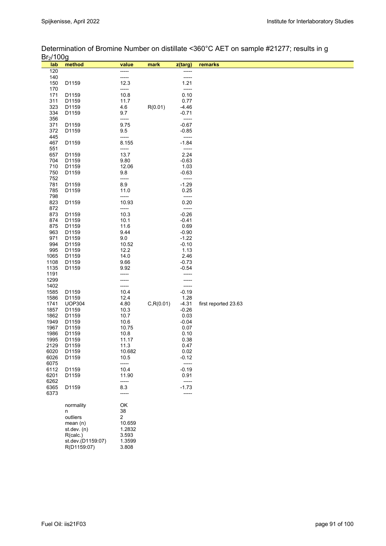| צטטו <i>וצ</i> וש<br>lab | method            | value          | mark       | z(targ)            | remarks              |
|--------------------------|-------------------|----------------|------------|--------------------|----------------------|
|                          |                   |                |            |                    |                      |
| 120                      |                   | -----          |            | -----              |                      |
| 140                      |                   | -----          |            | -----              |                      |
| 150                      | D1159             | 12.3<br>-----  |            | 1.21<br>-----      |                      |
| 170<br>171               | D1159             | 10.8           |            | 0.10               |                      |
| 311                      | D1159             | 11.7           |            | 0.77               |                      |
| 323                      | D1159             | 4.6            |            |                    |                      |
| 334                      | D1159             | 9.7            | R(0.01)    | $-4.46$<br>$-0.71$ |                      |
| 356                      |                   | -----          |            | -----              |                      |
| 371                      | D1159             | 9.75           |            | $-0.67$            |                      |
| 372                      | D1159             | 9.5            |            | $-0.85$            |                      |
| 445                      |                   | -----          |            | -----              |                      |
| 467                      | D1159             | 8.155          |            | $-1.84$            |                      |
| 551                      |                   | -----          |            | -----              |                      |
| 657                      | D1159             | 13.7           |            | 2.24               |                      |
| 704                      | D1159             | 9.80           |            | $-0.63$            |                      |
| 710                      | D1159             | 12.06          |            | 1.03               |                      |
| 750                      | D1159             | 9.8            |            | $-0.63$            |                      |
| 752                      |                   | -----          |            | -----              |                      |
| 781                      | D1159             | 8.9            |            | $-1.29$            |                      |
| 785                      | D1159             | 11.0           |            | 0.25               |                      |
| 798                      |                   | -----          |            | -----              |                      |
| 823                      | D1159             | 10.93          |            | 0.20               |                      |
| 872                      |                   | -----          |            | -----              |                      |
| 873                      | D1159             | 10.3           |            | $-0.26$            |                      |
| 874                      | D1159             | 10.1           |            | $-0.41$            |                      |
| 875                      | D1159             | 11.6           |            | 0.69               |                      |
| 963                      | D1159             | 9.44           |            | $-0.90$            |                      |
| 971                      | D1159             | 9.0            |            | $-1.22$            |                      |
| 994                      | D1159             | 10.52          |            | $-0.10$            |                      |
| 995                      | D1159             | 12.2           |            | 1.13               |                      |
| 1065                     | D1159             | 14.0           |            | 2.46               |                      |
| 1108                     | D1159             | 9.66           |            | $-0.73$            |                      |
| 1135                     | D1159             | 9.92           |            | $-0.54$            |                      |
| 1191                     |                   | -----          |            |                    |                      |
| 1299                     |                   | -----          |            | ---                |                      |
| 1402                     |                   | -----          |            | -----              |                      |
| 1585                     | D1159             | 10.4           |            | $-0.19$            |                      |
| 1586                     | D1159             | 12.4           |            | 1.28               |                      |
| 1741                     | <b>UOP304</b>     | 4.80           | C, R(0.01) | $-4.31$            | first reported 23.63 |
| 1857                     | D1159             | 10.3           |            | $-0.26$            |                      |
| 1862                     | D1159             | 10.7           |            | 0.03               |                      |
| 1949                     | D1159             | 10.6           |            | $-0.04$            |                      |
| 1967                     | D1159             | 10.75          |            | 0.07               |                      |
| 1986                     | D1159             | 10.8           |            | 0.10               |                      |
| 1995<br>2129             | D1159<br>D1159    | 11.17<br>11.3  |            | 0.38<br>0.47       |                      |
| 6020                     |                   |                |            | 0.02               |                      |
| 6026                     | D1159<br>D1159    | 10.682<br>10.5 |            | $-0.12$            |                      |
| 6075                     |                   | -----          |            | -----              |                      |
| 6112                     | D1159             | 10.4           |            | $-0.19$            |                      |
| 6201                     | D1159             | 11.90          |            | 0.91               |                      |
| 6262                     |                   | -----          |            | -----              |                      |
| 6365                     | D1159             | 8.3            |            | $-1.73$            |                      |
| 6373                     |                   | -----          |            | -----              |                      |
|                          |                   |                |            |                    |                      |
|                          | normality         | OK             |            |                    |                      |
|                          | n                 | 38             |            |                    |                      |
|                          | outliers          | $\overline{a}$ |            |                    |                      |
|                          | mean $(n)$        | 10.659         |            |                    |                      |
|                          | st. dev. (n)      | 1.2832         |            |                    |                      |
|                          | R(calc.)          | 3.593          |            |                    |                      |
|                          | st.dev.(D1159:07) | 1.3599         |            |                    |                      |
|                          | R(D1159:07)       | 3.808          |            |                    |                      |

Determination of Bromine Number on distillate <360°C AET on sample #21277; results in g  $Br<sub>2</sub>/100<sub>0</sub>$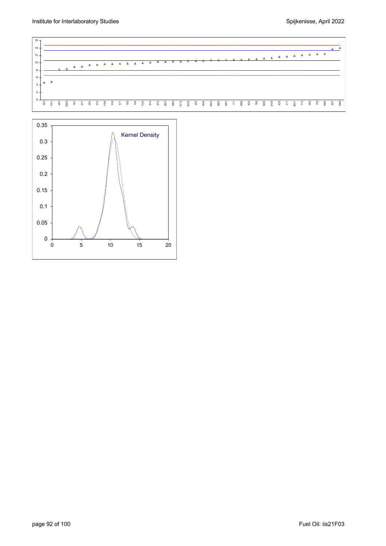

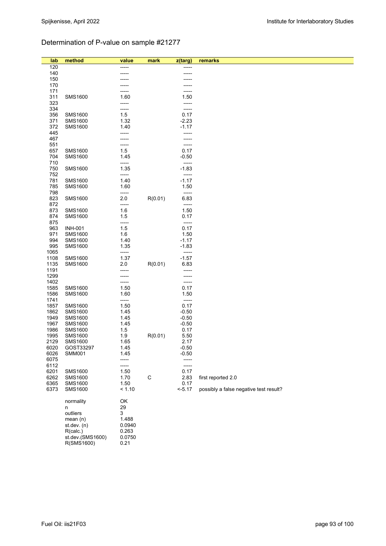### Determination of P-value on sample #21277

| lab          | method                           | value           | mark        | z(targ)          | remarks                                |
|--------------|----------------------------------|-----------------|-------------|------------------|----------------------------------------|
| 120          |                                  |                 |             |                  |                                        |
| 140          |                                  |                 |             |                  |                                        |
| 150          |                                  |                 |             |                  |                                        |
| 170          |                                  |                 |             |                  |                                        |
| 171          |                                  |                 |             |                  |                                        |
| 311          | <b>SMS1600</b>                   | 1.60            |             | 1.50             |                                        |
| 323          |                                  | -----           |             | -----            |                                        |
| 334          |                                  | -----           |             | -----            |                                        |
| 356          | <b>SMS1600</b><br><b>SMS1600</b> | 1.5<br>1.32     |             | 0.17<br>$-2.23$  |                                        |
| 371<br>372   | <b>SMS1600</b>                   | 1.40            |             | $-1.17$          |                                        |
| 445          |                                  | -----           |             | -----            |                                        |
| 467          |                                  |                 |             | -----            |                                        |
| 551          |                                  |                 |             | -----            |                                        |
| 657          | <b>SMS1600</b>                   | 1.5             |             | 0.17             |                                        |
| 704          | <b>SMS1600</b>                   | 1.45            |             | $-0.50$          |                                        |
| 710          |                                  | -----           |             | -----            |                                        |
| 750          | <b>SMS1600</b>                   | 1.35            |             | $-1.83$          |                                        |
| 752          |                                  | -----           |             | -----            |                                        |
| 781          | <b>SMS1600</b>                   | 1.40            |             | $-1.17$          |                                        |
| 785          | SMS1600                          | 1.60            |             | 1.50             |                                        |
| 798          |                                  | -----           |             | -----            |                                        |
| 823          | <b>SMS1600</b>                   | 2.0<br>-----    | R(0.01)     | 6.83<br>-----    |                                        |
| 872<br>873   | <b>SMS1600</b>                   | 1.6             |             | 1.50             |                                        |
| 874          | SMS1600                          | 1.5             |             | 0.17             |                                        |
| 875          |                                  | -----           |             | -----            |                                        |
| 963          | <b>INH-001</b>                   | 1.5             |             | 0.17             |                                        |
| 971          | <b>SMS1600</b>                   | 1.6             |             | 1.50             |                                        |
| 994          | <b>SMS1600</b>                   | 1.40            |             | $-1.17$          |                                        |
| 995          | <b>SMS1600</b>                   | 1.35            |             | $-1.83$          |                                        |
| 1065         |                                  | -----           |             | -----            |                                        |
| 1108         | <b>SMS1600</b>                   | 1.37            |             | $-1.57$          |                                        |
| 1135         | SMS1600                          | 2.0             | R(0.01)     | 6.83             |                                        |
| 1191         |                                  | -----           |             | -----            |                                        |
| 1299<br>1402 |                                  | -----           |             | -----            |                                        |
| 1585         | <b>SMS1600</b>                   | 1.50            |             | 0.17             |                                        |
| 1586         | <b>SMS1600</b>                   | 1.60            |             | 1.50             |                                        |
| 1741         |                                  | -----           |             | -----            |                                        |
| 1857         | <b>SMS1600</b>                   | 1.50            |             | 0.17             |                                        |
| 1862         | <b>SMS1600</b>                   | 1.45            |             | $-0.50$          |                                        |
| 1949         | <b>SMS1600</b>                   | 1.45            |             | $-0.50$          |                                        |
| 1967         | <b>SMS1600</b>                   | 1.45            |             | $-0.50$          |                                        |
| 1986         | <b>SMS1600</b>                   | 1.5             |             | 0.17             |                                        |
| 1995         | SMS1600                          | 1.9             | R(0.01)     | 5.50             |                                        |
| 2129         | SMS1600                          | 1.65            |             | 2.17             |                                        |
| 6020         | GOST33297<br><b>SMM001</b>       | 1.45            |             | $-0.50$          |                                        |
| 6026<br>6075 |                                  | 1.45<br>-----   |             | $-0.50$<br>----- |                                        |
| 6112         |                                  |                 |             | -----            |                                        |
| 6201         | <b>SMS1600</b>                   | 1.50            |             | 0.17             |                                        |
| 6262         | SMS1600                          | 1.70            | $\mathsf C$ | 2.83             | first reported 2.0                     |
| 6365         | SMS1600                          | 1.50            |             | 0.17             |                                        |
| 6373         | <b>SMS1600</b>                   | < 1.10          |             | $< -5.17$        | possibly a false negative test result? |
|              |                                  |                 |             |                  |                                        |
|              | normality                        | OK              |             |                  |                                        |
|              | n                                | 29              |             |                  |                                        |
|              | outliers                         | 3               |             |                  |                                        |
|              | mean $(n)$<br>st. dev. (n)       | 1.488<br>0.0940 |             |                  |                                        |
|              | R(calc.)                         | 0.263           |             |                  |                                        |
|              | st.dev.(SMS1600)                 | 0.0750          |             |                  |                                        |
|              | R(SMS1600)                       | 0.21            |             |                  |                                        |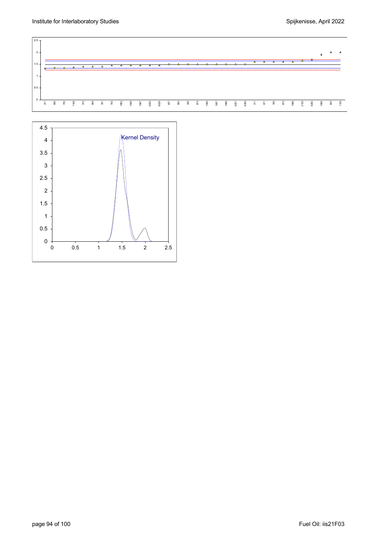

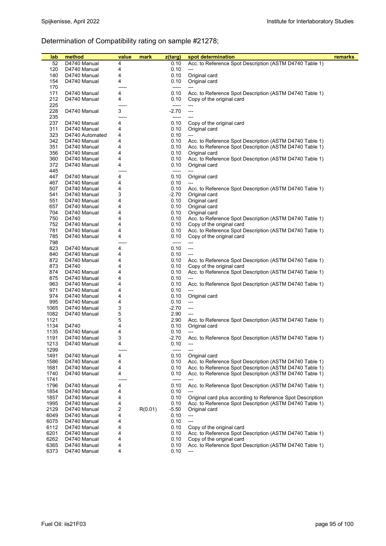### Determination of Compatibility rating on sample #21278;

| lab  | method          | value  | mark    | z(targ) | spot determination                                         | remarks |
|------|-----------------|--------|---------|---------|------------------------------------------------------------|---------|
| 52   | D4740 Manual    | 4      |         | 0.10    | Acc. to Reference Spot Description (ASTM D4740 Table 1)    |         |
| 120  | D4740 Manual    | 4      |         | 0.10    | ---                                                        |         |
| 140  | D4740 Manual    | 4      |         | 0.10    | Original card                                              |         |
| 154  | D4740 Manual    | 4      |         | 0.10    | Original card                                              |         |
| 170  |                 | -----  |         | $-----$ |                                                            |         |
| 171  | D4740 Manual    | 4      |         | 0.10    | Acc. to Reference Spot Description (ASTM D4740 Table 1)    |         |
| 212  | D4740 Manual    | 4      |         | 0.10    | Copy of the original card                                  |         |
| 225  |                 | ------ |         | -----   | $---$                                                      |         |
| 228  | D4740 Manual    | 3      |         | $-2.70$ | $---$                                                      |         |
| 235  |                 |        |         | -----   |                                                            |         |
| 237  | D4740 Manual    | 4      |         | 0.10    | Copy of the original card                                  |         |
| 311  | D4740 Manual    | 4      |         | 0.10    | Original card                                              |         |
| 323  | D4740 Automated | 4      |         | 0.10    | ---                                                        |         |
| 342  | D4740 Manual    | 4      |         | 0.10    | Acc. to Reference Spot Description (ASTM D4740 Table 1)    |         |
| 351  | D4740 Manual    | 4      |         | 0.10    | Acc. to Reference Spot Description (ASTM D4740 Table 1)    |         |
| 356  | D4740 Manual    | 4      |         | 0.10    | Original card                                              |         |
| 360  | D4740 Manual    | 4      |         | 0.10    | Acc. to Reference Spot Description (ASTM D4740 Table 1)    |         |
| 372  | D4740 Manual    | 4      |         | 0.10    | Original card                                              |         |
| 445  |                 | -----  |         | -----   |                                                            |         |
| 447  | D4740 Manual    | 4      |         | 0.10    | Original card                                              |         |
| 467  | D4740 Manual    | 4      |         | 0.10    | ---                                                        |         |
| 507  | D4740 Manual    | 4      |         | 0.10    | Acc. to Reference Spot Description (ASTM D4740 Table 1)    |         |
| 541  | D4740 Manual    | 3      |         | $-2.70$ | Original card                                              |         |
| 551  | D4740 Manual    | 4      |         | 0.10    | Original card                                              |         |
| 657  | D4740 Manual    | 4      |         | 0.10    | Original card                                              |         |
| 704  | D4740 Manual    | 4      |         | 0.10    | Original card                                              |         |
| 750  | D4740           | 4      |         | 0.10    | Acc. to Reference Spot Description (ASTM D4740 Table 1)    |         |
| 752  | D4740 Manual    | 4      |         | 0.10    | Copy of the original card                                  |         |
| 781  | D4740 Manual    | 4      |         | 0.10    | Acc. to Reference Spot Description (ASTM D4740 Table 1)    |         |
| 785  | D4740 Manual    | 4      |         | 0.10    | Copy of the original card                                  |         |
| 798  |                 | -----  |         | $-----$ | ---                                                        |         |
| 823  | D4740 Manual    | 4      |         | 0.10    | ---                                                        |         |
| 840  | D4740 Manual    | 4      |         | 0.10    | ---                                                        |         |
| 872  | D4740 Manual    | 4      |         | 0.10    | Acc. to Reference Spot Description (ASTM D4740 Table 1)    |         |
| 873  | D4740           | 4      |         | 0.10    | Copy of the original card                                  |         |
| 874  | D4740 Manual    | 4      |         | 0.10    | Acc. to Reference Spot Description (ASTM D4740 Table 1)    |         |
| 875  | D4740 Manual    | 4      |         | 0.10    | ---                                                        |         |
| 963  | D4740 Manual    | 4      |         | 0.10    | Acc. to Reference Spot Description (ASTM D4740 Table 1)    |         |
| 971  | D4740 Manual    | 4      |         | 0.10    | ---                                                        |         |
| 974  | D4740 Manual    | 4      |         | 0.10    | Original card                                              |         |
| 995  | D4740 Manual    | 4      |         | 0.10    | ---                                                        |         |
| 1065 | D4740 Manual    | 3      |         | $-2.70$ | ---                                                        |         |
| 1082 | D4740 Manual    | 5      |         | 2.90    | ---                                                        |         |
| 1121 |                 | 5      |         | 2.90    | Acc. to Reference Spot Description (ASTM D4740 Table 1)    |         |
| 1134 | D4740           | 4      |         | 0.10    | Original card                                              |         |
| 1135 | D4740 Manual    | 4      |         | 0.10    | ---                                                        |         |
| 1191 | D4740 Manual    | 3      |         | $-2.70$ | Acc. to Reference Spot Description (ASTM D4740 Table 1)    |         |
| 1213 | D4740 Manual    | 4      |         | 0.10    | ---                                                        |         |
| 1299 |                 | -----  |         | -----   |                                                            |         |
| 1491 | D4740 Manual    | 4      |         | 0.10    | Original card                                              |         |
| 1586 | D4740 Manual    | 4      |         | 0.10    | Acc. to Reference Spot Description (ASTM D4740 Table 1)    |         |
| 1681 | D4740 Manual    | 4      |         | 0.10    | Acc. to Reference Spot Description (ASTM D4740 Table 1)    |         |
| 1740 | D4740 Manual    | 4      |         | 0.10    | Acc. to Reference Spot Description (ASTM D4740 Table 1)    |         |
| 1741 |                 | -----  |         | -----   |                                                            |         |
| 1796 | D4740 Manual    | 4      |         | 0.10    | Acc. to Reference Spot Description (ASTM D4740 Table 1)    |         |
| 1854 | D4740 Manual    | 4      |         | 0.10    | ---                                                        |         |
| 1857 | D4740 Manual    | 4      |         | 0.10    | Original card plus according to Reference Spot Description |         |
| 1995 | D4740 Manual    | 4      |         | 0.10    | Acc. to Reference Spot Description (ASTM D4740 Table 1)    |         |
| 2129 | D4740 Manual    | 2      | R(0.01) | $-5.50$ | Original card                                              |         |
| 6049 | D4740 Manual    | 4      |         | 0.10    | ---                                                        |         |
| 6075 | D4740 Manual    | 4      |         | 0.10    | ---                                                        |         |
| 6112 | D4740 Manual    | 4      |         | 0.10    | Copy of the original card                                  |         |
| 6201 | D4740 Manual    | 4      |         | 0.10    | Acc. to Reference Spot Description (ASTM D4740 Table 1)    |         |
| 6262 | D4740 Manual    | 4      |         | 0.10    | Copy of the original card                                  |         |
| 6365 | D4740 Manual    | 4      |         | 0.10    | Acc. to Reference Spot Description (ASTM D4740 Table 1)    |         |
| 6373 | D4740 Manual    | 4      |         | 0.10    | $\qquad \qquad \text{---}$                                 |         |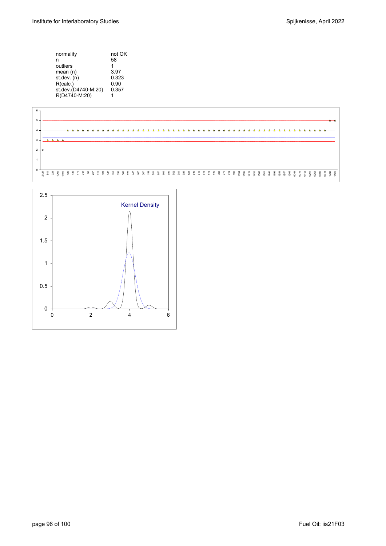| normality           | not OK |
|---------------------|--------|
| n                   | 58     |
| outliers            |        |
| mean $(n)$          | 3.97   |
| st.dev. (n)         | 0.323  |
| R(calc.)            | 0.90   |
| st.dev.(D4740-M:20) | 0.357  |
| R(D4740-M:20)       |        |
|                     |        |



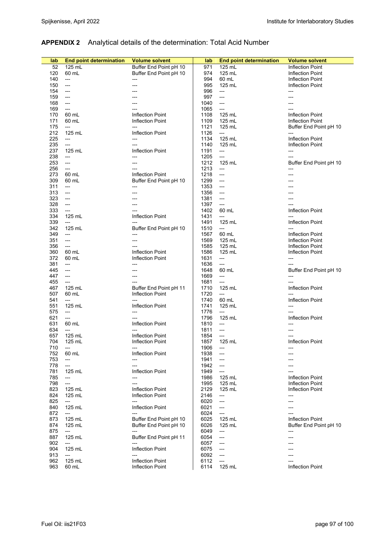### **APPENDIX 2** Analytical details of the determination: Total Acid Number

| lab | <b>End point determination</b>           | <b>Volume solvent</b>   | lab  | <b>End point determination</b> | <b>Volume solvent</b>   |
|-----|------------------------------------------|-------------------------|------|--------------------------------|-------------------------|
| 52  | 125 mL                                   | Buffer End Point pH 10  | 971  | 125 mL                         | <b>Inflection Point</b> |
| 120 | 60 mL                                    | Buffer End Point pH 10  | 974  | 125 mL                         | <b>Inflection Point</b> |
| 140 | $\qquad \qquad \cdots$                   |                         | 994  | 60 mL                          | <b>Inflection Point</b> |
|     |                                          |                         | 995  | 125 mL                         |                         |
| 150 | $\hspace{0.05cm} \dashrightarrow$        |                         |      |                                | <b>Inflection Point</b> |
| 154 | $\overline{\phantom{a}}$                 |                         | 996  | $\overline{\phantom{a}}$       |                         |
| 159 | $\overline{\phantom{a}}$                 |                         | 997  | ---                            |                         |
| 168 | $\overline{\phantom{a}}$                 |                         | 1040 | $\overline{\phantom{a}}$       |                         |
| 169 | $\overline{\phantom{a}}$                 |                         | 1065 | $---$                          |                         |
| 170 | 60 mL                                    | <b>Inflection Point</b> | 1108 | 125 mL                         | Inflection Point        |
| 171 | 60 mL                                    | Inflection Point        | 1109 | 125 mL                         | <b>Inflection Point</b> |
| 175 | ---                                      | ---                     | 1121 | 125 mL                         | Buffer End Point pH 10  |
| 212 | 125 mL                                   | <b>Inflection Point</b> | 1126 | ---                            | ---                     |
| 225 | $\hspace{0.05cm} \ldots$                 |                         | 1134 | 125 mL                         | <b>Inflection Point</b> |
|     | $\overline{a}$                           |                         | 1140 |                                | <b>Inflection Point</b> |
| 235 |                                          |                         |      | 125 mL                         |                         |
| 237 | 125 mL                                   | <b>Inflection Point</b> | 1191 | ---                            | ---                     |
| 238 | ---                                      | ---                     | 1205 | $\overline{\phantom{a}}$       |                         |
| 253 | $\hspace{0.05cm} \dashrightarrow$        | ---                     | 1212 | 125 mL                         | Buffer End Point pH 10  |
| 256 | $\overline{\phantom{a}}$                 |                         | 1213 | $\overline{\phantom{a}}$       |                         |
| 273 | 60 mL                                    | <b>Inflection Point</b> | 1218 | $\overline{\phantom{a}}$       |                         |
| 309 | 60 mL                                    | Buffer End Point pH 10  | 1299 | $---$                          |                         |
| 311 | $\overline{\phantom{a}}$                 |                         | 1353 | $\overline{\phantom{a}}$       |                         |
| 313 | $\overline{a}$                           |                         | 1356 | $\overline{\phantom{a}}$       |                         |
| 323 | $\overline{\phantom{a}}$                 |                         | 1381 | $\overline{\phantom{a}}$       |                         |
| 328 | $\qquad \qquad \cdots$                   |                         | 1397 | ---                            |                         |
| 333 | $---$                                    |                         | 1402 | 60 mL                          | <b>Inflection Point</b> |
|     |                                          |                         |      |                                |                         |
| 334 | 125 mL                                   | <b>Inflection Point</b> | 1431 | ---                            |                         |
| 339 | $---$                                    |                         | 1491 | 125 mL                         | <b>Inflection Point</b> |
| 342 | 125 mL                                   | Buffer End Point pH 10  | 1510 | $---$                          |                         |
| 349 | ---                                      | ---                     | 1567 | 60 mL                          | <b>Inflection Point</b> |
| 351 | $\overline{\phantom{a}}$                 | ---                     | 1569 | 125 mL                         | <b>Inflection Point</b> |
| 356 | $\overline{\phantom{a}}$                 |                         | 1585 | 125 mL                         | <b>Inflection Point</b> |
| 360 | 60 mL                                    | <b>Inflection Point</b> | 1586 | 125 mL                         | <b>Inflection Point</b> |
| 372 | 60 mL                                    | Inflection Point        | 1631 | $\hspace{0.05cm} \ldots$       | $---$                   |
| 381 | $\qquad \qquad \cdots$                   | ---                     | 1636 | $\hspace{0.05cm} \ldots$       |                         |
| 445 | $\overline{\phantom{a}}$                 |                         | 1648 | 60 mL                          | Buffer End Point pH 10  |
| 447 | $\overline{\phantom{a}}$                 |                         | 1669 | $---$                          |                         |
|     |                                          |                         |      |                                |                         |
| 455 | $\overline{\phantom{a}}$                 |                         | 1681 | ---                            |                         |
| 467 | 125 mL                                   | Buffer End Point pH 11  | 1710 | 125 mL                         | <b>Inflection Point</b> |
| 507 | 60 mL                                    | <b>Inflection Point</b> | 1720 | $\hspace{0.05cm} \ldots$       |                         |
| 541 | $---$                                    |                         | 1740 | 60 mL                          | <b>Inflection Point</b> |
| 551 | 125 mL                                   | <b>Inflection Point</b> | 1741 | 125 mL                         | $---$                   |
| 575 | $\hspace{0.05cm} \ldots$                 | ---                     | 1776 | $\overline{\phantom{a}}$       |                         |
| 621 | ---                                      |                         | 1796 | 125 mL                         | <b>Inflection Point</b> |
| 631 | 60 mL                                    | <b>Inflection Point</b> | 1810 | $---$                          |                         |
| 634 | $---$                                    |                         | 1811 | $\overline{\phantom{a}}$       |                         |
| 657 | 125 mL                                   | <b>Inflection Point</b> | 1854 | $\overline{\phantom{a}}$       |                         |
| 704 | 125 mL                                   | Inflection Point        | 1857 | 125 mL                         | <b>Inflection Point</b> |
| 710 | $\hspace{0.05cm} \ldots \hspace{0.05cm}$ |                         | 1906 | $\overline{\phantom{a}}$       |                         |
| 752 | 60 mL                                    | Inflection Point        | 1938 | ---                            |                         |
| 753 | ---                                      |                         | 1941 | ---                            |                         |
|     |                                          |                         | 1942 |                                |                         |
| 778 | $\qquad \qquad \cdots$                   |                         |      | ---                            |                         |
| 781 | 125 mL                                   | <b>Inflection Point</b> | 1949 | $---$                          |                         |
| 785 | ---                                      |                         | 1986 | 125 mL                         | <b>Inflection Point</b> |
| 798 | ---                                      |                         | 1995 | 125 mL                         | <b>Inflection Point</b> |
| 823 | 125 mL                                   | <b>Inflection Point</b> | 2129 | 125 mL                         | Inflection Point        |
| 824 | 125 mL                                   | <b>Inflection Point</b> | 2146 | ---                            |                         |
| 825 | ---                                      |                         | 6020 | $\hspace{0.05cm} \ldots$       |                         |
| 840 | 125 mL                                   | <b>Inflection Point</b> | 6021 | ---                            |                         |
| 872 | $\overline{a}$                           |                         | 6024 | $---$                          |                         |
| 873 | 125 mL                                   | Buffer End Point pH 10  | 6025 | 125 mL                         | <b>Inflection Point</b> |
| 874 | 125 mL                                   | Buffer End Point pH 10  | 6026 | 125 mL                         | Buffer End Point pH 10  |
| 875 |                                          |                         | 6049 |                                |                         |
|     | ---                                      |                         |      | $\hspace{0.05cm} \ldots$       |                         |
| 887 | 125 mL                                   | Buffer End Point pH 11  | 6054 | $\hspace{0.05cm} \ldots$       | ---                     |
| 902 | ---                                      |                         | 6057 | $\hspace{0.05cm} \ldots$       |                         |
| 904 | 125 mL                                   | <b>Inflection Point</b> | 6075 | ---                            |                         |
| 913 | ---                                      |                         | 6092 | $\hspace{0.05cm} \ldots$       |                         |
| 962 | 125 mL                                   | <b>Inflection Point</b> | 6112 | $---$                          |                         |
| 963 | 60 mL                                    | <b>Inflection Point</b> | 6114 | 125 mL                         | <b>Inflection Point</b> |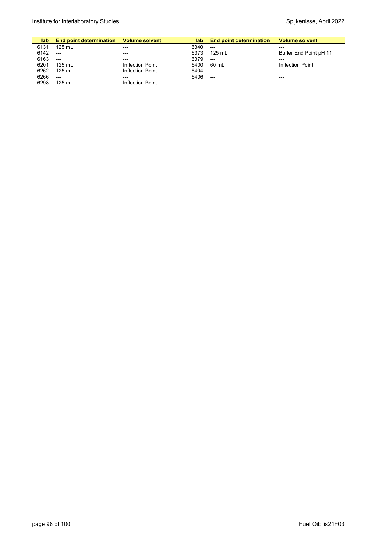| lab. | <b>End point determination</b> Volume solvent |                  | lab  | <b>End point determination</b> | Volume solvent          |
|------|-----------------------------------------------|------------------|------|--------------------------------|-------------------------|
| 6131 | $125$ mL                                      | ---              | 6340 | $---$                          | $---$                   |
| 6142 | $---$                                         | $---$            | 6373 | 125 mL                         | Buffer End Point pH 11  |
| 6163 | $---$                                         | $---$            | 6379 | $---$                          | $---$                   |
| 6201 | $125$ mL                                      | Inflection Point | 6400 | 60 mL                          | <b>Inflection Point</b> |
| 6262 | 125 mL                                        | Inflection Point | 6404 | $---$                          | $---$                   |
| 6266 | $---$                                         | $---$            | 6406 | $---$                          | $---$                   |
| 6298 | 125 mL                                        | Inflection Point |      |                                |                         |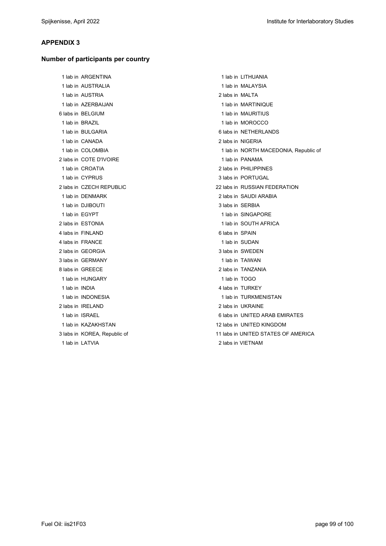#### **APPENDIX 3**

#### **Number of participants per country**

1 lab in AUSTRALIA 1 lab in MALAYSIA 1 lab in AUSTRIA 2 labs in MALTA 1 lab in AZERBAIJAN 1 lab in MARTINIQUE 6 labs in BELGIUM **1 lab in MAURITIUS** 1 lab in BRAZII 1 ab in MOROCCO 1 lab in BULGARIA 6 labs in NETHERLANDS 1 lab in CANADA 2 labs in NIGERIA 2 labs in COTE D'IVOIRE 1 lab in PANAMA 1 lab in CROATIA 2 labs in PHILIPPINES 1 lab in CYPRUS 3 labs in PORTUGAL 1 lab in DENMARK 2 labs in SAUDI ARABIA 1 lab in DJIBOUTI 2001 1 2002 1 2003 1 3 labs in SERBIA 1 lab in EGYPT 1 and in SINGAPORE 2 labs in ESTONIA 2 lab in SOUTH AFRICA 4 labs in FINLAND 6 labs in SPAIN 4 labs in FRANCE 1 lab in SUDAN 2 labs in GEORGIA 3 labs in SWEDEN 3 labs in GERMANY 1 abin TAIWAN 8 labs in GREECE 2 labs in TANZANIA 1 lab in HUNGARY 1 lab in TOGO 1 lab in INDIA 4 labs in TURKEY 1 lab in INDONESIA 1 lab in TURKMENISTAN 2 labs in IRELAND 2 labs in UKRAINE 1 lab in LATVIA 2 labs in VIETNAM

1 lab in ARGENTINA 1 lab in LITHUANIA 1 lab in COLOMBIA 1 lab in NORTH MACEDONIA, Republic of 2 labs in CZECH REPUBLIC 22 labs in RUSSIAN FEDERATION 1 lab in ISRAEL 6 labs in UNITED ARAB EMIRATES 1 lab in KAZAKHSTAN 12 labs in UNITED KINGDOM 3 labs in KOREA, Republic of 11 labs in UNITED STATES OF AMERICA